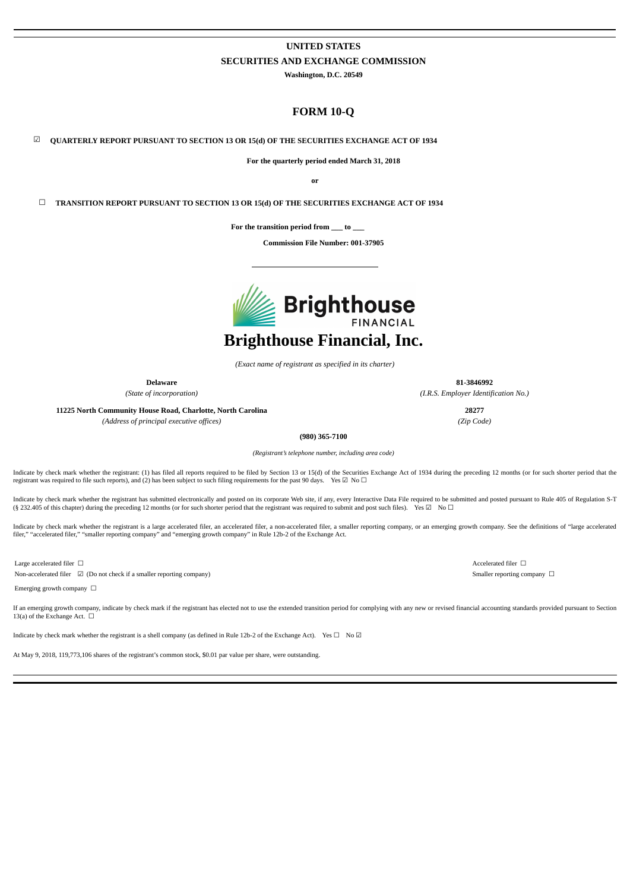### **UNITED STATES**

#### **SECURITIES AND EXCHANGE COMMISSION**

**Washington, D.C. 20549**

### **FORM 10-Q**

☑ **QUARTERLY REPORT PURSUANT TO SECTION 13 OR 15(d) OF THE SECURITIES EXCHANGE ACT OF 1934**

**For the quarterly period ended March 31, 2018**

**or**

☐ **TRANSITION REPORT PURSUANT TO SECTION 13 OR 15(d) OF THE SECURITIES EXCHANGE ACT OF 1934**

**For the transition period from \_\_\_ to \_\_\_**

**Commission File Number: 001-37905**



# **Brighthouse Financial, Inc.**

*(Exact name of registrant as specified in its charter)*

**11225 North Community House Road, Charlotte, North Carolina 28277**

*(Address of principal executive offices) (Zip Code)*

**(980) 365-7100**

*(Registrant's telephone number, including area code)*

Indicate by check mark whether the registrant: (1) has filed all reports required to be filed by Section 13 or 15(d) of the Securities Exchange Act of 1934 during the preceding 12 months (or for such shorter period that th registrant was required to file such reports), and (2) has been subject to such filing requirements for the past 90 days. Yes  $\Box$  No  $\Box$ 

Indicate by check mark whether the registrant has submitted electronically and posted on its corporate Web site, if any, every Interactive Data File required to be submitted and posted pursuant to Rule 405 of Regulation S-T (§ 232.405 of this chapter) during the preceding 12 months (or for such shorter period that the registrant was required to submit and post such files). Yes  $\Box$  No  $\Box$ 

Indicate by check mark whether the registrant is a large accelerated filer, an accelerated filer, a non-accelerated filer, a smaller reporting company, or an emerging growth company. See the definitions of "large accelerated filer," "accelerated filer," "smaller reporting company" and "emerging growth company" in Rule 12b-2 of the Exchange Act.

Non-accelerated filer  $□$  (Do not check if a smaller reporting company) Smaller reporting company □

Emerging growth company  $\Box$ 

If an emerging growth company, indicate by check mark if the registrant has elected not to use the extended transition period for complying with any new or revised financial accounting standards provided pursuant to Secti

Indicate by check mark whether the registrant is a shell company (as defined in Rule 12b-2 of the Exchange Act). Yes  $\Box$  No  $\Box$ 

At May 9, 2018, 119,773,106 shares of the registrant's common stock, \$0.01 par value per share, were outstanding.

 $\label{eq:1} \text{Large accelerated filter} \quad \Box \quad \text{Accepted filter} \quad \Box$ 

**Delaware 81-3846992** *(State of incorporation) (I.R.S. Employer Identification No.)*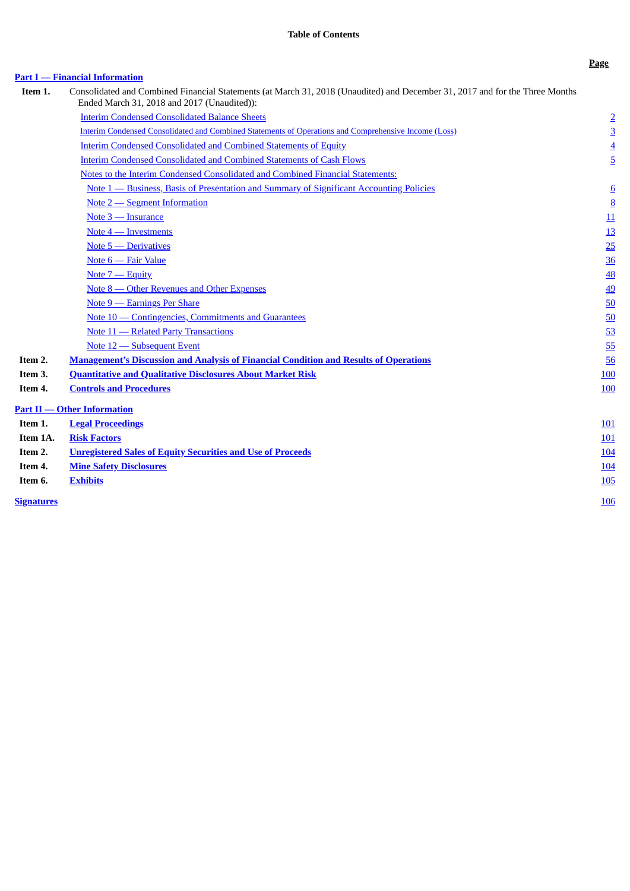### **Table of Contents**

<span id="page-1-0"></span>

|                   | <b>Part I</b> — Financial Information                                                                                                                                       |                 |
|-------------------|-----------------------------------------------------------------------------------------------------------------------------------------------------------------------------|-----------------|
| Item 1.           | Consolidated and Combined Financial Statements (at March 31, 2018 (Unaudited) and December 31, 2017 and for the Three Months<br>Ended March 31, 2018 and 2017 (Unaudited)): |                 |
|                   | <b>Interim Condensed Consolidated Balance Sheets</b>                                                                                                                        | $\overline{2}$  |
|                   | <b>Interim Condensed Consolidated and Combined Statements of Operations and Comprehensive Income (Loss)</b>                                                                 | $\overline{3}$  |
|                   | <b>Interim Condensed Consolidated and Combined Statements of Equity</b>                                                                                                     | $\overline{4}$  |
|                   | <b>Interim Condensed Consolidated and Combined Statements of Cash Flows</b>                                                                                                 | $\overline{5}$  |
|                   | Notes to the Interim Condensed Consolidated and Combined Financial Statements:                                                                                              |                 |
|                   | Note 1 — Business, Basis of Presentation and Summary of Significant Accounting Policies                                                                                     | $6\overline{6}$ |
|                   | Note 2 – Segment Information                                                                                                                                                | $\underline{8}$ |
|                   | Note 3 - Insurance                                                                                                                                                          | 11              |
|                   | Note $4$ — Investments                                                                                                                                                      | 13              |
|                   | Note 5 – Derivatives                                                                                                                                                        | 25              |
|                   | Note 6 — Fair Value                                                                                                                                                         | 36              |
|                   | Note 7 – Equity                                                                                                                                                             | <b>48</b>       |
|                   | Note 8 — Other Revenues and Other Expenses                                                                                                                                  | 49              |
|                   | Note 9 - Earnings Per Share                                                                                                                                                 | 50              |
|                   | Note 10 – Contingencies, Commitments and Guarantees                                                                                                                         | 50              |
|                   | Note 11 - Related Party Transactions                                                                                                                                        | 53              |
|                   | Note 12 - Subsequent Event                                                                                                                                                  | 55              |
| Item 2.           | <b>Management's Discussion and Analysis of Financial Condition and Results of Operations</b>                                                                                | 56              |
| Item 3.           | <b>Quantitative and Qualitative Disclosures About Market Risk</b>                                                                                                           | <b>100</b>      |
| Item 4.           | <b>Controls and Procedures</b>                                                                                                                                              | <b>100</b>      |
|                   | <b>Part II - Other Information</b>                                                                                                                                          |                 |
| Item 1.           | <b>Legal Proceedings</b>                                                                                                                                                    | 101             |
| Item 1A.          | <b>Risk Factors</b>                                                                                                                                                         | <u>101</u>      |
| Item 2.           | <b>Unregistered Sales of Equity Securities and Use of Proceeds</b>                                                                                                          | 104             |
| Item 4.           | <b>Mine Safety Disclosures</b>                                                                                                                                              | 104             |
| Item 6.           | <b>Exhibits</b>                                                                                                                                                             | 105             |
| <b>Signatures</b> |                                                                                                                                                                             | 106             |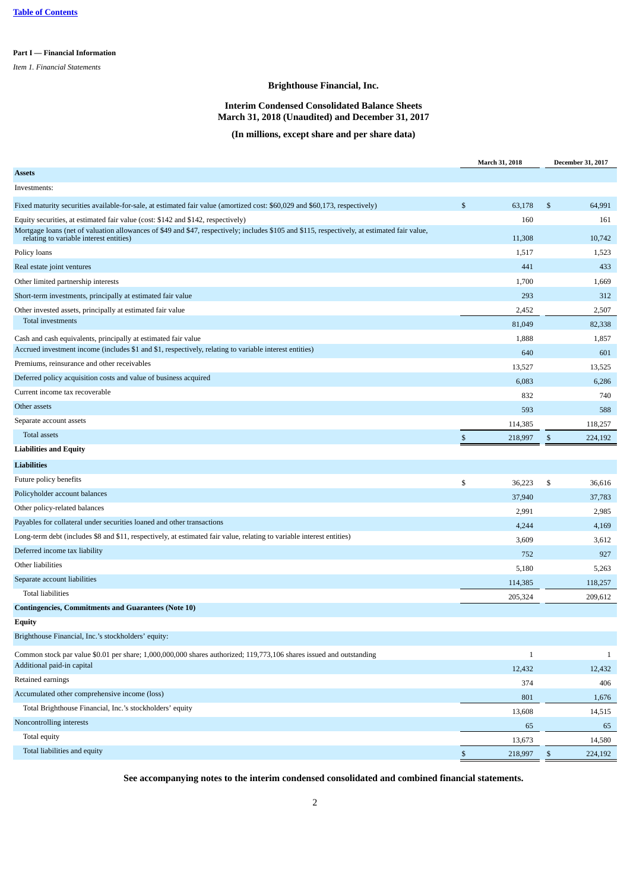### <span id="page-2-0"></span>**Part I — Financial Information**

<span id="page-2-1"></span>*Item 1. Financial Statements*

#### **Brighthouse Financial, Inc.**

### **Interim Condensed Consolidated Balance Sheets March 31, 2018 (Unaudited) and December 31, 2017**

### **(In millions, except share and per share data)**

|                                                                                                                                                                                         |              | March 31, 2018  |              | <b>December 31, 2017</b> |
|-----------------------------------------------------------------------------------------------------------------------------------------------------------------------------------------|--------------|-----------------|--------------|--------------------------|
| <b>Assets</b>                                                                                                                                                                           |              |                 |              |                          |
| Investments:                                                                                                                                                                            |              |                 |              |                          |
| Fixed maturity securities available-for-sale, at estimated fair value (amortized cost: \$60,029 and \$60,173, respectively)                                                             | \$           | 63,178          | \$           | 64,991                   |
| Equity securities, at estimated fair value (cost: \$142 and \$142, respectively)                                                                                                        |              | 160             |              | 161                      |
| Mortgage loans (net of valuation allowances of \$49 and \$47, respectively; includes \$105 and \$115, respectively, at estimated fair value,<br>relating to variable interest entities) |              | 11,308          |              | 10,742                   |
| Policy loans                                                                                                                                                                            |              | 1,517           |              | 1,523                    |
| Real estate joint ventures                                                                                                                                                              |              | 441             |              | 433                      |
| Other limited partnership interests                                                                                                                                                     |              | 1,700           |              | 1,669                    |
| Short-term investments, principally at estimated fair value                                                                                                                             |              | 293             |              | 312                      |
| Other invested assets, principally at estimated fair value                                                                                                                              |              | 2,452           |              | 2,507                    |
| Total investments                                                                                                                                                                       |              | 81,049          |              | 82,338                   |
| Cash and cash equivalents, principally at estimated fair value                                                                                                                          |              | 1,888           |              | 1,857                    |
| Accrued investment income (includes \$1 and \$1, respectively, relating to variable interest entities)                                                                                  |              | 640             |              | 601                      |
| Premiums, reinsurance and other receivables                                                                                                                                             |              | 13,527          |              | 13,525                   |
| Deferred policy acquisition costs and value of business acquired                                                                                                                        |              | 6,083           |              | 6,286                    |
| Current income tax recoverable                                                                                                                                                          |              | 832             |              | 740                      |
| Other assets                                                                                                                                                                            |              | 593             |              | 588                      |
| Separate account assets                                                                                                                                                                 |              | 114,385         |              | 118,257                  |
| <b>Total assets</b>                                                                                                                                                                     | \$           | 218,997         | \$           | 224,192                  |
| <b>Liabilities and Equity</b>                                                                                                                                                           |              |                 |              |                          |
| <b>Liabilities</b>                                                                                                                                                                      |              |                 |              |                          |
| Future policy benefits                                                                                                                                                                  | \$           | 36,223          | \$           | 36,616                   |
| Policyholder account balances                                                                                                                                                           |              | 37,940          |              | 37,783                   |
| Other policy-related balances                                                                                                                                                           |              | 2,991           |              | 2,985                    |
| Payables for collateral under securities loaned and other transactions                                                                                                                  |              | 4,244           |              | 4,169                    |
| Long-term debt (includes \$8 and \$11, respectively, at estimated fair value, relating to variable interest entities)                                                                   |              | 3,609           |              | 3,612                    |
| Deferred income tax liability                                                                                                                                                           |              | 752             |              | 927                      |
| Other liabilities                                                                                                                                                                       |              | 5,180           |              | 5,263                    |
| Separate account liabilities                                                                                                                                                            |              | 114,385         |              | 118,257                  |
| <b>Total liabilities</b>                                                                                                                                                                |              | 205,324         |              | 209,612                  |
| <b>Contingencies, Commitments and Guarantees (Note 10)</b>                                                                                                                              |              |                 |              |                          |
| Equity                                                                                                                                                                                  |              |                 |              |                          |
| Brighthouse Financial, Inc.'s stockholders' equity:                                                                                                                                     |              |                 |              |                          |
| Common stock par value \$0.01 per share; 1,000,000,000 shares authorized; 119,773,106 shares issued and outstanding<br>Additional paid-in capital                                       |              | $1\,$<br>12,432 |              | $\mathbf{1}$<br>12,432   |
| Retained earnings                                                                                                                                                                       |              | 374             |              | 406                      |
| Accumulated other comprehensive income (loss)                                                                                                                                           |              |                 |              |                          |
| Total Brighthouse Financial, Inc.'s stockholders' equity                                                                                                                                |              | 801<br>13,608   |              | 1,676<br>14,515          |
| Noncontrolling interests                                                                                                                                                                |              |                 |              |                          |
| Total equity                                                                                                                                                                            |              | 65<br>13,673    |              | 65<br>14,580             |
| Total liabilities and equity                                                                                                                                                            | $\mathbb{S}$ | 218,997         | $\mathbb{S}$ | 224,192                  |

**See accompanying notes to the interim condensed consolidated and combined financial statements.**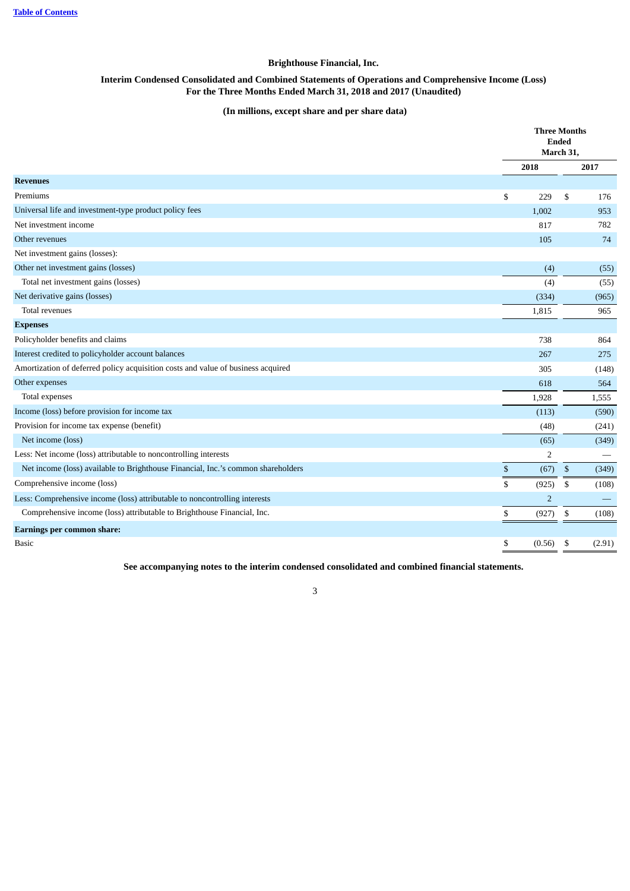#### <span id="page-3-0"></span>**Interim Condensed Consolidated and Combined Statements of Operations and Comprehensive Income (Loss) For the Three Months Ended March 31, 2018 and 2017 (Unaudited)**

### **(In millions, except share and per share data)**

| 2018<br>2017<br><b>Revenues</b><br>Premiums<br>\$<br>229<br>\$<br>176<br>Universal life and investment-type product policy fees<br>1,002<br>953<br>Net investment income<br>782<br>817<br>Other revenues<br>105<br>74<br>Net investment gains (losses):<br>Other net investment gains (losses)<br>(4)<br>(55)<br>Total net investment gains (losses)<br>(4)<br>(55)<br>Net derivative gains (losses)<br>(334)<br>(965)<br><b>Total revenues</b><br>1,815<br>965<br><b>Expenses</b><br>Policyholder benefits and claims<br>738<br>864<br>Interest credited to policyholder account balances<br>267<br>275<br>Amortization of deferred policy acquisition costs and value of business acquired<br>305<br>(148)<br>Other expenses<br>618<br>564<br>Total expenses<br>1,928<br>1,555<br>Income (loss) before provision for income tax<br>(113)<br>(590)<br>Provision for income tax expense (benefit)<br>(48)<br>(241)<br>Net income (loss)<br>(349)<br>(65)<br>Less: Net income (loss) attributable to noncontrolling interests<br>$\overline{2}$<br>Net income (loss) available to Brighthouse Financial, Inc.'s common shareholders<br>\$<br>\$<br>(349)<br>(67)<br>Comprehensive income (loss)<br>\$<br>(925)<br>\$<br>(108)<br>Less: Comprehensive income (loss) attributable to noncontrolling interests<br>$\overline{2}$<br>Comprehensive income (loss) attributable to Brighthouse Financial, Inc.<br>\$<br>\$<br>(927)<br>(108)<br>Earnings per common share:<br>\$<br>(0.56)<br>\$<br>(2.91)<br><b>Basic</b> |  | <b>Three Months</b><br><b>Ended</b><br>March 31, |  |
|---------------------------------------------------------------------------------------------------------------------------------------------------------------------------------------------------------------------------------------------------------------------------------------------------------------------------------------------------------------------------------------------------------------------------------------------------------------------------------------------------------------------------------------------------------------------------------------------------------------------------------------------------------------------------------------------------------------------------------------------------------------------------------------------------------------------------------------------------------------------------------------------------------------------------------------------------------------------------------------------------------------------------------------------------------------------------------------------------------------------------------------------------------------------------------------------------------------------------------------------------------------------------------------------------------------------------------------------------------------------------------------------------------------------------------------------------------------------------------------------------------------------|--|--------------------------------------------------|--|
|                                                                                                                                                                                                                                                                                                                                                                                                                                                                                                                                                                                                                                                                                                                                                                                                                                                                                                                                                                                                                                                                                                                                                                                                                                                                                                                                                                                                                                                                                                                     |  |                                                  |  |
|                                                                                                                                                                                                                                                                                                                                                                                                                                                                                                                                                                                                                                                                                                                                                                                                                                                                                                                                                                                                                                                                                                                                                                                                                                                                                                                                                                                                                                                                                                                     |  |                                                  |  |
|                                                                                                                                                                                                                                                                                                                                                                                                                                                                                                                                                                                                                                                                                                                                                                                                                                                                                                                                                                                                                                                                                                                                                                                                                                                                                                                                                                                                                                                                                                                     |  |                                                  |  |
|                                                                                                                                                                                                                                                                                                                                                                                                                                                                                                                                                                                                                                                                                                                                                                                                                                                                                                                                                                                                                                                                                                                                                                                                                                                                                                                                                                                                                                                                                                                     |  |                                                  |  |
|                                                                                                                                                                                                                                                                                                                                                                                                                                                                                                                                                                                                                                                                                                                                                                                                                                                                                                                                                                                                                                                                                                                                                                                                                                                                                                                                                                                                                                                                                                                     |  |                                                  |  |
|                                                                                                                                                                                                                                                                                                                                                                                                                                                                                                                                                                                                                                                                                                                                                                                                                                                                                                                                                                                                                                                                                                                                                                                                                                                                                                                                                                                                                                                                                                                     |  |                                                  |  |
|                                                                                                                                                                                                                                                                                                                                                                                                                                                                                                                                                                                                                                                                                                                                                                                                                                                                                                                                                                                                                                                                                                                                                                                                                                                                                                                                                                                                                                                                                                                     |  |                                                  |  |
|                                                                                                                                                                                                                                                                                                                                                                                                                                                                                                                                                                                                                                                                                                                                                                                                                                                                                                                                                                                                                                                                                                                                                                                                                                                                                                                                                                                                                                                                                                                     |  |                                                  |  |
|                                                                                                                                                                                                                                                                                                                                                                                                                                                                                                                                                                                                                                                                                                                                                                                                                                                                                                                                                                                                                                                                                                                                                                                                                                                                                                                                                                                                                                                                                                                     |  |                                                  |  |
|                                                                                                                                                                                                                                                                                                                                                                                                                                                                                                                                                                                                                                                                                                                                                                                                                                                                                                                                                                                                                                                                                                                                                                                                                                                                                                                                                                                                                                                                                                                     |  |                                                  |  |
|                                                                                                                                                                                                                                                                                                                                                                                                                                                                                                                                                                                                                                                                                                                                                                                                                                                                                                                                                                                                                                                                                                                                                                                                                                                                                                                                                                                                                                                                                                                     |  |                                                  |  |
|                                                                                                                                                                                                                                                                                                                                                                                                                                                                                                                                                                                                                                                                                                                                                                                                                                                                                                                                                                                                                                                                                                                                                                                                                                                                                                                                                                                                                                                                                                                     |  |                                                  |  |
|                                                                                                                                                                                                                                                                                                                                                                                                                                                                                                                                                                                                                                                                                                                                                                                                                                                                                                                                                                                                                                                                                                                                                                                                                                                                                                                                                                                                                                                                                                                     |  |                                                  |  |
|                                                                                                                                                                                                                                                                                                                                                                                                                                                                                                                                                                                                                                                                                                                                                                                                                                                                                                                                                                                                                                                                                                                                                                                                                                                                                                                                                                                                                                                                                                                     |  |                                                  |  |
|                                                                                                                                                                                                                                                                                                                                                                                                                                                                                                                                                                                                                                                                                                                                                                                                                                                                                                                                                                                                                                                                                                                                                                                                                                                                                                                                                                                                                                                                                                                     |  |                                                  |  |
|                                                                                                                                                                                                                                                                                                                                                                                                                                                                                                                                                                                                                                                                                                                                                                                                                                                                                                                                                                                                                                                                                                                                                                                                                                                                                                                                                                                                                                                                                                                     |  |                                                  |  |
|                                                                                                                                                                                                                                                                                                                                                                                                                                                                                                                                                                                                                                                                                                                                                                                                                                                                                                                                                                                                                                                                                                                                                                                                                                                                                                                                                                                                                                                                                                                     |  |                                                  |  |
|                                                                                                                                                                                                                                                                                                                                                                                                                                                                                                                                                                                                                                                                                                                                                                                                                                                                                                                                                                                                                                                                                                                                                                                                                                                                                                                                                                                                                                                                                                                     |  |                                                  |  |
|                                                                                                                                                                                                                                                                                                                                                                                                                                                                                                                                                                                                                                                                                                                                                                                                                                                                                                                                                                                                                                                                                                                                                                                                                                                                                                                                                                                                                                                                                                                     |  |                                                  |  |
|                                                                                                                                                                                                                                                                                                                                                                                                                                                                                                                                                                                                                                                                                                                                                                                                                                                                                                                                                                                                                                                                                                                                                                                                                                                                                                                                                                                                                                                                                                                     |  |                                                  |  |
|                                                                                                                                                                                                                                                                                                                                                                                                                                                                                                                                                                                                                                                                                                                                                                                                                                                                                                                                                                                                                                                                                                                                                                                                                                                                                                                                                                                                                                                                                                                     |  |                                                  |  |
|                                                                                                                                                                                                                                                                                                                                                                                                                                                                                                                                                                                                                                                                                                                                                                                                                                                                                                                                                                                                                                                                                                                                                                                                                                                                                                                                                                                                                                                                                                                     |  |                                                  |  |
|                                                                                                                                                                                                                                                                                                                                                                                                                                                                                                                                                                                                                                                                                                                                                                                                                                                                                                                                                                                                                                                                                                                                                                                                                                                                                                                                                                                                                                                                                                                     |  |                                                  |  |
|                                                                                                                                                                                                                                                                                                                                                                                                                                                                                                                                                                                                                                                                                                                                                                                                                                                                                                                                                                                                                                                                                                                                                                                                                                                                                                                                                                                                                                                                                                                     |  |                                                  |  |
|                                                                                                                                                                                                                                                                                                                                                                                                                                                                                                                                                                                                                                                                                                                                                                                                                                                                                                                                                                                                                                                                                                                                                                                                                                                                                                                                                                                                                                                                                                                     |  |                                                  |  |
|                                                                                                                                                                                                                                                                                                                                                                                                                                                                                                                                                                                                                                                                                                                                                                                                                                                                                                                                                                                                                                                                                                                                                                                                                                                                                                                                                                                                                                                                                                                     |  |                                                  |  |
|                                                                                                                                                                                                                                                                                                                                                                                                                                                                                                                                                                                                                                                                                                                                                                                                                                                                                                                                                                                                                                                                                                                                                                                                                                                                                                                                                                                                                                                                                                                     |  |                                                  |  |

**See accompanying notes to the interim condensed consolidated and combined financial statements.**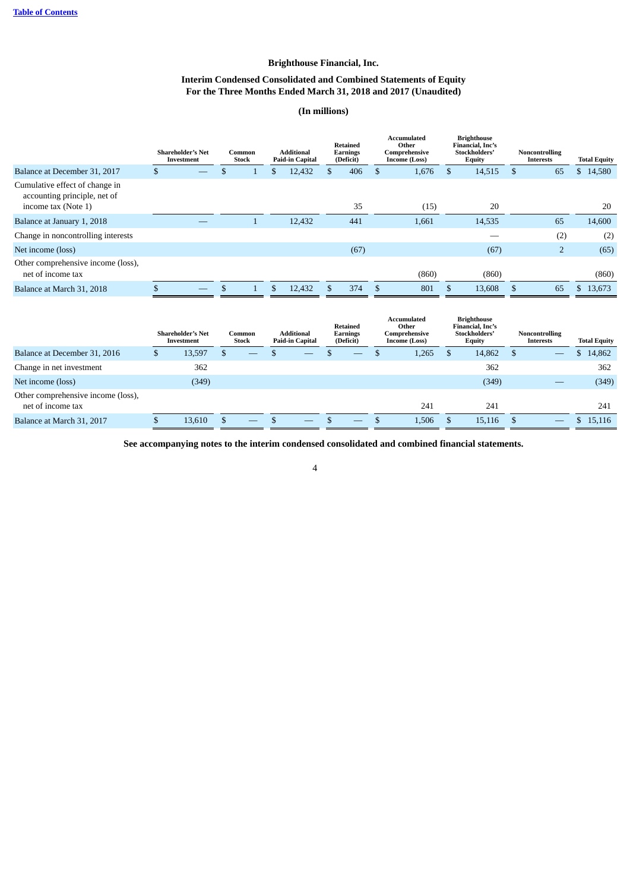#### **Interim Condensed Consolidated and Combined Statements of Equity For the Three Months Ended March 31, 2018 and 2017 (Unaudited)**

### **(In millions)**

<span id="page-4-0"></span>

|                                                                                       | <b>Shareholder's Net</b><br>Investment | Common<br>Stock | <b>Additional</b><br>Paid-in Capital |    | Retained<br><b>Earnings</b><br>(Deficit) | Accumulated<br>Other<br>Comprehensive<br>Income (Loss) |       |              |      | <b>Brighthouse</b><br>Financial, Inc's<br>Stockholders'<br><b>Equity</b> |    | Noncontrolling<br>Interests |  | <b>Total Equity</b> |
|---------------------------------------------------------------------------------------|----------------------------------------|-----------------|--------------------------------------|----|------------------------------------------|--------------------------------------------------------|-------|--------------|------|--------------------------------------------------------------------------|----|-----------------------------|--|---------------------|
| Balance at December 31, 2017                                                          | \$                                     |                 | 12,432                               |    | 406                                      |                                                        | 1,676 | \$<br>14,515 | -S   | 65                                                                       |    | \$14,580                    |  |                     |
| Cumulative effect of change in<br>accounting principle, net of<br>income tax (Note 1) |                                        |                 |                                      |    | 35                                       |                                                        | (15)  | 20           |      |                                                                          |    | 20                          |  |                     |
| Balance at January 1, 2018                                                            |                                        |                 | 12,432                               |    | 441                                      |                                                        | 1,661 | 14,535       |      | 65                                                                       |    | 14,600                      |  |                     |
| Change in noncontrolling interests                                                    |                                        |                 |                                      |    |                                          |                                                        |       |              |      | (2)                                                                      |    | (2)                         |  |                     |
| Net income (loss)                                                                     |                                        |                 |                                      |    | (67)                                     |                                                        |       | (67)         |      | $\overline{2}$                                                           |    | (65)                        |  |                     |
| Other comprehensive income (loss),<br>net of income tax                               |                                        |                 |                                      |    |                                          |                                                        | (860) | (860)        |      |                                                                          |    | (860)                       |  |                     |
| Balance at March 31, 2018                                                             |                                        |                 | 12,432                               | .S | 374                                      |                                                        | 801   | 13,608       | - \$ | 65                                                                       | S. | 13,673                      |  |                     |

|                                                         | <b>Shareholder's Net</b><br>Investment |    | Common<br><b>Stock</b> |   | <b>Additional</b><br><b>Paid-in Capital</b> | Retained<br>Earnings<br>(Deficit) | Accumulated<br>Other<br>Comprehensive<br>Income (Loss) |   | <b>Brighthouse</b><br>Financial, Inc's<br>Stockholders'<br><b>Equity</b> |               | Noncontrolling<br><b>Interests</b> | <b>Total Equity</b> |
|---------------------------------------------------------|----------------------------------------|----|------------------------|---|---------------------------------------------|-----------------------------------|--------------------------------------------------------|---|--------------------------------------------------------------------------|---------------|------------------------------------|---------------------|
| Balance at December 31, 2016                            | 13,597                                 | S  |                        | Φ | —                                           |                                   | 1,265                                                  | S | 14,862                                                                   | <sup>\$</sup> |                                    | 14,862              |
| Change in net investment                                | 362                                    |    |                        |   |                                             |                                   |                                                        |   | 362                                                                      |               |                                    | 362                 |
| Net income (loss)                                       | (349)                                  |    |                        |   |                                             |                                   |                                                        |   | (349)                                                                    |               |                                    | (349)               |
| Other comprehensive income (loss),<br>net of income tax |                                        |    |                        |   |                                             |                                   | 241                                                    |   | 241                                                                      |               |                                    | 241                 |
| Balance at March 31, 2017                               | 13.610                                 | S. |                        |   |                                             |                                   | 1.506                                                  |   | 15.116                                                                   | -S            |                                    | 15,116              |

**See accompanying notes to the interim condensed consolidated and combined financial statements.**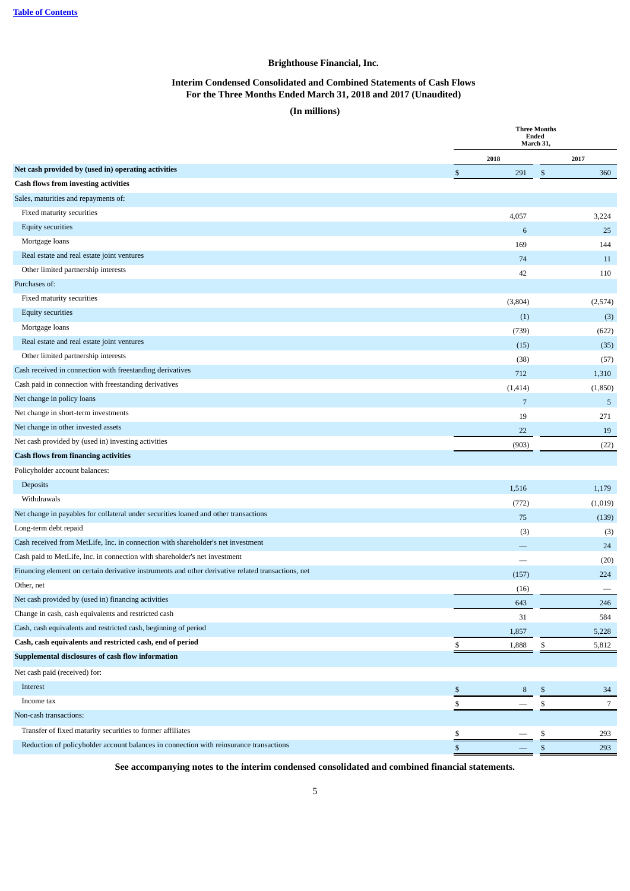### **Interim Condensed Consolidated and Combined Statements of Cash Flows For the Three Months Ended March 31, 2018 and 2017 (Unaudited)**

### **(In millions)**

<span id="page-5-0"></span>

|                                                                                                    |                                | <b>Three Months</b><br><b>Ended</b><br>March 31, |             |
|----------------------------------------------------------------------------------------------------|--------------------------------|--------------------------------------------------|-------------|
|                                                                                                    | 2018                           |                                                  | 2017        |
| Net cash provided by (used in) operating activities                                                | \$<br>291                      | \$                                               | 360         |
| <b>Cash flows from investing activities</b>                                                        |                                |                                                  |             |
| Sales, maturities and repayments of:                                                               |                                |                                                  |             |
| Fixed maturity securities                                                                          | 4,057                          |                                                  | 3,224       |
| <b>Equity securities</b>                                                                           | 6                              |                                                  | 25          |
| Mortgage loans                                                                                     | 169                            |                                                  | 144         |
| Real estate and real estate joint ventures                                                         | 74                             |                                                  | 11          |
| Other limited partnership interests                                                                | 42                             |                                                  | 110         |
| Purchases of:                                                                                      |                                |                                                  |             |
| Fixed maturity securities                                                                          | (3,804)                        |                                                  | (2,574)     |
| <b>Equity securities</b>                                                                           | (1)                            |                                                  | (3)         |
| Mortgage loans                                                                                     | (739)                          |                                                  | (622)       |
| Real estate and real estate joint ventures                                                         | (15)                           |                                                  | (35)        |
| Other limited partnership interests                                                                | (38)                           |                                                  | (57)        |
| Cash received in connection with freestanding derivatives                                          | 712                            |                                                  | 1,310       |
| Cash paid in connection with freestanding derivatives                                              | (1, 414)                       |                                                  | (1,850)     |
| Net change in policy loans                                                                         | $7\overline{ }$                |                                                  | 5           |
| Net change in short-term investments                                                               | 19                             |                                                  | 271         |
| Net change in other invested assets                                                                | 22                             |                                                  | 19          |
| Net cash provided by (used in) investing activities                                                | (903)                          |                                                  | (22)        |
| <b>Cash flows from financing activities</b>                                                        |                                |                                                  |             |
| Policyholder account balances:                                                                     |                                |                                                  |             |
| <b>Deposits</b>                                                                                    | 1,516                          |                                                  | 1,179       |
| Withdrawals                                                                                        | (772)                          |                                                  | (1,019)     |
| Net change in payables for collateral under securities loaned and other transactions               | 75                             |                                                  | (139)       |
| Long-term debt repaid                                                                              | (3)                            |                                                  | (3)         |
| Cash received from MetLife, Inc. in connection with shareholder's net investment                   |                                |                                                  | 24          |
| Cash paid to MetLife, Inc. in connection with shareholder's net investment                         |                                |                                                  | (20)        |
| Financing element on certain derivative instruments and other derivative related transactions, net | (157)                          |                                                  | 224         |
| Other, net                                                                                         | (16)                           |                                                  |             |
| Net cash provided by (used in) financing activities                                                | 643                            |                                                  | 246         |
| Change in cash, cash equivalents and restricted cash                                               | 31                             |                                                  | 584         |
| Cash, cash equivalents and restricted cash, beginning of period                                    | 1,857                          |                                                  | 5,228       |
| Cash, cash equivalents and restricted cash, end of period                                          | \$<br>1,888                    | \$                                               | 5,812       |
| Supplemental disclosures of cash flow information                                                  |                                |                                                  |             |
| Net cash paid (received) for:                                                                      |                                |                                                  |             |
| Interest                                                                                           | \$<br>8                        | \$                                               | 34          |
| Income tax                                                                                         | \$<br>$\overline{\phantom{m}}$ | \$                                               | $7^{\circ}$ |
| Non-cash transactions:                                                                             |                                |                                                  |             |
| Transfer of fixed maturity securities to former affiliates                                         | \$                             | \$                                               | 293         |
| Reduction of policyholder account balances in connection with reinsurance transactions             | \$                             | \$                                               | 293         |
|                                                                                                    |                                |                                                  |             |

**See accompanying notes to the interim condensed consolidated and combined financial statements.**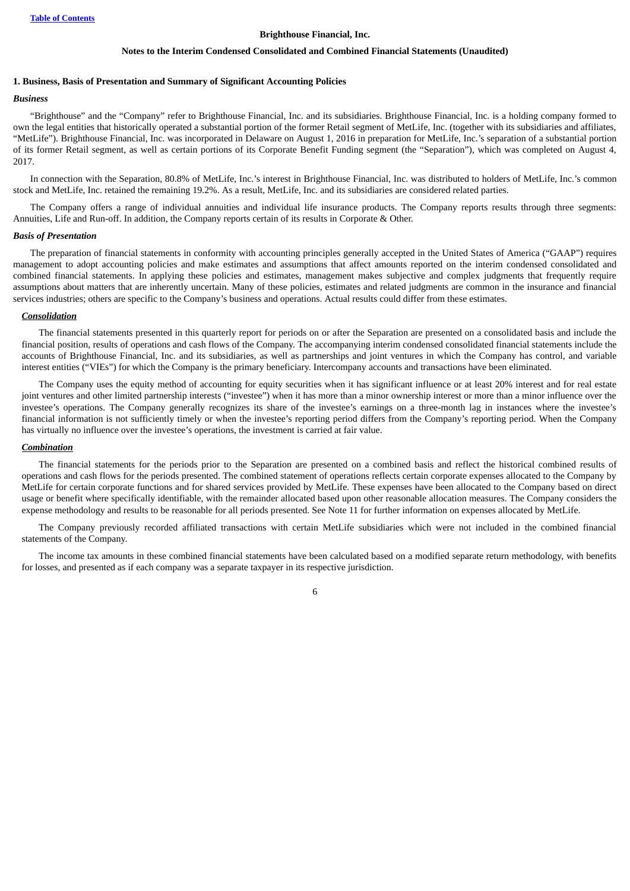#### **Notes to the Interim Condensed Consolidated and Combined Financial Statements (Unaudited)**

#### <span id="page-6-0"></span>**1. Business, Basis of Presentation and Summary of Significant Accounting Policies**

#### <span id="page-6-1"></span>*Business*

"Brighthouse" and the "Company" refer to Brighthouse Financial, Inc. and its subsidiaries. Brighthouse Financial, Inc. is a holding company formed to own the legal entities that historically operated a substantial portion of the former Retail segment of MetLife, Inc. (together with its subsidiaries and affiliates, "MetLife"). Brighthouse Financial, Inc. was incorporated in Delaware on August 1, 2016 in preparation for MetLife, Inc.'s separation of a substantial portion of its former Retail segment, as well as certain portions of its Corporate Benefit Funding segment (the "Separation"), which was completed on August 4, 2017.

In connection with the Separation, 80.8% of MetLife, Inc.'s interest in Brighthouse Financial, Inc. was distributed to holders of MetLife, Inc.'s common stock and MetLife, Inc. retained the remaining 19.2%. As a result, MetLife, Inc. and its subsidiaries are considered related parties.

The Company offers a range of individual annuities and individual life insurance products. The Company reports results through three segments: Annuities, Life and Run-off. In addition, the Company reports certain of its results in Corporate & Other.

#### *Basis of Presentation*

The preparation of financial statements in conformity with accounting principles generally accepted in the United States of America ("GAAP") requires management to adopt accounting policies and make estimates and assumptions that affect amounts reported on the interim condensed consolidated and combined financial statements. In applying these policies and estimates, management makes subjective and complex judgments that frequently require assumptions about matters that are inherently uncertain. Many of these policies, estimates and related judgments are common in the insurance and financial services industries; others are specific to the Company's business and operations. Actual results could differ from these estimates.

#### *Consolidation*

The financial statements presented in this quarterly report for periods on or after the Separation are presented on a consolidated basis and include the financial position, results of operations and cash flows of the Company. The accompanying interim condensed consolidated financial statements include the accounts of Brighthouse Financial, Inc. and its subsidiaries, as well as partnerships and joint ventures in which the Company has control, and variable interest entities ("VIEs") for which the Company is the primary beneficiary. Intercompany accounts and transactions have been eliminated.

The Company uses the equity method of accounting for equity securities when it has significant influence or at least 20% interest and for real estate joint ventures and other limited partnership interests ("investee") when it has more than a minor ownership interest or more than a minor influence over the investee's operations. The Company generally recognizes its share of the investee's earnings on a three-month lag in instances where the investee's financial information is not sufficiently timely or when the investee's reporting period differs from the Company's reporting period. When the Company has virtually no influence over the investee's operations, the investment is carried at fair value.

#### *Combination*

The financial statements for the periods prior to the Separation are presented on a combined basis and reflect the historical combined results of operations and cash flows for the periods presented. The combined statement of operations reflects certain corporate expenses allocated to the Company by MetLife for certain corporate functions and for shared services provided by MetLife. These expenses have been allocated to the Company based on direct usage or benefit where specifically identifiable, with the remainder allocated based upon other reasonable allocation measures. The Company considers the expense methodology and results to be reasonable for all periods presented. See Note 11 for further information on expenses allocated by MetLife.

The Company previously recorded affiliated transactions with certain MetLife subsidiaries which were not included in the combined financial statements of the Company.

The income tax amounts in these combined financial statements have been calculated based on a modified separate return methodology, with benefits for losses, and presented as if each company was a separate taxpayer in its respective jurisdiction.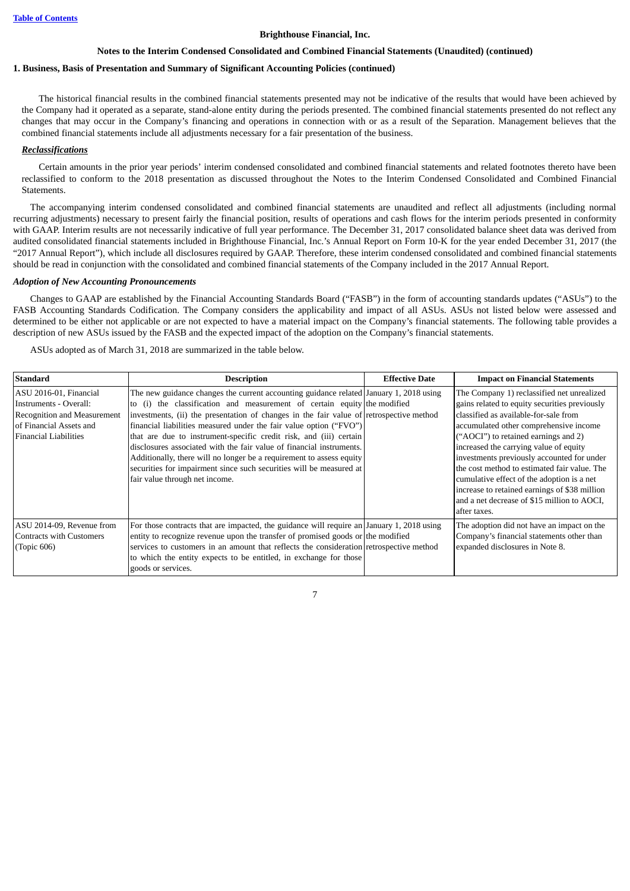#### **Notes to the Interim Condensed Consolidated and Combined Financial Statements (Unaudited) (continued)**

### **1. Business, Basis of Presentation and Summary of Significant Accounting Policies (continued)**

The historical financial results in the combined financial statements presented may not be indicative of the results that would have been achieved by the Company had it operated as a separate, stand-alone entity during the periods presented. The combined financial statements presented do not reflect any changes that may occur in the Company's financing and operations in connection with or as a result of the Separation. Management believes that the combined financial statements include all adjustments necessary for a fair presentation of the business.

#### *Reclassifications*

Certain amounts in the prior year periods' interim condensed consolidated and combined financial statements and related footnotes thereto have been reclassified to conform to the 2018 presentation as discussed throughout the Notes to the Interim Condensed Consolidated and Combined Financial Statements.

The accompanying interim condensed consolidated and combined financial statements are unaudited and reflect all adjustments (including normal recurring adjustments) necessary to present fairly the financial position, results of operations and cash flows for the interim periods presented in conformity with GAAP. Interim results are not necessarily indicative of full year performance. The December 31, 2017 consolidated balance sheet data was derived from audited consolidated financial statements included in Brighthouse Financial, Inc.'s Annual Report on Form 10-K for the year ended December 31, 2017 (the "2017 Annual Report"), which include all disclosures required by GAAP. Therefore, these interim condensed consolidated and combined financial statements should be read in conjunction with the consolidated and combined financial statements of the Company included in the 2017 Annual Report.

#### *Adoption of New Accounting Pronouncements*

Changes to GAAP are established by the Financial Accounting Standards Board ("FASB") in the form of accounting standards updates ("ASUs") to the FASB Accounting Standards Codification. The Company considers the applicability and impact of all ASUs. ASUs not listed below were assessed and determined to be either not applicable or are not expected to have a material impact on the Company's financial statements. The following table provides a description of new ASUs issued by the FASB and the expected impact of the adoption on the Company's financial statements.

ASUs adopted as of March 31, 2018 are summarized in the table below.

| <b>Standard</b>                                                                                                                            | <b>Description</b>                                                                                                                                                                                                                                                                                                                                                                                                                                                                                                                                                                                                                                                 | <b>Effective Date</b> | <b>Impact on Financial Statements</b>                                                                                                                                                                                                                                                                                                                                                                                                                                                                                        |
|--------------------------------------------------------------------------------------------------------------------------------------------|--------------------------------------------------------------------------------------------------------------------------------------------------------------------------------------------------------------------------------------------------------------------------------------------------------------------------------------------------------------------------------------------------------------------------------------------------------------------------------------------------------------------------------------------------------------------------------------------------------------------------------------------------------------------|-----------------------|------------------------------------------------------------------------------------------------------------------------------------------------------------------------------------------------------------------------------------------------------------------------------------------------------------------------------------------------------------------------------------------------------------------------------------------------------------------------------------------------------------------------------|
| ASU 2016-01, Financial<br>Instruments - Overall:<br>Recognition and Measurement<br>of Financial Assets and<br><b>Financial Liabilities</b> | The new guidance changes the current accounting guidance related January 1, 2018 using<br>to (i) the classification and measurement of certain equity the modified<br>investments, (ii) the presentation of changes in the fair value of retrospective method<br>financial liabilities measured under the fair value option ("FVO")<br>that are due to instrument-specific credit risk, and (iii) certain<br>disclosures associated with the fair value of financial instruments.<br>Additionally, there will no longer be a requirement to assess equity<br>securities for impairment since such securities will be measured at<br>fair value through net income. |                       | The Company 1) reclassified net unrealized<br>gains related to equity securities previously<br>classified as available-for-sale from<br>accumulated other comprehensive income<br>("AOCI") to retained earnings and 2)<br>increased the carrying value of equity<br>investments previously accounted for under<br>the cost method to estimated fair value. The<br>cumulative effect of the adoption is a net<br>increase to retained earnings of \$38 million<br>and a net decrease of \$15 million to AOCI,<br>after taxes. |
| ASU 2014-09, Revenue from<br>Contracts with Customers<br>(Topic 606)                                                                       | For those contracts that are impacted, the guidance will require an January 1, 2018 using<br>entity to recognize revenue upon the transfer of promised goods or the modified<br>services to customers in an amount that reflects the consideration retrospective method<br>to which the entity expects to be entitled, in exchange for those<br>goods or services.                                                                                                                                                                                                                                                                                                 |                       | The adoption did not have an impact on the<br>Company's financial statements other than<br>expanded disclosures in Note 8.                                                                                                                                                                                                                                                                                                                                                                                                   |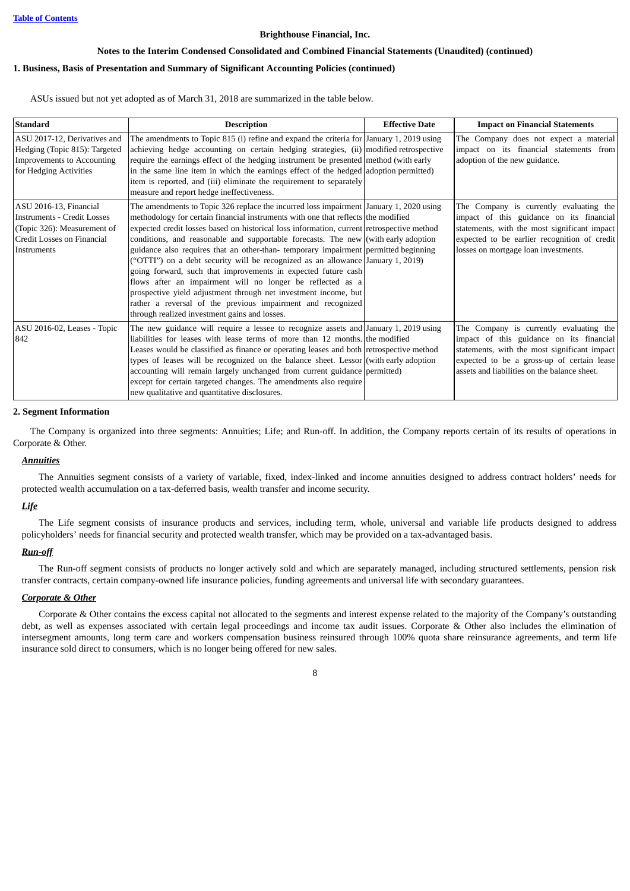### **Notes to the Interim Condensed Consolidated and Combined Financial Statements (Unaudited) (continued)**

### **1. Business, Basis of Presentation and Summary of Significant Accounting Policies (continued)**

ASUs issued but not yet adopted as of March 31, 2018 are summarized in the table below.

| <b>Standard</b>                                                                                                                   | <b>Description</b>                                                                                                                                                                                                                                                                                                                                                                                                                                                                                                                                                                                                                                                                                                                                                                                                                                        | <b>Effective Date</b> | <b>Impact on Financial Statements</b>                                                                                                                                                                                             |
|-----------------------------------------------------------------------------------------------------------------------------------|-----------------------------------------------------------------------------------------------------------------------------------------------------------------------------------------------------------------------------------------------------------------------------------------------------------------------------------------------------------------------------------------------------------------------------------------------------------------------------------------------------------------------------------------------------------------------------------------------------------------------------------------------------------------------------------------------------------------------------------------------------------------------------------------------------------------------------------------------------------|-----------------------|-----------------------------------------------------------------------------------------------------------------------------------------------------------------------------------------------------------------------------------|
| ASU 2017-12, Derivatives and<br>Hedging (Topic 815): Targeted<br>Improvements to Accounting<br>for Hedging Activities             | The amendments to Topic 815 (i) refine and expand the criteria for January 1, 2019 using<br>achieving hedge accounting on certain hedging strategies, (ii) modified retrospective<br>require the earnings effect of the hedging instrument be presented method (with early<br>in the same line item in which the earnings effect of the hedged adoption permitted)<br>item is reported, and (iii) eliminate the requirement to separately<br>measure and report hedge ineffectiveness.                                                                                                                                                                                                                                                                                                                                                                    |                       | The Company does not expect a material<br>impact on its financial statements from<br>adoption of the new guidance.                                                                                                                |
| ASU 2016-13, Financial<br>Instruments - Credit Losses<br>(Topic 326): Measurement of<br>Credit Losses on Financial<br>Instruments | The amendments to Topic 326 replace the incurred loss impairment January 1, 2020 using<br>methodology for certain financial instruments with one that reflects the modified<br>expected credit losses based on historical loss information, current retrospective method<br>conditions, and reasonable and supportable forecasts. The new (with early adoption<br>guidance also requires that an other-than- temporary impairment permitted beginning<br>"OTTI") on a debt security will be recognized as an allowance January 1, 2019)<br>going forward, such that improvements in expected future cash<br>flows after an impairment will no longer be reflected as a<br>prospective yield adjustment through net investment income, but<br>rather a reversal of the previous impairment and recognized<br>through realized investment gains and losses. |                       | The Company is currently evaluating the<br>impact of this guidance on its financial<br>statements, with the most significant impact<br>expected to be earlier recognition of credit<br>losses on mortgage loan investments.       |
| ASU 2016-02, Leases - Topic<br>842                                                                                                | The new guidance will require a lessee to recognize assets and January 1, 2019 using<br>liabilities for leases with lease terms of more than 12 months. the modified<br>Leases would be classified as finance or operating leases and both retrospective method<br>types of leases will be recognized on the balance sheet. Lessor (with early adoption<br>accounting will remain largely unchanged from current guidance permitted)<br>except for certain targeted changes. The amendments also require<br>new qualitative and quantitative disclosures.                                                                                                                                                                                                                                                                                                 |                       | The Company is currently evaluating the<br>impact of this guidance on its financial<br>statements, with the most significant impact<br>expected to be a gross-up of certain lease<br>assets and liabilities on the balance sheet. |

#### <span id="page-8-0"></span>**2. Segment Information**

The Company is organized into three segments: Annuities; Life; and Run-off. In addition, the Company reports certain of its results of operations in Corporate & Other.

*Annuities*

The Annuities segment consists of a variety of variable, fixed, index-linked and income annuities designed to address contract holders' needs for protected wealth accumulation on a tax-deferred basis, wealth transfer and income security.

#### *Life*

The Life segment consists of insurance products and services, including term, whole, universal and variable life products designed to address policyholders' needs for financial security and protected wealth transfer, which may be provided on a tax-advantaged basis.

#### *Run-off*

The Run-off segment consists of products no longer actively sold and which are separately managed, including structured settlements, pension risk transfer contracts, certain company-owned life insurance policies, funding agreements and universal life with secondary guarantees.

#### *Corporate & Other*

Corporate & Other contains the excess capital not allocated to the segments and interest expense related to the majority of the Company's outstanding debt, as well as expenses associated with certain legal proceedings and income tax audit issues. Corporate & Other also includes the elimination of intersegment amounts, long term care and workers compensation business reinsured through 100% quota share reinsurance agreements, and term life insurance sold direct to consumers, which is no longer being offered for new sales.

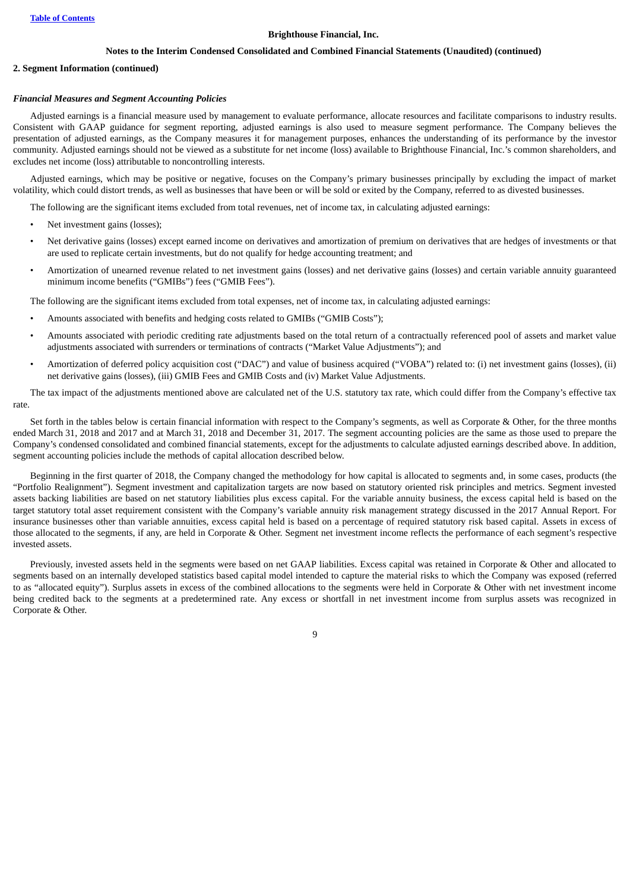#### **Notes to the Interim Condensed Consolidated and Combined Financial Statements (Unaudited) (continued)**

### **2. Segment Information (continued)**

#### *Financial Measures and Segment Accounting Policies*

Adjusted earnings is a financial measure used by management to evaluate performance, allocate resources and facilitate comparisons to industry results. Consistent with GAAP guidance for segment reporting, adjusted earnings is also used to measure segment performance. The Company believes the presentation of adjusted earnings, as the Company measures it for management purposes, enhances the understanding of its performance by the investor community. Adjusted earnings should not be viewed as a substitute for net income (loss) available to Brighthouse Financial, Inc.'s common shareholders, and excludes net income (loss) attributable to noncontrolling interests.

Adjusted earnings, which may be positive or negative, focuses on the Company's primary businesses principally by excluding the impact of market volatility, which could distort trends, as well as businesses that have been or will be sold or exited by the Company, referred to as divested businesses.

The following are the significant items excluded from total revenues, net of income tax, in calculating adjusted earnings:

- Net investment gains (losses);
- Net derivative gains (losses) except earned income on derivatives and amortization of premium on derivatives that are hedges of investments or that are used to replicate certain investments, but do not qualify for hedge accounting treatment; and
- Amortization of unearned revenue related to net investment gains (losses) and net derivative gains (losses) and certain variable annuity guaranteed minimum income benefits ("GMIBs") fees ("GMIB Fees").

The following are the significant items excluded from total expenses, net of income tax, in calculating adjusted earnings:

- Amounts associated with benefits and hedging costs related to GMIBs ("GMIB Costs");
- Amounts associated with periodic crediting rate adjustments based on the total return of a contractually referenced pool of assets and market value adjustments associated with surrenders or terminations of contracts ("Market Value Adjustments"); and
- Amortization of deferred policy acquisition cost ("DAC") and value of business acquired ("VOBA") related to: (i) net investment gains (losses), (ii) net derivative gains (losses), (iii) GMIB Fees and GMIB Costs and (iv) Market Value Adjustments.

The tax impact of the adjustments mentioned above are calculated net of the U.S. statutory tax rate, which could differ from the Company's effective tax rate.

Set forth in the tables below is certain financial information with respect to the Company's segments, as well as Corporate & Other, for the three months ended March 31, 2018 and 2017 and at March 31, 2018 and December 31, 2017. The segment accounting policies are the same as those used to prepare the Company's condensed consolidated and combined financial statements, except for the adjustments to calculate adjusted earnings described above. In addition, segment accounting policies include the methods of capital allocation described below.

Beginning in the first quarter of 2018, the Company changed the methodology for how capital is allocated to segments and, in some cases, products (the "Portfolio Realignment"). Segment investment and capitalization targets are now based on statutory oriented risk principles and metrics. Segment invested assets backing liabilities are based on net statutory liabilities plus excess capital. For the variable annuity business, the excess capital held is based on the target statutory total asset requirement consistent with the Company's variable annuity risk management strategy discussed in the 2017 Annual Report. For insurance businesses other than variable annuities, excess capital held is based on a percentage of required statutory risk based capital. Assets in excess of those allocated to the segments, if any, are held in Corporate & Other. Segment net investment income reflects the performance of each segment's respective invested assets.

Previously, invested assets held in the segments were based on net GAAP liabilities. Excess capital was retained in Corporate & Other and allocated to segments based on an internally developed statistics based capital model intended to capture the material risks to which the Company was exposed (referred to as "allocated equity"). Surplus assets in excess of the combined allocations to the segments were held in Corporate & Other with net investment income being credited back to the segments at a predetermined rate. Any excess or shortfall in net investment income from surplus assets was recognized in Corporate & Other.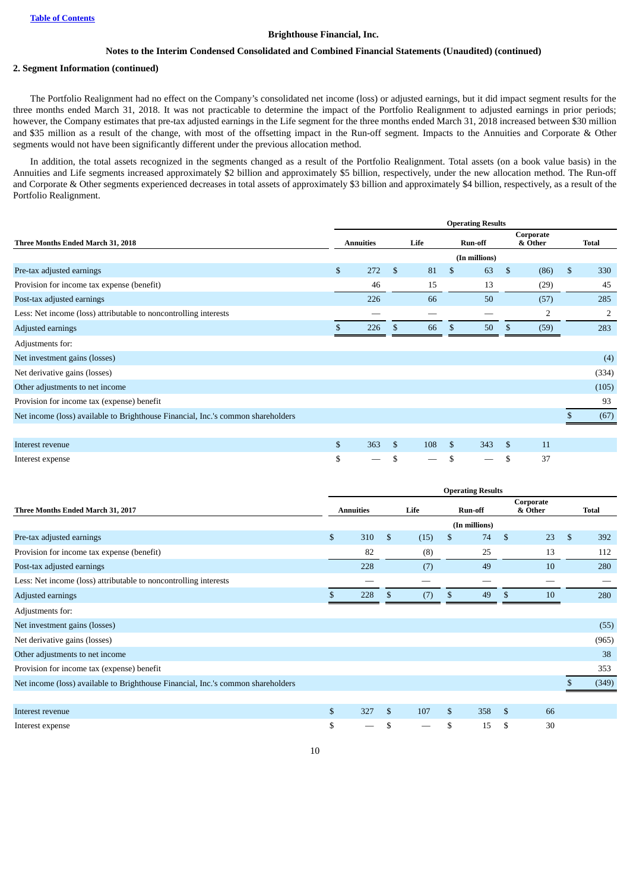### **Notes to the Interim Condensed Consolidated and Combined Financial Statements (Unaudited) (continued)**

### **2. Segment Information (continued)**

The Portfolio Realignment had no effect on the Company's consolidated net income (loss) or adjusted earnings, but it did impact segment results for the three months ended March 31, 2018. It was not practicable to determine the impact of the Portfolio Realignment to adjusted earnings in prior periods; however, the Company estimates that pre-tax adjusted earnings in the Life segment for the three months ended March 31, 2018 increased between \$30 million and \$35 million as a result of the change, with most of the offsetting impact in the Run-off segment. Impacts to the Annuities and Corporate & Other segments would not have been significantly different under the previous allocation method.

In addition, the total assets recognized in the segments changed as a result of the Portfolio Realignment. Total assets (on a book value basis) in the Annuities and Life segments increased approximately \$2 billion and approximately \$5 billion, respectively, under the new allocation method. The Run-off and Corporate & Other segments experienced decreases in total assets of approximately \$3 billion and approximately \$4 billion, respectively, as a result of the Portfolio Realignment.

|                                                                                  | <b>Operating Results</b> |                  |      |     |                |               |                      |      |    |              |  |
|----------------------------------------------------------------------------------|--------------------------|------------------|------|-----|----------------|---------------|----------------------|------|----|--------------|--|
| Three Months Ended March 31, 2018                                                |                          | <b>Annuities</b> | Life |     | <b>Run-off</b> |               | Corporate<br>& Other |      |    | <b>Total</b> |  |
|                                                                                  |                          |                  |      |     |                | (In millions) |                      |      |    |              |  |
| Pre-tax adjusted earnings                                                        | \$                       | 272              | \$   | 81  | \$             | 63            | \$                   | (86) | \$ | 330          |  |
| Provision for income tax expense (benefit)                                       |                          | 46               |      | 15  |                | 13            |                      | (29) |    | 45           |  |
| Post-tax adjusted earnings                                                       |                          | 226              |      | 66  |                | 50            |                      | (57) |    | 285          |  |
| Less: Net income (loss) attributable to noncontrolling interests                 |                          |                  |      |     |                |               |                      | 2    |    | 2            |  |
| Adjusted earnings                                                                | \$                       | 226              | \$   | 66  |                | 50            | \$                   | (59) |    | 283          |  |
| Adjustments for:                                                                 |                          |                  |      |     |                |               |                      |      |    |              |  |
| Net investment gains (losses)                                                    |                          |                  |      |     |                |               |                      |      |    | (4)          |  |
| Net derivative gains (losses)                                                    |                          |                  |      |     |                |               |                      |      |    | (334)        |  |
| Other adjustments to net income                                                  |                          |                  |      |     |                |               |                      |      |    | (105)        |  |
| Provision for income tax (expense) benefit                                       |                          |                  |      |     |                |               |                      |      |    | 93           |  |
| Net income (loss) available to Brighthouse Financial, Inc.'s common shareholders |                          |                  |      |     |                |               |                      |      |    | (67)         |  |
|                                                                                  |                          |                  |      |     |                |               |                      |      |    |              |  |
| Interest revenue                                                                 | \$                       | 363              | \$   | 108 | $\mathbb{S}$   | 343           | \$                   | 11   |    |              |  |
| Interest expense                                                                 | \$                       |                  | \$   |     | \$             | __            | \$                   | 37   |    |              |  |

|                                                                                  | <b>Operating Results</b> |                  |      |      |                |               |                      |    |                |              |  |
|----------------------------------------------------------------------------------|--------------------------|------------------|------|------|----------------|---------------|----------------------|----|----------------|--------------|--|
| Three Months Ended March 31, 2017                                                |                          | <b>Annuities</b> | Life |      | <b>Run-off</b> |               | Corporate<br>& Other |    |                | <b>Total</b> |  |
|                                                                                  |                          |                  |      |      |                | (In millions) |                      |    |                |              |  |
| Pre-tax adjusted earnings                                                        | $\mathfrak{S}$           | 310              | \$   | (15) | \$             | 74            | -\$                  | 23 | $\mathfrak{F}$ | 392          |  |
| Provision for income tax expense (benefit)                                       |                          | 82               |      | (8)  |                | 25            |                      | 13 |                | 112          |  |
| Post-tax adjusted earnings                                                       |                          | 228              |      | (7)  |                | 49            |                      | 10 |                | 280          |  |
| Less: Net income (loss) attributable to noncontrolling interests                 |                          |                  |      |      |                |               |                      |    |                |              |  |
| Adjusted earnings                                                                |                          | 228              | \$   | (7)  | \$             | 49            | \$.                  | 10 |                | 280          |  |
| Adjustments for:                                                                 |                          |                  |      |      |                |               |                      |    |                |              |  |
| Net investment gains (losses)                                                    |                          |                  |      |      |                |               |                      |    |                | (55)         |  |
| Net derivative gains (losses)                                                    |                          |                  |      |      |                |               |                      |    |                | (965)        |  |
| Other adjustments to net income                                                  |                          |                  |      |      |                |               |                      |    |                | 38           |  |
| Provision for income tax (expense) benefit                                       |                          |                  |      |      |                |               |                      |    |                | 353          |  |
| Net income (loss) available to Brighthouse Financial, Inc.'s common shareholders |                          |                  |      |      |                |               |                      |    |                | (349)        |  |
|                                                                                  |                          |                  |      |      |                |               |                      |    |                |              |  |
|                                                                                  |                          |                  |      |      |                |               |                      |    |                |              |  |

| st revenue |   | 227                 | 107 | $\mathbb{C}$ | 358 | 66 |
|------------|---|---------------------|-----|--------------|-----|----|
| - Inter    | ሖ | $-$ \$ $-$ \$ 15 \$ |     |              |     | 30 |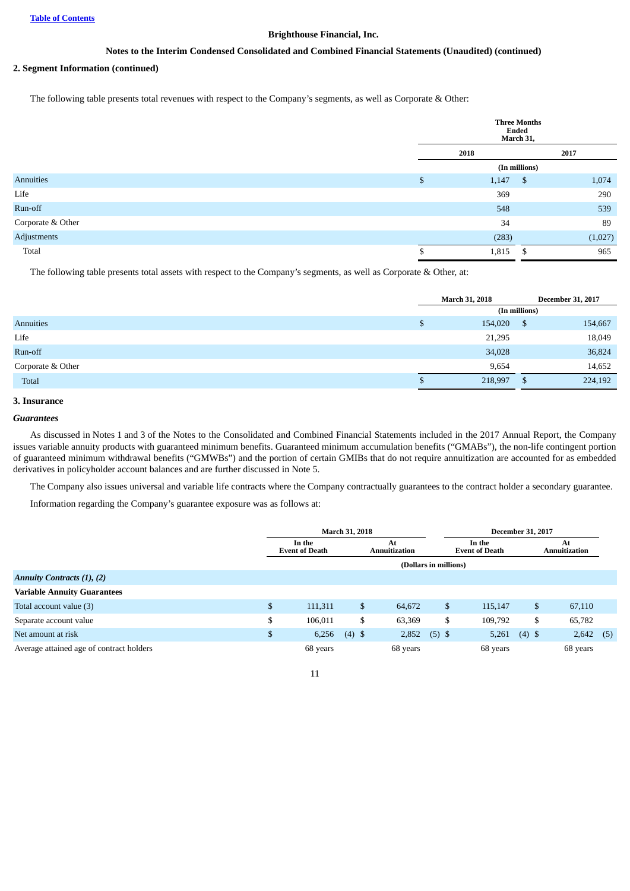## **Notes to the Interim Condensed Consolidated and Combined Financial Statements (Unaudited) (continued)**

### **2. Segment Information (continued)**

The following table presents total revenues with respect to the Company's segments, as well as Corporate & Other:

|                   | <b>Three Months</b><br><b>Ended</b><br>March 31, |            |         |  |  |  |  |  |
|-------------------|--------------------------------------------------|------------|---------|--|--|--|--|--|
|                   | 2018<br>2017                                     |            |         |  |  |  |  |  |
|                   | (In millions)                                    |            |         |  |  |  |  |  |
| Annuities         | \$<br>1,147                                      | $\sqrt{5}$ | 1,074   |  |  |  |  |  |
| Life              | 369                                              |            | 290     |  |  |  |  |  |
| Run-off           | 548                                              |            | 539     |  |  |  |  |  |
| Corporate & Other | 34                                               |            | 89      |  |  |  |  |  |
| Adjustments       | (283)                                            |            | (1,027) |  |  |  |  |  |
| Total             | 1,815                                            | \$         | 965     |  |  |  |  |  |

The following table presents total assets with respect to the Company's segments, as well as Corporate & Other, at:

|                   |   | <b>March 31, 2018</b> |               | <b>December 31, 2017</b> |
|-------------------|---|-----------------------|---------------|--------------------------|
|                   |   |                       | (In millions) |                          |
| Annuities         | D | 154,020               | \$            | 154,667                  |
| Life              |   | 21,295                |               | 18,049                   |
| Run-off           |   | 34,028                |               | 36,824                   |
| Corporate & Other |   | 9,654                 |               | 14,652                   |
| <b>Total</b>      |   | 218,997               | Y.            | 224,192                  |

### <span id="page-11-0"></span>**3. Insurance**

#### *Guarantees*

As discussed in Notes 1 and 3 of the Notes to the Consolidated and Combined Financial Statements included in the 2017 Annual Report, the Company issues variable annuity products with guaranteed minimum benefits. Guaranteed minimum accumulation benefits ("GMABs"), the non-life contingent portion of guaranteed minimum withdrawal benefits ("GMWBs") and the portion of certain GMIBs that do not require annuitization are accounted for as embedded derivatives in policyholder account balances and are further discussed in Note 5.

The Company also issues universal and variable life contracts where the Company contractually guarantees to the contract holder a secondary guarantee.

Information regarding the Company's guarantee exposure was as follows at:

|                                          |                                 | <b>March 31, 2018</b> |                            |          |                                 | <b>December 31, 2017</b> |                            |     |
|------------------------------------------|---------------------------------|-----------------------|----------------------------|----------|---------------------------------|--------------------------|----------------------------|-----|
|                                          | In the<br><b>Event of Death</b> |                       | At<br><b>Annuitization</b> |          | In the<br><b>Event of Death</b> |                          | At<br><b>Annuitization</b> |     |
|                                          |                                 |                       |                            |          |                                 |                          |                            |     |
| <b>Annuity Contracts (1), (2)</b>        |                                 |                       |                            |          |                                 |                          |                            |     |
| <b>Variable Annuity Guarantees</b>       |                                 |                       |                            |          |                                 |                          |                            |     |
| Total account value (3)                  | \$<br>111,311                   | \$                    | 64,672                     | \$       | 115,147                         | \$.                      | 67,110                     |     |
| Separate account value                   | \$<br>106,011                   | \$                    | 63,369                     | \$       | 109,792                         | \$                       | 65,782                     |     |
| Net amount at risk                       | \$<br>6,256                     | $(4)$ \$              | 2,852                      | $(5)$ \$ | 5,261                           | $(4)$ \$                 | 2,642                      | (5) |
| Average attained age of contract holders | 68 years                        |                       | 68 years                   |          | 68 years                        |                          | 68 years                   |     |

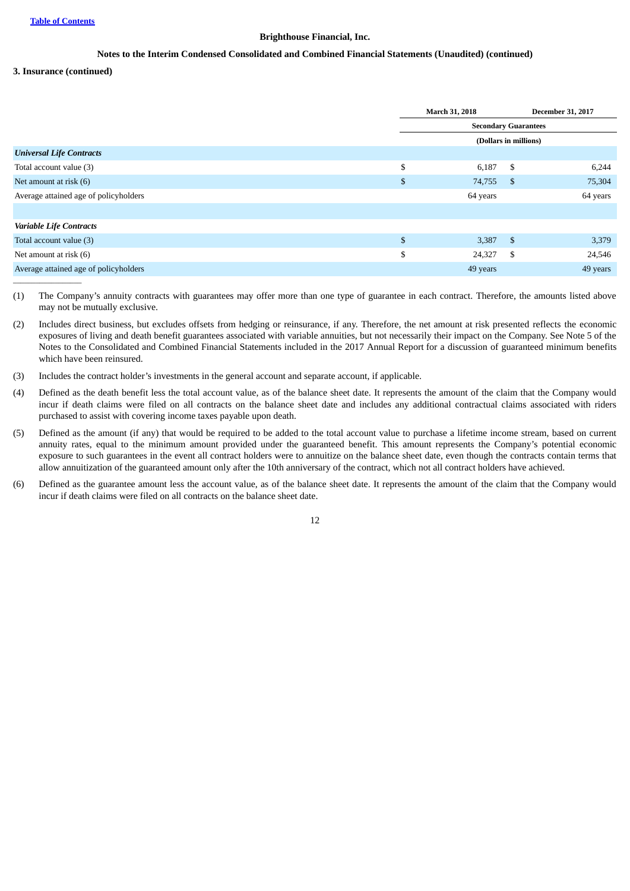### **Notes to the Interim Condensed Consolidated and Combined Financial Statements (Unaudited) (continued)**

#### **3. Insurance (continued)**

|                                       | March 31, 2018              |            | <b>December 31, 2017</b> |  |  |  |  |  |
|---------------------------------------|-----------------------------|------------|--------------------------|--|--|--|--|--|
|                                       | <b>Secondary Guarantees</b> |            |                          |  |  |  |  |  |
|                                       | (Dollars in millions)       |            |                          |  |  |  |  |  |
| <b>Universal Life Contracts</b>       |                             |            |                          |  |  |  |  |  |
| Total account value (3)               | \$<br>6,187                 | - \$       | 6,244                    |  |  |  |  |  |
| Net amount at risk (6)                | \$<br>74,755                | - \$       | 75,304                   |  |  |  |  |  |
| Average attained age of policyholders | 64 years                    |            | 64 years                 |  |  |  |  |  |
|                                       |                             |            |                          |  |  |  |  |  |
| <b>Variable Life Contracts</b>        |                             |            |                          |  |  |  |  |  |
| Total account value (3)               | \$<br>3,387                 | $^{\circ}$ | 3,379                    |  |  |  |  |  |
| Net amount at risk (6)                | \$<br>24,327                | - \$       | 24,546                   |  |  |  |  |  |
| Average attained age of policyholders | 49 years                    |            | 49 years                 |  |  |  |  |  |
|                                       |                             |            |                          |  |  |  |  |  |

(1) The Company's annuity contracts with guarantees may offer more than one type of guarantee in each contract. Therefore, the amounts listed above may not be mutually exclusive.

- (2) Includes direct business, but excludes offsets from hedging or reinsurance, if any. Therefore, the net amount at risk presented reflects the economic exposures of living and death benefit guarantees associated with variable annuities, but not necessarily their impact on the Company. See Note 5 of the Notes to the Consolidated and Combined Financial Statements included in the 2017 Annual Report for a discussion of guaranteed minimum benefits which have been reinsured.
- (3) Includes the contract holder's investments in the general account and separate account, if applicable.
- (4) Defined as the death benefit less the total account value, as of the balance sheet date. It represents the amount of the claim that the Company would incur if death claims were filed on all contracts on the balance sheet date and includes any additional contractual claims associated with riders purchased to assist with covering income taxes payable upon death.
- (5) Defined as the amount (if any) that would be required to be added to the total account value to purchase a lifetime income stream, based on current annuity rates, equal to the minimum amount provided under the guaranteed benefit. This amount represents the Company's potential economic exposure to such guarantees in the event all contract holders were to annuitize on the balance sheet date, even though the contracts contain terms that allow annuitization of the guaranteed amount only after the 10th anniversary of the contract, which not all contract holders have achieved.
- (6) Defined as the guarantee amount less the account value, as of the balance sheet date. It represents the amount of the claim that the Company would incur if death claims were filed on all contracts on the balance sheet date.

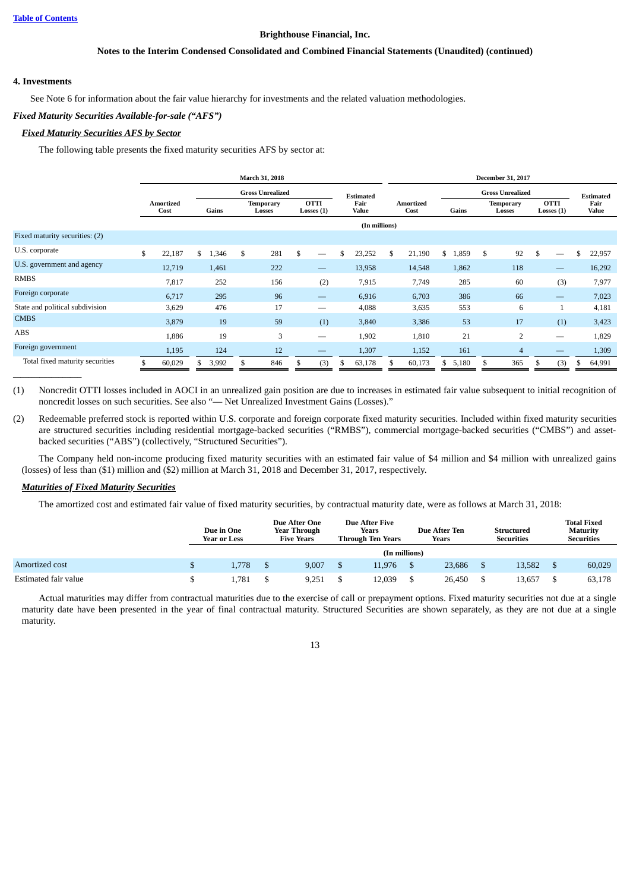### **Notes to the Interim Condensed Consolidated and Combined Financial Statements (Unaudited) (continued)**

#### <span id="page-13-0"></span>**4. Investments**

 $\frac{1}{2}$  ,  $\frac{1}{2}$  ,  $\frac{1}{2}$  ,  $\frac{1}{2}$  ,  $\frac{1}{2}$  ,  $\frac{1}{2}$  ,  $\frac{1}{2}$  ,  $\frac{1}{2}$  ,  $\frac{1}{2}$ 

See Note 6 for information about the fair value hierarchy for investments and the related valuation methodologies.

#### *Fixed Maturity Securities Available-for-sale ("AFS")*

#### *Fixed Maturity Securities AFS by Sector*

The following table presents the fixed maturity securities AFS by sector at:

|                                 | <b>March 31, 2018</b> |    |       |    |                            |                             |                                |               |                  | <b>December 31, 2017</b> |        |                         |       |                            |                |                             |                                 |                  |               |
|---------------------------------|-----------------------|----|-------|----|----------------------------|-----------------------------|--------------------------------|---------------|------------------|--------------------------|--------|-------------------------|-------|----------------------------|----------------|-----------------------------|---------------------------------|------------------|---------------|
|                                 |                       |    |       |    | <b>Gross Unrealized</b>    |                             |                                |               | <b>Estimated</b> |                          |        | <b>Gross Unrealized</b> |       |                            |                |                             |                                 | <b>Estimated</b> |               |
|                                 | Amortized<br>Cost     |    | Gains |    | <b>Temporary</b><br>Losses | <b>OTTI</b><br>Losses $(1)$ |                                | Fair<br>Value |                  | Amortized<br>Cost        |        | Gains                   |       | <b>Temporary</b><br>Losses |                | <b>OTTI</b><br>Losses $(1)$ |                                 |                  | Fair<br>Value |
|                                 |                       |    |       |    |                            |                             |                                |               | (In millions)    |                          |        |                         |       |                            |                |                             |                                 |                  |               |
| Fixed maturity securities: (2)  |                       |    |       |    |                            |                             |                                |               |                  |                          |        |                         |       |                            |                |                             |                                 |                  |               |
| U.S. corporate                  | \$<br>22,187          | \$ | ,346  | \$ | 281                        | \$.                         |                                | \$            | 23,252           | \$                       | 21,190 | \$                      | 1,859 | \$                         | 92             | .S                          |                                 | \$               | 22,957        |
| U.S. government and agency      | 12,719                |    | 1,461 |    | 222                        |                             | $\qquad \qquad \longleftarrow$ |               | 13,958           |                          | 14,548 |                         | 1,862 |                            | 118            |                             |                                 |                  | 16,292        |
| <b>RMBS</b>                     | 7,817                 |    | 252   |    | 156                        |                             | (2)                            |               | 7,915            |                          | 7,749  |                         | 285   |                            | 60             |                             | (3)                             |                  | 7,977         |
| Foreign corporate               | 6,717                 |    | 295   |    | 96                         |                             | $\qquad \qquad -$              |               | 6,916            |                          | 6,703  |                         | 386   |                            | 66             |                             | $\overline{\phantom{m}}$        |                  | 7,023         |
| State and political subdivision | 3,629                 |    | 476   |    | 17                         |                             | $\overline{\phantom{0}}$       |               | 4,088            |                          | 3,635  |                         | 553   |                            | 6              |                             | 1                               |                  | 4,181         |
| <b>CMBS</b>                     | 3,879                 |    | 19    |    | 59                         |                             | (1)                            |               | 3,840            |                          | 3,386  |                         | 53    |                            | 17             |                             | (1)                             |                  | 3,423         |
| <b>ABS</b>                      | 1,886                 |    | 19    |    | 3                          |                             |                                |               | 1,902            |                          | 1,810  |                         | 21    |                            | 2              |                             | $\hspace{0.1mm}-\hspace{0.1mm}$ |                  | 1,829         |
| Foreign government              | 1,195                 |    | 124   |    | 12                         |                             |                                |               | 1,307            |                          | 1,152  |                         | 161   |                            | $\overline{4}$ |                             |                                 |                  | 1,309         |
| Total fixed maturity securities | \$<br>60,029          |    | 3,992 | \$ | 846                        | S                           | (3)                            | \$            | 63,178           |                          | 60,173 | \$<br>5,180             |       | \$                         | 365            | S                           | (3)                             | \$               | 64,991        |

(1) Noncredit OTTI losses included in AOCI in an unrealized gain position are due to increases in estimated fair value subsequent to initial recognition of noncredit losses on such securities. See also "— Net Unrealized Investment Gains (Losses)."

(2) Redeemable preferred stock is reported within U.S. corporate and foreign corporate fixed maturity securities. Included within fixed maturity securities are structured securities including residential mortgage-backed securities ("RMBS"), commercial mortgage-backed securities ("CMBS") and assetbacked securities ("ABS") (collectively, "Structured Securities").

The Company held non-income producing fixed maturity securities with an estimated fair value of \$4 million and \$4 million with unrealized gains (losses) of less than (\$1) million and (\$2) million at March 31, 2018 and December 31, 2017, respectively.

#### *Maturities of Fixed Maturity Securities*

The amortized cost and estimated fair value of fixed maturity securities, by contractual maturity date, were as follows at March 31, 2018:

|                      | Due in One<br>Year or Less | <b>Due After One</b><br>Year Through<br><b>Five Years</b> | <b>Due After Five</b><br>Years<br>Through Ten Years | Due After Ten<br>Years | Structured<br><b>Securities</b> | <b>Total Fixed</b><br><b>Maturity</b><br><b>Securities</b> |
|----------------------|----------------------------|-----------------------------------------------------------|-----------------------------------------------------|------------------------|---------------------------------|------------------------------------------------------------|
|                      |                            |                                                           | (In millions)                                       |                        |                                 |                                                            |
| Amortized cost       | 1.778                      | 9.007                                                     | 11.976                                              | 23,686                 | 13,582                          | 60,029                                                     |
| Estimated fair value | 1,781                      | 9,251                                                     | 12,039                                              | 26,450                 | 13,657                          | 63,178                                                     |

Actual maturities may differ from contractual maturities due to the exercise of call or prepayment options. Fixed maturity securities not due at a single maturity date have been presented in the year of final contractual maturity. Structured Securities are shown separately, as they are not due at a single maturity.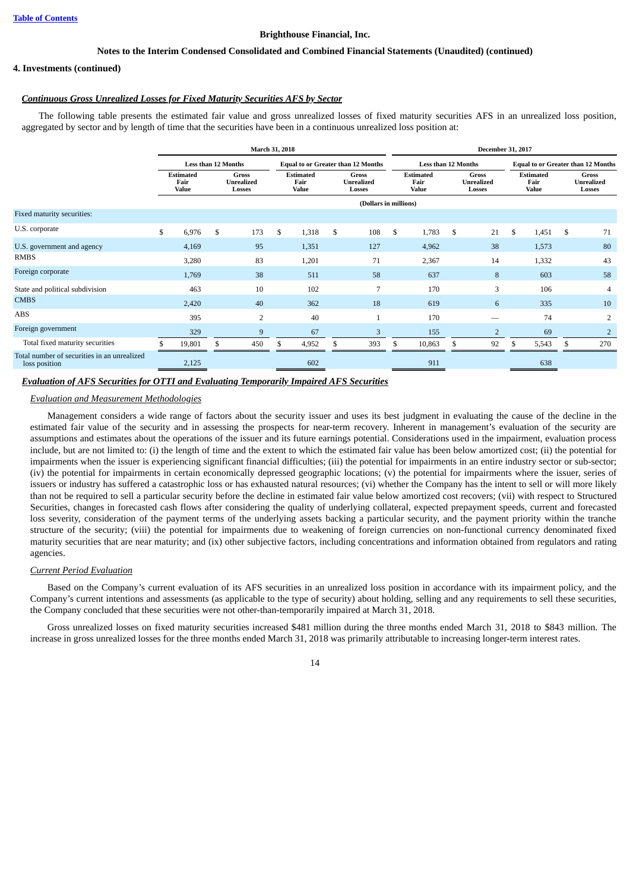### **Notes to the Interim Condensed Consolidated and Combined Financial Statements (Unaudited) (continued)**

#### **4. Investments (continued)**

#### *Continuous Gross Unrealized Losses for Fixed Maturity Securities AFS by Sector*

The following table presents the estimated fair value and gross unrealized losses of fixed maturity securities AFS in an unrealized loss position, aggregated by sector and by length of time that the securities have been in a continuous unrealized loss position at:

|                                                              | March 31, 2018                                                            |    |                                   |   |                                             |     |                                           |    | December 31, 2017                           |    |                                           |    |       |                                      |     |  |  |
|--------------------------------------------------------------|---------------------------------------------------------------------------|----|-----------------------------------|---|---------------------------------------------|-----|-------------------------------------------|----|---------------------------------------------|----|-------------------------------------------|----|-------|--------------------------------------|-----|--|--|
|                                                              | Less than 12 Months                                                       |    |                                   |   |                                             |     | <b>Equal to or Greater than 12 Months</b> |    | Less than 12 Months                         |    | <b>Equal to or Greater than 12 Months</b> |    |       |                                      |     |  |  |
|                                                              | <b>Estimated</b><br>Gross<br><b>Unrealized</b><br>Fair<br>Value<br>Losses |    | <b>Estimated</b><br>Fair<br>Value |   | <b>Gross</b><br><b>Unrealized</b><br>Losses |     | <b>Estimated</b><br>Fair<br>Value         |    | <b>Gross</b><br><b>Unrealized</b><br>Losses |    | <b>Estimated</b><br>Fair<br>Value         |    |       | Gross<br><b>Unrealized</b><br>Losses |     |  |  |
|                                                              |                                                                           |    |                                   |   |                                             |     | (Dollars in millions)                     |    |                                             |    |                                           |    |       |                                      |     |  |  |
| Fixed maturity securities:                                   |                                                                           |    |                                   |   |                                             |     |                                           |    |                                             |    |                                           |    |       |                                      |     |  |  |
| U.S. corporate                                               | \$<br>6,976                                                               | \$ | 173                               | S | 1,318                                       | \$  | 108                                       | \$ | 1,783                                       | \$ | 21                                        | \$ | 1,451 | \$                                   | 71  |  |  |
| U.S. government and agency                                   | 4,169                                                                     |    | 95                                |   | 1,351                                       |     | 127                                       |    | 4,962                                       |    | 38                                        |    | 1,573 |                                      | 80  |  |  |
| <b>RMBS</b>                                                  | 3,280                                                                     |    | 83                                |   | 1,201                                       |     | 71                                        |    | 2,367                                       |    | 14                                        |    | 1,332 |                                      | 43  |  |  |
| Foreign corporate                                            | 1,769                                                                     |    | 38                                |   | 511                                         |     | 58                                        |    | 637                                         |    | 8                                         |    | 603   |                                      | 58  |  |  |
| State and political subdivision                              | 463                                                                       |    | 10                                |   | 102                                         |     | 7                                         |    | 170                                         |    | 3                                         |    | 106   |                                      | 4   |  |  |
| <b>CMBS</b>                                                  | 2,420                                                                     |    | 40                                |   | 362                                         |     | 18                                        |    | 619                                         |    | 6                                         |    | 335   |                                      | 10  |  |  |
| ABS                                                          | 395                                                                       |    | $\overline{2}$                    |   | 40                                          |     |                                           |    | 170                                         |    |                                           |    | 74    |                                      | 2   |  |  |
| Foreign government                                           | 329                                                                       |    | 9                                 |   | 67                                          |     | 3                                         |    | 155                                         |    | 2                                         |    | 69    |                                      | 2   |  |  |
| Total fixed maturity securities                              | 19,801                                                                    | £. | 450                               |   | 4,952                                       | \$. | 393                                       | S  | 10,863                                      |    | 92                                        |    | 5,543 | \$.                                  | 270 |  |  |
| Total number of securities in an unrealized<br>loss position | 2,125                                                                     |    |                                   |   | 602                                         |     |                                           |    | 911                                         |    |                                           |    | 638   |                                      |     |  |  |

#### *Evaluation of AFS Securities for OTTI and Evaluating Temporarily Impaired AFS Securities*

### *Evaluation and Measurement Methodologies*

Management considers a wide range of factors about the security issuer and uses its best judgment in evaluating the cause of the decline in the estimated fair value of the security and in assessing the prospects for near-term recovery. Inherent in management's evaluation of the security are assumptions and estimates about the operations of the issuer and its future earnings potential. Considerations used in the impairment, evaluation process include, but are not limited to: (i) the length of time and the extent to which the estimated fair value has been below amortized cost; (ii) the potential for impairments when the issuer is experiencing significant financial difficulties; (iii) the potential for impairments in an entire industry sector or sub-sector; (iv) the potential for impairments in certain economically depressed geographic locations; (v) the potential for impairments where the issuer, series of issuers or industry has suffered a catastrophic loss or has exhausted natural resources; (vi) whether the Company has the intent to sell or will more likely than not be required to sell a particular security before the decline in estimated fair value below amortized cost recovers; (vii) with respect to Structured Securities, changes in forecasted cash flows after considering the quality of underlying collateral, expected prepayment speeds, current and forecasted loss severity, consideration of the payment terms of the underlying assets backing a particular security, and the payment priority within the tranche structure of the security; (viii) the potential for impairments due to weakening of foreign currencies on non-functional currency denominated fixed maturity securities that are near maturity; and (ix) other subjective factors, including concentrations and information obtained from regulators and rating agencies.

#### *Current Period Evaluation*

Based on the Company's current evaluation of its AFS securities in an unrealized loss position in accordance with its impairment policy, and the Company's current intentions and assessments (as applicable to the type of security) about holding, selling and any requirements to sell these securities, the Company concluded that these securities were not other-than-temporarily impaired at March 31, 2018.

Gross unrealized losses on fixed maturity securities increased \$481 million during the three months ended March 31, 2018 to \$843 million. The increase in gross unrealized losses for the three months ended March 31, 2018 was primarily attributable to increasing longer-term interest rates.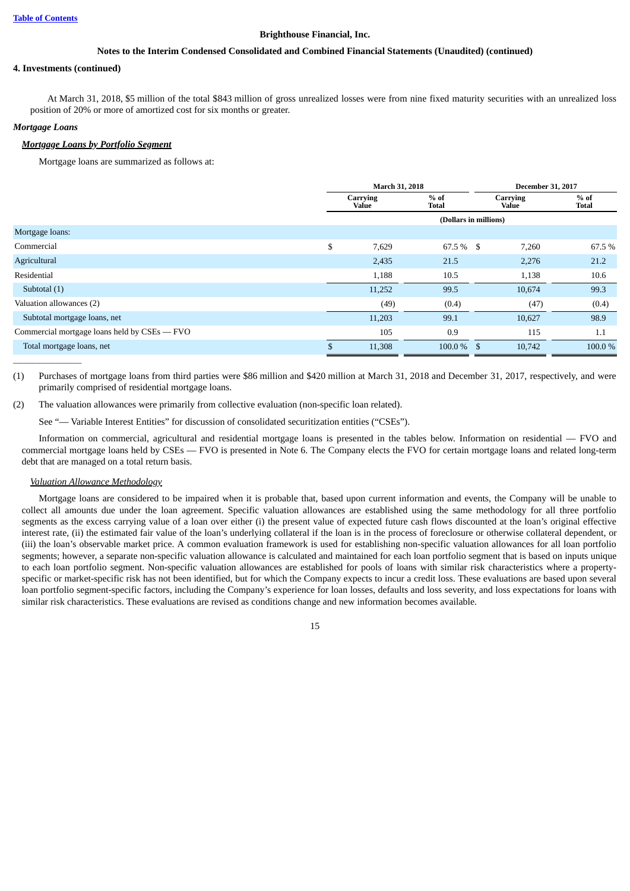### **Notes to the Interim Condensed Consolidated and Combined Financial Statements (Unaudited) (continued)**

### **4. Investments (continued)**

At March 31, 2018, \$5 million of the total \$843 million of gross unrealized losses were from nine fixed maturity securities with an unrealized loss position of 20% or more of amortized cost for six months or greater.

#### *Mortgage Loans*

 $\frac{1}{2}$  ,  $\frac{1}{2}$  ,  $\frac{1}{2}$  ,  $\frac{1}{2}$  ,  $\frac{1}{2}$  ,  $\frac{1}{2}$  ,  $\frac{1}{2}$  ,  $\frac{1}{2}$  ,  $\frac{1}{2}$ 

#### *Mortgage Loans by Portfolio Segment*

Mortgage loans are summarized as follows at:

|                                              | March 31, 2018    |                 | <b>December 31, 2017</b> |                 |  |
|----------------------------------------------|-------------------|-----------------|--------------------------|-----------------|--|
|                                              | Carrying<br>Value | $%$ of<br>Total | Carrying<br>Value        | $%$ of<br>Total |  |
|                                              |                   |                 | (Dollars in millions)    |                 |  |
| Mortgage loans:                              |                   |                 |                          |                 |  |
| Commercial                                   | \$<br>7,629       | 67.5% \$        | 7,260                    | 67.5%           |  |
| Agricultural                                 | 2,435             | 21.5            | 2,276                    | 21.2            |  |
| Residential                                  | 1,188             | 10.5            | 1,138                    | 10.6            |  |
| Subtotal (1)                                 | 11,252            | 99.5            | 10.674                   | 99.3            |  |
| Valuation allowances (2)                     | (49)              | (0.4)           | (47)                     | (0.4)           |  |
| Subtotal mortgage loans, net                 | 11,203            | 99.1            | 10,627                   | 98.9            |  |
| Commercial mortgage loans held by CSEs - FVO | 105               | 0.9             | 115                      | 1.1             |  |
| Total mortgage loans, net                    | 11,308            | $100.0\%$ \$    | 10,742                   | 100.0%          |  |
|                                              |                   |                 |                          |                 |  |

(1) Purchases of mortgage loans from third parties were \$86 million and \$420 million at March 31, 2018 and December 31, 2017, respectively, and were primarily comprised of residential mortgage loans.

(2) The valuation allowances were primarily from collective evaluation (non-specific loan related).

See "— Variable Interest Entities" for discussion of consolidated securitization entities ("CSEs").

Information on commercial, agricultural and residential mortgage loans is presented in the tables below. Information on residential — FVO and commercial mortgage loans held by CSEs — FVO is presented in Note 6. The Company elects the FVO for certain mortgage loans and related long-term debt that are managed on a total return basis.

### *Valuation Allowance Methodology*

Mortgage loans are considered to be impaired when it is probable that, based upon current information and events, the Company will be unable to collect all amounts due under the loan agreement. Specific valuation allowances are established using the same methodology for all three portfolio segments as the excess carrying value of a loan over either (i) the present value of expected future cash flows discounted at the loan's original effective interest rate, (ii) the estimated fair value of the loan's underlying collateral if the loan is in the process of foreclosure or otherwise collateral dependent, or (iii) the loan's observable market price. A common evaluation framework is used for establishing non-specific valuation allowances for all loan portfolio segments; however, a separate non-specific valuation allowance is calculated and maintained for each loan portfolio segment that is based on inputs unique to each loan portfolio segment. Non-specific valuation allowances are established for pools of loans with similar risk characteristics where a propertyspecific or market-specific risk has not been identified, but for which the Company expects to incur a credit loss. These evaluations are based upon several loan portfolio segment-specific factors, including the Company's experience for loan losses, defaults and loss severity, and loss expectations for loans with similar risk characteristics. These evaluations are revised as conditions change and new information becomes available.

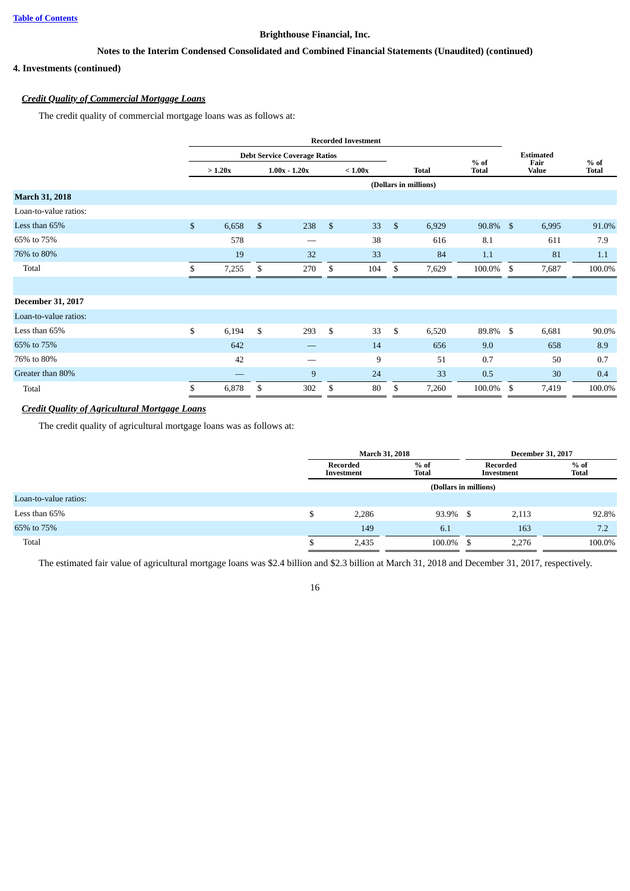### **Notes to the Interim Condensed Consolidated and Combined Financial Statements (Unaudited) (continued)**

### **4. Investments (continued)**

### *Credit Quality of Commercial Mortgage Loans*

The credit quality of commercial mortgage loans was as follows at:

|                          |             |    |                                     |                | <b>Recorded Investment</b> |                |                       |                        |                      |                        |
|--------------------------|-------------|----|-------------------------------------|----------------|----------------------------|----------------|-----------------------|------------------------|----------------------|------------------------|
|                          |             |    | <b>Debt Service Coverage Ratios</b> |                |                            |                |                       |                        | <b>Estimated</b>     |                        |
|                          | >1.20x      |    | $1.00x - 1.20x$                     |                | < 1.00x                    |                | <b>Total</b>          | $%$ of<br><b>Total</b> | Fair<br><b>Value</b> | $%$ of<br><b>Total</b> |
|                          |             |    |                                     |                |                            |                | (Dollars in millions) |                        |                      |                        |
| <b>March 31, 2018</b>    |             |    |                                     |                |                            |                |                       |                        |                      |                        |
| Loan-to-value ratios:    |             |    |                                     |                |                            |                |                       |                        |                      |                        |
| Less than 65%            | \$<br>6,658 | \$ | 238                                 | $\mathfrak{S}$ | 33                         | $\mathfrak{S}$ | 6,929                 | 90.8% \$               | 6,995                | 91.0%                  |
| 65% to 75%               | 578         |    |                                     |                | 38                         |                | 616                   | 8.1                    | 611                  | 7.9                    |
| 76% to 80%               | 19          |    | 32                                  |                | 33                         |                | 84                    | 1.1                    | 81                   | 1.1                    |
| Total                    | \$<br>7,255 | \$ | 270                                 | \$             | 104                        | \$             | 7,629                 | 100.0%                 | \$<br>7,687          | 100.0%                 |
|                          |             |    |                                     |                |                            |                |                       |                        |                      |                        |
| <b>December 31, 2017</b> |             |    |                                     |                |                            |                |                       |                        |                      |                        |
| Loan-to-value ratios:    |             |    |                                     |                |                            |                |                       |                        |                      |                        |
| Less than 65%            | \$<br>6,194 | \$ | 293                                 | \$             | 33                         | \$             | 6,520                 | 89.8% \$               | 6,681                | 90.0%                  |
| 65% to 75%               | 642         |    |                                     |                | 14                         |                | 656                   | 9.0                    | 658                  | 8.9                    |
| 76% to 80%               | 42          |    |                                     |                | 9                          |                | 51                    | 0.7                    | 50                   | 0.7                    |
| Greater than 80%         |             |    | 9                                   |                | 24                         |                | 33                    | 0.5                    | 30                   | 0.4                    |
| Total                    | \$<br>6,878 | \$ | 302                                 | \$             | 80                         | \$             | 7,260                 | 100.0%                 | \$<br>7,419          | 100.0%                 |

### *Credit Quality of Agricultural Mortgage Loans*

The credit quality of agricultural mortgage loans was as follows at:

|                       |  |                        | <b>March 31, 2018</b> | <b>December 31, 2017</b> |                        |                        |  |
|-----------------------|--|------------------------|-----------------------|--------------------------|------------------------|------------------------|--|
|                       |  | Recorded<br>Investment | $%$ of<br>Total       |                          | Recorded<br>Investment | $%$ of<br><b>Total</b> |  |
|                       |  |                        |                       |                          |                        |                        |  |
| Loan-to-value ratios: |  |                        |                       |                          |                        |                        |  |
| Less than 65%         |  | 2,286                  | 93.9%                 | - \$                     | 2,113                  | 92.8%                  |  |
| 65% to 75%            |  | 149                    | 6.1                   |                          | 163                    | 7.2                    |  |
| Total                 |  | 2,435                  | 100.0%                | -S                       | 2,276                  | 100.0%                 |  |

The estimated fair value of agricultural mortgage loans was \$2.4 billion and \$2.3 billion at March 31, 2018 and December 31, 2017, respectively.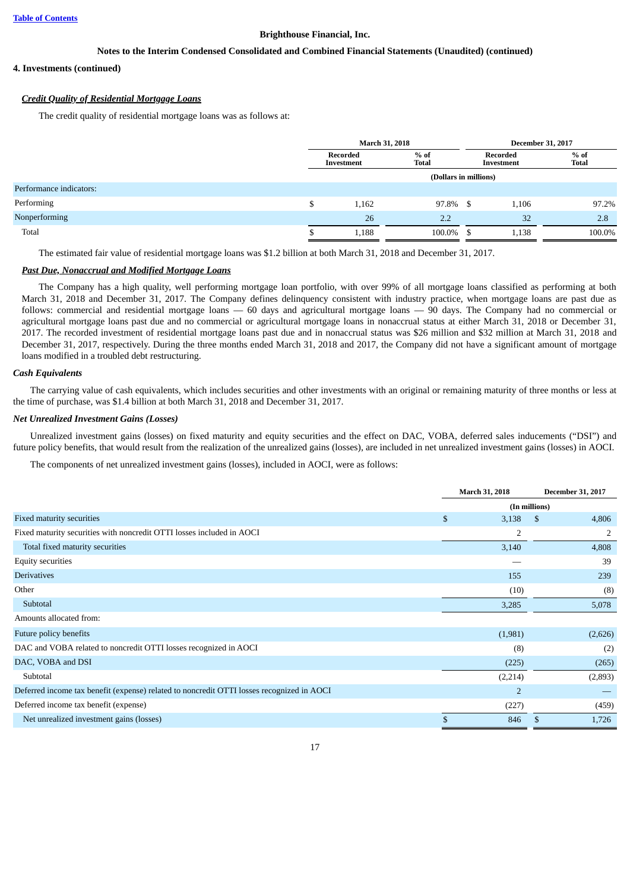### **Notes to the Interim Condensed Consolidated and Combined Financial Statements (Unaudited) (continued)**

#### **4. Investments (continued)**

### *Credit Quality of Residential Mortgage Loans*

The credit quality of residential mortgage loans was as follows at:

|                         |                        | <b>March 31, 2018</b>  | <b>December 31, 2017</b> |                        |                        |  |  |
|-------------------------|------------------------|------------------------|--------------------------|------------------------|------------------------|--|--|
|                         | Recorded<br>Investment | $%$ of<br><b>Total</b> |                          | Recorded<br>Investment | $%$ of<br><b>Total</b> |  |  |
|                         |                        | (Dollars in millions)  |                          |                        |                        |  |  |
| Performance indicators: |                        |                        |                          |                        |                        |  |  |
| Performing              | \$<br>1,162            | 97.8%                  | - \$                     | 1,106                  | 97.2%                  |  |  |
| Nonperforming           | 26                     | 2.2                    |                          | 32                     | 2.8                    |  |  |
| Total                   | 1,188                  | 100.0%                 | - \$                     | 1,138                  | 100.0%                 |  |  |

The estimated fair value of residential mortgage loans was \$1.2 billion at both March 31, 2018 and December 31, 2017.

#### *Past Due, Nonaccrual and Modified Mortgage Loans*

The Company has a high quality, well performing mortgage loan portfolio, with over 99% of all mortgage loans classified as performing at both March 31, 2018 and December 31, 2017. The Company defines delinquency consistent with industry practice, when mortgage loans are past due as follows: commercial and residential mortgage loans — 60 days and agricultural mortgage loans — 90 days. The Company had no commercial or agricultural mortgage loans past due and no commercial or agricultural mortgage loans in nonaccrual status at either March 31, 2018 or December 31, 2017. The recorded investment of residential mortgage loans past due and in nonaccrual status was \$26 million and \$32 million at March 31, 2018 and December 31, 2017, respectively. During the three months ended March 31, 2018 and 2017, the Company did not have a significant amount of mortgage loans modified in a troubled debt restructuring.

#### *Cash Equivalents*

The carrying value of cash equivalents, which includes securities and other investments with an original or remaining maturity of three months or less at the time of purchase, was \$1.4 billion at both March 31, 2018 and December 31, 2017.

#### *Net Unrealized Investment Gains (Losses)*

Unrealized investment gains (losses) on fixed maturity and equity securities and the effect on DAC, VOBA, deferred sales inducements ("DSI") and future policy benefits, that would result from the realization of the unrealized gains (losses), are included in net unrealized investment gains (losses) in AOCI.

The components of net unrealized investment gains (losses), included in AOCI, were as follows:

|                                                                                           | <b>March 31, 2018</b> |                |    | <b>December 31, 2017</b> |
|-------------------------------------------------------------------------------------------|-----------------------|----------------|----|--------------------------|
|                                                                                           |                       | (In millions)  |    |                          |
| Fixed maturity securities                                                                 | \$                    | 3,138          | S. | 4,806                    |
| Fixed maturity securities with noncredit OTTI losses included in AOCI                     |                       | 2              |    | 2                        |
| Total fixed maturity securities                                                           |                       | 3,140          |    | 4,808                    |
| <b>Equity securities</b>                                                                  |                       |                |    | 39                       |
| <b>Derivatives</b>                                                                        |                       | 155            |    | 239                      |
| Other                                                                                     |                       | (10)           |    | (8)                      |
| Subtotal                                                                                  |                       | 3,285          |    | 5,078                    |
| Amounts allocated from:                                                                   |                       |                |    |                          |
| Future policy benefits                                                                    |                       | (1,981)        |    | (2,626)                  |
| DAC and VOBA related to noncredit OTTI losses recognized in AOCI                          |                       | (8)            |    | (2)                      |
| DAC, VOBA and DSI                                                                         |                       | (225)          |    | (265)                    |
| Subtotal                                                                                  |                       | (2,214)        |    | (2,893)                  |
| Deferred income tax benefit (expense) related to noncredit OTTI losses recognized in AOCI |                       | $\overline{2}$ |    |                          |
| Deferred income tax benefit (expense)                                                     |                       | (227)          |    | (459)                    |
| Net unrealized investment gains (losses)                                                  |                       | 846            |    | 1,726                    |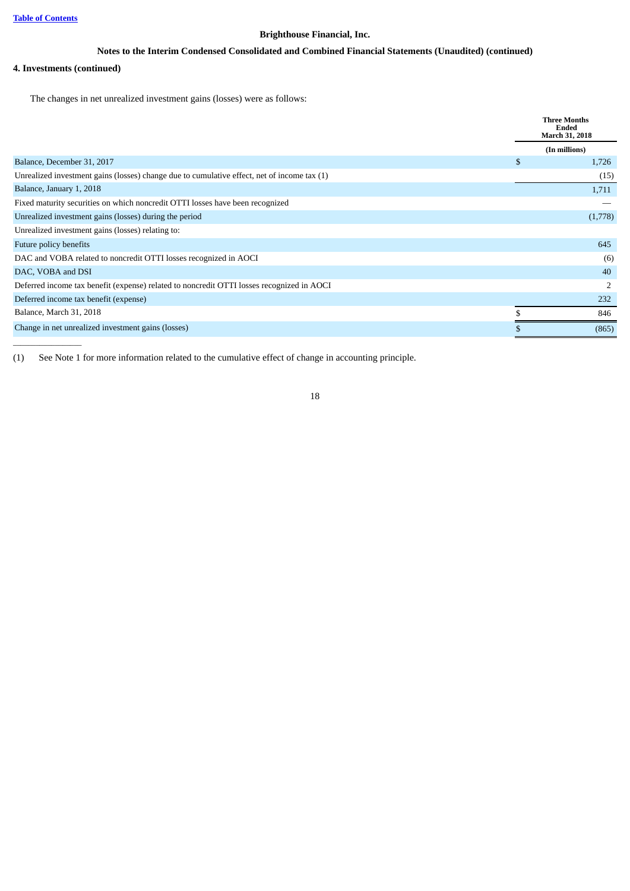$\frac{1}{2}$  ,  $\frac{1}{2}$  ,  $\frac{1}{2}$  ,  $\frac{1}{2}$  ,  $\frac{1}{2}$  ,  $\frac{1}{2}$  ,  $\frac{1}{2}$  ,  $\frac{1}{2}$  ,  $\frac{1}{2}$ 

### **Brighthouse Financial, Inc.**

### **Notes to the Interim Condensed Consolidated and Combined Financial Statements (Unaudited) (continued)**

## **4. Investments (continued)**

The changes in net unrealized investment gains (losses) were as follows:

|                                                                                               | <b>Three Months</b><br><b>Ended</b><br>March 31, 2018 |
|-----------------------------------------------------------------------------------------------|-------------------------------------------------------|
|                                                                                               | (In millions)                                         |
| Balance, December 31, 2017                                                                    | \$<br>1,726                                           |
| Unrealized investment gains (losses) change due to cumulative effect, net of income tax $(1)$ | (15)                                                  |
| Balance, January 1, 2018                                                                      | 1,711                                                 |
| Fixed maturity securities on which noncredit OTTI losses have been recognized                 |                                                       |
| Unrealized investment gains (losses) during the period                                        | (1,778)                                               |
| Unrealized investment gains (losses) relating to:                                             |                                                       |
| Future policy benefits                                                                        | 645                                                   |
| DAC and VOBA related to noncredit OTTI losses recognized in AOCI                              | (6)                                                   |
| DAC, VOBA and DSI                                                                             | 40                                                    |
| Deferred income tax benefit (expense) related to noncredit OTTI losses recognized in AOCI     | 2                                                     |
| Deferred income tax benefit (expense)                                                         | 232                                                   |
| Balance, March 31, 2018                                                                       | \$<br>846                                             |
| Change in net unrealized investment gains (losses)                                            | (865)                                                 |

(1) See Note 1 for more information related to the cumulative effect of change in accounting principle.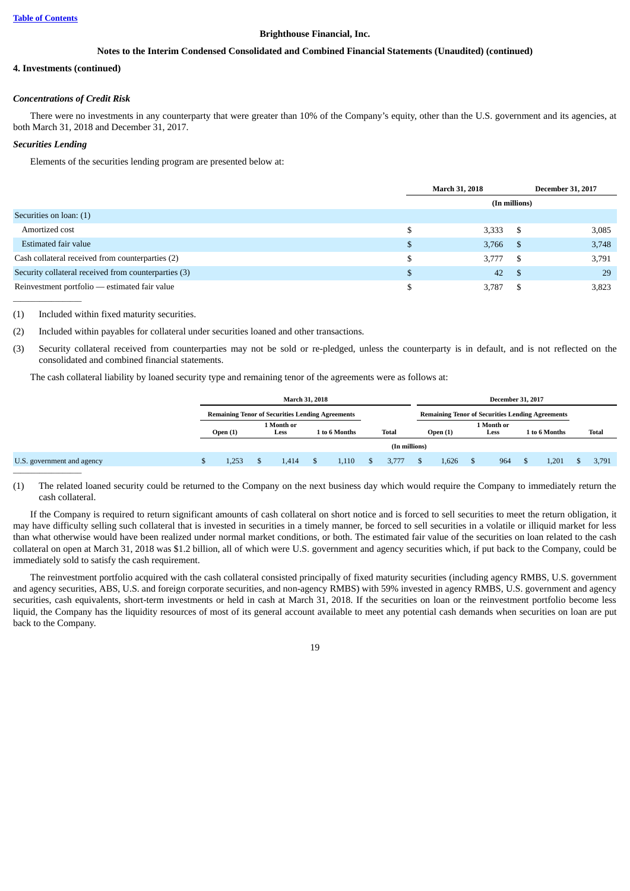### **Notes to the Interim Condensed Consolidated and Combined Financial Statements (Unaudited) (continued)**

#### **4. Investments (continued)**

#### *Concentrations of Credit Risk*

There were no investments in any counterparty that were greater than 10% of the Company's equity, other than the U.S. government and its agencies, at both March 31, 2018 and December 31, 2017.

#### *Securities Lending*

Elements of the securities lending program are presented below at:

|                                                      | <b>March 31, 2018</b> |               | <b>December 31, 2017</b> |
|------------------------------------------------------|-----------------------|---------------|--------------------------|
|                                                      |                       | (In millions) |                          |
| Securities on loan: (1)                              |                       |               |                          |
| Amortized cost                                       | 3,333                 | - S           | 3,085                    |
| Estimated fair value                                 | 3,766                 | - \$          | 3,748                    |
| Cash collateral received from counterparties (2)     | 3,777                 | - \$          | 3.791                    |
| Security collateral received from counterparties (3) | 42                    | - \$          | 29                       |
| Reinvestment portfolio — estimated fair value        | 3,787                 | - S           | 3,823                    |
|                                                      |                       |               |                          |

(1) Included within fixed maturity securities.

(2) Included within payables for collateral under securities loaned and other transactions.

(3) Security collateral received from counterparties may not be sold or re-pledged, unless the counterparty is in default, and is not reflected on the consolidated and combined financial statements.

The cash collateral liability by loaned security type and remaining tenor of the agreements were as follows at:

|                            | <b>March 31, 2018</b>                                   |  |                    |  |               |              |                                                         |                                  |       | <b>December 31, 2017</b> |               |  |              |  |       |  |  |
|----------------------------|---------------------------------------------------------|--|--------------------|--|---------------|--------------|---------------------------------------------------------|----------------------------------|-------|--------------------------|---------------|--|--------------|--|-------|--|--|
|                            | <b>Remaining Tenor of Securities Lending Agreements</b> |  |                    |  |               |              | <b>Remaining Tenor of Securities Lending Agreements</b> |                                  |       |                          |               |  |              |  |       |  |  |
|                            | Open (1)                                                |  | 1 Month or<br>Less |  | 1 to 6 Months | <b>Total</b> |                                                         | 1 Month or<br>Open $(1)$<br>Less |       |                          | 1 to 6 Months |  | <b>Total</b> |  |       |  |  |
|                            |                                                         |  |                    |  |               |              | (In millions)                                           |                                  |       |                          |               |  |              |  |       |  |  |
| U.S. government and agency | 1.253                                                   |  | 1.414              |  | 1.110         | -SS          | 3.777                                                   |                                  | 1,626 |                          | 964           |  | .201         |  | 3.791 |  |  |
|                            |                                                         |  |                    |  |               |              |                                                         |                                  |       |                          |               |  |              |  |       |  |  |

(1) The related loaned security could be returned to the Company on the next business day which would require the Company to immediately return the cash collateral.

If the Company is required to return significant amounts of cash collateral on short notice and is forced to sell securities to meet the return obligation, it may have difficulty selling such collateral that is invested in securities in a timely manner, be forced to sell securities in a volatile or illiquid market for less than what otherwise would have been realized under normal market conditions, or both. The estimated fair value of the securities on loan related to the cash collateral on open at March 31, 2018 was \$1.2 billion, all of which were U.S. government and agency securities which, if put back to the Company, could be immediately sold to satisfy the cash requirement.

The reinvestment portfolio acquired with the cash collateral consisted principally of fixed maturity securities (including agency RMBS, U.S. government and agency securities, ABS, U.S. and foreign corporate securities, and non-agency RMBS) with 59% invested in agency RMBS, U.S. government and agency securities, cash equivalents, short-term investments or held in cash at March 31, 2018. If the securities on loan or the reinvestment portfolio become less liquid, the Company has the liquidity resources of most of its general account available to meet any potential cash demands when securities on loan are put back to the Company.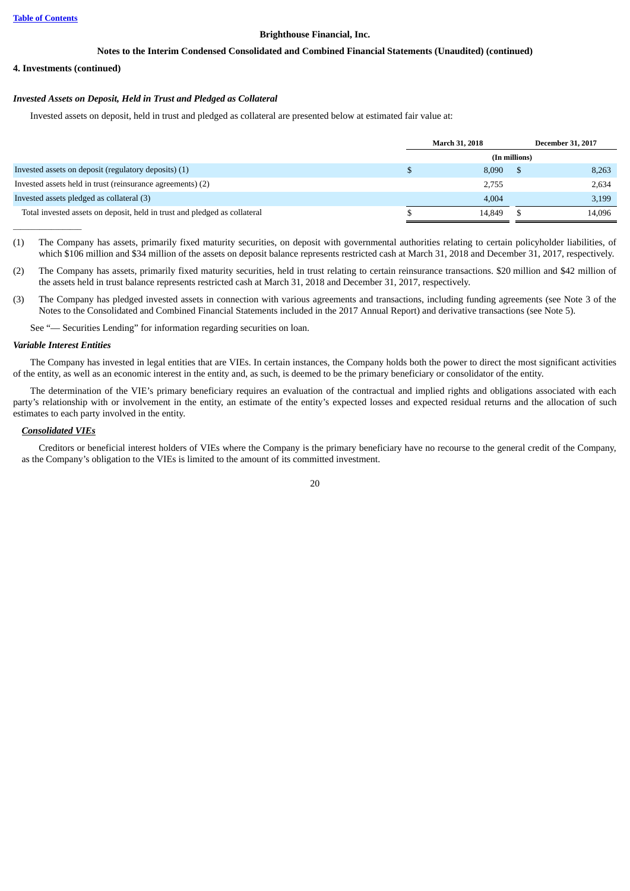### **Notes to the Interim Condensed Consolidated and Combined Financial Statements (Unaudited) (continued)**

#### **4. Investments (continued)**

#### *Invested Assets on Deposit, Held in Trust and Pledged as Collateral*

Invested assets on deposit, held in trust and pledged as collateral are presented below at estimated fair value at:

|                                                                           | <b>March 31, 2018</b> | <b>December 31, 2017</b> |
|---------------------------------------------------------------------------|-----------------------|--------------------------|
|                                                                           | (In millions)         |                          |
| Invested assets on deposit (regulatory deposits) (1)                      | 8,090                 | 8,263                    |
| Invested assets held in trust (reinsurance agreements) (2)                | 2,755                 | 2.634                    |
| Invested assets pledged as collateral (3)                                 | 4.004                 | 3,199                    |
| Total invested assets on deposit, held in trust and pledged as collateral | 14,849                | 14.096                   |

<sup>(1)</sup> The Company has assets, primarily fixed maturity securities, on deposit with governmental authorities relating to certain policyholder liabilities, of which \$106 million and \$34 million of the assets on deposit balance represents restricted cash at March 31, 2018 and December 31, 2017, respectively.

- (2) The Company has assets, primarily fixed maturity securities, held in trust relating to certain reinsurance transactions. \$20 million and \$42 million of the assets held in trust balance represents restricted cash at March 31, 2018 and December 31, 2017, respectively.
- (3) The Company has pledged invested assets in connection with various agreements and transactions, including funding agreements (see Note 3 of the Notes to the Consolidated and Combined Financial Statements included in the 2017 Annual Report) and derivative transactions (see Note 5).

See "— Securities Lending" for information regarding securities on loan.

#### *Variable Interest Entities*

 $\overline{\phantom{a}}$  , where  $\overline{\phantom{a}}$ 

The Company has invested in legal entities that are VIEs. In certain instances, the Company holds both the power to direct the most significant activities of the entity, as well as an economic interest in the entity and, as such, is deemed to be the primary beneficiary or consolidator of the entity.

The determination of the VIE's primary beneficiary requires an evaluation of the contractual and implied rights and obligations associated with each party's relationship with or involvement in the entity, an estimate of the entity's expected losses and expected residual returns and the allocation of such estimates to each party involved in the entity.

#### *Consolidated VIEs*

Creditors or beneficial interest holders of VIEs where the Company is the primary beneficiary have no recourse to the general credit of the Company, as the Company's obligation to the VIEs is limited to the amount of its committed investment.

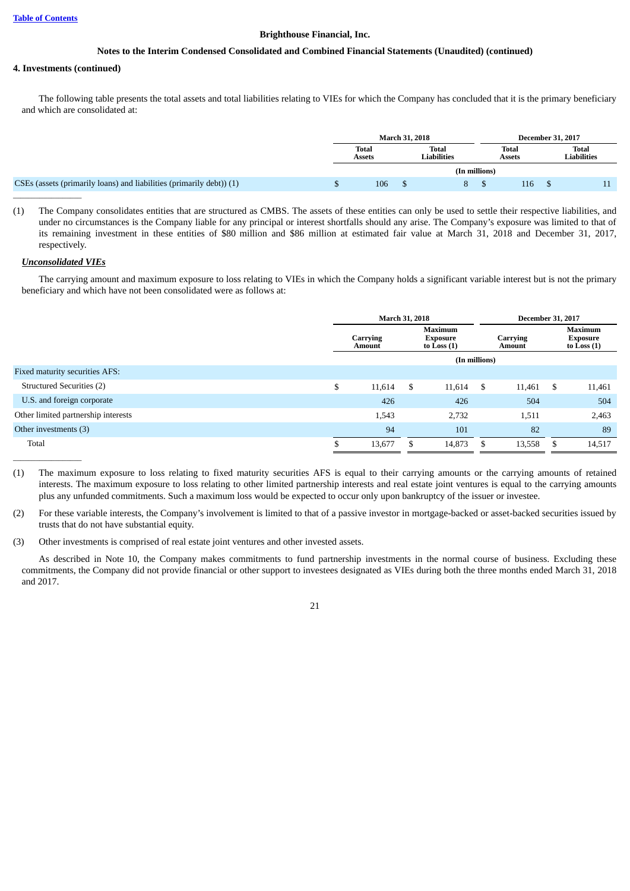### **Notes to the Interim Condensed Consolidated and Combined Financial Statements (Unaudited) (continued)**

### **4. Investments (continued)**

The following table presents the total assets and total liabilities relating to VIEs for which the Company has concluded that it is the primary beneficiary and which are consolidated at:

|                                                                      |                        | <b>March 31, 2018</b> |                             | <b>December 31, 2017</b> |                 |  |                             |  |  |
|----------------------------------------------------------------------|------------------------|-----------------------|-----------------------------|--------------------------|-----------------|--|-----------------------------|--|--|
|                                                                      | Total<br><b>Assets</b> |                       | <b>Total</b><br>Liabilities |                          | Total<br>Assets |  | <b>Total</b><br>Liabilities |  |  |
|                                                                      |                        |                       |                             | (In millions)            |                 |  |                             |  |  |
| CSEs (assets (primarily loans) and liabilities (primarily debt)) (1) | 106                    |                       | 8                           |                          | 116             |  | 11                          |  |  |
|                                                                      |                        |                       |                             |                          |                 |  |                             |  |  |

(1) The Company consolidates entities that are structured as CMBS. The assets of these entities can only be used to settle their respective liabilities, and under no circumstances is the Company liable for any principal or interest shortfalls should any arise. The Company's exposure was limited to that of its remaining investment in these entities of \$80 million and \$86 million at estimated fair value at March 31, 2018 and December 31, 2017, respectively.

#### *Unconsolidated VIEs*

The carrying amount and maximum exposure to loss relating to VIEs in which the Company holds a significant variable interest but is not the primary beneficiary and which have not been consolidated were as follows at:

|                                     |               | <b>March 31, 2018</b>     |                                                    |        | <b>December 31, 2017</b> |                           |    |                                             |  |  |  |
|-------------------------------------|---------------|---------------------------|----------------------------------------------------|--------|--------------------------|---------------------------|----|---------------------------------------------|--|--|--|
|                                     |               | <b>Carrying</b><br>Amount | <b>Maximum</b><br><b>Exposure</b><br>to Loss $(1)$ |        |                          | Carrying<br><b>Amount</b> |    | Maximum<br><b>Exposure</b><br>to Loss $(1)$ |  |  |  |
|                                     | (In millions) |                           |                                                    |        |                          |                           |    |                                             |  |  |  |
| Fixed maturity securities AFS:      |               |                           |                                                    |        |                          |                           |    |                                             |  |  |  |
| Structured Securities (2)           | \$            | 11,614                    | \$                                                 | 11,614 | \$                       | 11,461                    | \$ | 11,461                                      |  |  |  |
| U.S. and foreign corporate          |               | 426                       |                                                    | 426    |                          | 504                       |    | 504                                         |  |  |  |
| Other limited partnership interests |               | 1,543                     |                                                    | 2,732  |                          | 1,511                     |    | 2,463                                       |  |  |  |
| Other investments (3)               |               | 94                        |                                                    | 101    |                          | 82                        |    | 89                                          |  |  |  |
| Total                               |               | 13,677                    | -S                                                 | 14,873 | \$                       | 13,558                    | -S | 14,517                                      |  |  |  |
|                                     |               |                           |                                                    |        |                          |                           |    |                                             |  |  |  |

(1) The maximum exposure to loss relating to fixed maturity securities AFS is equal to their carrying amounts or the carrying amounts of retained interests. The maximum exposure to loss relating to other limited partnership interests and real estate joint ventures is equal to the carrying amounts plus any unfunded commitments. Such a maximum loss would be expected to occur only upon bankruptcy of the issuer or investee.

(2) For these variable interests, the Company's involvement is limited to that of a passive investor in mortgage-backed or asset-backed securities issued by trusts that do not have substantial equity.

(3) Other investments is comprised of real estate joint ventures and other invested assets.

As described in Note 10, the Company makes commitments to fund partnership investments in the normal course of business. Excluding these commitments, the Company did not provide financial or other support to investees designated as VIEs during both the three months ended March 31, 2018 and 2017.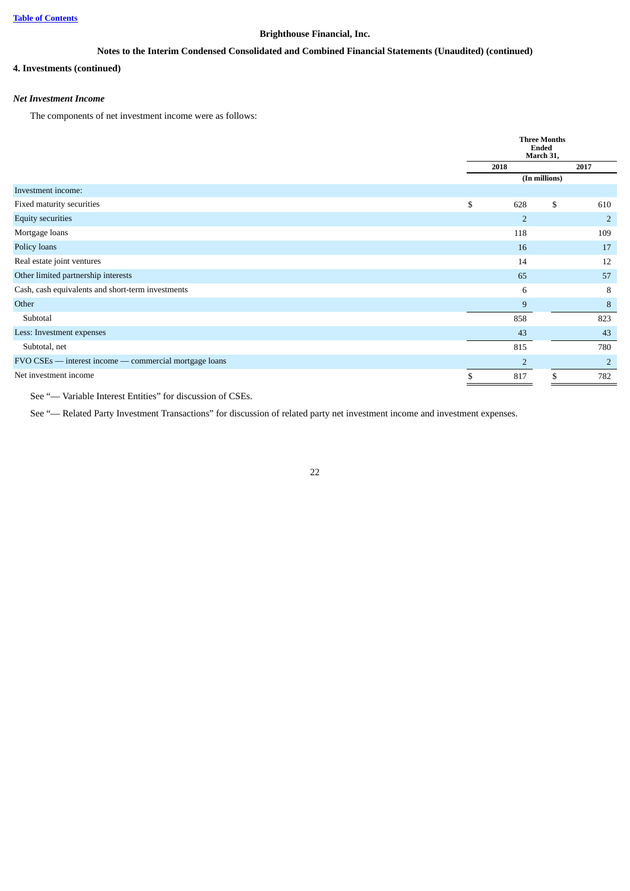### **Notes to the Interim Condensed Consolidated and Combined Financial Statements (Unaudited) (continued)**

### **4. Investments (continued)**

#### *Net Investment Income*

The components of net investment income were as follows:

|                                                        | <b>Three Months</b><br><b>Ended</b><br>March 31, |               |                |  |  |
|--------------------------------------------------------|--------------------------------------------------|---------------|----------------|--|--|
|                                                        | 2018                                             |               | 2017           |  |  |
|                                                        |                                                  | (In millions) |                |  |  |
| Investment income:                                     |                                                  |               |                |  |  |
| Fixed maturity securities                              | \$<br>628                                        | \$            | 610            |  |  |
| <b>Equity securities</b>                               | $\overline{2}$                                   |               | 2              |  |  |
| Mortgage loans                                         | 118                                              |               | 109            |  |  |
| Policy loans                                           | 16                                               |               | 17             |  |  |
| Real estate joint ventures                             | 14                                               |               | 12             |  |  |
| Other limited partnership interests                    | 65                                               |               | 57             |  |  |
| Cash, cash equivalents and short-term investments      | 6                                                |               | 8              |  |  |
| Other                                                  | 9                                                |               | 8              |  |  |
| Subtotal                                               | 858                                              |               | 823            |  |  |
| Less: Investment expenses                              | 43                                               |               | 43             |  |  |
| Subtotal, net                                          | 815                                              |               | 780            |  |  |
| FVO CSEs - interest income - commercial mortgage loans | 2                                                |               | $\overline{2}$ |  |  |
| Net investment income                                  | \$<br>817                                        |               | 782            |  |  |

See "— Variable Interest Entities" for discussion of CSEs.

See "— Related Party Investment Transactions" for discussion of related party net investment income and investment expenses.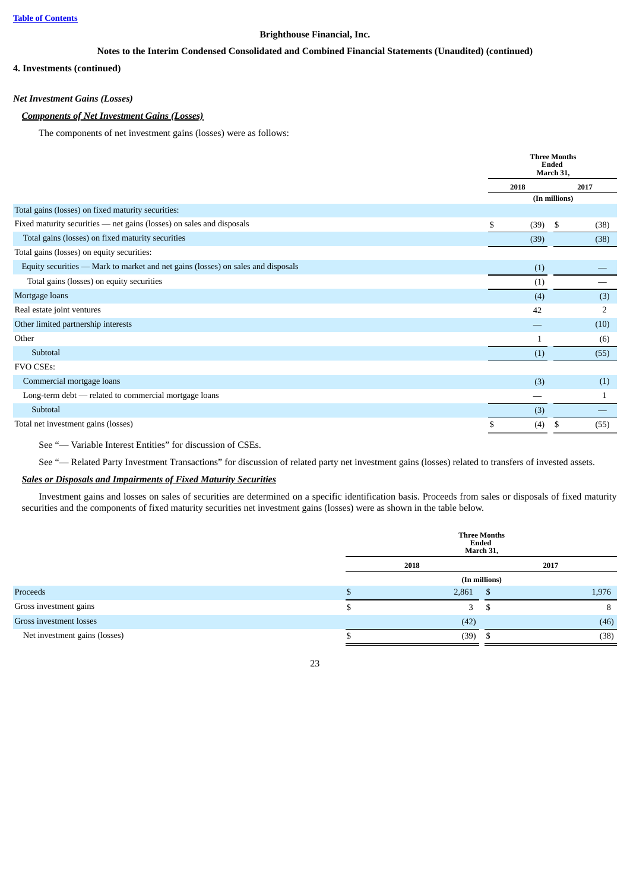### **Notes to the Interim Condensed Consolidated and Combined Financial Statements (Unaudited) (continued)**

#### **4. Investments (continued)**

### *Net Investment Gains (Losses)*

### *Components of Net Investment Gains (Losses)*

The components of net investment gains (losses) were as follows:

|                                                                                  | <b>Three Months</b><br>Ended<br>March 31, |               |      |  |  |  |
|----------------------------------------------------------------------------------|-------------------------------------------|---------------|------|--|--|--|
|                                                                                  | 2018                                      |               | 2017 |  |  |  |
|                                                                                  |                                           | (In millions) |      |  |  |  |
| Total gains (losses) on fixed maturity securities:                               |                                           |               |      |  |  |  |
| Fixed maturity securities — net gains (losses) on sales and disposals            | \$<br>(39)                                | \$            | (38) |  |  |  |
| Total gains (losses) on fixed maturity securities                                | (39)                                      |               | (38) |  |  |  |
| Total gains (losses) on equity securities:                                       |                                           |               |      |  |  |  |
| Equity securities — Mark to market and net gains (losses) on sales and disposals | (1)                                       |               |      |  |  |  |
| Total gains (losses) on equity securities                                        | (1)                                       |               |      |  |  |  |
| Mortgage loans                                                                   | (4)                                       |               | (3)  |  |  |  |
| Real estate joint ventures                                                       | 42                                        |               | 2    |  |  |  |
| Other limited partnership interests                                              |                                           |               | (10) |  |  |  |
| Other                                                                            | 1                                         |               | (6)  |  |  |  |
| Subtotal                                                                         | (1)                                       |               | (55) |  |  |  |
| <b>FVO CSEs:</b>                                                                 |                                           |               |      |  |  |  |
| Commercial mortgage loans                                                        | (3)                                       |               | (1)  |  |  |  |
| Long-term debt - related to commercial mortgage loans                            |                                           |               | 1    |  |  |  |
| Subtotal                                                                         | (3)                                       |               |      |  |  |  |
| Total net investment gains (losses)                                              | (4)                                       | \$            | (55) |  |  |  |
|                                                                                  |                                           |               |      |  |  |  |

See "— Variable Interest Entities" for discussion of CSEs.

See "— Related Party Investment Transactions" for discussion of related party net investment gains (losses) related to transfers of invested assets.

### *Sales or Disposals and Impairments of Fixed Maturity Securities*

Investment gains and losses on sales of securities are determined on a specific identification basis. Proceeds from sales or disposals of fixed maturity securities and the components of fixed maturity securities net investment gains (losses) were as shown in the table below.

|                               | <b>Three Months</b><br><b>Ended</b><br>March 31, |               |       |  |  |  |  |  |
|-------------------------------|--------------------------------------------------|---------------|-------|--|--|--|--|--|
|                               | 2018                                             | 2017          |       |  |  |  |  |  |
|                               |                                                  | (In millions) |       |  |  |  |  |  |
| Proceeds                      | 2,861                                            | ∖ \$          | 1,976 |  |  |  |  |  |
| Gross investment gains        | 3                                                | -S            | -8    |  |  |  |  |  |
| Gross investment losses       | (42)                                             |               | (46)  |  |  |  |  |  |
| Net investment gains (losses) | (39)                                             |               | (38)  |  |  |  |  |  |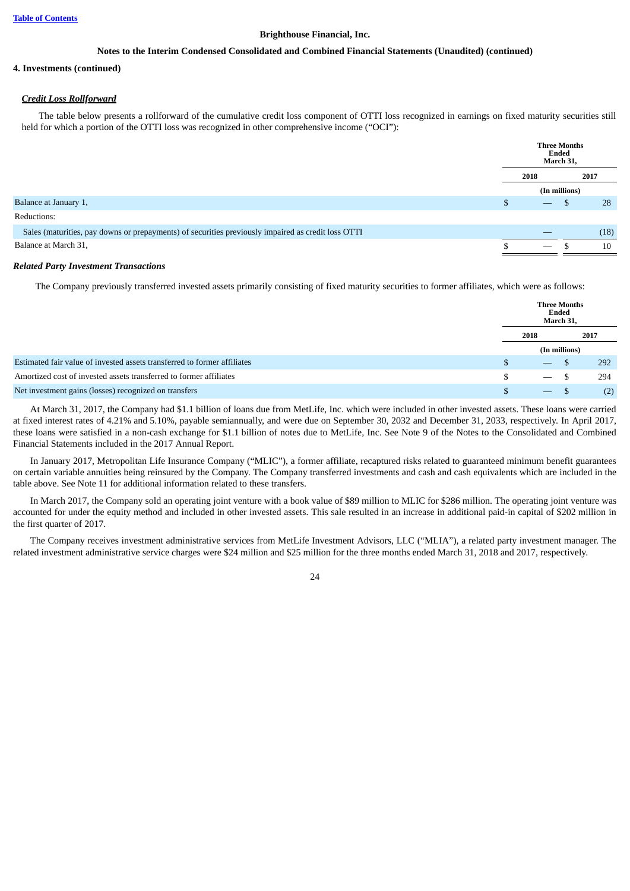### **Notes to the Interim Condensed Consolidated and Combined Financial Statements (Unaudited) (continued)**

### **4. Investments (continued)**

#### *Credit Loss Rollforward*

The table below presents a rollforward of the cumulative credit loss component of OTTI loss recognized in earnings on fixed maturity securities still held for which a portion of the OTTI loss was recognized in other comprehensive income ("OCI"):

|                                                                                                    |      |                               | <b>Three Months</b><br>Ended<br>March 31, |      |  |
|----------------------------------------------------------------------------------------------------|------|-------------------------------|-------------------------------------------|------|--|
|                                                                                                    | 2018 |                               |                                           | 2017 |  |
|                                                                                                    |      |                               | (In millions)                             |      |  |
| Balance at January 1,                                                                              | \$.  | $\overbrace{\phantom{13333}}$ | D                                         | 28   |  |
| Reductions:                                                                                        |      |                               |                                           |      |  |
| Sales (maturities, pay downs or prepayments) of securities previously impaired as credit loss OTTI |      |                               |                                           | (18) |  |
| Balance at March 31,                                                                               |      | $\overline{\phantom{m}}$      |                                           | 10   |  |

#### *Related Party Investment Transactions*

The Company previously transferred invested assets primarily consisting of fixed maturity securities to former affiliates, which were as follows:

|                                                                          | <b>Three Months</b>      | Ended<br>March 31, |      |
|--------------------------------------------------------------------------|--------------------------|--------------------|------|
|                                                                          | 2018                     |                    | 2017 |
|                                                                          |                          | (In millions)      |      |
| Estimated fair value of invested assets transferred to former affiliates |                          |                    | 292  |
| Amortized cost of invested assets transferred to former affiliates       | $\overline{\phantom{a}}$ |                    | 294  |
| Net investment gains (losses) recognized on transfers                    |                          |                    | (2)  |

At March 31, 2017, the Company had \$1.1 billion of loans due from MetLife, Inc. which were included in other invested assets. These loans were carried at fixed interest rates of 4.21% and 5.10%, payable semiannually, and were due on September 30, 2032 and December 31, 2033, respectively. In April 2017, these loans were satisfied in a non-cash exchange for \$1.1 billion of notes due to MetLife, Inc. See Note 9 of the Notes to the Consolidated and Combined Financial Statements included in the 2017 Annual Report.

In January 2017, Metropolitan Life Insurance Company ("MLIC"), a former affiliate, recaptured risks related to guaranteed minimum benefit guarantees on certain variable annuities being reinsured by the Company. The Company transferred investments and cash and cash equivalents which are included in the table above. See Note 11 for additional information related to these transfers.

In March 2017, the Company sold an operating joint venture with a book value of \$89 million to MLIC for \$286 million. The operating joint venture was accounted for under the equity method and included in other invested assets. This sale resulted in an increase in additional paid-in capital of \$202 million in the first quarter of 2017.

The Company receives investment administrative services from MetLife Investment Advisors, LLC ("MLIA"), a related party investment manager. The related investment administrative service charges were \$24 million and \$25 million for the three months ended March 31, 2018 and 2017, respectively.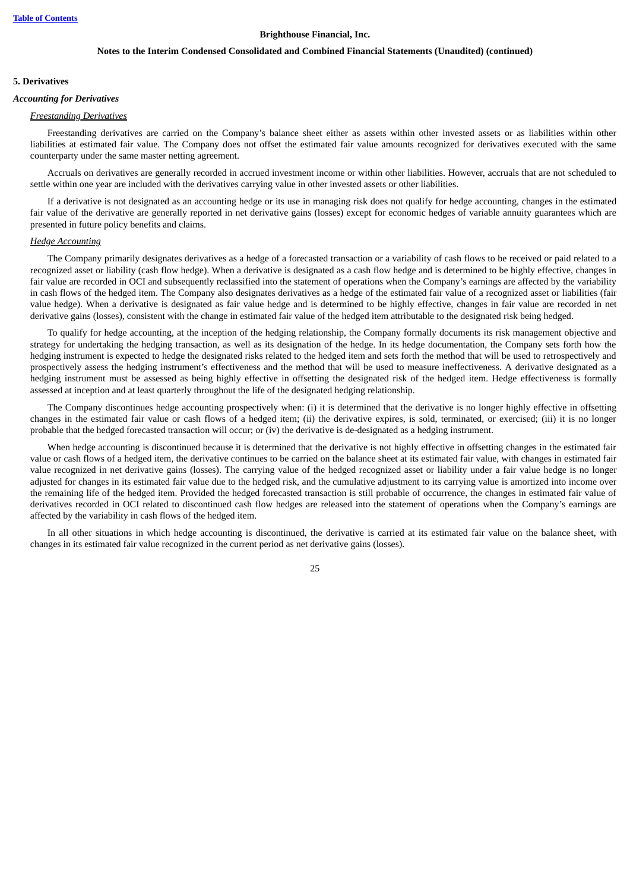#### **Notes to the Interim Condensed Consolidated and Combined Financial Statements (Unaudited) (continued)**

#### <span id="page-25-0"></span>**5. Derivatives**

### *Accounting for Derivatives*

#### *Freestanding Derivatives*

Freestanding derivatives are carried on the Company's balance sheet either as assets within other invested assets or as liabilities within other liabilities at estimated fair value. The Company does not offset the estimated fair value amounts recognized for derivatives executed with the same counterparty under the same master netting agreement.

Accruals on derivatives are generally recorded in accrued investment income or within other liabilities. However, accruals that are not scheduled to settle within one year are included with the derivatives carrying value in other invested assets or other liabilities.

If a derivative is not designated as an accounting hedge or its use in managing risk does not qualify for hedge accounting, changes in the estimated fair value of the derivative are generally reported in net derivative gains (losses) except for economic hedges of variable annuity guarantees which are presented in future policy benefits and claims.

#### *Hedge Accounting*

The Company primarily designates derivatives as a hedge of a forecasted transaction or a variability of cash flows to be received or paid related to a recognized asset or liability (cash flow hedge). When a derivative is designated as a cash flow hedge and is determined to be highly effective, changes in fair value are recorded in OCI and subsequently reclassified into the statement of operations when the Company's earnings are affected by the variability in cash flows of the hedged item. The Company also designates derivatives as a hedge of the estimated fair value of a recognized asset or liabilities (fair value hedge). When a derivative is designated as fair value hedge and is determined to be highly effective, changes in fair value are recorded in net derivative gains (losses), consistent with the change in estimated fair value of the hedged item attributable to the designated risk being hedged.

To qualify for hedge accounting, at the inception of the hedging relationship, the Company formally documents its risk management objective and strategy for undertaking the hedging transaction, as well as its designation of the hedge. In its hedge documentation, the Company sets forth how the hedging instrument is expected to hedge the designated risks related to the hedged item and sets forth the method that will be used to retrospectively and prospectively assess the hedging instrument's effectiveness and the method that will be used to measure ineffectiveness. A derivative designated as a hedging instrument must be assessed as being highly effective in offsetting the designated risk of the hedged item. Hedge effectiveness is formally assessed at inception and at least quarterly throughout the life of the designated hedging relationship.

The Company discontinues hedge accounting prospectively when: (i) it is determined that the derivative is no longer highly effective in offsetting changes in the estimated fair value or cash flows of a hedged item; (ii) the derivative expires, is sold, terminated, or exercised; (iii) it is no longer probable that the hedged forecasted transaction will occur; or (iv) the derivative is de-designated as a hedging instrument.

When hedge accounting is discontinued because it is determined that the derivative is not highly effective in offsetting changes in the estimated fair value or cash flows of a hedged item, the derivative continues to be carried on the balance sheet at its estimated fair value, with changes in estimated fair value recognized in net derivative gains (losses). The carrying value of the hedged recognized asset or liability under a fair value hedge is no longer adjusted for changes in its estimated fair value due to the hedged risk, and the cumulative adjustment to its carrying value is amortized into income over the remaining life of the hedged item. Provided the hedged forecasted transaction is still probable of occurrence, the changes in estimated fair value of derivatives recorded in OCI related to discontinued cash flow hedges are released into the statement of operations when the Company's earnings are affected by the variability in cash flows of the hedged item.

In all other situations in which hedge accounting is discontinued, the derivative is carried at its estimated fair value on the balance sheet, with changes in its estimated fair value recognized in the current period as net derivative gains (losses).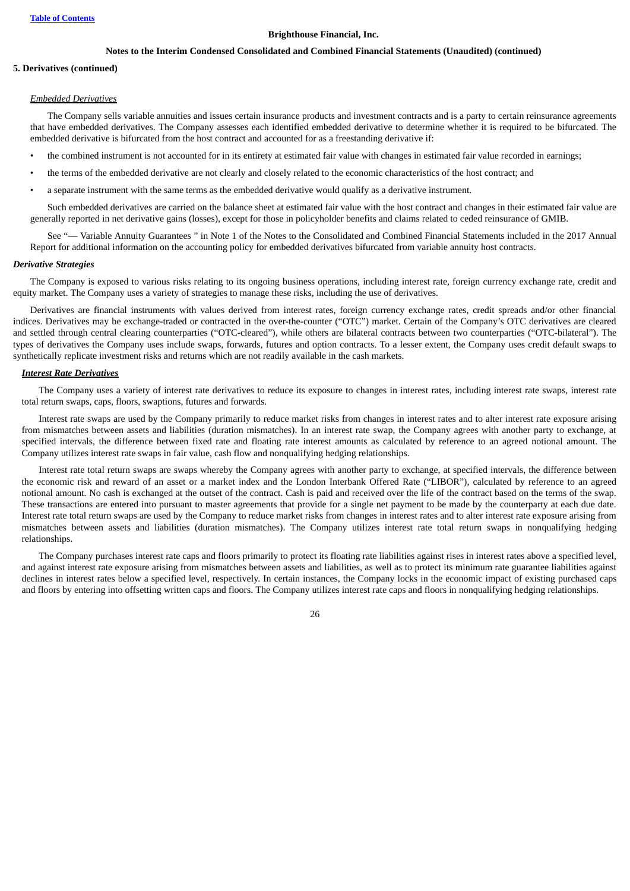### **Notes to the Interim Condensed Consolidated and Combined Financial Statements (Unaudited) (continued)**

#### **5. Derivatives (continued)**

#### *Embedded Derivatives*

The Company sells variable annuities and issues certain insurance products and investment contracts and is a party to certain reinsurance agreements that have embedded derivatives. The Company assesses each identified embedded derivative to determine whether it is required to be bifurcated. The embedded derivative is bifurcated from the host contract and accounted for as a freestanding derivative if:

- the combined instrument is not accounted for in its entirety at estimated fair value with changes in estimated fair value recorded in earnings;
- the terms of the embedded derivative are not clearly and closely related to the economic characteristics of the host contract; and
- a separate instrument with the same terms as the embedded derivative would qualify as a derivative instrument.

Such embedded derivatives are carried on the balance sheet at estimated fair value with the host contract and changes in their estimated fair value are generally reported in net derivative gains (losses), except for those in policyholder benefits and claims related to ceded reinsurance of GMIB.

- Variable Annuity Guarantees " in Note 1 of the Notes to the Consolidated and Combined Financial Statements included in the 2017 Annual Report for additional information on the accounting policy for embedded derivatives bifurcated from variable annuity host contracts.

#### *Derivative Strategies*

The Company is exposed to various risks relating to its ongoing business operations, including interest rate, foreign currency exchange rate, credit and equity market. The Company uses a variety of strategies to manage these risks, including the use of derivatives.

Derivatives are financial instruments with values derived from interest rates, foreign currency exchange rates, credit spreads and/or other financial indices. Derivatives may be exchange-traded or contracted in the over-the-counter ("OTC") market. Certain of the Company's OTC derivatives are cleared and settled through central clearing counterparties ("OTC-cleared"), while others are bilateral contracts between two counterparties ("OTC-bilateral"). The types of derivatives the Company uses include swaps, forwards, futures and option contracts. To a lesser extent, the Company uses credit default swaps to synthetically replicate investment risks and returns which are not readily available in the cash markets.

#### *Interest Rate Derivatives*

The Company uses a variety of interest rate derivatives to reduce its exposure to changes in interest rates, including interest rate swaps, interest rate total return swaps, caps, floors, swaptions, futures and forwards.

Interest rate swaps are used by the Company primarily to reduce market risks from changes in interest rates and to alter interest rate exposure arising from mismatches between assets and liabilities (duration mismatches). In an interest rate swap, the Company agrees with another party to exchange, at specified intervals, the difference between fixed rate and floating rate interest amounts as calculated by reference to an agreed notional amount. The Company utilizes interest rate swaps in fair value, cash flow and nonqualifying hedging relationships.

Interest rate total return swaps are swaps whereby the Company agrees with another party to exchange, at specified intervals, the difference between the economic risk and reward of an asset or a market index and the London Interbank Offered Rate ("LIBOR"), calculated by reference to an agreed notional amount. No cash is exchanged at the outset of the contract. Cash is paid and received over the life of the contract based on the terms of the swap. These transactions are entered into pursuant to master agreements that provide for a single net payment to be made by the counterparty at each due date. Interest rate total return swaps are used by the Company to reduce market risks from changes in interest rates and to alter interest rate exposure arising from mismatches between assets and liabilities (duration mismatches). The Company utilizes interest rate total return swaps in nonqualifying hedging relationships.

The Company purchases interest rate caps and floors primarily to protect its floating rate liabilities against rises in interest rates above a specified level, and against interest rate exposure arising from mismatches between assets and liabilities, as well as to protect its minimum rate guarantee liabilities against declines in interest rates below a specified level, respectively. In certain instances, the Company locks in the economic impact of existing purchased caps and floors by entering into offsetting written caps and floors. The Company utilizes interest rate caps and floors in nonqualifying hedging relationships.

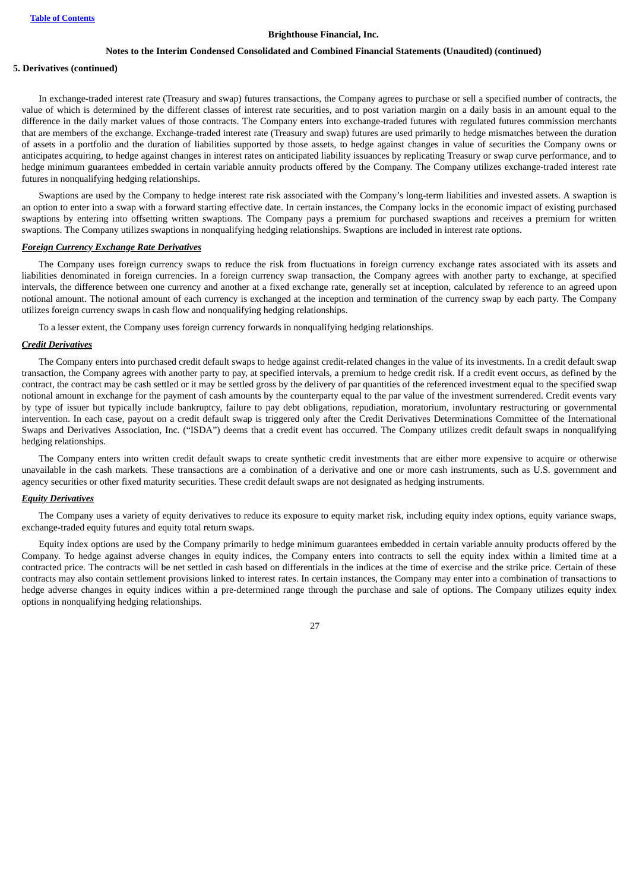### **Notes to the Interim Condensed Consolidated and Combined Financial Statements (Unaudited) (continued)**

### **5. Derivatives (continued)**

In exchange-traded interest rate (Treasury and swap) futures transactions, the Company agrees to purchase or sell a specified number of contracts, the value of which is determined by the different classes of interest rate securities, and to post variation margin on a daily basis in an amount equal to the difference in the daily market values of those contracts. The Company enters into exchange-traded futures with regulated futures commission merchants that are members of the exchange. Exchange-traded interest rate (Treasury and swap) futures are used primarily to hedge mismatches between the duration of assets in a portfolio and the duration of liabilities supported by those assets, to hedge against changes in value of securities the Company owns or anticipates acquiring, to hedge against changes in interest rates on anticipated liability issuances by replicating Treasury or swap curve performance, and to hedge minimum guarantees embedded in certain variable annuity products offered by the Company. The Company utilizes exchange-traded interest rate futures in nonqualifying hedging relationships.

Swaptions are used by the Company to hedge interest rate risk associated with the Company's long-term liabilities and invested assets. A swaption is an option to enter into a swap with a forward starting effective date. In certain instances, the Company locks in the economic impact of existing purchased swaptions by entering into offsetting written swaptions. The Company pays a premium for purchased swaptions and receives a premium for written swaptions. The Company utilizes swaptions in nonqualifying hedging relationships. Swaptions are included in interest rate options.

#### *Foreign Currency Exchange Rate Derivatives*

The Company uses foreign currency swaps to reduce the risk from fluctuations in foreign currency exchange rates associated with its assets and liabilities denominated in foreign currencies. In a foreign currency swap transaction, the Company agrees with another party to exchange, at specified intervals, the difference between one currency and another at a fixed exchange rate, generally set at inception, calculated by reference to an agreed upon notional amount. The notional amount of each currency is exchanged at the inception and termination of the currency swap by each party. The Company utilizes foreign currency swaps in cash flow and nonqualifying hedging relationships.

To a lesser extent, the Company uses foreign currency forwards in nonqualifying hedging relationships.

#### *Credit Derivatives*

The Company enters into purchased credit default swaps to hedge against credit-related changes in the value of its investments. In a credit default swap transaction, the Company agrees with another party to pay, at specified intervals, a premium to hedge credit risk. If a credit event occurs, as defined by the contract, the contract may be cash settled or it may be settled gross by the delivery of par quantities of the referenced investment equal to the specified swap notional amount in exchange for the payment of cash amounts by the counterparty equal to the par value of the investment surrendered. Credit events vary by type of issuer but typically include bankruptcy, failure to pay debt obligations, repudiation, moratorium, involuntary restructuring or governmental intervention. In each case, payout on a credit default swap is triggered only after the Credit Derivatives Determinations Committee of the International Swaps and Derivatives Association, Inc. ("ISDA") deems that a credit event has occurred. The Company utilizes credit default swaps in nonqualifying hedging relationships.

The Company enters into written credit default swaps to create synthetic credit investments that are either more expensive to acquire or otherwise unavailable in the cash markets. These transactions are a combination of a derivative and one or more cash instruments, such as U.S. government and agency securities or other fixed maturity securities. These credit default swaps are not designated as hedging instruments.

#### *Equity Derivatives*

The Company uses a variety of equity derivatives to reduce its exposure to equity market risk, including equity index options, equity variance swaps, exchange-traded equity futures and equity total return swaps.

Equity index options are used by the Company primarily to hedge minimum guarantees embedded in certain variable annuity products offered by the Company. To hedge against adverse changes in equity indices, the Company enters into contracts to sell the equity index within a limited time at a contracted price. The contracts will be net settled in cash based on differentials in the indices at the time of exercise and the strike price. Certain of these contracts may also contain settlement provisions linked to interest rates. In certain instances, the Company may enter into a combination of transactions to hedge adverse changes in equity indices within a pre-determined range through the purchase and sale of options. The Company utilizes equity index options in nonqualifying hedging relationships.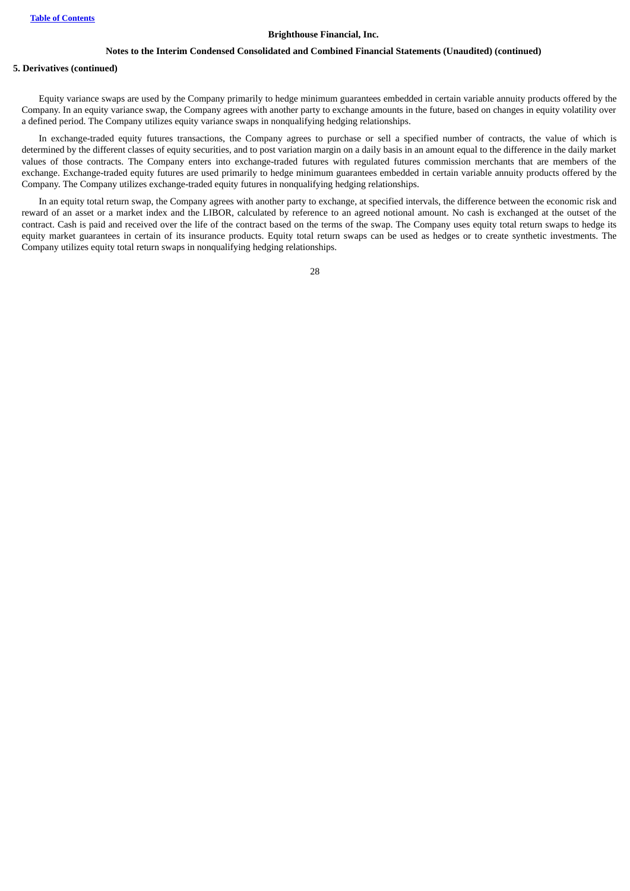### **Notes to the Interim Condensed Consolidated and Combined Financial Statements (Unaudited) (continued)**

### **5. Derivatives (continued)**

Equity variance swaps are used by the Company primarily to hedge minimum guarantees embedded in certain variable annuity products offered by the Company. In an equity variance swap, the Company agrees with another party to exchange amounts in the future, based on changes in equity volatility over a defined period. The Company utilizes equity variance swaps in nonqualifying hedging relationships.

In exchange-traded equity futures transactions, the Company agrees to purchase or sell a specified number of contracts, the value of which is determined by the different classes of equity securities, and to post variation margin on a daily basis in an amount equal to the difference in the daily market values of those contracts. The Company enters into exchange-traded futures with regulated futures commission merchants that are members of the exchange. Exchange-traded equity futures are used primarily to hedge minimum guarantees embedded in certain variable annuity products offered by the Company. The Company utilizes exchange-traded equity futures in nonqualifying hedging relationships.

In an equity total return swap, the Company agrees with another party to exchange, at specified intervals, the difference between the economic risk and reward of an asset or a market index and the LIBOR, calculated by reference to an agreed notional amount. No cash is exchanged at the outset of the contract. Cash is paid and received over the life of the contract based on the terms of the swap. The Company uses equity total return swaps to hedge its equity market guarantees in certain of its insurance products. Equity total return swaps can be used as hedges or to create synthetic investments. The Company utilizes equity total return swaps in nonqualifying hedging relationships.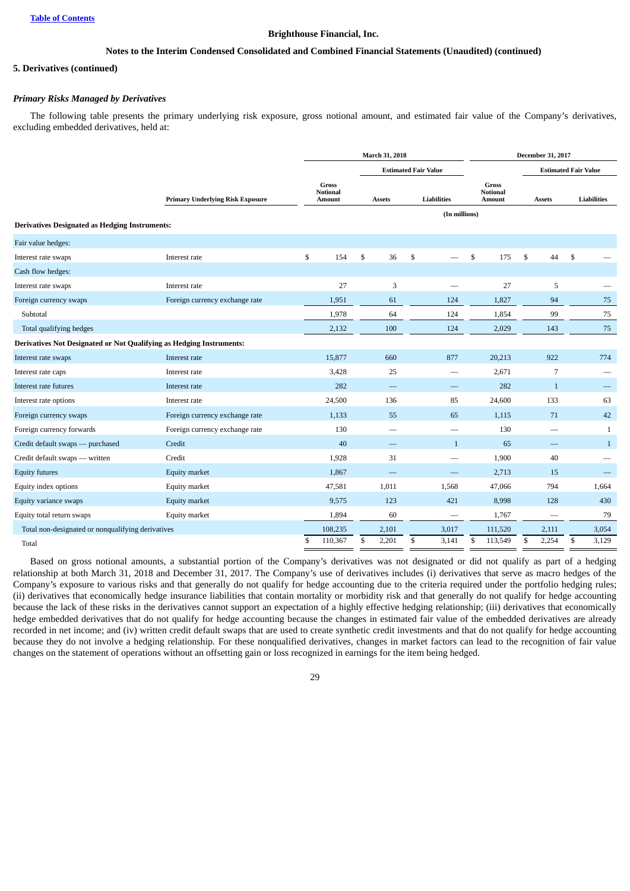### **Notes to the Interim Condensed Consolidated and Combined Financial Statements (Unaudited) (continued)**

### **5. Derivatives (continued)**

#### *Primary Risks Managed by Derivatives*

The following table presents the primary underlying risk exposure, gross notional amount, and estimated fair value of the Company's derivatives, excluding embedded derivatives, held at:

|                                                                      |                                         |                                                  |    | March 31, 2018 |    |                             |    | <b>December 31, 2017</b>                  |    |                             |                    |              |  |  |  |
|----------------------------------------------------------------------|-----------------------------------------|--------------------------------------------------|----|----------------|----|-----------------------------|----|-------------------------------------------|----|-----------------------------|--------------------|--------------|--|--|--|
|                                                                      |                                         |                                                  |    |                |    | <b>Estimated Fair Value</b> |    |                                           |    | <b>Estimated Fair Value</b> |                    |              |  |  |  |
|                                                                      | <b>Primary Underlying Risk Exposure</b> | <b>Gross</b><br><b>Notional</b><br><b>Amount</b> |    | <b>Assets</b>  |    | <b>Liabilities</b>          |    | Gross<br><b>Notional</b><br><b>Amount</b> |    | <b>Assets</b>               | <b>Liabilities</b> |              |  |  |  |
| <b>Derivatives Designated as Hedging Instruments:</b>                |                                         |                                                  |    |                |    | (In millions)               |    |                                           |    |                             |                    |              |  |  |  |
| Fair value hedges:                                                   |                                         |                                                  |    |                |    |                             |    |                                           |    |                             |                    |              |  |  |  |
| Interest rate swaps                                                  | Interest rate                           | \$<br>154                                        | \$ | 36             | \$ | $\overline{\phantom{0}}$    | \$ | 175                                       | \$ | 44                          | \$                 |              |  |  |  |
| Cash flow hedges:                                                    |                                         |                                                  |    |                |    |                             |    |                                           |    |                             |                    |              |  |  |  |
| Interest rate swaps                                                  | Interest rate                           | 27                                               |    | 3              |    |                             |    | 27                                        |    | 5                           |                    |              |  |  |  |
| Foreign currency swaps                                               | Foreign currency exchange rate          | 1,951                                            |    | 61             |    | 124                         |    | 1,827                                     |    | 94                          |                    | 75           |  |  |  |
| Subtotal                                                             |                                         | 1,978                                            |    | 64             |    | 124                         |    | 1,854                                     |    | 99                          |                    | 75           |  |  |  |
| Total qualifying hedges                                              |                                         | 2,132                                            |    | 100            |    | 124                         |    | 2,029                                     |    | 143                         |                    | 75           |  |  |  |
| Derivatives Not Designated or Not Qualifying as Hedging Instruments: |                                         |                                                  |    |                |    |                             |    |                                           |    |                             |                    |              |  |  |  |
| Interest rate swaps                                                  | Interest rate                           | 15,877                                           |    | 660            |    | 877                         |    | 20,213                                    |    | 922                         |                    | 774          |  |  |  |
| Interest rate caps                                                   | Interest rate                           | 3,428                                            |    | 25             |    |                             |    | 2,671                                     |    | $\overline{7}$              |                    |              |  |  |  |
| Interest rate futures                                                | Interest rate                           | 282                                              |    |                |    |                             |    | 282                                       |    | $\mathbf{1}$                |                    |              |  |  |  |
| Interest rate options                                                | Interest rate                           | 24,500                                           |    | 136            |    | 85                          |    | 24,600                                    |    | 133                         |                    | 63           |  |  |  |
| Foreign currency swaps                                               | Foreign currency exchange rate          | 1,133                                            |    | 55             |    | 65                          |    | 1,115                                     |    | 71                          |                    | 42           |  |  |  |
| Foreign currency forwards                                            | Foreign currency exchange rate          | 130                                              |    |                |    |                             |    | 130                                       |    |                             |                    | $\mathbf{1}$ |  |  |  |
| Credit default swaps - purchased                                     | Credit                                  | 40                                               |    |                |    | $\mathbf{1}$                |    | 65                                        |    |                             |                    | $\mathbf{1}$ |  |  |  |
| Credit default swaps - written                                       | Credit                                  | 1,928                                            |    | 31             |    |                             |    | 1,900                                     |    | 40                          |                    |              |  |  |  |
| <b>Equity futures</b>                                                | <b>Equity market</b>                    | 1,867                                            |    |                |    |                             |    | 2,713                                     |    | 15                          |                    |              |  |  |  |
| Equity index options                                                 | Equity market                           | 47,581                                           |    | 1,011          |    | 1,568                       |    | 47,066                                    |    | 794                         |                    | 1,664        |  |  |  |
| Equity variance swaps                                                | <b>Equity market</b>                    | 9,575                                            |    | 123            |    | 421                         |    | 8,998                                     |    | 128                         |                    | 430          |  |  |  |
| Equity total return swaps                                            | Equity market                           | 1,894                                            |    | 60             |    |                             |    | 1,767                                     |    |                             |                    | 79           |  |  |  |
| Total non-designated or nonqualifying derivatives                    |                                         | 108,235                                          |    | 2,101          |    | 3,017                       |    | 111,520                                   |    | 2,111                       |                    | 3,054        |  |  |  |
| Total                                                                |                                         | \$<br>110,367                                    | \$ | 2,201          | \$ | 3,141                       | \$ | 113,549                                   | \$ | 2,254                       | \$                 | 3,129        |  |  |  |

Based on gross notional amounts, a substantial portion of the Company's derivatives was not designated or did not qualify as part of a hedging relationship at both March 31, 2018 and December 31, 2017. The Company's use of derivatives includes (i) derivatives that serve as macro hedges of the Company's exposure to various risks and that generally do not qualify for hedge accounting due to the criteria required under the portfolio hedging rules; (ii) derivatives that economically hedge insurance liabilities that contain mortality or morbidity risk and that generally do not qualify for hedge accounting because the lack of these risks in the derivatives cannot support an expectation of a highly effective hedging relationship; (iii) derivatives that economically hedge embedded derivatives that do not qualify for hedge accounting because the changes in estimated fair value of the embedded derivatives are already recorded in net income; and (iv) written credit default swaps that are used to create synthetic credit investments and that do not qualify for hedge accounting because they do not involve a hedging relationship. For these nonqualified derivatives, changes in market factors can lead to the recognition of fair value changes on the statement of operations without an offsetting gain or loss recognized in earnings for the item being hedged.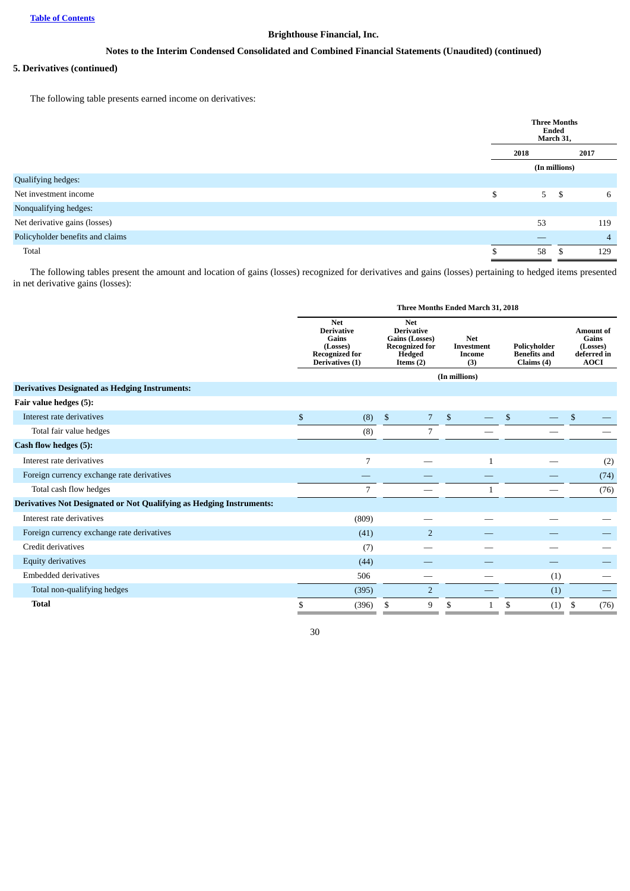### **Notes to the Interim Condensed Consolidated and Combined Financial Statements (Unaudited) (continued)**

## **5. Derivatives (continued)**

The following table presents earned income on derivatives:

|                                  | <b>Three Months</b><br>Ended<br>March 31, |  |                |  |  |  |
|----------------------------------|-------------------------------------------|--|----------------|--|--|--|
|                                  | 2018                                      |  | 2017           |  |  |  |
|                                  | (In millions)                             |  |                |  |  |  |
| Qualifying hedges:               |                                           |  |                |  |  |  |
| Net investment income            | \$<br>5S                                  |  | 6              |  |  |  |
| Nonqualifying hedges:            |                                           |  |                |  |  |  |
| Net derivative gains (losses)    | 53                                        |  | 119            |  |  |  |
| Policyholder benefits and claims |                                           |  | $\overline{4}$ |  |  |  |
| Total                            | 58                                        |  | 129            |  |  |  |

The following tables present the amount and location of gains (losses) recognized for derivatives and gains (losses) pertaining to hedged items presented in net derivative gains (losses):

|                                                                      | Three Months Ended March 31, 2018                                                                |       |                |                                                                                                     |               |                                           |                                                   |     |    |                                                                     |  |
|----------------------------------------------------------------------|--------------------------------------------------------------------------------------------------|-------|----------------|-----------------------------------------------------------------------------------------------------|---------------|-------------------------------------------|---------------------------------------------------|-----|----|---------------------------------------------------------------------|--|
|                                                                      | <b>Net</b><br><b>Derivative</b><br>Gains<br>(Losses)<br><b>Recognized for</b><br>Derivatives (1) |       |                | <b>Net</b><br><b>Derivative</b><br>Gains (Losses)<br><b>Recognized for</b><br>Hedged<br>Items $(2)$ |               | <b>Net</b><br>Investment<br>Income<br>(3) | Policyholder<br><b>Benefits and</b><br>Claims (4) |     |    | <b>Amount of</b><br>Gains<br>(Losses)<br>deferred in<br><b>AOCI</b> |  |
|                                                                      |                                                                                                  |       |                |                                                                                                     | (In millions) |                                           |                                                   |     |    |                                                                     |  |
| <b>Derivatives Designated as Hedging Instruments:</b>                |                                                                                                  |       |                |                                                                                                     |               |                                           |                                                   |     |    |                                                                     |  |
| Fair value hedges (5):                                               |                                                                                                  |       |                |                                                                                                     |               |                                           |                                                   |     |    |                                                                     |  |
| Interest rate derivatives                                            | \$                                                                                               | (8)   | $\mathfrak{F}$ | 7                                                                                                   | \$            |                                           | \$                                                |     | \$ |                                                                     |  |
| Total fair value hedges                                              |                                                                                                  | (8)   |                | 7                                                                                                   |               |                                           |                                                   |     |    |                                                                     |  |
| Cash flow hedges (5):                                                |                                                                                                  |       |                |                                                                                                     |               |                                           |                                                   |     |    |                                                                     |  |
| Interest rate derivatives                                            |                                                                                                  | 7     |                |                                                                                                     |               | 1                                         |                                                   |     |    | (2)                                                                 |  |
| Foreign currency exchange rate derivatives                           |                                                                                                  |       |                |                                                                                                     |               |                                           |                                                   |     |    | (74)                                                                |  |
| Total cash flow hedges                                               |                                                                                                  | 7     |                |                                                                                                     |               | 1                                         |                                                   |     |    | (76)                                                                |  |
| Derivatives Not Designated or Not Qualifying as Hedging Instruments: |                                                                                                  |       |                |                                                                                                     |               |                                           |                                                   |     |    |                                                                     |  |
| Interest rate derivatives                                            |                                                                                                  | (809) |                |                                                                                                     |               |                                           |                                                   |     |    |                                                                     |  |
| Foreign currency exchange rate derivatives                           |                                                                                                  | (41)  |                | $\overline{2}$                                                                                      |               |                                           |                                                   |     |    |                                                                     |  |
| Credit derivatives                                                   |                                                                                                  | (7)   |                |                                                                                                     |               |                                           |                                                   |     |    |                                                                     |  |
| <b>Equity derivatives</b>                                            |                                                                                                  | (44)  |                |                                                                                                     |               |                                           |                                                   |     |    |                                                                     |  |
| Embedded derivatives                                                 |                                                                                                  | 506   |                |                                                                                                     |               |                                           |                                                   | (1) |    |                                                                     |  |
| Total non-qualifying hedges                                          |                                                                                                  | (395) |                | $\overline{2}$                                                                                      |               |                                           |                                                   | (1) |    |                                                                     |  |
| <b>Total</b>                                                         |                                                                                                  | (396) | S              | 9                                                                                                   | \$            | 1                                         | \$                                                | (1) | S  | (76)                                                                |  |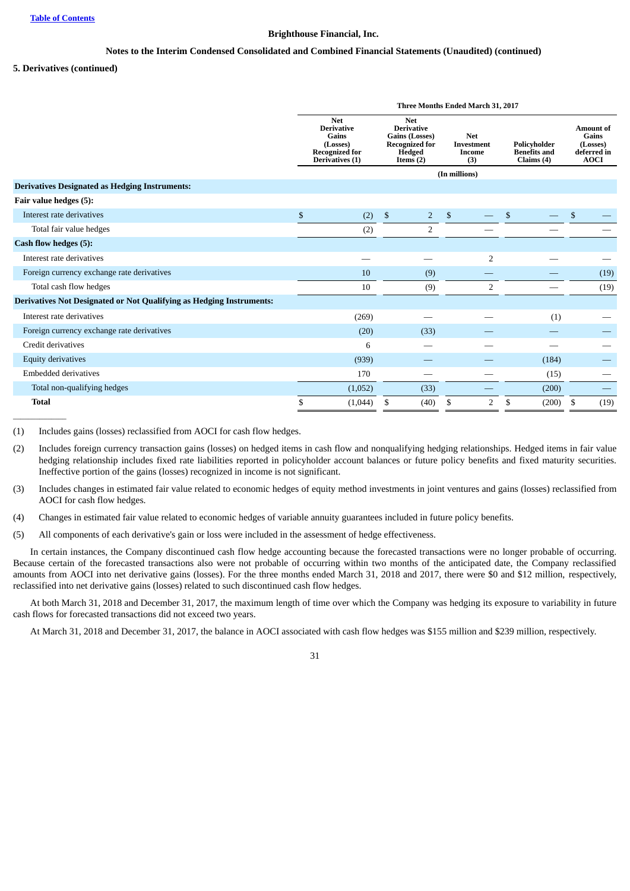### **Notes to the Interim Condensed Consolidated and Combined Financial Statements (Unaudited) (continued)**

### **5. Derivatives (continued)**

|                                                                      | Three Months Ended March 31, 2017 |                                                                                                  |                |                                                                                                     |    |                                           |    |                                                     |    |                                                                     |  |
|----------------------------------------------------------------------|-----------------------------------|--------------------------------------------------------------------------------------------------|----------------|-----------------------------------------------------------------------------------------------------|----|-------------------------------------------|----|-----------------------------------------------------|----|---------------------------------------------------------------------|--|
|                                                                      |                                   | <b>Net</b><br><b>Derivative</b><br>Gains<br>(Losses)<br><b>Recognized for</b><br>Derivatives (1) |                | <b>Net</b><br><b>Derivative</b><br>Gains (Losses)<br><b>Recognized for</b><br>Hedged<br>Items $(2)$ |    | <b>Net</b><br>Investment<br>Income<br>(3) |    | Policyholder<br><b>Benefits and</b><br>Claims $(4)$ |    | <b>Amount</b> of<br>Gains<br>(Losses)<br>deferred in<br><b>AOCI</b> |  |
|                                                                      |                                   |                                                                                                  |                |                                                                                                     |    | (In millions)                             |    |                                                     |    |                                                                     |  |
| <b>Derivatives Designated as Hedging Instruments:</b>                |                                   |                                                                                                  |                |                                                                                                     |    |                                           |    |                                                     |    |                                                                     |  |
| Fair value hedges (5):                                               |                                   |                                                                                                  |                |                                                                                                     |    |                                           |    |                                                     |    |                                                                     |  |
| Interest rate derivatives                                            | \$                                | (2)                                                                                              | $\mathfrak{F}$ | $\overline{2}$                                                                                      | \$ |                                           | \$ |                                                     | \$ |                                                                     |  |
| Total fair value hedges                                              |                                   | (2)                                                                                              |                | $\overline{2}$                                                                                      |    |                                           |    |                                                     |    |                                                                     |  |
| Cash flow hedges (5):                                                |                                   |                                                                                                  |                |                                                                                                     |    |                                           |    |                                                     |    |                                                                     |  |
| Interest rate derivatives                                            |                                   |                                                                                                  |                |                                                                                                     |    | 2                                         |    |                                                     |    |                                                                     |  |
| Foreign currency exchange rate derivatives                           |                                   | 10                                                                                               |                | (9)                                                                                                 |    |                                           |    |                                                     |    | (19)                                                                |  |
| Total cash flow hedges                                               |                                   | 10                                                                                               |                | (9)                                                                                                 |    | 2                                         |    |                                                     |    | (19)                                                                |  |
| Derivatives Not Designated or Not Qualifying as Hedging Instruments: |                                   |                                                                                                  |                |                                                                                                     |    |                                           |    |                                                     |    |                                                                     |  |
| Interest rate derivatives                                            |                                   | (269)                                                                                            |                |                                                                                                     |    |                                           |    | (1)                                                 |    |                                                                     |  |
| Foreign currency exchange rate derivatives                           |                                   | (20)                                                                                             |                | (33)                                                                                                |    |                                           |    |                                                     |    |                                                                     |  |
| Credit derivatives                                                   |                                   | 6                                                                                                |                |                                                                                                     |    |                                           |    |                                                     |    |                                                                     |  |
| <b>Equity derivatives</b>                                            |                                   | (939)                                                                                            |                |                                                                                                     |    |                                           |    | (184)                                               |    |                                                                     |  |
| <b>Embedded derivatives</b>                                          |                                   | 170                                                                                              |                |                                                                                                     |    |                                           |    | (15)                                                |    |                                                                     |  |
| Total non-qualifying hedges                                          |                                   | (1,052)                                                                                          |                | (33)                                                                                                |    |                                           |    | (200)                                               |    |                                                                     |  |
| <b>Total</b>                                                         |                                   | (1,044)                                                                                          | \$             | (40)                                                                                                | \$ | $\overline{2}$                            | \$ | (200)                                               | \$ | (19)                                                                |  |
|                                                                      |                                   |                                                                                                  |                |                                                                                                     |    |                                           |    |                                                     |    |                                                                     |  |

(1) Includes gains (losses) reclassified from AOCI for cash flow hedges.

(2) Includes foreign currency transaction gains (losses) on hedged items in cash flow and nonqualifying hedging relationships. Hedged items in fair value hedging relationship includes fixed rate liabilities reported in policyholder account balances or future policy benefits and fixed maturity securities. Ineffective portion of the gains (losses) recognized in income is not significant.

- (3) Includes changes in estimated fair value related to economic hedges of equity method investments in joint ventures and gains (losses) reclassified from AOCI for cash flow hedges.
- (4) Changes in estimated fair value related to economic hedges of variable annuity guarantees included in future policy benefits.

(5) All components of each derivative's gain or loss were included in the assessment of hedge effectiveness.

In certain instances, the Company discontinued cash flow hedge accounting because the forecasted transactions were no longer probable of occurring. Because certain of the forecasted transactions also were not probable of occurring within two months of the anticipated date, the Company reclassified amounts from AOCI into net derivative gains (losses). For the three months ended March 31, 2018 and 2017, there were \$0 and \$12 million, respectively, reclassified into net derivative gains (losses) related to such discontinued cash flow hedges.

At both March 31, 2018 and December 31, 2017, the maximum length of time over which the Company was hedging its exposure to variability in future cash flows for forecasted transactions did not exceed two years.

At March 31, 2018 and December 31, 2017, the balance in AOCI associated with cash flow hedges was \$155 million and \$239 million, respectively.

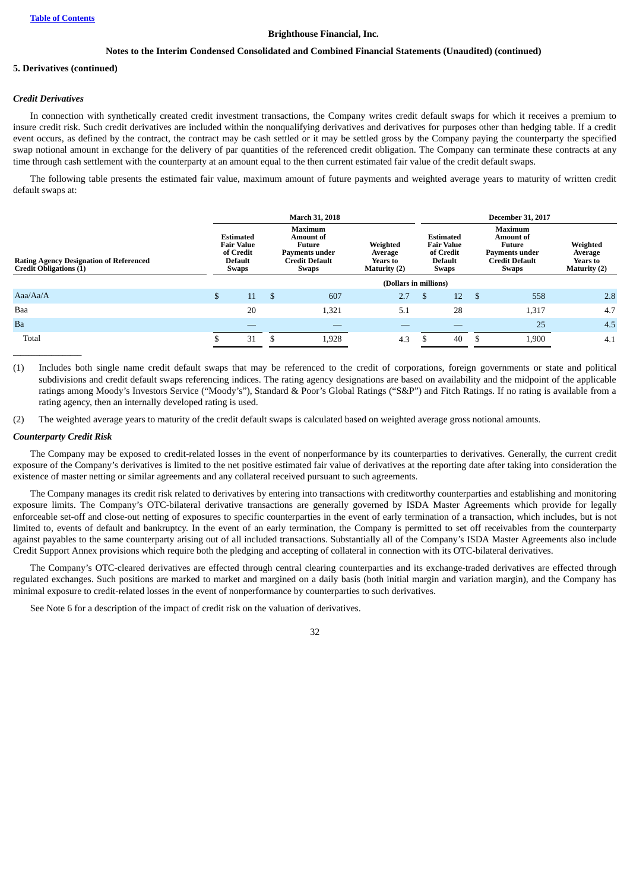### **Notes to the Interim Condensed Consolidated and Combined Financial Statements (Unaudited) (continued)**

#### **5. Derivatives (continued)**

#### *Credit Derivatives*

In connection with synthetically created credit investment transactions, the Company writes credit default swaps for which it receives a premium to insure credit risk. Such credit derivatives are included within the nonqualifying derivatives and derivatives for purposes other than hedging table. If a credit event occurs, as defined by the contract, the contract may be cash settled or it may be settled gross by the Company paying the counterparty the specified swap notional amount in exchange for the delivery of par quantities of the referenced credit obligation. The Company can terminate these contracts at any time through cash settlement with the counterparty at an amount equal to the then current estimated fair value of the credit default swaps.

The following table presents the estimated fair value, maximum amount of future payments and weighted average years to maturity of written credit default swaps at:

|                                                                                   |                                                                               |    | March 31, 2018                                                                                                 |                                                        |                       |                                                                                      |                                                                                                                |       |                                                        |  |  |
|-----------------------------------------------------------------------------------|-------------------------------------------------------------------------------|----|----------------------------------------------------------------------------------------------------------------|--------------------------------------------------------|-----------------------|--------------------------------------------------------------------------------------|----------------------------------------------------------------------------------------------------------------|-------|--------------------------------------------------------|--|--|
| <b>Rating Agency Designation of Referenced</b><br><b>Credit Obligations</b> $(1)$ | <b>Estimated</b><br><b>Fair Value</b><br>of Credit<br>Default<br><b>Swaps</b> |    | <b>Maximum</b><br>Amount of<br><b>Future</b><br><b>Payments under</b><br><b>Credit Default</b><br><b>Swaps</b> | Weighted<br>Average<br>Years to<br><b>Maturity (2)</b> |                       | <b>Estimated</b><br><b>Fair Value</b><br>of Credit<br><b>Default</b><br><b>Swaps</b> | <b>Maximum</b><br><b>Amount of</b><br><b>Future</b><br>Payments under<br><b>Credit Default</b><br><b>Swaps</b> |       | Weighted<br>Average<br>Years to<br><b>Maturity (2)</b> |  |  |
|                                                                                   |                                                                               |    |                                                                                                                |                                                        | (Dollars in millions) |                                                                                      |                                                                                                                |       |                                                        |  |  |
| Aaa/Aa/A                                                                          | \$                                                                            | 11 | \$<br>607                                                                                                      | 2.7                                                    | \$.                   | 12                                                                                   | \$                                                                                                             | 558   | 2.8                                                    |  |  |
| Baa                                                                               |                                                                               | 20 | 1,321                                                                                                          | 5.1                                                    |                       | 28                                                                                   |                                                                                                                | 1,317 | 4.7                                                    |  |  |
| Ba                                                                                |                                                                               |    |                                                                                                                |                                                        |                       |                                                                                      |                                                                                                                | 25    | 4.5                                                    |  |  |
| Total                                                                             |                                                                               | 31 | 1,928                                                                                                          | 4.3                                                    |                       | 40                                                                                   |                                                                                                                | 1,900 | 4.1                                                    |  |  |

(1) Includes both single name credit default swaps that may be referenced to the credit of corporations, foreign governments or state and political subdivisions and credit default swaps referencing indices. The rating agency designations are based on availability and the midpoint of the applicable ratings among Moody's Investors Service ("Moody's"), Standard & Poor's Global Ratings ("S&P") and Fitch Ratings. If no rating is available from a rating agency, then an internally developed rating is used.

(2) The weighted average years to maturity of the credit default swaps is calculated based on weighted average gross notional amounts.

#### *Counterparty Credit Risk*

The Company may be exposed to credit-related losses in the event of nonperformance by its counterparties to derivatives. Generally, the current credit exposure of the Company's derivatives is limited to the net positive estimated fair value of derivatives at the reporting date after taking into consideration the existence of master netting or similar agreements and any collateral received pursuant to such agreements.

The Company manages its credit risk related to derivatives by entering into transactions with creditworthy counterparties and establishing and monitoring exposure limits. The Company's OTC-bilateral derivative transactions are generally governed by ISDA Master Agreements which provide for legally enforceable set-off and close-out netting of exposures to specific counterparties in the event of early termination of a transaction, which includes, but is not limited to, events of default and bankruptcy. In the event of an early termination, the Company is permitted to set off receivables from the counterparty against payables to the same counterparty arising out of all included transactions. Substantially all of the Company's ISDA Master Agreements also include Credit Support Annex provisions which require both the pledging and accepting of collateral in connection with its OTC-bilateral derivatives.

The Company's OTC-cleared derivatives are effected through central clearing counterparties and its exchange-traded derivatives are effected through regulated exchanges. Such positions are marked to market and margined on a daily basis (both initial margin and variation margin), and the Company has minimal exposure to credit-related losses in the event of nonperformance by counterparties to such derivatives.

See Note 6 for a description of the impact of credit risk on the valuation of derivatives.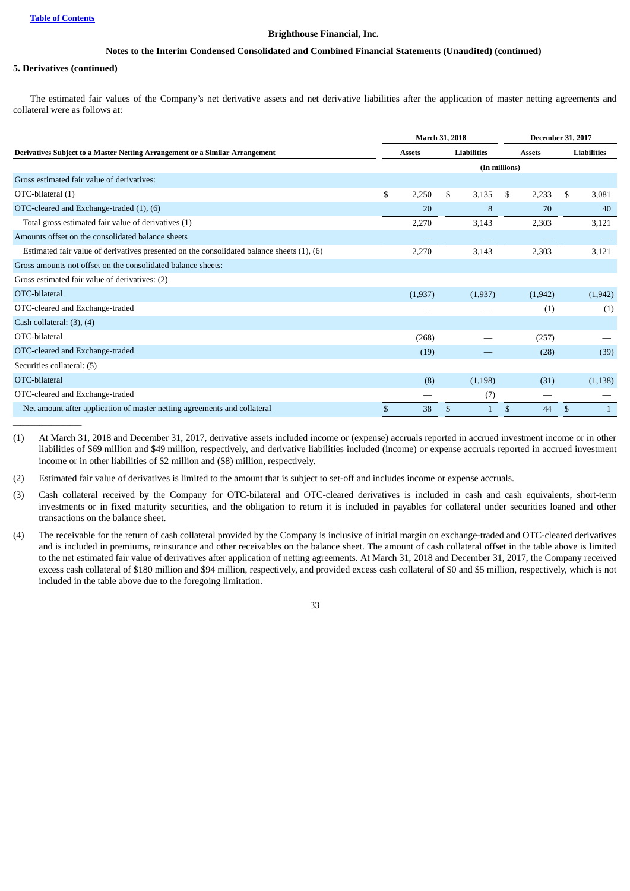### **Notes to the Interim Condensed Consolidated and Combined Financial Statements (Unaudited) (continued)**

### **5. Derivatives (continued)**

The estimated fair values of the Company's net derivative assets and net derivative liabilities after the application of master netting agreements and collateral were as follows at:

|                                                                                           | March 31, 2018 |    |                    |               | <b>December 31, 2017</b> |    |                    |  |  |
|-------------------------------------------------------------------------------------------|----------------|----|--------------------|---------------|--------------------------|----|--------------------|--|--|
| Derivatives Subject to a Master Netting Arrangement or a Similar Arrangement              | <b>Assets</b>  |    | <b>Liabilities</b> |               | <b>Assets</b>            |    | <b>Liabilities</b> |  |  |
|                                                                                           |                |    |                    | (In millions) |                          |    |                    |  |  |
| Gross estimated fair value of derivatives:                                                |                |    |                    |               |                          |    |                    |  |  |
| OTC-bilateral (1)                                                                         | \$<br>2,250    | \$ | 3,135              | \$            | 2,233                    | \$ | 3,081              |  |  |
| OTC-cleared and Exchange-traded (1), (6)                                                  | 20             |    | 8                  |               | 70                       |    | 40                 |  |  |
| Total gross estimated fair value of derivatives (1)                                       | 2,270          |    | 3,143              |               | 2,303                    |    | 3,121              |  |  |
| Amounts offset on the consolidated balance sheets                                         |                |    |                    |               |                          |    |                    |  |  |
| Estimated fair value of derivatives presented on the consolidated balance sheets (1), (6) | 2,270          |    | 3,143              |               | 2,303                    |    | 3,121              |  |  |
| Gross amounts not offset on the consolidated balance sheets:                              |                |    |                    |               |                          |    |                    |  |  |
| Gross estimated fair value of derivatives: (2)                                            |                |    |                    |               |                          |    |                    |  |  |
| OTC-bilateral                                                                             | (1,937)        |    | (1,937)            |               | (1, 942)                 |    | (1, 942)           |  |  |
| OTC-cleared and Exchange-traded                                                           |                |    |                    |               | (1)                      |    | (1)                |  |  |
| Cash collateral: (3), (4)                                                                 |                |    |                    |               |                          |    |                    |  |  |
| OTC-bilateral                                                                             | (268)          |    |                    |               | (257)                    |    |                    |  |  |
| OTC-cleared and Exchange-traded                                                           | (19)           |    |                    |               | (28)                     |    | (39)               |  |  |
| Securities collateral: (5)                                                                |                |    |                    |               |                          |    |                    |  |  |
| OTC-bilateral                                                                             | (8)            |    | (1,198)            |               | (31)                     |    | (1,138)            |  |  |
| OTC-cleared and Exchange-traded                                                           |                |    | (7)                |               |                          |    |                    |  |  |
| Net amount after application of master netting agreements and collateral                  | 38             | \$ | $\mathbf{1}$       | \$            | 44                       |    |                    |  |  |
|                                                                                           |                |    |                    |               |                          |    |                    |  |  |

(1) At March 31, 2018 and December 31, 2017, derivative assets included income or (expense) accruals reported in accrued investment income or in other liabilities of \$69 million and \$49 million, respectively, and derivative liabilities included (income) or expense accruals reported in accrued investment income or in other liabilities of \$2 million and (\$8) million, respectively.

(2) Estimated fair value of derivatives is limited to the amount that is subject to set-off and includes income or expense accruals.

- (3) Cash collateral received by the Company for OTC-bilateral and OTC-cleared derivatives is included in cash and cash equivalents, short-term investments or in fixed maturity securities, and the obligation to return it is included in payables for collateral under securities loaned and other transactions on the balance sheet.
- (4) The receivable for the return of cash collateral provided by the Company is inclusive of initial margin on exchange-traded and OTC-cleared derivatives and is included in premiums, reinsurance and other receivables on the balance sheet. The amount of cash collateral offset in the table above is limited to the net estimated fair value of derivatives after application of netting agreements. At March 31, 2018 and December 31, 2017, the Company received excess cash collateral of \$180 million and \$94 million, respectively, and provided excess cash collateral of \$0 and \$5 million, respectively, which is not included in the table above due to the foregoing limitation.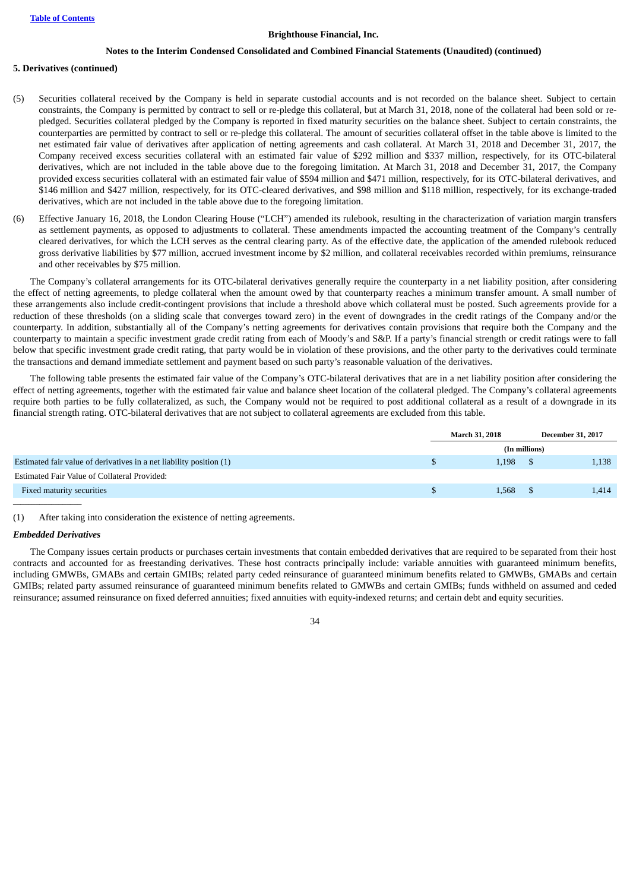### **Notes to the Interim Condensed Consolidated and Combined Financial Statements (Unaudited) (continued)**

### **5. Derivatives (continued)**

- (5) Securities collateral received by the Company is held in separate custodial accounts and is not recorded on the balance sheet. Subject to certain constraints, the Company is permitted by contract to sell or re-pledge this collateral, but at March 31, 2018, none of the collateral had been sold or repledged. Securities collateral pledged by the Company is reported in fixed maturity securities on the balance sheet. Subject to certain constraints, the counterparties are permitted by contract to sell or re-pledge this collateral. The amount of securities collateral offset in the table above is limited to the net estimated fair value of derivatives after application of netting agreements and cash collateral. At March 31, 2018 and December 31, 2017, the Company received excess securities collateral with an estimated fair value of \$292 million and \$337 million, respectively, for its OTC-bilateral derivatives, which are not included in the table above due to the foregoing limitation. At March 31, 2018 and December 31, 2017, the Company provided excess securities collateral with an estimated fair value of \$594 million and \$471 million, respectively, for its OTC-bilateral derivatives, and \$146 million and \$427 million, respectively, for its OTC-cleared derivatives, and \$98 million and \$118 million, respectively, for its exchange-traded derivatives, which are not included in the table above due to the foregoing limitation.
- (6) Effective January 16, 2018, the London Clearing House ("LCH") amended its rulebook, resulting in the characterization of variation margin transfers as settlement payments, as opposed to adjustments to collateral. These amendments impacted the accounting treatment of the Company's centrally cleared derivatives, for which the LCH serves as the central clearing party. As of the effective date, the application of the amended rulebook reduced gross derivative liabilities by \$77 million, accrued investment income by \$2 million, and collateral receivables recorded within premiums, reinsurance and other receivables by \$75 million.

The Company's collateral arrangements for its OTC-bilateral derivatives generally require the counterparty in a net liability position, after considering the effect of netting agreements, to pledge collateral when the amount owed by that counterparty reaches a minimum transfer amount. A small number of these arrangements also include credit-contingent provisions that include a threshold above which collateral must be posted. Such agreements provide for a reduction of these thresholds (on a sliding scale that converges toward zero) in the event of downgrades in the credit ratings of the Company and/or the counterparty. In addition, substantially all of the Company's netting agreements for derivatives contain provisions that require both the Company and the counterparty to maintain a specific investment grade credit rating from each of Moody's and S&P. If a party's financial strength or credit ratings were to fall below that specific investment grade credit rating, that party would be in violation of these provisions, and the other party to the derivatives could terminate the transactions and demand immediate settlement and payment based on such party's reasonable valuation of the derivatives.

The following table presents the estimated fair value of the Company's OTC-bilateral derivatives that are in a net liability position after considering the effect of netting agreements, together with the estimated fair value and balance sheet location of the collateral pledged. The Company's collateral agreements require both parties to be fully collateralized, as such, the Company would not be required to post additional collateral as a result of a downgrade in its financial strength rating. OTC-bilateral derivatives that are not subject to collateral agreements are excluded from this table.

|                                                                     | <b>March 31, 2018</b> |               | <b>December 31, 2017</b> |
|---------------------------------------------------------------------|-----------------------|---------------|--------------------------|
|                                                                     |                       | (In millions) |                          |
| Estimated fair value of derivatives in a net liability position (1) | 1.198                 |               | 1,138                    |
| Estimated Fair Value of Collateral Provided:                        |                       |               |                          |
| Fixed maturity securities                                           | 1.568                 |               | 1.414                    |
|                                                                     |                       |               |                          |

(1) After taking into consideration the existence of netting agreements.

#### *Embedded Derivatives*

The Company issues certain products or purchases certain investments that contain embedded derivatives that are required to be separated from their host contracts and accounted for as freestanding derivatives. These host contracts principally include: variable annuities with guaranteed minimum benefits, including GMWBs, GMABs and certain GMIBs; related party ceded reinsurance of guaranteed minimum benefits related to GMWBs, GMABs and certain GMIBs; related party assumed reinsurance of guaranteed minimum benefits related to GMWBs and certain GMIBs; funds withheld on assumed and ceded reinsurance; assumed reinsurance on fixed deferred annuities; fixed annuities with equity-indexed returns; and certain debt and equity securities.

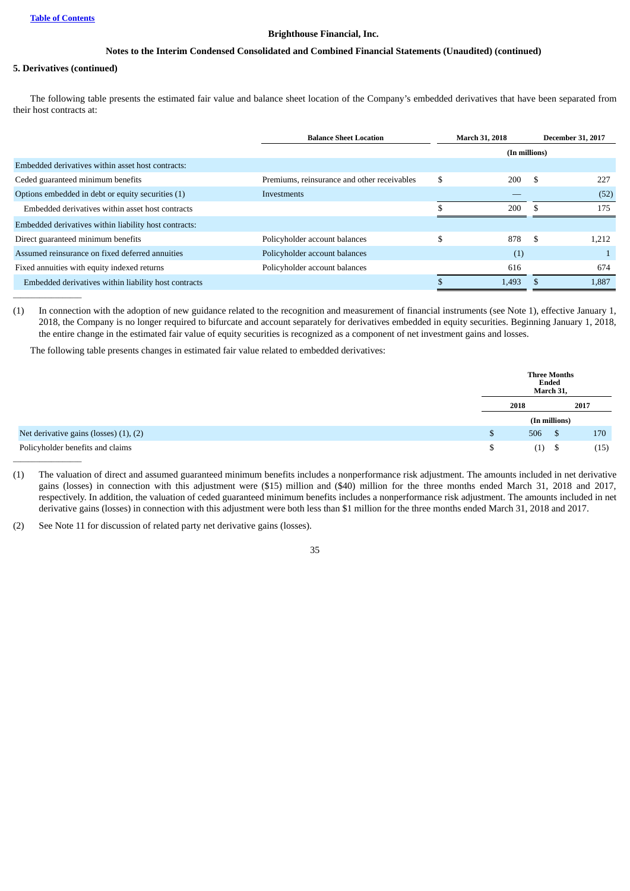### **Notes to the Interim Condensed Consolidated and Combined Financial Statements (Unaudited) (continued)**

### **5. Derivatives (continued)**

 $\frac{1}{2}$  ,  $\frac{1}{2}$  ,  $\frac{1}{2}$  ,  $\frac{1}{2}$  ,  $\frac{1}{2}$  ,  $\frac{1}{2}$  ,  $\frac{1}{2}$  ,  $\frac{1}{2}$  ,  $\frac{1}{2}$ 

The following table presents the estimated fair value and balance sheet location of the Company's embedded derivatives that have been separated from their host contracts at:

|                                                       | <b>Balance Sheet Location</b>               | March 31, 2018 |      | <b>December 31, 2017</b> |
|-------------------------------------------------------|---------------------------------------------|----------------|------|--------------------------|
|                                                       |                                             | (In millions)  |      |                          |
| Embedded derivatives within asset host contracts:     |                                             |                |      |                          |
| Ceded guaranteed minimum benefits                     | Premiums, reinsurance and other receivables | \$<br>200      | - \$ | 227                      |
| Options embedded in debt or equity securities (1)     | Investments                                 |                |      | (52)                     |
| Embedded derivatives within asset host contracts      |                                             | 200            |      | 175                      |
| Embedded derivatives within liability host contracts: |                                             |                |      |                          |
| Direct guaranteed minimum benefits                    | Policyholder account balances               | 878            | -\$  | 1.212                    |
| Assumed reinsurance on fixed deferred annuities       | Policyholder account balances               | (1)            |      |                          |
| Fixed annuities with equity indexed returns           | Policyholder account balances               | 616            |      | 674                      |
| Embedded derivatives within liability host contracts  |                                             | 1,493          |      | 1,887                    |

(1) In connection with the adoption of new guidance related to the recognition and measurement of financial instruments (see Note 1), effective January 1, 2018, the Company is no longer required to bifurcate and account separately for derivatives embedded in equity securities. Beginning January 1, 2018, the entire change in the estimated fair value of equity securities is recognized as a component of net investment gains and losses.

The following table presents changes in estimated fair value related to embedded derivatives:

|                                        |           | <b>Three Months</b><br><b>Ended</b><br>March 31, |      |
|----------------------------------------|-----------|--------------------------------------------------|------|
|                                        | 2018      |                                                  | 2017 |
|                                        |           | (In millions)                                    |      |
| Net derivative gains (losses) (1), (2) | \$<br>506 | - \$                                             | 170  |
| Policyholder benefits and claims       | \$<br>(1) | - \$                                             | (15) |

(1) The valuation of direct and assumed guaranteed minimum benefits includes a nonperformance risk adjustment. The amounts included in net derivative gains (losses) in connection with this adjustment were (\$15) million and (\$40) million for the three months ended March 31, 2018 and 2017, respectively. In addition, the valuation of ceded guaranteed minimum benefits includes a nonperformance risk adjustment. The amounts included in net derivative gains (losses) in connection with this adjustment were both less than \$1 million for the three months ended March 31, 2018 and 2017.

(2) See Note 11 for discussion of related party net derivative gains (losses).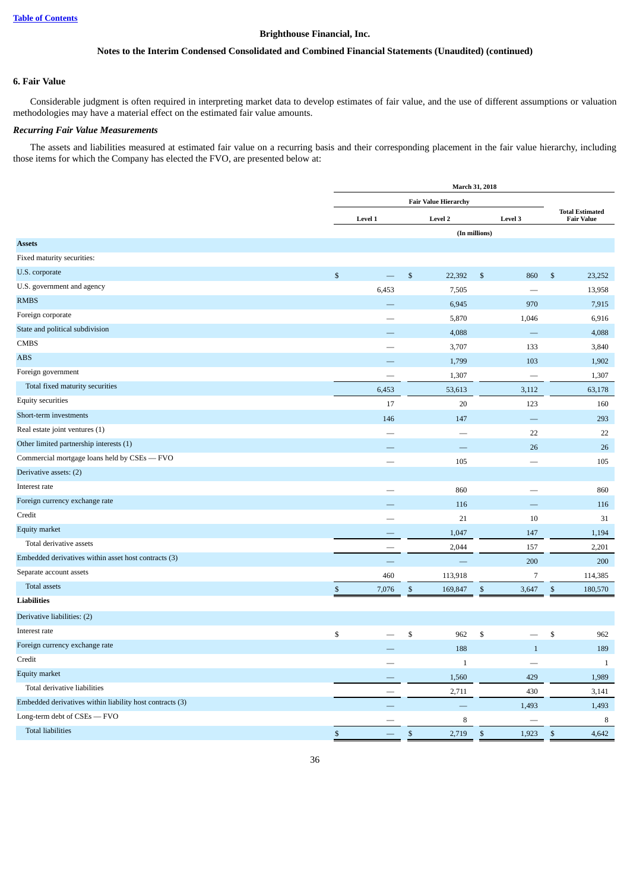# **Notes to the Interim Condensed Consolidated and Combined Financial Statements (Unaudited) (continued)**

# **6. Fair Value**

Considerable judgment is often required in interpreting market data to develop estimates of fair value, and the use of different assumptions or valuation methodologies may have a material effect on the estimated fair value amounts.

## *Recurring Fair Value Measurements*

The assets and liabilities measured at estimated fair value on a recurring basis and their corresponding placement in the fair value hierarchy, including those items for which the Company has elected the FVO, are presented below at:

|                                                          |                  | March 31, 2018 |    |                             |                |                          |              |                                             |  |  |  |
|----------------------------------------------------------|------------------|----------------|----|-----------------------------|----------------|--------------------------|--------------|---------------------------------------------|--|--|--|
|                                                          |                  |                |    | <b>Fair Value Hierarchy</b> |                |                          |              |                                             |  |  |  |
|                                                          |                  | Level 1        |    | Level 2                     |                | Level 3                  |              | <b>Total Estimated</b><br><b>Fair Value</b> |  |  |  |
|                                                          |                  |                |    | (In millions)               |                |                          |              |                                             |  |  |  |
| <b>Assets</b>                                            |                  |                |    |                             |                |                          |              |                                             |  |  |  |
| Fixed maturity securities:                               |                  |                |    |                             |                |                          |              |                                             |  |  |  |
| U.S. corporate                                           | $\mathbb S$      |                | \$ | 22,392                      | $\mathfrak{s}$ | 860                      | \$           | 23,252                                      |  |  |  |
| U.S. government and agency                               |                  | 6,453          |    | 7,505                       |                |                          |              | 13,958                                      |  |  |  |
| <b>RMBS</b>                                              |                  |                |    | 6,945                       |                | 970                      |              | 7,915                                       |  |  |  |
| Foreign corporate                                        |                  |                |    | 5,870                       |                | 1,046                    |              | 6,916                                       |  |  |  |
| State and political subdivision                          |                  |                |    | 4,088                       |                |                          |              | 4,088                                       |  |  |  |
| <b>CMBS</b>                                              |                  |                |    | 3,707                       |                | 133                      |              | 3,840                                       |  |  |  |
| <b>ABS</b>                                               |                  |                |    | 1,799                       |                | 103                      |              | 1,902                                       |  |  |  |
| Foreign government                                       |                  |                |    | 1,307                       |                | $\overline{\phantom{0}}$ |              | 1,307                                       |  |  |  |
| Total fixed maturity securities                          |                  | 6,453          |    | 53,613                      |                | 3,112                    |              | 63,178                                      |  |  |  |
| <b>Equity securities</b>                                 |                  | 17             |    | 20                          |                | 123                      |              | 160                                         |  |  |  |
| Short-term investments                                   |                  | 146            |    | 147                         |                | -                        |              | 293                                         |  |  |  |
| Real estate joint ventures (1)                           |                  |                |    |                             |                | 22                       |              | 22                                          |  |  |  |
| Other limited partnership interests (1)                  |                  |                |    |                             |                | 26                       |              | 26                                          |  |  |  |
| Commercial mortgage loans held by CSEs - FVO             |                  |                |    | 105                         |                |                          |              | 105                                         |  |  |  |
| Derivative assets: (2)                                   |                  |                |    |                             |                |                          |              |                                             |  |  |  |
| Interest rate                                            |                  |                |    | 860                         |                |                          |              | 860                                         |  |  |  |
| Foreign currency exchange rate                           |                  |                |    | 116                         |                |                          |              | 116                                         |  |  |  |
| Credit                                                   |                  |                |    | 21                          |                | 10                       |              | 31                                          |  |  |  |
| <b>Equity market</b>                                     |                  |                |    | 1,047                       |                | 147                      |              | 1,194                                       |  |  |  |
| Total derivative assets                                  |                  |                |    | 2,044                       |                | 157                      |              | 2,201                                       |  |  |  |
| Embedded derivatives within asset host contracts (3)     |                  |                |    |                             |                | 200                      |              | 200                                         |  |  |  |
| Separate account assets                                  |                  |                |    |                             |                |                          |              |                                             |  |  |  |
| <b>Total assets</b>                                      | $\mathbb{S}$     | 460<br>7,076   | \$ | 113,918<br>169,847          | $\mathbb{S}$   | $\sqrt{7}$<br>3,647      | \$           | 114,385<br>180,570                          |  |  |  |
| <b>Liabilities</b>                                       |                  |                |    |                             |                |                          |              |                                             |  |  |  |
| Derivative liabilities: (2)                              |                  |                |    |                             |                |                          |              |                                             |  |  |  |
| Interest rate                                            | \$               |                | \$ | 962                         | \$             |                          | \$           | 962                                         |  |  |  |
| Foreign currency exchange rate                           |                  |                |    | 188                         |                | $\mathbf{1}$             |              | 189                                         |  |  |  |
| $\operatorname{Credit}$                                  |                  |                |    | $\,1\,$                     |                |                          |              | $\mathbf{1}$                                |  |  |  |
| <b>Equity market</b>                                     |                  |                |    | 1,560                       |                | 429                      |              | 1,989                                       |  |  |  |
| Total derivative liabilities                             |                  |                |    | 2,711                       |                | 430                      |              | 3,141                                       |  |  |  |
| Embedded derivatives within liability host contracts (3) |                  |                |    |                             |                | 1,493                    |              | 1,493                                       |  |  |  |
| Long-term debt of CSEs - FVO                             |                  |                |    | 8                           |                |                          |              |                                             |  |  |  |
| <b>Total liabilities</b>                                 |                  |                | \$ |                             |                |                          |              | 8<br>4,642                                  |  |  |  |
|                                                          | $\mathbb S$<br>÷ |                |    | 2,719                       | $\mathbb{S}$   | 1,923                    | $\mathbb{S}$ |                                             |  |  |  |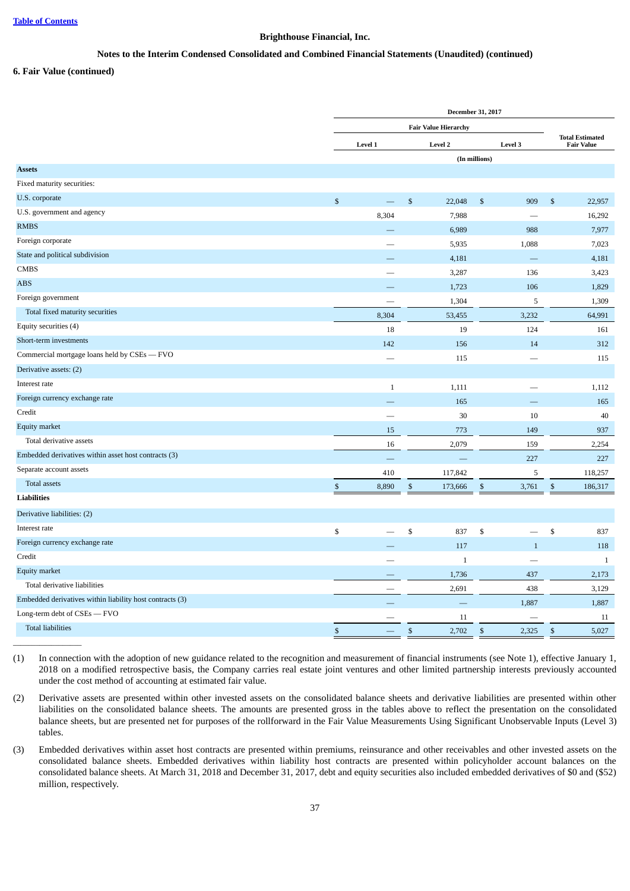# **Notes to the Interim Condensed Consolidated and Combined Financial Statements (Unaudited) (continued)**

# **6. Fair Value (continued)**

|                                                          | December 31, 2017 |              |              |                             |               |              |              |                                             |  |  |  |
|----------------------------------------------------------|-------------------|--------------|--------------|-----------------------------|---------------|--------------|--------------|---------------------------------------------|--|--|--|
|                                                          |                   |              |              | <b>Fair Value Hierarchy</b> |               |              |              |                                             |  |  |  |
|                                                          |                   | Level 1      |              | Level 2                     |               | Level 3      |              | <b>Total Estimated</b><br><b>Fair Value</b> |  |  |  |
|                                                          |                   |              |              |                             | (In millions) |              |              |                                             |  |  |  |
| <b>Assets</b>                                            |                   |              |              |                             |               |              |              |                                             |  |  |  |
| Fixed maturity securities:                               |                   |              |              |                             |               |              |              |                                             |  |  |  |
| U.S. corporate                                           | $\mathbb{S}$      |              | $\mathbb{S}$ | 22,048                      | \$            | 909          | $\mathbb{S}$ | 22,957                                      |  |  |  |
| U.S. government and agency                               |                   | 8,304        |              | 7,988                       |               |              |              | 16,292                                      |  |  |  |
| <b>RMBS</b>                                              |                   |              |              | 6,989                       |               | 988          |              | 7,977                                       |  |  |  |
| Foreign corporate                                        |                   |              |              | 5,935                       |               | 1,088        |              | 7,023                                       |  |  |  |
| State and political subdivision                          |                   |              |              | 4,181                       |               |              |              | 4,181                                       |  |  |  |
| <b>CMBS</b>                                              |                   |              |              | 3,287                       |               | 136          |              | 3,423                                       |  |  |  |
| <b>ABS</b>                                               |                   |              |              | 1,723                       |               | 106          |              | 1,829                                       |  |  |  |
| Foreign government                                       |                   |              |              | 1,304                       |               | 5            |              | 1,309                                       |  |  |  |
| Total fixed maturity securities                          |                   | 8,304        |              | 53,455                      |               | 3,232        |              | 64,991                                      |  |  |  |
| Equity securities (4)                                    |                   | 18           |              | 19                          |               | 124          |              | 161                                         |  |  |  |
| Short-term investments                                   |                   | 142          |              | 156                         |               | 14           |              | 312                                         |  |  |  |
| Commercial mortgage loans held by CSEs - FVO             |                   |              |              | 115                         |               |              |              | 115                                         |  |  |  |
| Derivative assets: (2)                                   |                   |              |              |                             |               |              |              |                                             |  |  |  |
| Interest rate                                            |                   | $\mathbf{1}$ |              | 1,111                       |               |              |              | 1,112                                       |  |  |  |
| Foreign currency exchange rate                           |                   |              |              | 165                         |               |              |              | 165                                         |  |  |  |
| Credit                                                   |                   |              |              | 30                          |               | 10           |              | 40                                          |  |  |  |
| <b>Equity market</b>                                     |                   | 15           |              | 773                         |               | 149          |              | 937                                         |  |  |  |
| Total derivative assets                                  |                   | 16           |              | 2,079                       |               | 159          |              | 2,254                                       |  |  |  |
| Embedded derivatives within asset host contracts (3)     |                   |              |              |                             |               | 227          |              | 227                                         |  |  |  |
| Separate account assets                                  |                   | 410          |              | 117,842                     |               | 5            |              | 118,257                                     |  |  |  |
| <b>Total assets</b>                                      | $\mathbb{S}$      | 8,890        | $\mathbb{S}$ | 173,666                     | \$            | 3,761        | $\mathbb{S}$ | 186,317                                     |  |  |  |
| <b>Liabilities</b>                                       |                   |              |              |                             |               |              |              |                                             |  |  |  |
| Derivative liabilities: (2)                              |                   |              |              |                             |               |              |              |                                             |  |  |  |
| Interest rate                                            | \$                |              | \$           | 837                         | \$            |              | \$           | 837                                         |  |  |  |
| Foreign currency exchange rate                           |                   |              |              | 117                         |               | $\mathbf{1}$ |              | 118                                         |  |  |  |
| Credit                                                   |                   |              |              | $1\,$                       |               |              |              | $1\,$                                       |  |  |  |
| Equity market                                            |                   |              |              | 1,736                       |               | 437          |              | 2,173                                       |  |  |  |
| Total derivative liabilities                             |                   |              |              | 2,691                       |               | 438          |              | 3,129                                       |  |  |  |
| Embedded derivatives within liability host contracts (3) |                   |              |              |                             |               | 1,887        |              | 1,887                                       |  |  |  |
| Long-term debt of CSEs - FVO                             |                   |              |              | 11                          |               |              |              | 11                                          |  |  |  |
| <b>Total liabilities</b>                                 | $\mathbb S$       |              | \$           | 2,702                       | $\$$          | 2,325        | $\mathbb S$  | 5,027                                       |  |  |  |
|                                                          |                   |              |              |                             |               |              |              |                                             |  |  |  |

(1) In connection with the adoption of new guidance related to the recognition and measurement of financial instruments (see Note 1), effective January 1, 2018 on a modified retrospective basis, the Company carries real estate joint ventures and other limited partnership interests previously accounted under the cost method of accounting at estimated fair value.

- (2) Derivative assets are presented within other invested assets on the consolidated balance sheets and derivative liabilities are presented within other liabilities on the consolidated balance sheets. The amounts are presented gross in the tables above to reflect the presentation on the consolidated balance sheets, but are presented net for purposes of the rollforward in the Fair Value Measurements Using Significant Unobservable Inputs (Level 3) tables.
- (3) Embedded derivatives within asset host contracts are presented within premiums, reinsurance and other receivables and other invested assets on the consolidated balance sheets. Embedded derivatives within liability host contracts are presented within policyholder account balances on the consolidated balance sheets. At March 31, 2018 and December 31, 2017, debt and equity securities also included embedded derivatives of \$0 and (\$52) million, respectively.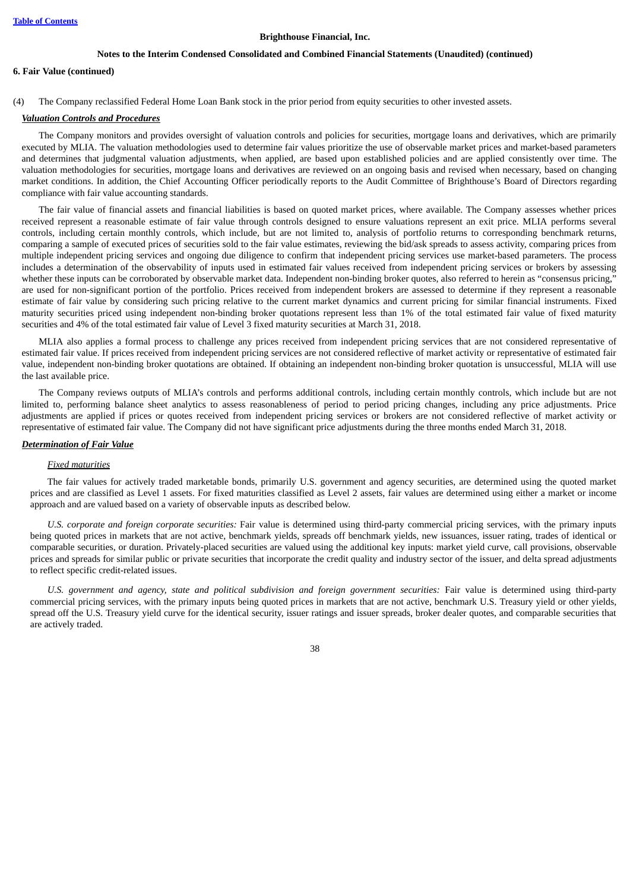## **Notes to the Interim Condensed Consolidated and Combined Financial Statements (Unaudited) (continued)**

## **6. Fair Value (continued)**

(4) The Company reclassified Federal Home Loan Bank stock in the prior period from equity securities to other invested assets.

#### *Valuation Controls and Procedures*

The Company monitors and provides oversight of valuation controls and policies for securities, mortgage loans and derivatives, which are primarily executed by MLIA. The valuation methodologies used to determine fair values prioritize the use of observable market prices and market-based parameters and determines that judgmental valuation adjustments, when applied, are based upon established policies and are applied consistently over time. The valuation methodologies for securities, mortgage loans and derivatives are reviewed on an ongoing basis and revised when necessary, based on changing market conditions. In addition, the Chief Accounting Officer periodically reports to the Audit Committee of Brighthouse's Board of Directors regarding compliance with fair value accounting standards.

The fair value of financial assets and financial liabilities is based on quoted market prices, where available. The Company assesses whether prices received represent a reasonable estimate of fair value through controls designed to ensure valuations represent an exit price. MLIA performs several controls, including certain monthly controls, which include, but are not limited to, analysis of portfolio returns to corresponding benchmark returns, comparing a sample of executed prices of securities sold to the fair value estimates, reviewing the bid/ask spreads to assess activity, comparing prices from multiple independent pricing services and ongoing due diligence to confirm that independent pricing services use market-based parameters. The process includes a determination of the observability of inputs used in estimated fair values received from independent pricing services or brokers by assessing whether these inputs can be corroborated by observable market data. Independent non-binding broker quotes, also referred to herein as "consensus pricing," are used for non-significant portion of the portfolio. Prices received from independent brokers are assessed to determine if they represent a reasonable estimate of fair value by considering such pricing relative to the current market dynamics and current pricing for similar financial instruments. Fixed maturity securities priced using independent non-binding broker quotations represent less than 1% of the total estimated fair value of fixed maturity securities and 4% of the total estimated fair value of Level 3 fixed maturity securities at March 31, 2018.

MLIA also applies a formal process to challenge any prices received from independent pricing services that are not considered representative of estimated fair value. If prices received from independent pricing services are not considered reflective of market activity or representative of estimated fair value, independent non-binding broker quotations are obtained. If obtaining an independent non-binding broker quotation is unsuccessful, MLIA will use the last available price.

The Company reviews outputs of MLIA's controls and performs additional controls, including certain monthly controls, which include but are not limited to, performing balance sheet analytics to assess reasonableness of period to period pricing changes, including any price adjustments. Price adjustments are applied if prices or quotes received from independent pricing services or brokers are not considered reflective of market activity or representative of estimated fair value. The Company did not have significant price adjustments during the three months ended March 31, 2018.

#### *Determination of Fair Value*

#### *Fixed maturities*

The fair values for actively traded marketable bonds, primarily U.S. government and agency securities, are determined using the quoted market prices and are classified as Level 1 assets. For fixed maturities classified as Level 2 assets, fair values are determined using either a market or income approach and are valued based on a variety of observable inputs as described below.

*U.S. corporate and foreign corporate securities:* Fair value is determined using third-party commercial pricing services, with the primary inputs being quoted prices in markets that are not active, benchmark yields, spreads off benchmark yields, new issuances, issuer rating, trades of identical or comparable securities, or duration. Privately-placed securities are valued using the additional key inputs: market yield curve, call provisions, observable prices and spreads for similar public or private securities that incorporate the credit quality and industry sector of the issuer, and delta spread adjustments to reflect specific credit-related issues.

*U.S. government and agency, state and political subdivision and foreign government securities:* Fair value is determined using third-party commercial pricing services, with the primary inputs being quoted prices in markets that are not active, benchmark U.S. Treasury yield or other yields, spread off the U.S. Treasury yield curve for the identical security, issuer ratings and issuer spreads, broker dealer quotes, and comparable securities that are actively traded.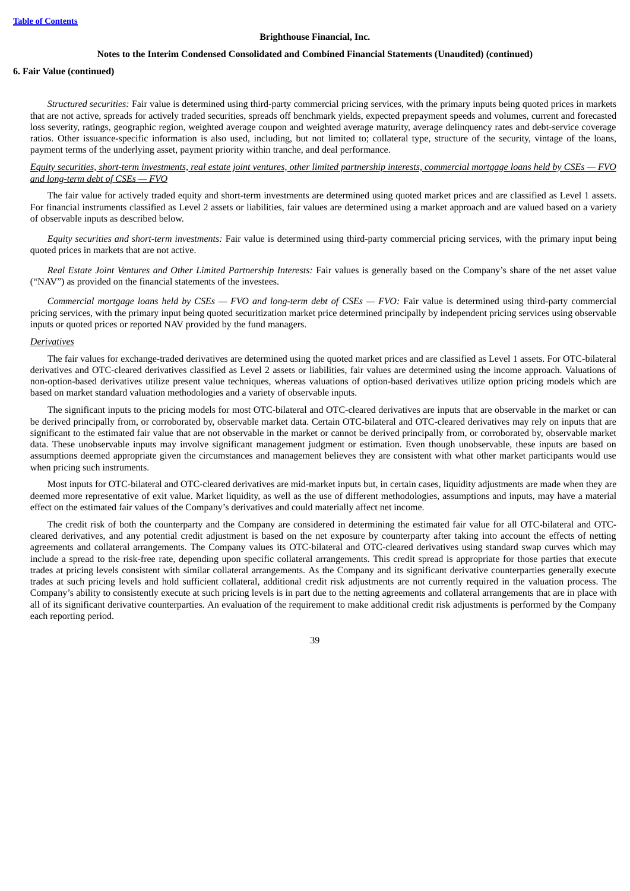## **Notes to the Interim Condensed Consolidated and Combined Financial Statements (Unaudited) (continued)**

## **6. Fair Value (continued)**

*Structured securities:* Fair value is determined using third-party commercial pricing services, with the primary inputs being quoted prices in markets that are not active, spreads for actively traded securities, spreads off benchmark yields, expected prepayment speeds and volumes, current and forecasted loss severity, ratings, geographic region, weighted average coupon and weighted average maturity, average delinquency rates and debt-service coverage ratios. Other issuance-specific information is also used, including, but not limited to; collateral type, structure of the security, vintage of the loans, payment terms of the underlying asset, payment priority within tranche, and deal performance.

Equity securities, short-term investments, real estate joint ventures, other limited partnership interests, commercial mortgage loans held by CSEs - FVO *and long-term debt of CSEs — FVO*

The fair value for actively traded equity and short-term investments are determined using quoted market prices and are classified as Level 1 assets. For financial instruments classified as Level 2 assets or liabilities, fair values are determined using a market approach and are valued based on a variety of observable inputs as described below.

*Equity securities and short-term investments:* Fair value is determined using third-party commercial pricing services, with the primary input being quoted prices in markets that are not active.

*Real Estate Joint Ventures and Other Limited Partnership Interests:* Fair values is generally based on the Company's share of the net asset value ("NAV") as provided on the financial statements of the investees.

Commercial mortgage loans held by CSEs - FVO and long-term debt of CSEs - FVO: Fair value is determined using third-party commercial pricing services, with the primary input being quoted securitization market price determined principally by independent pricing services using observable inputs or quoted prices or reported NAV provided by the fund managers.

## *Derivatives*

The fair values for exchange-traded derivatives are determined using the quoted market prices and are classified as Level 1 assets. For OTC-bilateral derivatives and OTC-cleared derivatives classified as Level 2 assets or liabilities, fair values are determined using the income approach. Valuations of non-option-based derivatives utilize present value techniques, whereas valuations of option-based derivatives utilize option pricing models which are based on market standard valuation methodologies and a variety of observable inputs.

The significant inputs to the pricing models for most OTC-bilateral and OTC-cleared derivatives are inputs that are observable in the market or can be derived principally from, or corroborated by, observable market data. Certain OTC-bilateral and OTC-cleared derivatives may rely on inputs that are significant to the estimated fair value that are not observable in the market or cannot be derived principally from, or corroborated by, observable market data. These unobservable inputs may involve significant management judgment or estimation. Even though unobservable, these inputs are based on assumptions deemed appropriate given the circumstances and management believes they are consistent with what other market participants would use when pricing such instruments.

Most inputs for OTC-bilateral and OTC-cleared derivatives are mid-market inputs but, in certain cases, liquidity adjustments are made when they are deemed more representative of exit value. Market liquidity, as well as the use of different methodologies, assumptions and inputs, may have a material effect on the estimated fair values of the Company's derivatives and could materially affect net income.

The credit risk of both the counterparty and the Company are considered in determining the estimated fair value for all OTC-bilateral and OTCcleared derivatives, and any potential credit adjustment is based on the net exposure by counterparty after taking into account the effects of netting agreements and collateral arrangements. The Company values its OTC-bilateral and OTC-cleared derivatives using standard swap curves which may include a spread to the risk-free rate, depending upon specific collateral arrangements. This credit spread is appropriate for those parties that execute trades at pricing levels consistent with similar collateral arrangements. As the Company and its significant derivative counterparties generally execute trades at such pricing levels and hold sufficient collateral, additional credit risk adjustments are not currently required in the valuation process. The Company's ability to consistently execute at such pricing levels is in part due to the netting agreements and collateral arrangements that are in place with all of its significant derivative counterparties. An evaluation of the requirement to make additional credit risk adjustments is performed by the Company each reporting period.

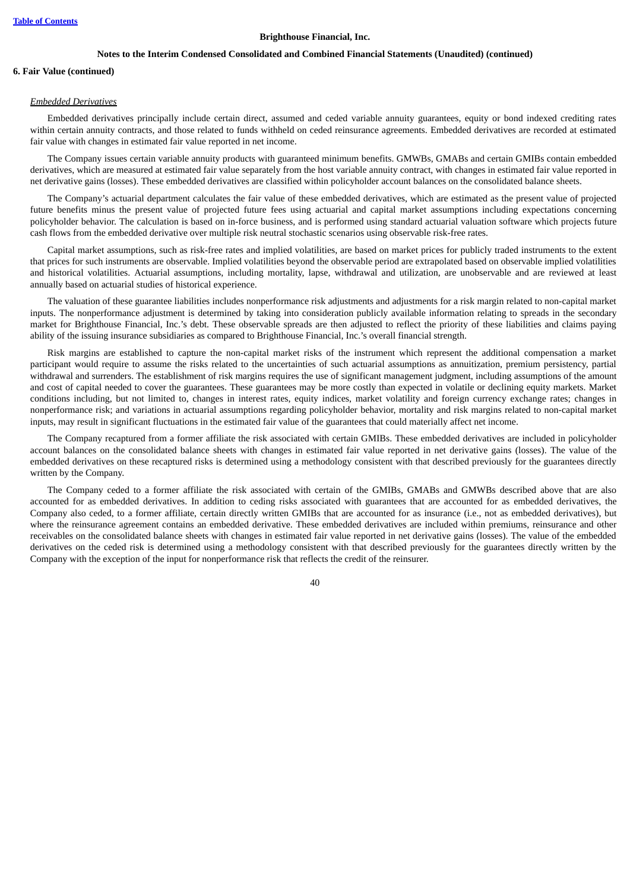## **Notes to the Interim Condensed Consolidated and Combined Financial Statements (Unaudited) (continued)**

# **6. Fair Value (continued)**

## *Embedded Derivatives*

Embedded derivatives principally include certain direct, assumed and ceded variable annuity guarantees, equity or bond indexed crediting rates within certain annuity contracts, and those related to funds withheld on ceded reinsurance agreements. Embedded derivatives are recorded at estimated fair value with changes in estimated fair value reported in net income.

The Company issues certain variable annuity products with guaranteed minimum benefits. GMWBs, GMABs and certain GMIBs contain embedded derivatives, which are measured at estimated fair value separately from the host variable annuity contract, with changes in estimated fair value reported in net derivative gains (losses). These embedded derivatives are classified within policyholder account balances on the consolidated balance sheets.

The Company's actuarial department calculates the fair value of these embedded derivatives, which are estimated as the present value of projected future benefits minus the present value of projected future fees using actuarial and capital market assumptions including expectations concerning policyholder behavior. The calculation is based on in-force business, and is performed using standard actuarial valuation software which projects future cash flows from the embedded derivative over multiple risk neutral stochastic scenarios using observable risk-free rates.

Capital market assumptions, such as risk-free rates and implied volatilities, are based on market prices for publicly traded instruments to the extent that prices for such instruments are observable. Implied volatilities beyond the observable period are extrapolated based on observable implied volatilities and historical volatilities. Actuarial assumptions, including mortality, lapse, withdrawal and utilization, are unobservable and are reviewed at least annually based on actuarial studies of historical experience.

The valuation of these guarantee liabilities includes nonperformance risk adjustments and adjustments for a risk margin related to non-capital market inputs. The nonperformance adjustment is determined by taking into consideration publicly available information relating to spreads in the secondary market for Brighthouse Financial, Inc.'s debt. These observable spreads are then adjusted to reflect the priority of these liabilities and claims paying ability of the issuing insurance subsidiaries as compared to Brighthouse Financial, Inc.'s overall financial strength.

Risk margins are established to capture the non-capital market risks of the instrument which represent the additional compensation a market participant would require to assume the risks related to the uncertainties of such actuarial assumptions as annuitization, premium persistency, partial withdrawal and surrenders. The establishment of risk margins requires the use of significant management judgment, including assumptions of the amount and cost of capital needed to cover the guarantees. These guarantees may be more costly than expected in volatile or declining equity markets. Market conditions including, but not limited to, changes in interest rates, equity indices, market volatility and foreign currency exchange rates; changes in nonperformance risk; and variations in actuarial assumptions regarding policyholder behavior, mortality and risk margins related to non-capital market inputs, may result in significant fluctuations in the estimated fair value of the guarantees that could materially affect net income.

The Company recaptured from a former affiliate the risk associated with certain GMIBs. These embedded derivatives are included in policyholder account balances on the consolidated balance sheets with changes in estimated fair value reported in net derivative gains (losses). The value of the embedded derivatives on these recaptured risks is determined using a methodology consistent with that described previously for the guarantees directly written by the Company.

The Company ceded to a former affiliate the risk associated with certain of the GMIBs, GMABs and GMWBs described above that are also accounted for as embedded derivatives. In addition to ceding risks associated with guarantees that are accounted for as embedded derivatives, the Company also ceded, to a former affiliate, certain directly written GMIBs that are accounted for as insurance (i.e., not as embedded derivatives), but where the reinsurance agreement contains an embedded derivative. These embedded derivatives are included within premiums, reinsurance and other receivables on the consolidated balance sheets with changes in estimated fair value reported in net derivative gains (losses). The value of the embedded derivatives on the ceded risk is determined using a methodology consistent with that described previously for the guarantees directly written by the Company with the exception of the input for nonperformance risk that reflects the credit of the reinsurer.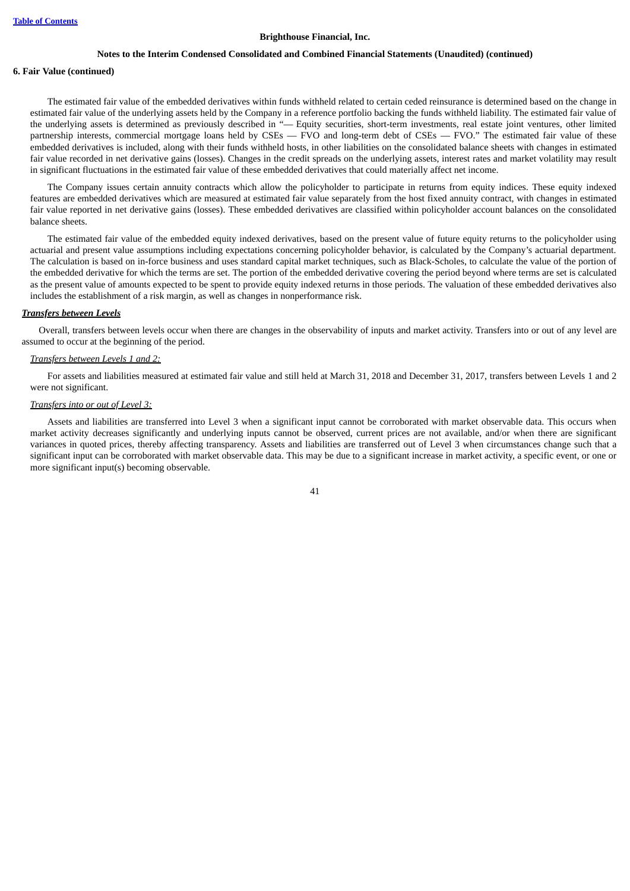# **Notes to the Interim Condensed Consolidated and Combined Financial Statements (Unaudited) (continued)**

## **6. Fair Value (continued)**

The estimated fair value of the embedded derivatives within funds withheld related to certain ceded reinsurance is determined based on the change in estimated fair value of the underlying assets held by the Company in a reference portfolio backing the funds withheld liability. The estimated fair value of the underlying assets is determined as previously described in "— Equity securities, short-term investments, real estate joint ventures, other limited partnership interests, commercial mortgage loans held by CSEs — FVO and long-term debt of CSEs — FVO." The estimated fair value of these embedded derivatives is included, along with their funds withheld hosts, in other liabilities on the consolidated balance sheets with changes in estimated fair value recorded in net derivative gains (losses). Changes in the credit spreads on the underlying assets, interest rates and market volatility may result in significant fluctuations in the estimated fair value of these embedded derivatives that could materially affect net income.

The Company issues certain annuity contracts which allow the policyholder to participate in returns from equity indices. These equity indexed features are embedded derivatives which are measured at estimated fair value separately from the host fixed annuity contract, with changes in estimated fair value reported in net derivative gains (losses). These embedded derivatives are classified within policyholder account balances on the consolidated balance sheets.

The estimated fair value of the embedded equity indexed derivatives, based on the present value of future equity returns to the policyholder using actuarial and present value assumptions including expectations concerning policyholder behavior, is calculated by the Company's actuarial department. The calculation is based on in-force business and uses standard capital market techniques, such as Black-Scholes, to calculate the value of the portion of the embedded derivative for which the terms are set. The portion of the embedded derivative covering the period beyond where terms are set is calculated as the present value of amounts expected to be spent to provide equity indexed returns in those periods. The valuation of these embedded derivatives also includes the establishment of a risk margin, as well as changes in nonperformance risk.

#### *Transfers between Levels*

Overall, transfers between levels occur when there are changes in the observability of inputs and market activity. Transfers into or out of any level are assumed to occur at the beginning of the period.

#### *Transfers between Levels 1 and 2:*

For assets and liabilities measured at estimated fair value and still held at March 31, 2018 and December 31, 2017, transfers between Levels 1 and 2 were not significant.

## *Transfers into or out of Level 3:*

Assets and liabilities are transferred into Level 3 when a significant input cannot be corroborated with market observable data. This occurs when market activity decreases significantly and underlying inputs cannot be observed, current prices are not available, and/or when there are significant variances in quoted prices, thereby affecting transparency. Assets and liabilities are transferred out of Level 3 when circumstances change such that a significant input can be corroborated with market observable data. This may be due to a significant increase in market activity, a specific event, or one or more significant input(s) becoming observable.

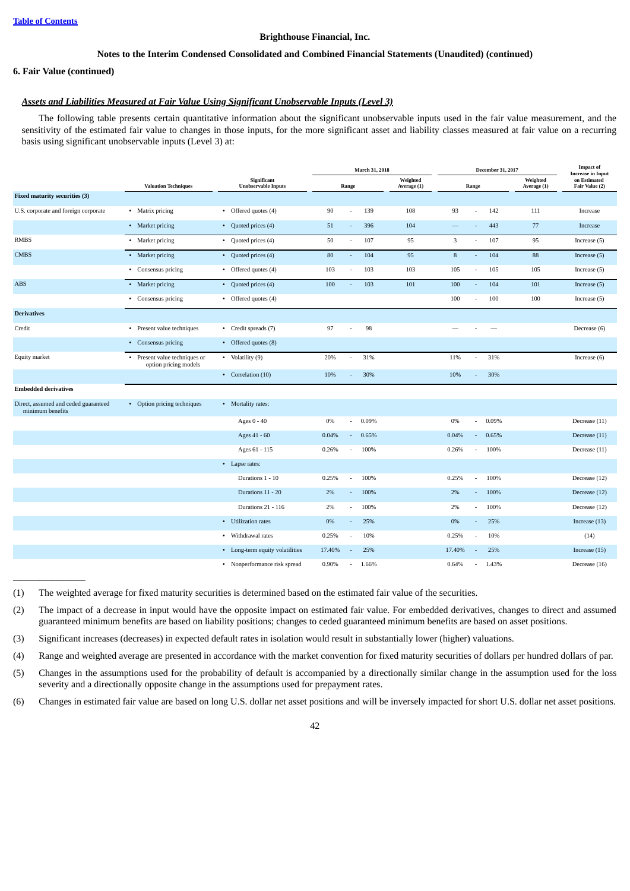# **Notes to the Interim Condensed Consolidated and Combined Financial Statements (Unaudited) (continued)**

## **6. Fair Value (continued)**

 $\overline{\phantom{a}}$  , where  $\overline{\phantom{a}}$ 

## *Assets and Liabilities Measured at Fair Value Using Significant Unobservable Inputs (Level 3)*

The following table presents certain quantitative information about the significant unobservable inputs used in the fair value measurement, and the sensitivity of the estimated fair value to changes in those inputs, for the more significant asset and liability classes measured at fair value on a recurring basis using significant unobservable inputs (Level 3) at:

|                                                          |                                                                          |                                 |        | March 31, 2018           |       |                         | <b>Impact of</b><br><b>Increase in Input</b> |                          |       |                         |                                |
|----------------------------------------------------------|--------------------------------------------------------------------------|---------------------------------|--------|--------------------------|-------|-------------------------|----------------------------------------------|--------------------------|-------|-------------------------|--------------------------------|
|                                                          | Significant<br><b>Unobservable Inputs</b><br><b>Valuation Techniques</b> |                                 |        | Range                    |       | Weighted<br>Average (1) | Range                                        |                          |       | Weighted<br>Average (1) | on Estimated<br>Fair Value (2) |
| <b>Fixed maturity securities (3)</b>                     |                                                                          |                                 |        |                          |       |                         |                                              |                          |       |                         |                                |
| U.S. corporate and foreign corporate                     | • Matrix pricing                                                         | • Offered quotes (4)            | 90     | $\overline{a}$           | 139   | 108                     | 93                                           | ÷                        | 142   | 111                     | Increase                       |
|                                                          | • Market pricing                                                         | • Quoted prices (4)             | 51     | $\sim$                   | 396   | 104                     |                                              | ÷                        | 443   | 77                      | Increase                       |
| <b>RMBS</b>                                              | Market pricing                                                           | • Quoted prices (4)             | 50     | $\overline{a}$           | 107   | 95                      | 3                                            |                          | 107   | 95                      | Increase (5)                   |
| <b>CMBS</b>                                              | • Market pricing                                                         | • Quoted prices (4)             | 80     | $\mathbf{r}$             | 104   | 95                      | 8                                            | ÷,                       | 104   | 88                      | Increase (5)                   |
|                                                          | • Consensus pricing                                                      | • Offered quotes (4)            | 103    | $\overline{a}$           | 103   | 103                     | 105                                          | ÷                        | 105   | 105                     | Increase (5)                   |
| <b>ABS</b>                                               | • Market pricing                                                         | • Quoted prices (4)             | 100    | $\omega$                 | 103   | 101                     | 100                                          | $\blacksquare$           | 104   | 101                     | Increase (5)                   |
|                                                          | • Consensus pricing                                                      | • Offered quotes (4)            |        |                          |       |                         | 100                                          | ä,                       | 100   | 100                     | Increase (5)                   |
| <b>Derivatives</b>                                       |                                                                          |                                 |        |                          |       |                         |                                              |                          |       |                         |                                |
| Credit                                                   | • Present value techniques                                               | • Credit spreads (7)            | 97     |                          | 98    |                         |                                              |                          |       |                         | Decrease (6)                   |
|                                                          | • Consensus pricing                                                      | • Offered quotes (8)            |        |                          |       |                         |                                              |                          |       |                         |                                |
| Equity market                                            | • Present value techniques or<br>option pricing models                   | • Volatility $(9)$              | 20%    | ÷,                       | 31%   |                         | 11%                                          | ÷,                       | 31%   |                         | Increase (6)                   |
|                                                          |                                                                          | • Correlation (10)              | 10%    | $\sim$                   | 30%   |                         | 10%                                          | $\overline{\phantom{a}}$ | 30%   |                         |                                |
| <b>Embedded derivatives</b>                              |                                                                          |                                 |        |                          |       |                         |                                              |                          |       |                         |                                |
| Direct, assumed and ceded guaranteed<br>minimum benefits | • Option pricing techniques                                              | • Mortality rates:              |        |                          |       |                         |                                              |                          |       |                         |                                |
|                                                          |                                                                          | Ages 0 - 40                     | 0%     | $\overline{a}$           | 0.09% |                         | 0%                                           | $\sim$                   | 0.09% |                         | Decrease (11)                  |
|                                                          |                                                                          | Ages 41 - 60                    | 0.04%  | $\sim$                   | 0.65% |                         | 0.04%                                        | $\sim$                   | 0.65% |                         | Decrease (11)                  |
|                                                          |                                                                          | Ages 61 - 115                   | 0.26%  | ÷,                       | 100%  |                         | 0.26%                                        | $\sim$                   | 100%  |                         | Decrease (11)                  |
|                                                          |                                                                          | • Lapse rates:                  |        |                          |       |                         |                                              |                          |       |                         |                                |
|                                                          |                                                                          | Durations 1 - 10                | 0.25%  | $\overline{\phantom{a}}$ | 100%  |                         | 0.25%                                        | $\overline{\phantom{a}}$ | 100%  |                         | Decrease (12)                  |
|                                                          |                                                                          | Durations 11 - 20               | 2%     | ÷                        | 100%  |                         | 2%                                           | $\blacksquare$           | 100%  |                         | Decrease (12)                  |
|                                                          |                                                                          | Durations 21 - 116              | 2%     | ÷.                       | 100%  |                         | 2%                                           | $\overline{a}$           | 100%  |                         | Decrease (12)                  |
|                                                          |                                                                          | • Utilization rates             | $0\%$  | $\blacksquare$           | 25%   |                         | 0%                                           | $\blacksquare$           | 25%   |                         | Increase $(13)$                |
|                                                          |                                                                          | • Withdrawal rates              | 0.25%  | ÷,                       | 10%   |                         | 0.25%                                        | ÷,                       | 10%   |                         | (14)                           |
|                                                          |                                                                          | • Long-term equity volatilities | 17.40% |                          | 25%   |                         | 17.40%                                       |                          | 25%   |                         | Increase (15)                  |
|                                                          |                                                                          | • Nonperformance risk spread    | 0.90%  | $\sim$                   | 1.66% |                         | 0.64%                                        | $\sim$                   | 1.43% |                         | Decrease (16)                  |

<sup>(1)</sup> The weighted average for fixed maturity securities is determined based on the estimated fair value of the securities.

(4) Range and weighted average are presented in accordance with the market convention for fixed maturity securities of dollars per hundred dollars of par.

(5) Changes in the assumptions used for the probability of default is accompanied by a directionally similar change in the assumption used for the loss severity and a directionally opposite change in the assumptions used for prepayment rates.

(6) Changes in estimated fair value are based on long U.S. dollar net asset positions and will be inversely impacted for short U.S. dollar net asset positions.

<sup>(2)</sup> The impact of a decrease in input would have the opposite impact on estimated fair value. For embedded derivatives, changes to direct and assumed guaranteed minimum benefits are based on liability positions; changes to ceded guaranteed minimum benefits are based on asset positions.

<sup>(3)</sup> Significant increases (decreases) in expected default rates in isolation would result in substantially lower (higher) valuations.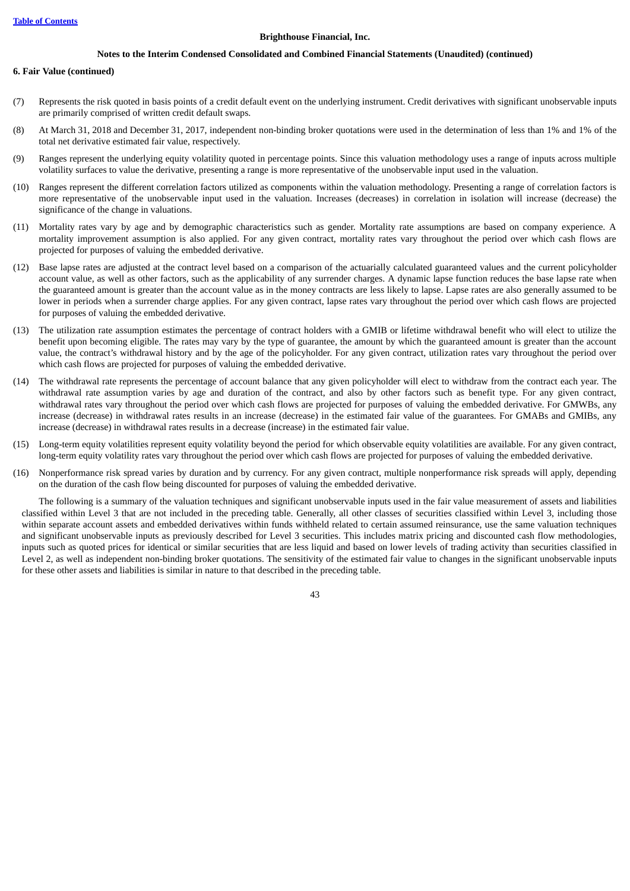## **Notes to the Interim Condensed Consolidated and Combined Financial Statements (Unaudited) (continued)**

### **6. Fair Value (continued)**

- (7) Represents the risk quoted in basis points of a credit default event on the underlying instrument. Credit derivatives with significant unobservable inputs are primarily comprised of written credit default swaps.
- (8) At March 31, 2018 and December 31, 2017, independent non-binding broker quotations were used in the determination of less than 1% and 1% of the total net derivative estimated fair value, respectively.
- (9) Ranges represent the underlying equity volatility quoted in percentage points. Since this valuation methodology uses a range of inputs across multiple volatility surfaces to value the derivative, presenting a range is more representative of the unobservable input used in the valuation.
- (10) Ranges represent the different correlation factors utilized as components within the valuation methodology. Presenting a range of correlation factors is more representative of the unobservable input used in the valuation. Increases (decreases) in correlation in isolation will increase (decrease) the significance of the change in valuations.
- (11) Mortality rates vary by age and by demographic characteristics such as gender. Mortality rate assumptions are based on company experience. A mortality improvement assumption is also applied. For any given contract, mortality rates vary throughout the period over which cash flows are projected for purposes of valuing the embedded derivative.
- (12) Base lapse rates are adjusted at the contract level based on a comparison of the actuarially calculated guaranteed values and the current policyholder account value, as well as other factors, such as the applicability of any surrender charges. A dynamic lapse function reduces the base lapse rate when the guaranteed amount is greater than the account value as in the money contracts are less likely to lapse. Lapse rates are also generally assumed to be lower in periods when a surrender charge applies. For any given contract, lapse rates vary throughout the period over which cash flows are projected for purposes of valuing the embedded derivative.
- (13) The utilization rate assumption estimates the percentage of contract holders with a GMIB or lifetime withdrawal benefit who will elect to utilize the benefit upon becoming eligible. The rates may vary by the type of guarantee, the amount by which the guaranteed amount is greater than the account value, the contract's withdrawal history and by the age of the policyholder. For any given contract, utilization rates vary throughout the period over which cash flows are projected for purposes of valuing the embedded derivative.
- (14) The withdrawal rate represents the percentage of account balance that any given policyholder will elect to withdraw from the contract each year. The withdrawal rate assumption varies by age and duration of the contract, and also by other factors such as benefit type. For any given contract, withdrawal rates vary throughout the period over which cash flows are projected for purposes of valuing the embedded derivative. For GMWBs, any increase (decrease) in withdrawal rates results in an increase (decrease) in the estimated fair value of the guarantees. For GMABs and GMIBs, any increase (decrease) in withdrawal rates results in a decrease (increase) in the estimated fair value.
- (15) Long-term equity volatilities represent equity volatility beyond the period for which observable equity volatilities are available. For any given contract, long-term equity volatility rates vary throughout the period over which cash flows are projected for purposes of valuing the embedded derivative.
- (16) Nonperformance risk spread varies by duration and by currency. For any given contract, multiple nonperformance risk spreads will apply, depending on the duration of the cash flow being discounted for purposes of valuing the embedded derivative.

The following is a summary of the valuation techniques and significant unobservable inputs used in the fair value measurement of assets and liabilities classified within Level 3 that are not included in the preceding table. Generally, all other classes of securities classified within Level 3, including those within separate account assets and embedded derivatives within funds withheld related to certain assumed reinsurance, use the same valuation techniques and significant unobservable inputs as previously described for Level 3 securities. This includes matrix pricing and discounted cash flow methodologies, inputs such as quoted prices for identical or similar securities that are less liquid and based on lower levels of trading activity than securities classified in Level 2, as well as independent non-binding broker quotations. The sensitivity of the estimated fair value to changes in the significant unobservable inputs for these other assets and liabilities is similar in nature to that described in the preceding table.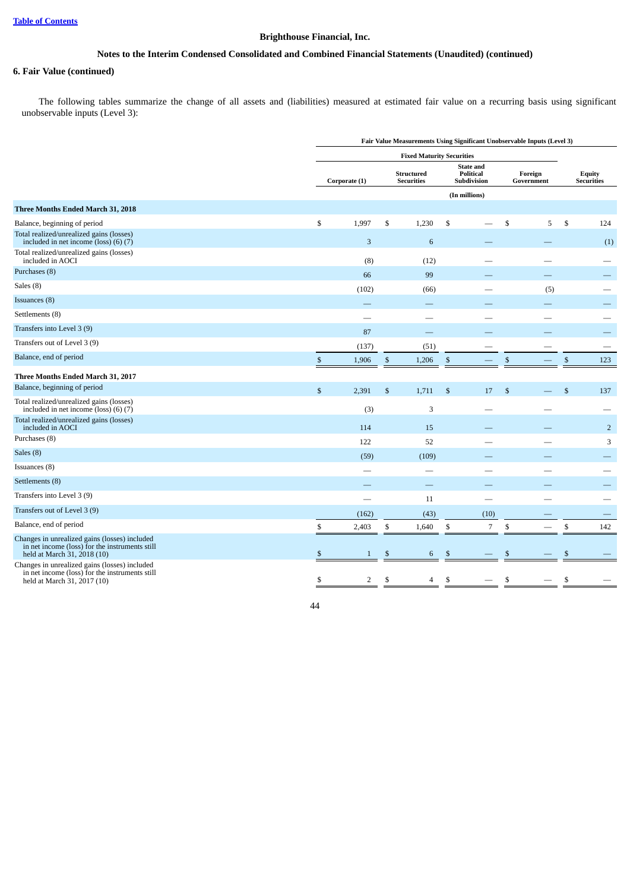# **Notes to the Interim Condensed Consolidated and Combined Financial Statements (Unaudited) (continued)**

# **6. Fair Value (continued)**

The following tables summarize the change of all assets and (liabilities) measured at estimated fair value on a recurring basis using significant unobservable inputs (Level 3):

|                                                                                                                                |              | Fair Value Measurements Using Significant Unobservable Inputs (Level 3) |                |                                  |                |                                                            |                       |     |              |                                    |  |  |  |
|--------------------------------------------------------------------------------------------------------------------------------|--------------|-------------------------------------------------------------------------|----------------|----------------------------------|----------------|------------------------------------------------------------|-----------------------|-----|--------------|------------------------------------|--|--|--|
|                                                                                                                                |              |                                                                         |                | <b>Fixed Maturity Securities</b> |                |                                                            |                       |     |              |                                    |  |  |  |
|                                                                                                                                |              | Corporate (1)                                                           |                | Structured<br><b>Securities</b>  |                | <b>State and</b><br><b>Political</b><br><b>Subdivision</b> | Foreign<br>Government |     |              | <b>Equity</b><br><b>Securities</b> |  |  |  |
|                                                                                                                                |              |                                                                         |                |                                  |                | (In millions)                                              |                       |     |              |                                    |  |  |  |
| Three Months Ended March 31, 2018                                                                                              |              |                                                                         |                |                                  |                |                                                            |                       |     |              |                                    |  |  |  |
| Balance, beginning of period                                                                                                   | \$           | 1,997                                                                   | \$             | 1,230                            | \$             | $\overline{\phantom{0}}$                                   | \$                    | 5   | \$           | 124                                |  |  |  |
| Total realized/unrealized gains (losses)<br>included in net income (loss) (6) (7)                                              |              | 3                                                                       |                | 6                                |                |                                                            |                       |     |              | (1)                                |  |  |  |
| Total realized/unrealized gains (losses)<br>included in AOCI                                                                   |              | (8)                                                                     |                | (12)                             |                |                                                            |                       |     |              |                                    |  |  |  |
| Purchases (8)                                                                                                                  |              | 66                                                                      |                | 99                               |                |                                                            |                       |     |              |                                    |  |  |  |
| Sales (8)                                                                                                                      |              | (102)                                                                   |                | (66)                             |                |                                                            |                       | (5) |              |                                    |  |  |  |
| Issuances (8)                                                                                                                  |              |                                                                         |                |                                  |                |                                                            |                       |     |              |                                    |  |  |  |
| Settlements (8)                                                                                                                |              |                                                                         |                |                                  |                |                                                            |                       |     |              |                                    |  |  |  |
| Transfers into Level 3 (9)                                                                                                     |              | 87                                                                      |                |                                  |                |                                                            |                       |     |              |                                    |  |  |  |
| Transfers out of Level 3 (9)                                                                                                   |              | (137)                                                                   |                | (51)                             |                |                                                            |                       |     |              |                                    |  |  |  |
| Balance, end of period                                                                                                         | $\mathbb{S}$ | 1,906                                                                   | $\mathbb{S}$   | 1,206                            | $\mathbb{S}$   |                                                            | $\mathbb{S}$          |     | $\mathbb{S}$ | 123                                |  |  |  |
| Three Months Ended March 31, 2017                                                                                              |              |                                                                         |                |                                  |                |                                                            |                       |     |              |                                    |  |  |  |
| Balance, beginning of period                                                                                                   | $\mathbb{S}$ | 2,391                                                                   | $\mathfrak{s}$ | 1,711                            | $\mathfrak{s}$ | 17                                                         | \$                    |     | $\mathbb{S}$ | 137                                |  |  |  |
| Total realized/unrealized gains (losses)<br>included in net income (loss) (6) (7)                                              |              | (3)                                                                     |                | 3                                |                |                                                            |                       |     |              |                                    |  |  |  |
| Total realized/unrealized gains (losses)<br>included in AOCI                                                                   |              | 114                                                                     |                | 15                               |                |                                                            |                       |     |              | $\overline{2}$                     |  |  |  |
| Purchases (8)                                                                                                                  |              | 122                                                                     |                | 52                               |                |                                                            |                       |     |              | 3                                  |  |  |  |
| Sales (8)                                                                                                                      |              | (59)                                                                    |                | (109)                            |                |                                                            |                       |     |              |                                    |  |  |  |
| Issuances (8)                                                                                                                  |              |                                                                         |                |                                  |                |                                                            |                       |     |              |                                    |  |  |  |
| Settlements (8)                                                                                                                |              |                                                                         |                |                                  |                |                                                            |                       |     |              |                                    |  |  |  |
| Transfers into Level 3 (9)                                                                                                     |              |                                                                         |                | 11                               |                |                                                            |                       |     |              |                                    |  |  |  |
| Transfers out of Level 3 (9)                                                                                                   |              | (162)                                                                   |                | (43)                             |                | (10)                                                       |                       |     |              | $\qquad \qquad -$                  |  |  |  |
| Balance, end of period                                                                                                         | \$           | 2,403                                                                   | \$             | 1,640                            | \$             | $\overline{7}$                                             | \$                    |     | \$           | 142                                |  |  |  |
| Changes in unrealized gains (losses) included<br>in net income (loss) for the instruments still<br>held at March 31, 2018 (10) | \$           | $\mathbf{1}$                                                            | \$             | 6                                | \$             |                                                            | \$                    |     | \$           |                                    |  |  |  |
| Changes in unrealized gains (losses) included<br>in net income (loss) for the instruments still<br>held at March 31, 2017 (10) | \$           | 2                                                                       | \$             | 4                                | \$             |                                                            | \$                    |     | \$           |                                    |  |  |  |
|                                                                                                                                |              |                                                                         |                |                                  |                |                                                            |                       |     |              |                                    |  |  |  |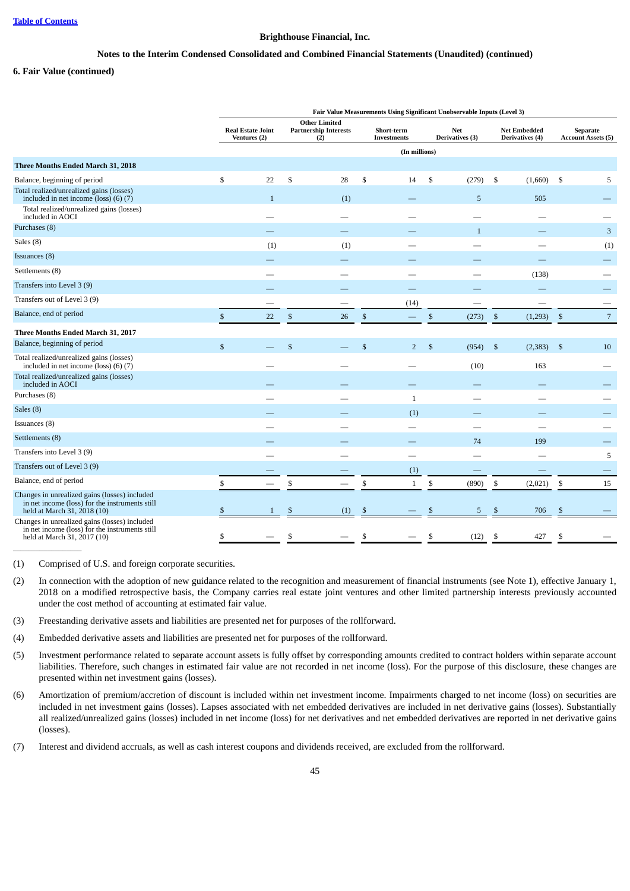# **Notes to the Interim Condensed Consolidated and Combined Financial Statements (Unaudited) (continued)**

## **6. Fair Value (continued)**

|                                                                                                                                |              | Fair Value Measurements Using Significant Unobservable Inputs (Level 3) |              |                                                             |              |                                  |                |                               |                    |                                        |                |                                              |  |
|--------------------------------------------------------------------------------------------------------------------------------|--------------|-------------------------------------------------------------------------|--------------|-------------------------------------------------------------|--------------|----------------------------------|----------------|-------------------------------|--------------------|----------------------------------------|----------------|----------------------------------------------|--|
|                                                                                                                                |              | <b>Real Estate Joint</b><br>Ventures (2)                                |              | <b>Other Limited</b><br><b>Partnership Interests</b><br>(2) |              | Short-term<br><b>Investments</b> |                | <b>Net</b><br>Derivatives (3) |                    | <b>Net Embedded</b><br>Derivatives (4) |                | <b>Separate</b><br><b>Account Assets (5)</b> |  |
|                                                                                                                                |              |                                                                         |              |                                                             |              | (In millions)                    |                |                               |                    |                                        |                |                                              |  |
| Three Months Ended March 31, 2018                                                                                              |              |                                                                         |              |                                                             |              |                                  |                |                               |                    |                                        |                |                                              |  |
| Balance, beginning of period                                                                                                   | \$           | 22                                                                      | \$           | 28                                                          | \$           | 14                               | \$             | (279)                         | $\mathbb{S}$       | (1,660)                                | \$             | 5                                            |  |
| Total realized/unrealized gains (losses)<br>included in net income (loss) (6) (7)                                              |              | $\mathbf{1}$                                                            |              | (1)                                                         |              |                                  |                | 5                             |                    | 505                                    |                |                                              |  |
| Total realized/unrealized gains (losses)<br>included in AOCI                                                                   |              |                                                                         |              |                                                             |              |                                  |                |                               |                    |                                        |                |                                              |  |
| Purchases (8)                                                                                                                  |              |                                                                         |              |                                                             |              |                                  |                | $\mathbf{1}$                  |                    |                                        |                | 3                                            |  |
| Sales (8)                                                                                                                      |              | (1)                                                                     |              | (1)                                                         |              |                                  |                |                               |                    |                                        |                | (1)                                          |  |
| Issuances (8)                                                                                                                  |              |                                                                         |              |                                                             |              |                                  |                |                               |                    |                                        |                |                                              |  |
| Settlements (8)                                                                                                                |              |                                                                         |              |                                                             |              |                                  |                |                               |                    | (138)                                  |                |                                              |  |
| Transfers into Level 3 (9)                                                                                                     |              |                                                                         |              |                                                             |              |                                  |                |                               |                    |                                        |                |                                              |  |
| Transfers out of Level 3 (9)                                                                                                   |              |                                                                         |              |                                                             |              | (14)                             |                |                               |                    |                                        |                |                                              |  |
| Balance, end of period                                                                                                         | $\mathbb{S}$ | 22                                                                      | \$           | 26                                                          | \$           |                                  | $\mathbb{S}$   | (273)                         | $\mathbf{\hat{s}}$ | (1,293)                                | $\mathfrak{S}$ | $\overline{7}$                               |  |
| Three Months Ended March 31, 2017                                                                                              |              |                                                                         |              |                                                             |              |                                  |                |                               |                    |                                        |                |                                              |  |
| Balance, beginning of period                                                                                                   | $\mathbb{S}$ |                                                                         | $\mathbb{S}$ |                                                             | \$           | $\overline{2}$                   | $\mathfrak{S}$ | (954)                         | $\mathbb{S}$       | (2, 383)                               | $\mathbb{S}$   | 10                                           |  |
| Total realized/unrealized gains (losses)<br>included in net income (loss) (6) (7)                                              |              |                                                                         |              |                                                             |              |                                  |                | (10)                          |                    | 163                                    |                |                                              |  |
| Total realized/unrealized gains (losses)<br>included in AOCI                                                                   |              |                                                                         |              |                                                             |              |                                  |                |                               |                    |                                        |                |                                              |  |
| Purchases (8)                                                                                                                  |              |                                                                         |              |                                                             |              | $\mathbf{1}$                     |                |                               |                    |                                        |                |                                              |  |
| Sales (8)                                                                                                                      |              |                                                                         |              |                                                             |              | (1)                              |                |                               |                    |                                        |                |                                              |  |
| Issuances (8)                                                                                                                  |              |                                                                         |              |                                                             |              |                                  |                |                               |                    |                                        |                |                                              |  |
| Settlements (8)                                                                                                                |              |                                                                         |              |                                                             |              |                                  |                | 74                            |                    | 199                                    |                |                                              |  |
| Transfers into Level 3 (9)                                                                                                     |              |                                                                         |              |                                                             |              |                                  |                |                               |                    |                                        |                | 5                                            |  |
| Transfers out of Level 3 (9)                                                                                                   |              |                                                                         |              |                                                             |              | (1)                              |                |                               |                    |                                        |                |                                              |  |
| Balance, end of period                                                                                                         | \$           |                                                                         | \$           |                                                             | \$           | $\mathbf{1}$                     | \$             | (890)                         | \$                 | (2,021)                                | \$             | 15                                           |  |
| Changes in unrealized gains (losses) included<br>in net income (loss) for the instruments still<br>held at March 31, 2018 (10) | \$           | $\mathbf{1}$                                                            | \$           | (1)                                                         | $\mathbb{S}$ |                                  | \$             | 5                             | \$                 | 706                                    | $\$$           |                                              |  |
| Changes in unrealized gains (losses) included<br>in net income (loss) for the instruments still<br>held at March 31, 2017 (10) | S            |                                                                         | S            |                                                             | \$           |                                  | \$             | (12)                          | \$                 | 427                                    | \$             |                                              |  |

(1) Comprised of U.S. and foreign corporate securities.

 $\frac{1}{2}$  ,  $\frac{1}{2}$  ,  $\frac{1}{2}$  ,  $\frac{1}{2}$  ,  $\frac{1}{2}$  ,  $\frac{1}{2}$  ,  $\frac{1}{2}$  ,  $\frac{1}{2}$  ,  $\frac{1}{2}$ 

- (2) In connection with the adoption of new guidance related to the recognition and measurement of financial instruments (see Note 1), effective January 1, 2018 on a modified retrospective basis, the Company carries real estate joint ventures and other limited partnership interests previously accounted under the cost method of accounting at estimated fair value.
- (3) Freestanding derivative assets and liabilities are presented net for purposes of the rollforward.
- (4) Embedded derivative assets and liabilities are presented net for purposes of the rollforward.
- (5) Investment performance related to separate account assets is fully offset by corresponding amounts credited to contract holders within separate account liabilities. Therefore, such changes in estimated fair value are not recorded in net income (loss). For the purpose of this disclosure, these changes are presented within net investment gains (losses).
- (6) Amortization of premium/accretion of discount is included within net investment income. Impairments charged to net income (loss) on securities are included in net investment gains (losses). Lapses associated with net embedded derivatives are included in net derivative gains (losses). Substantially all realized/unrealized gains (losses) included in net income (loss) for net derivatives and net embedded derivatives are reported in net derivative gains (losses).
- (7) Interest and dividend accruals, as well as cash interest coupons and dividends received, are excluded from the rollforward.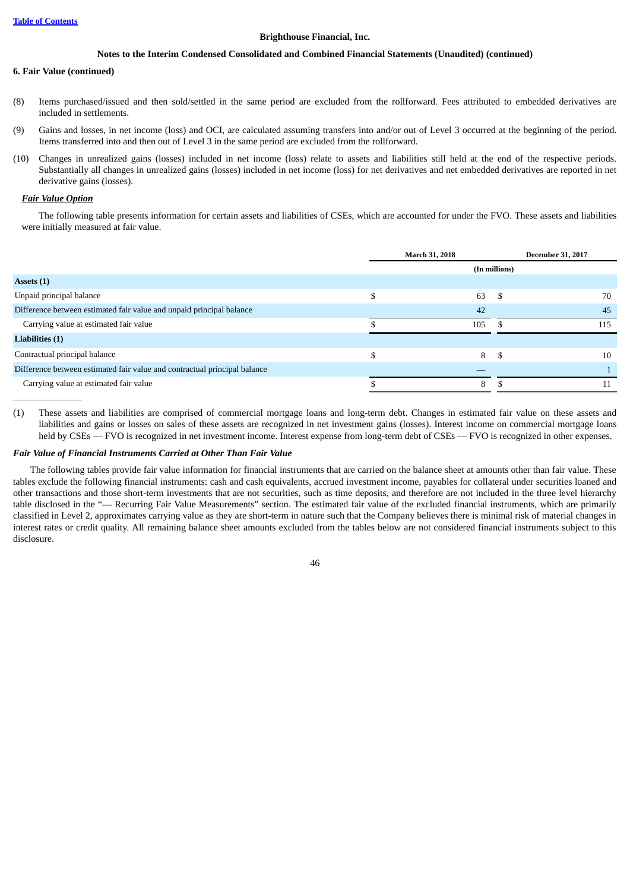## **Notes to the Interim Condensed Consolidated and Combined Financial Statements (Unaudited) (continued)**

## **6. Fair Value (continued)**

- (8) Items purchased/issued and then sold/settled in the same period are excluded from the rollforward. Fees attributed to embedded derivatives are included in settlements.
- (9) Gains and losses, in net income (loss) and OCI, are calculated assuming transfers into and/or out of Level 3 occurred at the beginning of the period. Items transferred into and then out of Level 3 in the same period are excluded from the rollforward.
- (10) Changes in unrealized gains (losses) included in net income (loss) relate to assets and liabilities still held at the end of the respective periods. Substantially all changes in unrealized gains (losses) included in net income (loss) for net derivatives and net embedded derivatives are reported in net derivative gains (losses).

#### *Fair Value Option*

The following table presents information for certain assets and liabilities of CSEs, which are accounted for under the FVO. These assets and liabilities were initially measured at fair value.

|                                                                           | March 31, 2018 | <b>December 31, 2017</b> |     |
|---------------------------------------------------------------------------|----------------|--------------------------|-----|
|                                                                           | (In millions)  |                          |     |
| Assets $(1)$                                                              |                |                          |     |
| Unpaid principal balance                                                  | \$<br>63       | S                        | 70  |
| Difference between estimated fair value and unpaid principal balance      | 42             |                          | 45  |
| Carrying value at estimated fair value                                    | 105            | Эħ                       | 115 |
| Liabilities (1)                                                           |                |                          |     |
| Contractual principal balance                                             | \$<br>8        | Эħ                       | 10  |
| Difference between estimated fair value and contractual principal balance |                |                          |     |
| Carrying value at estimated fair value                                    | 8              |                          | 11  |
|                                                                           |                |                          |     |

(1) These assets and liabilities are comprised of commercial mortgage loans and long-term debt. Changes in estimated fair value on these assets and liabilities and gains or losses on sales of these assets are recognized in net investment gains (losses). Interest income on commercial mortgage loans held by CSEs — FVO is recognized in net investment income. Interest expense from long-term debt of CSEs — FVO is recognized in other expenses.

#### *Fair Value of Financial Instruments Carried at Other Than Fair Value*

The following tables provide fair value information for financial instruments that are carried on the balance sheet at amounts other than fair value. These tables exclude the following financial instruments: cash and cash equivalents, accrued investment income, payables for collateral under securities loaned and other transactions and those short-term investments that are not securities, such as time deposits, and therefore are not included in the three level hierarchy table disclosed in the "— Recurring Fair Value Measurements" section. The estimated fair value of the excluded financial instruments, which are primarily classified in Level 2, approximates carrying value as they are short-term in nature such that the Company believes there is minimal risk of material changes in interest rates or credit quality. All remaining balance sheet amounts excluded from the tables below are not considered financial instruments subject to this disclosure.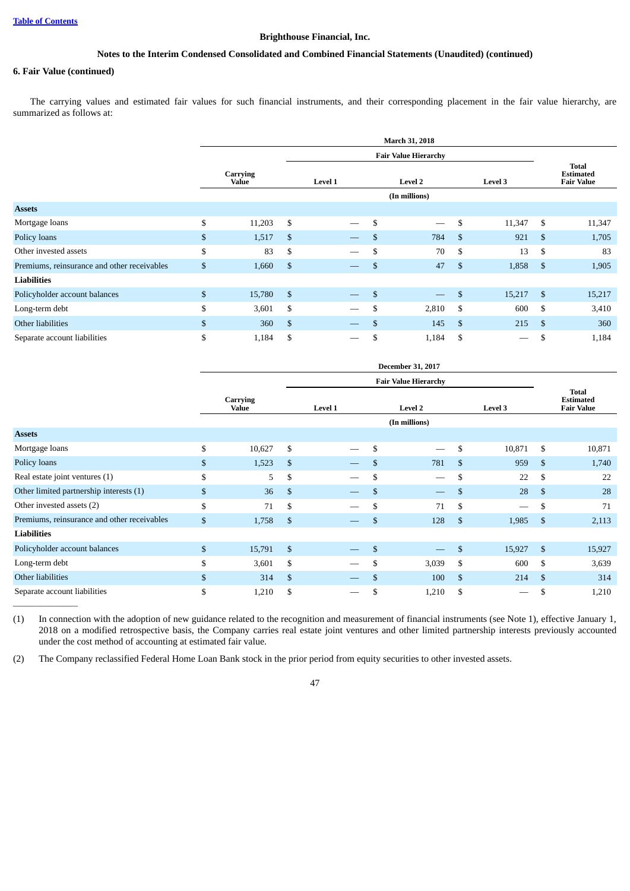# **Notes to the Interim Condensed Consolidated and Combined Financial Statements (Unaudited) (continued)**

# **6. Fair Value (continued)**

The carrying values and estimated fair values for such financial instruments, and their corresponding placement in the fair value hierarchy, are summarized as follows at:

|                                             | March 31, 2018 |                   |                |                                      |    |                             |                         |        |                        |        |  |  |  |  |
|---------------------------------------------|----------------|-------------------|----------------|--------------------------------------|----|-----------------------------|-------------------------|--------|------------------------|--------|--|--|--|--|
|                                             |                |                   |                |                                      |    | <b>Fair Value Hierarchy</b> |                         |        |                        |        |  |  |  |  |
|                                             |                | Carrying<br>Value |                | Level 1<br><b>Level 2</b><br>Level 3 |    |                             |                         |        |                        |        |  |  |  |  |
|                                             |                |                   |                |                                      |    |                             |                         |        |                        |        |  |  |  |  |
| <b>Assets</b>                               |                |                   |                |                                      |    |                             |                         |        |                        |        |  |  |  |  |
| Mortgage loans                              | \$             | 11,203            | \$             |                                      | \$ |                             | \$                      | 11,347 | \$                     | 11,347 |  |  |  |  |
| Policy loans                                | $\mathbb{S}$   | 1,517             | $\mathfrak{F}$ | $\overline{\phantom{a}}$             | \$ | 784                         | $\mathbf{\mathfrak{S}}$ | 921    | $\mathbb{S}$           | 1,705  |  |  |  |  |
| Other invested assets                       | \$             | 83                | \$             | $\overline{\phantom{m}}$             | \$ | 70                          | \$                      | 13     | \$                     | 83     |  |  |  |  |
| Premiums, reinsurance and other receivables | \$             | 1,660             | $\mathfrak{F}$ |                                      | \$ | 47                          | \$                      | 1,858  | $\mathfrak{F}$         | 1,905  |  |  |  |  |
| <b>Liabilities</b>                          |                |                   |                |                                      |    |                             |                         |        |                        |        |  |  |  |  |
| Policyholder account balances               | $\mathfrak{S}$ | 15,780            | $\mathfrak{S}$ |                                      | \$ |                             | \$                      | 15,217 | $\mathbf{\mathcal{S}}$ | 15,217 |  |  |  |  |
| Long-term debt                              | \$             | 3,601             | \$             | $\overline{\phantom{m}}$             | \$ | 2,810                       | \$                      | 600    | \$                     | 3,410  |  |  |  |  |
| Other liabilities                           | $\mathbb{S}$   | 360               | $\mathfrak{F}$ | $\overline{\phantom{0}}$             | \$ | 145                         | \$                      | 215    | -\$                    | 360    |  |  |  |  |
| Separate account liabilities                | \$             | 1,184             | \$             |                                      | \$ | 1,184                       | \$                      |        | \$                     | 1,184  |  |  |  |  |

|                                             |              |                             |                |                          |    | December 31, 2017        |                |         |                |                                                       |  |  |  |  |
|---------------------------------------------|--------------|-----------------------------|----------------|--------------------------|----|--------------------------|----------------|---------|----------------|-------------------------------------------------------|--|--|--|--|
|                                             |              | <b>Fair Value Hierarchy</b> |                |                          |    |                          |                |         |                |                                                       |  |  |  |  |
|                                             |              | Carrying<br>Value           |                | Level 1                  |    | Level 2                  |                | Level 3 |                | <b>Total</b><br><b>Estimated</b><br><b>Fair Value</b> |  |  |  |  |
|                                             |              |                             |                |                          |    |                          |                |         |                |                                                       |  |  |  |  |
| <b>Assets</b>                               |              |                             |                |                          |    |                          |                |         |                |                                                       |  |  |  |  |
| Mortgage loans                              | \$           | 10,627                      | \$             | $\overline{\phantom{0}}$ | \$ |                          | \$             | 10,871  | \$             | 10,871                                                |  |  |  |  |
| Policy loans                                | $\mathbb{S}$ | 1,523                       | \$             | $\overline{\phantom{0}}$ | \$ | 781                      | \$             | 959     | S.             | 1,740                                                 |  |  |  |  |
| Real estate joint ventures (1)              | \$           | 5                           | \$             |                          | \$ |                          | \$             | 22      | \$             | 22                                                    |  |  |  |  |
| Other limited partnership interests (1)     | $\mathbb{S}$ | 36                          | $\mathfrak{F}$ | $\overline{\phantom{0}}$ | \$ | $\overline{\phantom{m}}$ | $\mathfrak{s}$ | 28      | \$             | 28                                                    |  |  |  |  |
| Other invested assets (2)                   | \$           | 71                          | \$             |                          | \$ | 71                       | \$             |         | \$             | 71                                                    |  |  |  |  |
| Premiums, reinsurance and other receivables | \$           | 1,758                       | $\mathfrak{s}$ |                          | \$ | 128                      | $\mathfrak{s}$ | 1,985   | $\mathbb{S}$   | 2,113                                                 |  |  |  |  |
| <b>Liabilities</b>                          |              |                             |                |                          |    |                          |                |         |                |                                                       |  |  |  |  |
| Policyholder account balances               | $\mathbb{S}$ | 15,791                      | \$             |                          | \$ |                          | \$             | 15,927  | $\mathfrak{S}$ | 15,927                                                |  |  |  |  |
| Long-term debt                              | \$           | 3,601                       | \$             | $\overline{\phantom{a}}$ | \$ | 3,039                    | \$             | 600     | \$             | 3,639                                                 |  |  |  |  |
| Other liabilities                           | $\mathbb{S}$ | 314                         | $\mathbb{S}$   | $\overline{\phantom{0}}$ | \$ | 100                      | $\mathfrak{S}$ | 214     | $\mathbb{S}$   | 314                                                   |  |  |  |  |
| Separate account liabilities                | \$           | 1,210                       | \$             |                          | \$ | 1,210                    | \$             |         | \$             | 1,210                                                 |  |  |  |  |

(1) In connection with the adoption of new guidance related to the recognition and measurement of financial instruments (see Note 1), effective January 1, 2018 on a modified retrospective basis, the Company carries real estate joint ventures and other limited partnership interests previously accounted under the cost method of accounting at estimated fair value.

(2) The Company reclassified Federal Home Loan Bank stock in the prior period from equity securities to other invested assets.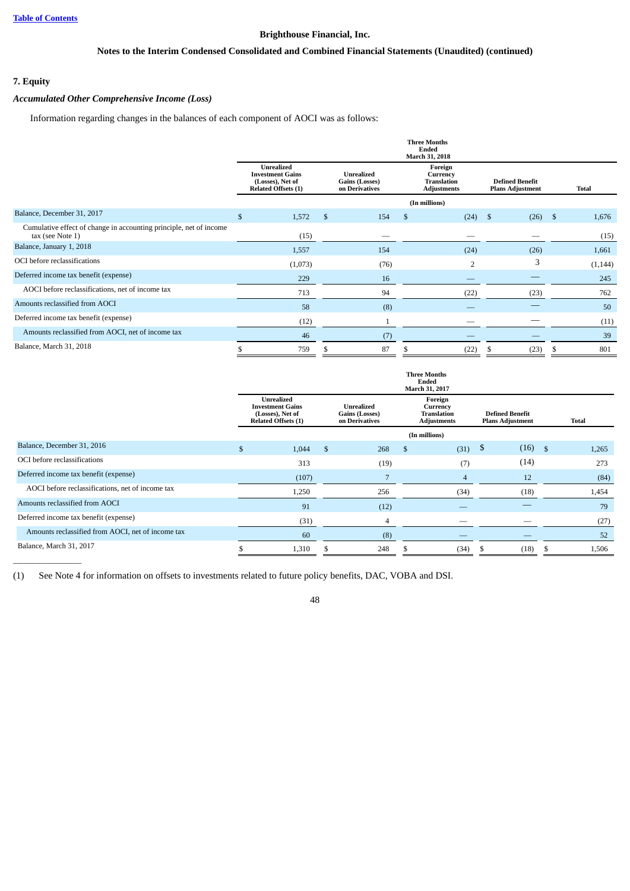# **Notes to the Interim Condensed Consolidated and Combined Financial Statements (Unaudited) (continued)**

# **7. Equity**

# *Accumulated Other Comprehensive Income (Loss)*

Information regarding changes in the balances of each component of AOCI was as follows:

|                                                                                        | <b>Three Months</b><br>Ended<br>March 31, 2018                                                 |         |              |                                                              |               |                                                                 |    |                                                   |              |          |
|----------------------------------------------------------------------------------------|------------------------------------------------------------------------------------------------|---------|--------------|--------------------------------------------------------------|---------------|-----------------------------------------------------------------|----|---------------------------------------------------|--------------|----------|
|                                                                                        | <b>Unrealized</b><br><b>Investment Gains</b><br>(Losses), Net of<br><b>Related Offsets (1)</b> |         |              | <b>Unrealized</b><br><b>Gains (Losses)</b><br>on Derivatives |               | Foreign<br>Currency<br><b>Translation</b><br><b>Adjustments</b> |    | <b>Defined Benefit</b><br><b>Plans Adjustment</b> | <b>Total</b> |          |
|                                                                                        |                                                                                                |         |              |                                                              |               | (In millions)                                                   |    |                                                   |              |          |
| Balance, December 31, 2017                                                             | \$                                                                                             | 1,572   | $\mathbb{S}$ | 154                                                          | <sup>\$</sup> | $(24)$ \$                                                       |    | $(26)$ \$                                         |              | 1,676    |
| Cumulative effect of change in accounting principle, net of income<br>tax (see Note 1) |                                                                                                | (15)    |              |                                                              |               |                                                                 |    |                                                   |              | (15)     |
| Balance, January 1, 2018                                                               |                                                                                                | 1,557   |              | 154                                                          |               | (24)                                                            |    | (26)                                              |              | 1,661    |
| OCI before reclassifications                                                           |                                                                                                | (1,073) |              | (76)                                                         |               | 2                                                               |    | 3                                                 |              | (1, 144) |
| Deferred income tax benefit (expense)                                                  |                                                                                                | 229     |              | 16                                                           |               |                                                                 |    |                                                   |              | 245      |
| AOCI before reclassifications, net of income tax                                       |                                                                                                | 713     |              | 94                                                           |               | (22)                                                            |    | (23)                                              |              | 762      |
| Amounts reclassified from AOCI                                                         |                                                                                                | 58      |              | (8)                                                          |               |                                                                 |    |                                                   |              | 50       |
| Deferred income tax benefit (expense)                                                  |                                                                                                | (12)    |              |                                                              |               |                                                                 |    |                                                   |              | (11)     |
| Amounts reclassified from AOCI, net of income tax                                      |                                                                                                | 46      |              | (7)                                                          |               |                                                                 |    |                                                   |              | 39       |
| Balance, March 31, 2018                                                                | \$                                                                                             | 759     | S            | 87                                                           | \$.           | (22)                                                            | \$ | (23)                                              | \$           | 801      |

|                                                   |              | <b>Three Months</b><br>Ended<br>March 31, 2017                                                 |     |                                                       |               |                                                                 |                           |                                                   |              |              |  |
|---------------------------------------------------|--------------|------------------------------------------------------------------------------------------------|-----|-------------------------------------------------------|---------------|-----------------------------------------------------------------|---------------------------|---------------------------------------------------|--------------|--------------|--|
|                                                   |              | <b>Unrealized</b><br><b>Investment Gains</b><br>(Losses), Net of<br><b>Related Offsets (1)</b> |     | <b>Unrealized</b><br>Gains (Losses)<br>on Derivatives |               | Foreign<br>Currency<br><b>Translation</b><br><b>Adjustments</b> |                           | <b>Defined Benefit</b><br><b>Plans Adjustment</b> |              | <b>Total</b> |  |
|                                                   |              |                                                                                                |     |                                                       |               | (In millions)                                                   |                           |                                                   |              |              |  |
| Balance, December 31, 2016                        | $\mathbb{S}$ | 1,044                                                                                          | \$. | 268                                                   | <sup>\$</sup> | (31)                                                            | $\boldsymbol{\mathsf{s}}$ | (16)                                              | $\mathbf{s}$ | 1,265        |  |
| OCI before reclassifications                      |              | 313                                                                                            |     | (19)                                                  |               | (7)                                                             |                           | (14)                                              |              | 273          |  |
| Deferred income tax benefit (expense)             |              | (107)                                                                                          |     | 7                                                     |               | $\overline{4}$                                                  |                           | 12                                                |              | (84)         |  |
| AOCI before reclassifications, net of income tax  |              | 1,250                                                                                          |     | 256                                                   |               | (34)                                                            |                           | (18)                                              |              | 1,454        |  |
| Amounts reclassified from AOCI                    |              | 91                                                                                             |     | (12)                                                  |               |                                                                 |                           |                                                   |              | 79           |  |
| Deferred income tax benefit (expense)             |              | (31)                                                                                           |     | 4                                                     |               |                                                                 |                           |                                                   |              | (27)         |  |
| Amounts reclassified from AOCI, net of income tax |              | 60                                                                                             |     | (8)                                                   |               |                                                                 |                           |                                                   |              | 52           |  |
| Balance, March 31, 2017                           |              | 1,310                                                                                          |     | 248                                                   |               | (34)                                                            |                           | (18)                                              |              | 1,506        |  |
|                                                   |              |                                                                                                |     |                                                       |               |                                                                 |                           |                                                   |              |              |  |

(1) See Note 4 for information on offsets to investments related to future policy benefits, DAC, VOBA and DSI.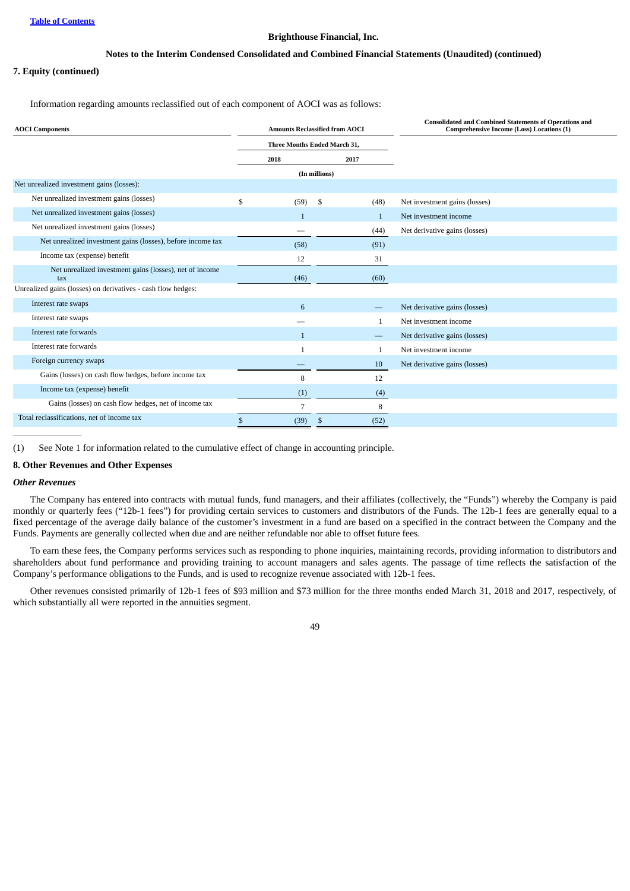# **Notes to the Interim Condensed Consolidated and Combined Financial Statements (Unaudited) (continued)**

# **7. Equity (continued)**

Information regarding amounts reclassified out of each component of AOCI was as follows:

| <b>AOCI</b> Components                                                    | <b>Amounts Reclassified from AOCI</b> |               |              | <b>Consolidated and Combined Statements of Operations and</b><br><b>Comprehensive Income (Loss) Locations (1)</b> |  |  |  |  |  |  |
|---------------------------------------------------------------------------|---------------------------------------|---------------|--------------|-------------------------------------------------------------------------------------------------------------------|--|--|--|--|--|--|
|                                                                           | Three Months Ended March 31,          |               |              |                                                                                                                   |  |  |  |  |  |  |
|                                                                           | 2018                                  |               | 2017         |                                                                                                                   |  |  |  |  |  |  |
|                                                                           |                                       | (In millions) |              |                                                                                                                   |  |  |  |  |  |  |
| Net unrealized investment gains (losses):                                 |                                       |               |              |                                                                                                                   |  |  |  |  |  |  |
| Net unrealized investment gains (losses)                                  | \$<br>(59)                            | \$            | (48)         | Net investment gains (losses)                                                                                     |  |  |  |  |  |  |
| Net unrealized investment gains (losses)                                  | $\mathbf{1}$                          |               | $\mathbf{1}$ | Net investment income                                                                                             |  |  |  |  |  |  |
| Net unrealized investment gains (losses)                                  |                                       |               | (44)         | Net derivative gains (losses)                                                                                     |  |  |  |  |  |  |
| Net unrealized investment gains (losses), before income tax               | (58)                                  |               | (91)         |                                                                                                                   |  |  |  |  |  |  |
| Income tax (expense) benefit                                              | 12                                    |               | 31           |                                                                                                                   |  |  |  |  |  |  |
| Net unrealized investment gains (losses), net of income<br>$\mathbf{tax}$ | (46)                                  |               | (60)         |                                                                                                                   |  |  |  |  |  |  |
| Unrealized gains (losses) on derivatives - cash flow hedges:              |                                       |               |              |                                                                                                                   |  |  |  |  |  |  |
| Interest rate swaps                                                       | 6                                     |               |              | Net derivative gains (losses)                                                                                     |  |  |  |  |  |  |
| Interest rate swaps                                                       |                                       |               | 1            | Net investment income                                                                                             |  |  |  |  |  |  |
| Interest rate forwards                                                    |                                       |               |              | Net derivative gains (losses)                                                                                     |  |  |  |  |  |  |
| Interest rate forwards                                                    | $\mathbf{1}$                          |               | 1            | Net investment income                                                                                             |  |  |  |  |  |  |
| Foreign currency swaps                                                    |                                       |               | 10           | Net derivative gains (losses)                                                                                     |  |  |  |  |  |  |
| Gains (losses) on cash flow hedges, before income tax                     | 8                                     |               | 12           |                                                                                                                   |  |  |  |  |  |  |
| Income tax (expense) benefit                                              | (1)                                   |               | (4)          |                                                                                                                   |  |  |  |  |  |  |
| Gains (losses) on cash flow hedges, net of income tax                     | 7                                     |               | 8            |                                                                                                                   |  |  |  |  |  |  |
| Total reclassifications, net of income tax                                | \$<br>(39)                            | \$            | (52)         |                                                                                                                   |  |  |  |  |  |  |

(1) See Note 1 for information related to the cumulative effect of change in accounting principle.

#### **8. Other Revenues and Other Expenses**

## *Other Revenues*

 $\frac{1}{2}$  ,  $\frac{1}{2}$  ,  $\frac{1}{2}$  ,  $\frac{1}{2}$  ,  $\frac{1}{2}$  ,  $\frac{1}{2}$  ,  $\frac{1}{2}$  ,  $\frac{1}{2}$  ,  $\frac{1}{2}$ 

The Company has entered into contracts with mutual funds, fund managers, and their affiliates (collectively, the "Funds") whereby the Company is paid monthly or quarterly fees ("12b-1 fees") for providing certain services to customers and distributors of the Funds. The 12b-1 fees are generally equal to a fixed percentage of the average daily balance of the customer's investment in a fund are based on a specified in the contract between the Company and the Funds. Payments are generally collected when due and are neither refundable nor able to offset future fees.

To earn these fees, the Company performs services such as responding to phone inquiries, maintaining records, providing information to distributors and shareholders about fund performance and providing training to account managers and sales agents. The passage of time reflects the satisfaction of the Company's performance obligations to the Funds, and is used to recognize revenue associated with 12b-1 fees.

Other revenues consisted primarily of 12b-1 fees of \$93 million and \$73 million for the three months ended March 31, 2018 and 2017, respectively, of which substantially all were reported in the annuities segment.

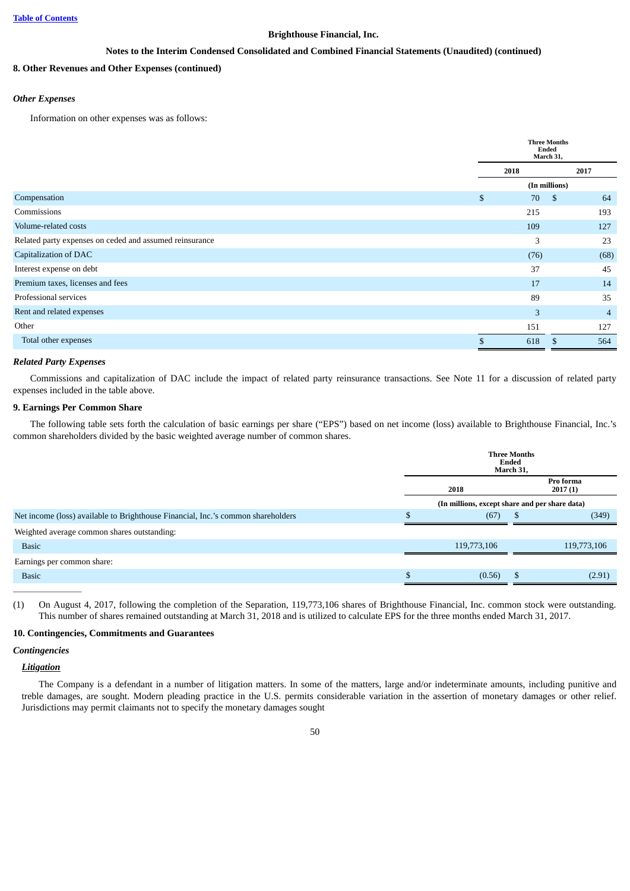## **Notes to the Interim Condensed Consolidated and Combined Financial Statements (Unaudited) (continued)**

## **8. Other Revenues and Other Expenses (continued)**

#### *Other Expenses*

Information on other expenses was as follows:

|                                                         |    | <b>Three Months</b> |               |                |
|---------------------------------------------------------|----|---------------------|---------------|----------------|
|                                                         |    | 2017                |               |                |
|                                                         |    |                     | (In millions) |                |
| Compensation                                            | \$ | 70                  | \$            | 64             |
| Commissions                                             |    | 215                 |               | 193            |
| Volume-related costs                                    |    | 109                 |               | 127            |
| Related party expenses on ceded and assumed reinsurance |    | 3                   |               | 23             |
| Capitalization of DAC                                   |    | (76)                |               | (68)           |
| Interest expense on debt                                |    | 37                  |               | 45             |
| Premium taxes, licenses and fees                        |    | 17                  |               | 14             |
| Professional services                                   |    | 89                  |               | 35             |
| Rent and related expenses                               |    | 3                   |               | $\overline{4}$ |
| Other                                                   |    | 151                 |               | 127            |
| Total other expenses                                    |    | 618                 |               | 564            |

#### *Related Party Expenses*

Commissions and capitalization of DAC include the impact of related party reinsurance transactions. See Note 11 for a discussion of related party expenses included in the table above.

## **9. Earnings Per Common Share**

The following table sets forth the calculation of basic earnings per share ("EPS") based on net income (loss) available to Brighthouse Financial, Inc.'s common shareholders divided by the basic weighted average number of common shares.

|                                                                                  | <b>Three Months</b><br><b>Ended</b><br>March 31, |                      |             |  |  |  |  |
|----------------------------------------------------------------------------------|--------------------------------------------------|----------------------|-------------|--|--|--|--|
|                                                                                  | 2018                                             | Pro forma<br>2017(1) |             |  |  |  |  |
|                                                                                  | (In millions, except share and per share data)   |                      |             |  |  |  |  |
| Net income (loss) available to Brighthouse Financial, Inc.'s common shareholders | (67)                                             | S                    | (349)       |  |  |  |  |
| Weighted average common shares outstanding:                                      |                                                  |                      |             |  |  |  |  |
| <b>Basic</b>                                                                     | 119,773,106                                      |                      | 119,773,106 |  |  |  |  |
| Earnings per common share:                                                       |                                                  |                      |             |  |  |  |  |
| <b>Basic</b>                                                                     | (0.56)                                           | -S                   | (2.91)      |  |  |  |  |

(1) On August 4, 2017, following the completion of the Separation, 119,773,106 shares of Brighthouse Financial, Inc. common stock were outstanding. This number of shares remained outstanding at March 31, 2018 and is utilized to calculate EPS for the three months ended March 31, 2017.

### **10. Contingencies, Commitments and Guarantees**

## *Contingencies*

\_\_\_\_\_\_\_\_\_\_\_\_\_\_\_\_\_\_

## *Litigation*

The Company is a defendant in a number of litigation matters. In some of the matters, large and/or indeterminate amounts, including punitive and treble damages, are sought. Modern pleading practice in the U.S. permits considerable variation in the assertion of monetary damages or other relief. Jurisdictions may permit claimants not to specify the monetary damages sought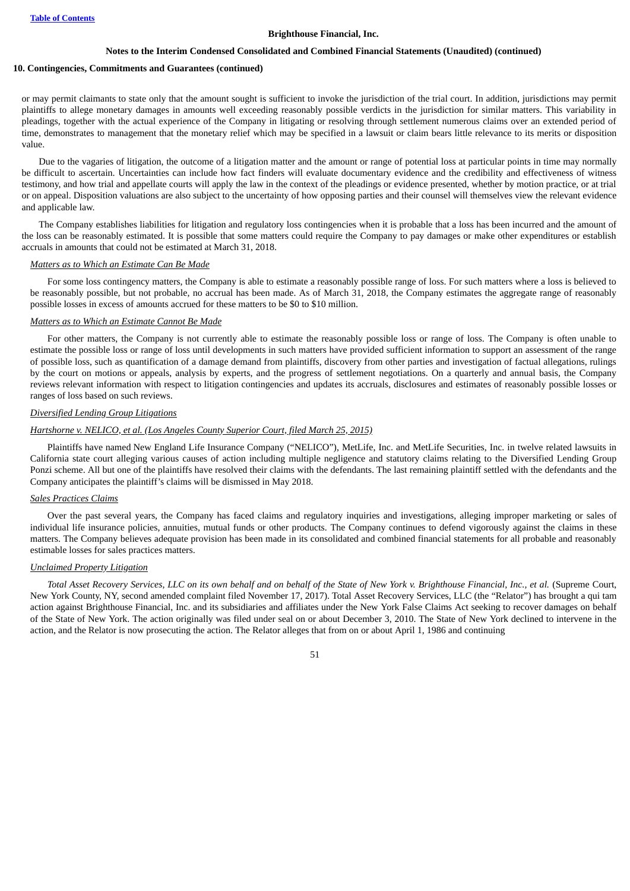## **Notes to the Interim Condensed Consolidated and Combined Financial Statements (Unaudited) (continued)**

## **10. Contingencies, Commitments and Guarantees (continued)**

or may permit claimants to state only that the amount sought is sufficient to invoke the jurisdiction of the trial court. In addition, jurisdictions may permit plaintiffs to allege monetary damages in amounts well exceeding reasonably possible verdicts in the jurisdiction for similar matters. This variability in pleadings, together with the actual experience of the Company in litigating or resolving through settlement numerous claims over an extended period of time, demonstrates to management that the monetary relief which may be specified in a lawsuit or claim bears little relevance to its merits or disposition value.

Due to the vagaries of litigation, the outcome of a litigation matter and the amount or range of potential loss at particular points in time may normally be difficult to ascertain. Uncertainties can include how fact finders will evaluate documentary evidence and the credibility and effectiveness of witness testimony, and how trial and appellate courts will apply the law in the context of the pleadings or evidence presented, whether by motion practice, or at trial or on appeal. Disposition valuations are also subject to the uncertainty of how opposing parties and their counsel will themselves view the relevant evidence and applicable law.

The Company establishes liabilities for litigation and regulatory loss contingencies when it is probable that a loss has been incurred and the amount of the loss can be reasonably estimated. It is possible that some matters could require the Company to pay damages or make other expenditures or establish accruals in amounts that could not be estimated at March 31, 2018.

#### *Matters as to Which an Estimate Can Be Made*

For some loss contingency matters, the Company is able to estimate a reasonably possible range of loss. For such matters where a loss is believed to be reasonably possible, but not probable, no accrual has been made. As of March 31, 2018, the Company estimates the aggregate range of reasonably possible losses in excess of amounts accrued for these matters to be \$0 to \$10 million.

## *Matters as to Which an Estimate Cannot Be Made*

For other matters, the Company is not currently able to estimate the reasonably possible loss or range of loss. The Company is often unable to estimate the possible loss or range of loss until developments in such matters have provided sufficient information to support an assessment of the range of possible loss, such as quantification of a damage demand from plaintiffs, discovery from other parties and investigation of factual allegations, rulings by the court on motions or appeals, analysis by experts, and the progress of settlement negotiations. On a quarterly and annual basis, the Company reviews relevant information with respect to litigation contingencies and updates its accruals, disclosures and estimates of reasonably possible losses or ranges of loss based on such reviews.

#### *Diversified Lending Group Litigations*

#### *Hartshorne v. NELICO, et al. (Los Angeles County Superior Court, filed March 25, 2015)*

Plaintiffs have named New England Life Insurance Company ("NELICO"), MetLife, Inc. and MetLife Securities, Inc. in twelve related lawsuits in California state court alleging various causes of action including multiple negligence and statutory claims relating to the Diversified Lending Group Ponzi scheme. All but one of the plaintiffs have resolved their claims with the defendants. The last remaining plaintiff settled with the defendants and the Company anticipates the plaintiff's claims will be dismissed in May 2018.

## *Sales Practices Claims*

Over the past several years, the Company has faced claims and regulatory inquiries and investigations, alleging improper marketing or sales of individual life insurance policies, annuities, mutual funds or other products. The Company continues to defend vigorously against the claims in these matters. The Company believes adequate provision has been made in its consolidated and combined financial statements for all probable and reasonably estimable losses for sales practices matters.

#### *Unclaimed Property Litigation*

Total Asset Recovery Services, LLC on its own behalf and on behalf of the State of New York v. Brighthouse Financial, Inc., et al. (Supreme Court, New York County, NY, second amended complaint filed November 17, 2017). Total Asset Recovery Services, LLC (the "Relator") has brought a qui tam action against Brighthouse Financial, Inc. and its subsidiaries and affiliates under the New York False Claims Act seeking to recover damages on behalf of the State of New York. The action originally was filed under seal on or about December 3, 2010. The State of New York declined to intervene in the action, and the Relator is now prosecuting the action. The Relator alleges that from on or about April 1, 1986 and continuing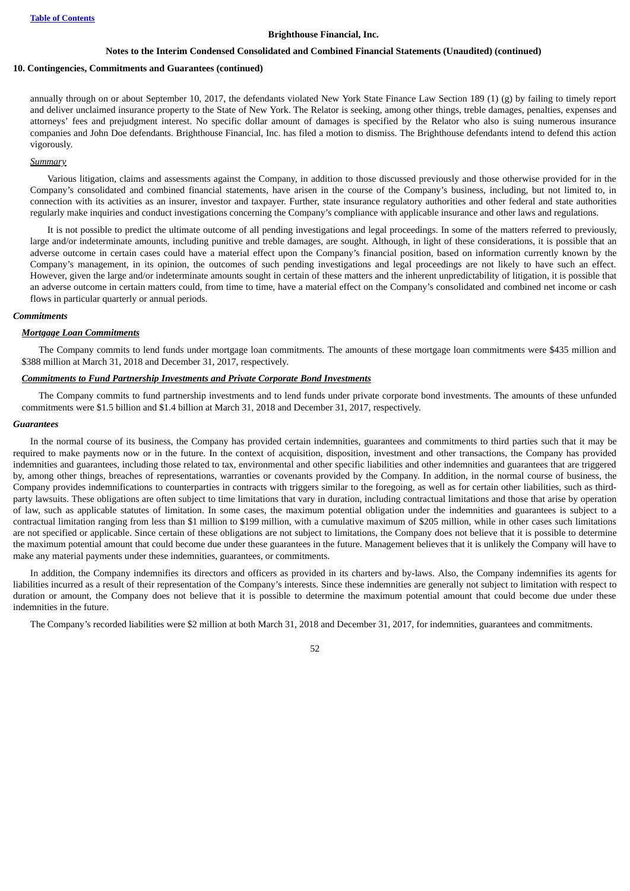## **Notes to the Interim Condensed Consolidated and Combined Financial Statements (Unaudited) (continued)**

## **10. Contingencies, Commitments and Guarantees (continued)**

annually through on or about September 10, 2017, the defendants violated New York State Finance Law Section 189 (1) (g) by failing to timely report and deliver unclaimed insurance property to the State of New York. The Relator is seeking, among other things, treble damages, penalties, expenses and attorneys' fees and prejudgment interest. No specific dollar amount of damages is specified by the Relator who also is suing numerous insurance companies and John Doe defendants. Brighthouse Financial, Inc. has filed a motion to dismiss. The Brighthouse defendants intend to defend this action vigorously.

## *Summary*

Various litigation, claims and assessments against the Company, in addition to those discussed previously and those otherwise provided for in the Company's consolidated and combined financial statements, have arisen in the course of the Company's business, including, but not limited to, in connection with its activities as an insurer, investor and taxpayer. Further, state insurance regulatory authorities and other federal and state authorities regularly make inquiries and conduct investigations concerning the Company's compliance with applicable insurance and other laws and regulations.

It is not possible to predict the ultimate outcome of all pending investigations and legal proceedings. In some of the matters referred to previously, large and/or indeterminate amounts, including punitive and treble damages, are sought. Although, in light of these considerations, it is possible that an adverse outcome in certain cases could have a material effect upon the Company's financial position, based on information currently known by the Company's management, in its opinion, the outcomes of such pending investigations and legal proceedings are not likely to have such an effect. However, given the large and/or indeterminate amounts sought in certain of these matters and the inherent unpredictability of litigation, it is possible that an adverse outcome in certain matters could, from time to time, have a material effect on the Company's consolidated and combined net income or cash flows in particular quarterly or annual periods.

## *Commitments*

#### *Mortgage Loan Commitments*

The Company commits to lend funds under mortgage loan commitments. The amounts of these mortgage loan commitments were \$435 million and \$388 million at March 31, 2018 and December 31, 2017, respectively.

### *Commitments to Fund Partnership Investments and Private Corporate Bond Investments*

The Company commits to fund partnership investments and to lend funds under private corporate bond investments. The amounts of these unfunded commitments were \$1.5 billion and \$1.4 billion at March 31, 2018 and December 31, 2017, respectively.

#### *Guarantees*

In the normal course of its business, the Company has provided certain indemnities, guarantees and commitments to third parties such that it may be required to make payments now or in the future. In the context of acquisition, disposition, investment and other transactions, the Company has provided indemnities and guarantees, including those related to tax, environmental and other specific liabilities and other indemnities and guarantees that are triggered by, among other things, breaches of representations, warranties or covenants provided by the Company. In addition, in the normal course of business, the Company provides indemnifications to counterparties in contracts with triggers similar to the foregoing, as well as for certain other liabilities, such as thirdparty lawsuits. These obligations are often subject to time limitations that vary in duration, including contractual limitations and those that arise by operation of law, such as applicable statutes of limitation. In some cases, the maximum potential obligation under the indemnities and guarantees is subject to a contractual limitation ranging from less than \$1 million to \$199 million, with a cumulative maximum of \$205 million, while in other cases such limitations are not specified or applicable. Since certain of these obligations are not subject to limitations, the Company does not believe that it is possible to determine the maximum potential amount that could become due under these guarantees in the future. Management believes that it is unlikely the Company will have to make any material payments under these indemnities, guarantees, or commitments.

In addition, the Company indemnifies its directors and officers as provided in its charters and by-laws. Also, the Company indemnifies its agents for liabilities incurred as a result of their representation of the Company's interests. Since these indemnities are generally not subject to limitation with respect to duration or amount, the Company does not believe that it is possible to determine the maximum potential amount that could become due under these indemnities in the future.

The Company's recorded liabilities were \$2 million at both March 31, 2018 and December 31, 2017, for indemnities, guarantees and commitments.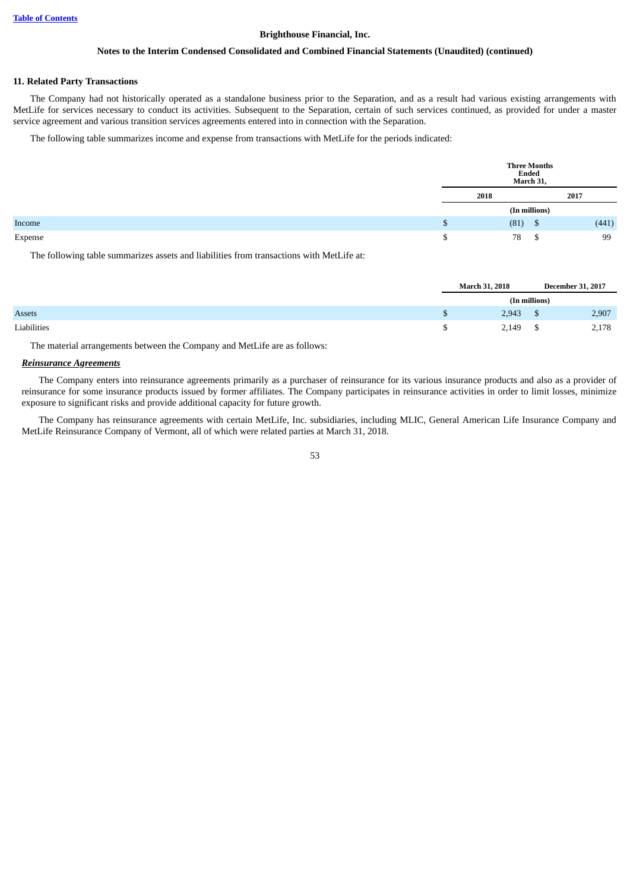# **Notes to the Interim Condensed Consolidated and Combined Financial Statements (Unaudited) (continued)**

#### **11. Related Party Transactions**

The Company had not historically operated as a standalone business prior to the Separation, and as a result had various existing arrangements with MetLife for services necessary to conduct its activities. Subsequent to the Separation, certain of such services continued, as provided for under a master service agreement and various transition services agreements entered into in connection with the Separation.

The following table summarizes income and expense from transactions with MetLife for the periods indicated:

|         | <b>Three Months</b><br>Ended<br>March 31, |                   |      |       |
|---------|-------------------------------------------|-------------------|------|-------|
|         | 2018                                      |                   | 2017 |       |
|         | (In millions)                             |                   |      |       |
| Income  | \$<br>(81)                                | $\triangle$<br>_ა |      | (441) |
| Expense | 78                                        | Ъ                 |      | 99    |

The following table summarizes assets and liabilities from transactions with MetLife at:

|               | <b>March 31, 2018</b> |               | <b>December 31, 2017</b> |
|---------------|-----------------------|---------------|--------------------------|
|               |                       | (In millions) |                          |
| <b>Assets</b> | $2,943$ \$            |               | 2,907                    |
| Liabilities   | $2,149$ \$            |               | 2,178                    |

The material arrangements between the Company and MetLife are as follows:

#### *Reinsurance Agreements*

The Company enters into reinsurance agreements primarily as a purchaser of reinsurance for its various insurance products and also as a provider of reinsurance for some insurance products issued by former affiliates. The Company participates in reinsurance activities in order to limit losses, minimize exposure to significant risks and provide additional capacity for future growth.

The Company has reinsurance agreements with certain MetLife, Inc. subsidiaries, including MLIC, General American Life Insurance Company and MetLife Reinsurance Company of Vermont, all of which were related parties at March 31, 2018.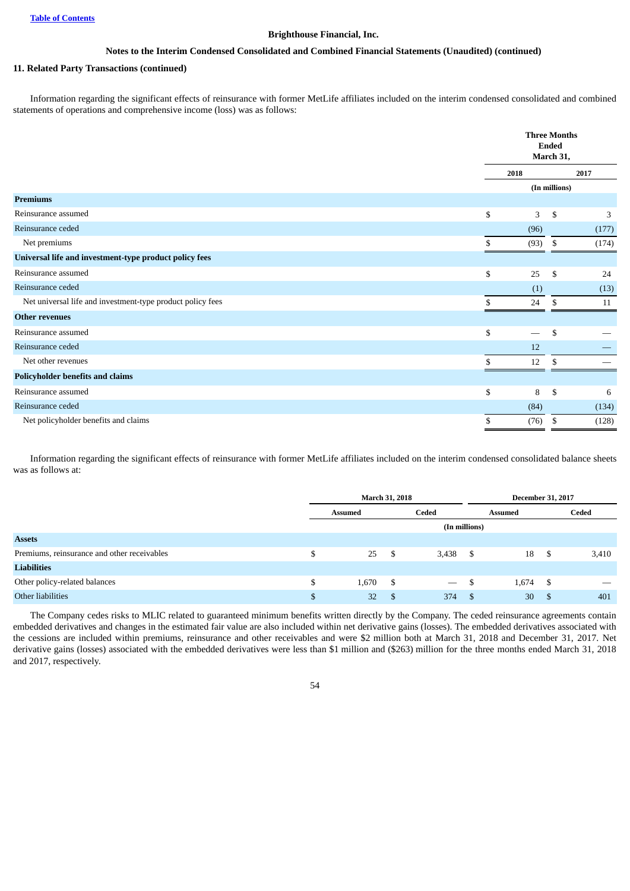# **Notes to the Interim Condensed Consolidated and Combined Financial Statements (Unaudited) (continued)**

# **11. Related Party Transactions (continued)**

Information regarding the significant effects of reinsurance with former MetLife affiliates included on the interim condensed consolidated and combined statements of operations and comprehensive income (loss) was as follows:

|                                                            |     | <b>Three Months</b><br><b>Ended</b><br>March 31, |               |       |
|------------------------------------------------------------|-----|--------------------------------------------------|---------------|-------|
|                                                            |     | 2018                                             |               | 2017  |
|                                                            |     |                                                  | (In millions) |       |
| <b>Premiums</b>                                            |     |                                                  |               |       |
| Reinsurance assumed                                        | \$  | 3                                                | \$            | 3     |
| Reinsurance ceded                                          |     | (96)                                             |               | (177) |
| Net premiums                                               | \$. | (93)                                             | \$            | (174) |
| Universal life and investment-type product policy fees     |     |                                                  |               |       |
| Reinsurance assumed                                        | \$  | 25                                               | \$            | 24    |
| Reinsurance ceded                                          |     | (1)                                              |               | (13)  |
| Net universal life and investment-type product policy fees | \$  | 24                                               | \$            | 11    |
| <b>Other revenues</b>                                      |     |                                                  |               |       |
| Reinsurance assumed                                        | \$  |                                                  | \$            |       |
| Reinsurance ceded                                          |     | 12                                               |               |       |
| Net other revenues                                         | \$  | 12                                               | \$            |       |
| <b>Policyholder benefits and claims</b>                    |     |                                                  |               |       |
| Reinsurance assumed                                        | \$  | 8                                                | \$            | 6     |
| Reinsurance ceded                                          |     | (84)                                             |               | (134) |
| Net policyholder benefits and claims                       | \$  | (76)                                             | \$            | (128) |

Information regarding the significant effects of reinsurance with former MetLife affiliates included on the interim condensed consolidated balance sheets was as follows at:

|                                             | <b>March 31, 2018</b> |                |      | <b>December 31, 2017</b> |    |         |      |              |
|---------------------------------------------|-----------------------|----------------|------|--------------------------|----|---------|------|--------------|
|                                             |                       | <b>Assumed</b> |      | <b>Ceded</b>             |    | Assumed |      | <b>Ceded</b> |
|                                             | (In millions)         |                |      |                          |    |         |      |              |
| <b>Assets</b>                               |                       |                |      |                          |    |         |      |              |
| Premiums, reinsurance and other receivables | \$                    | 25             | - \$ | 3,438                    | -S | 18      | - \$ | 3,410        |
| <b>Liabilities</b>                          |                       |                |      |                          |    |         |      |              |
| Other policy-related balances               | \$                    | 1,670          | -S   | $\hspace{0.05cm}$        | D  | 1,674   | - \$ |              |
| Other liabilities                           | \$                    | 32             | -\$  | 374                      | -S | 30      | - \$ | 401          |

The Company cedes risks to MLIC related to guaranteed minimum benefits written directly by the Company. The ceded reinsurance agreements contain embedded derivatives and changes in the estimated fair value are also included within net derivative gains (losses). The embedded derivatives associated with the cessions are included within premiums, reinsurance and other receivables and were \$2 million both at March 31, 2018 and December 31, 2017. Net derivative gains (losses) associated with the embedded derivatives were less than \$1 million and (\$263) million for the three months ended March 31, 2018 and 2017, respectively.

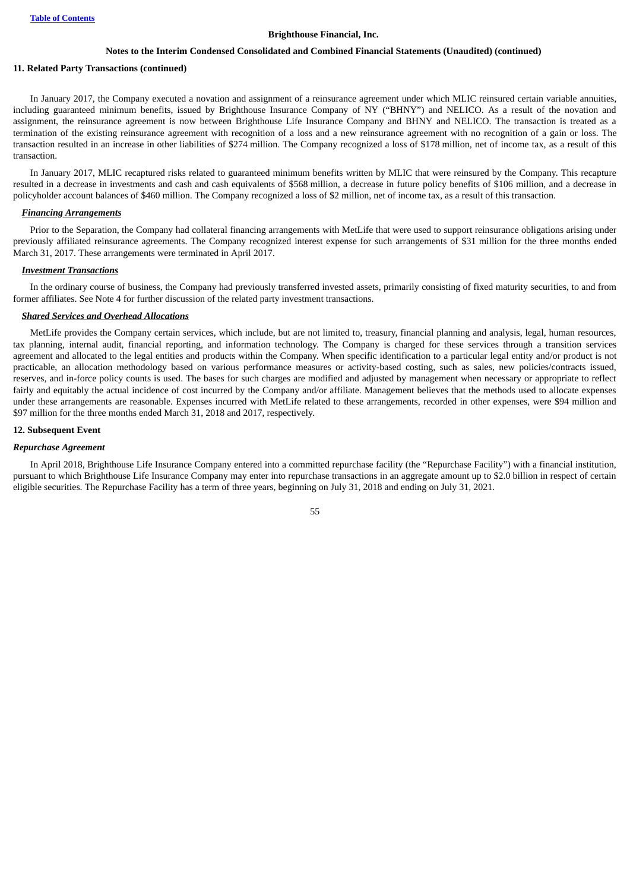## **Notes to the Interim Condensed Consolidated and Combined Financial Statements (Unaudited) (continued)**

## **11. Related Party Transactions (continued)**

In January 2017, the Company executed a novation and assignment of a reinsurance agreement under which MLIC reinsured certain variable annuities, including guaranteed minimum benefits, issued by Brighthouse Insurance Company of NY ("BHNY") and NELICO. As a result of the novation and assignment, the reinsurance agreement is now between Brighthouse Life Insurance Company and BHNY and NELICO. The transaction is treated as a termination of the existing reinsurance agreement with recognition of a loss and a new reinsurance agreement with no recognition of a gain or loss. The transaction resulted in an increase in other liabilities of \$274 million. The Company recognized a loss of \$178 million, net of income tax, as a result of this transaction.

In January 2017, MLIC recaptured risks related to guaranteed minimum benefits written by MLIC that were reinsured by the Company. This recapture resulted in a decrease in investments and cash and cash equivalents of \$568 million, a decrease in future policy benefits of \$106 million, and a decrease in policyholder account balances of \$460 million. The Company recognized a loss of \$2 million, net of income tax, as a result of this transaction.

#### *Financing Arrangements*

Prior to the Separation, the Company had collateral financing arrangements with MetLife that were used to support reinsurance obligations arising under previously affiliated reinsurance agreements. The Company recognized interest expense for such arrangements of \$31 million for the three months ended March 31, 2017. These arrangements were terminated in April 2017.

#### *Investment Transactions*

In the ordinary course of business, the Company had previously transferred invested assets, primarily consisting of fixed maturity securities, to and from former affiliates. See Note 4 for further discussion of the related party investment transactions.

#### *Shared Services and Overhead Allocations*

MetLife provides the Company certain services, which include, but are not limited to, treasury, financial planning and analysis, legal, human resources, tax planning, internal audit, financial reporting, and information technology. The Company is charged for these services through a transition services agreement and allocated to the legal entities and products within the Company. When specific identification to a particular legal entity and/or product is not practicable, an allocation methodology based on various performance measures or activity-based costing, such as sales, new policies/contracts issued, reserves, and in-force policy counts is used. The bases for such charges are modified and adjusted by management when necessary or appropriate to reflect fairly and equitably the actual incidence of cost incurred by the Company and/or affiliate. Management believes that the methods used to allocate expenses under these arrangements are reasonable. Expenses incurred with MetLife related to these arrangements, recorded in other expenses, were \$94 million and \$97 million for the three months ended March 31, 2018 and 2017, respectively.

#### **12. Subsequent Event**

### *Repurchase Agreement*

In April 2018, Brighthouse Life Insurance Company entered into a committed repurchase facility (the "Repurchase Facility") with a financial institution, pursuant to which Brighthouse Life Insurance Company may enter into repurchase transactions in an aggregate amount up to \$2.0 billion in respect of certain eligible securities. The Repurchase Facility has a term of three years, beginning on July 31, 2018 and ending on July 31, 2021.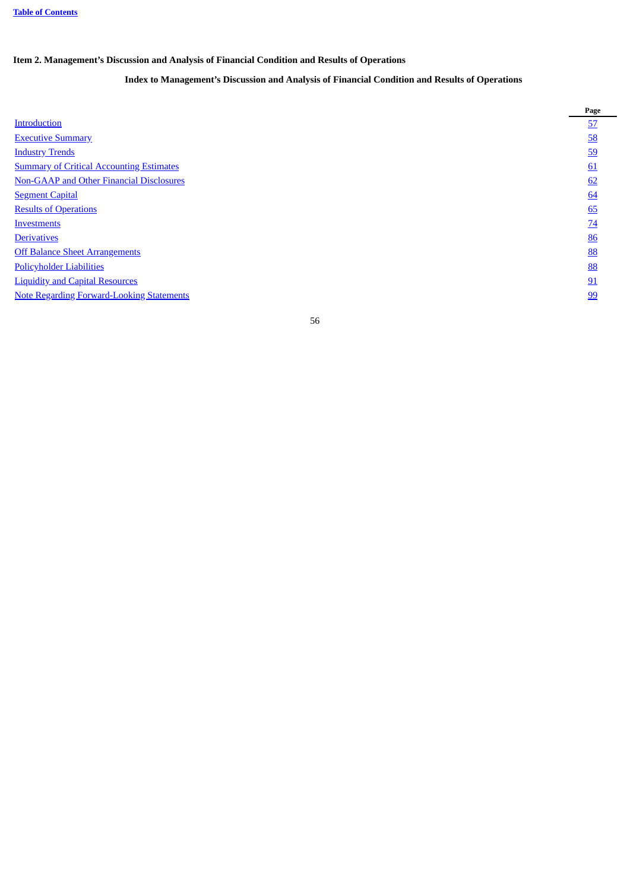# **Item 2. Management's Discussion and Analysis of Financial Condition and Results of Operations**

# **Index to Management's Discussion and Analysis of Financial Condition and Results of Operations**

|                                                  | Page            |
|--------------------------------------------------|-----------------|
| <b>Introduction</b>                              | 57              |
| <b>Executive Summary</b>                         | 58              |
| <b>Industry Trends</b>                           | 59              |
| <b>Summary of Critical Accounting Estimates</b>  | 61              |
| <b>Non-GAAP and Other Financial Disclosures</b>  | 62              |
| <b>Segment Capital</b>                           | 64              |
| <b>Results of Operations</b>                     | 65              |
| <b>Investments</b>                               | $\overline{74}$ |
| <b>Derivatives</b>                               | 86              |
| <b>Off Balance Sheet Arrangements</b>            | <b>88</b>       |
| <b>Policyholder Liabilities</b>                  | <b>88</b>       |
| <b>Liquidity and Capital Resources</b>           | 91              |
| <b>Note Regarding Forward-Looking Statements</b> | 99              |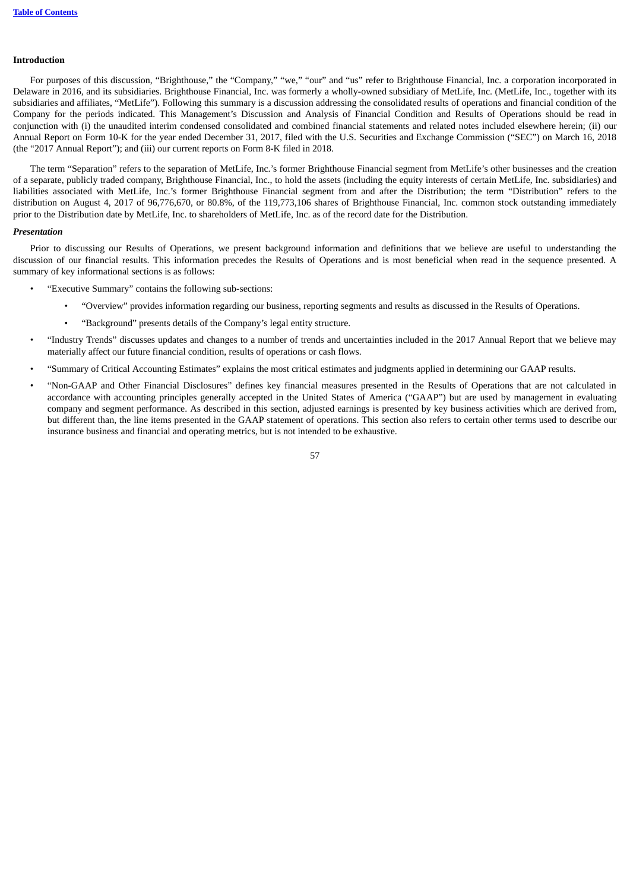### <span id="page-57-0"></span>**Introduction**

For purposes of this discussion, "Brighthouse," the "Company," "we," "our" and "us" refer to Brighthouse Financial, Inc. a corporation incorporated in Delaware in 2016, and its subsidiaries. Brighthouse Financial, Inc. was formerly a wholly-owned subsidiary of MetLife, Inc. (MetLife, Inc., together with its subsidiaries and affiliates, "MetLife"). Following this summary is a discussion addressing the consolidated results of operations and financial condition of the Company for the periods indicated. This Management's Discussion and Analysis of Financial Condition and Results of Operations should be read in conjunction with (i) the unaudited interim condensed consolidated and combined financial statements and related notes included elsewhere herein; (ii) our Annual Report on Form 10-K for the year ended December 31, 2017, filed with the U.S. Securities and Exchange Commission ("SEC") on March 16, 2018 (the "2017 Annual Report"); and (iii) our current reports on Form 8-K filed in 2018.

The term "Separation" refers to the separation of MetLife, Inc.'s former Brighthouse Financial segment from MetLife's other businesses and the creation of a separate, publicly traded company, Brighthouse Financial, Inc., to hold the assets (including the equity interests of certain MetLife, Inc. subsidiaries) and liabilities associated with MetLife, Inc.'s former Brighthouse Financial segment from and after the Distribution; the term "Distribution" refers to the distribution on August 4, 2017 of 96,776,670, or 80.8%, of the 119,773,106 shares of Brighthouse Financial, Inc. common stock outstanding immediately prior to the Distribution date by MetLife, Inc. to shareholders of MetLife, Inc. as of the record date for the Distribution.

#### *Presentation*

Prior to discussing our Results of Operations, we present background information and definitions that we believe are useful to understanding the discussion of our financial results. This information precedes the Results of Operations and is most beneficial when read in the sequence presented. A summary of key informational sections is as follows:

- "Executive Summary" contains the following sub-sections:
	- "Overview" provides information regarding our business, reporting segments and results as discussed in the Results of Operations.
	- "Background" presents details of the Company's legal entity structure.
- "Industry Trends" discusses updates and changes to a number of trends and uncertainties included in the 2017 Annual Report that we believe may materially affect our future financial condition, results of operations or cash flows.
- "Summary of Critical Accounting Estimates" explains the most critical estimates and judgments applied in determining our GAAP results.
- "Non-GAAP and Other Financial Disclosures" defines key financial measures presented in the Results of Operations that are not calculated in accordance with accounting principles generally accepted in the United States of America ("GAAP") but are used by management in evaluating company and segment performance. As described in this section, adjusted earnings is presented by key business activities which are derived from, but different than, the line items presented in the GAAP statement of operations. This section also refers to certain other terms used to describe our insurance business and financial and operating metrics, but is not intended to be exhaustive.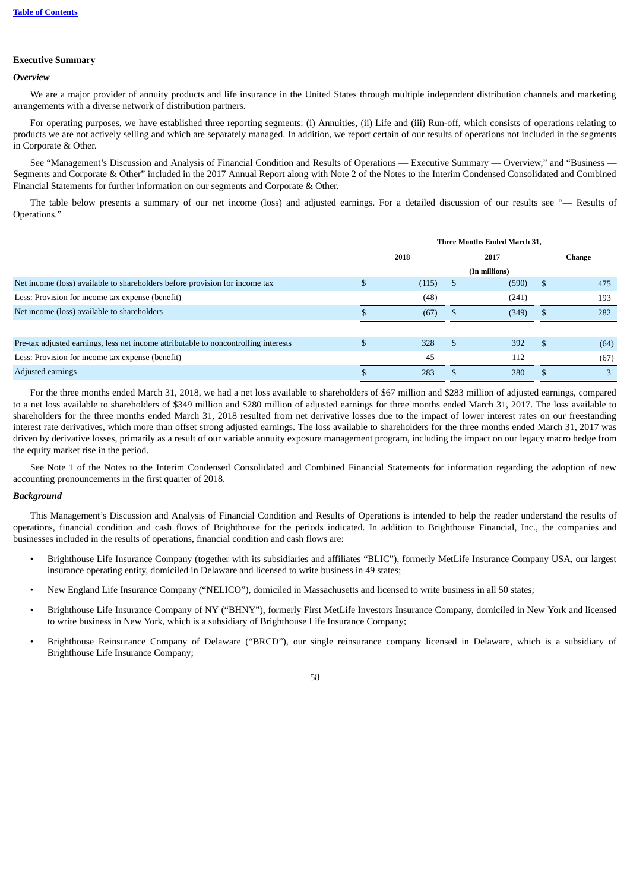## <span id="page-58-0"></span>**Executive Summary**

## *Overview*

We are a major provider of annuity products and life insurance in the United States through multiple independent distribution channels and marketing arrangements with a diverse network of distribution partners.

For operating purposes, we have established three reporting segments: (i) Annuities, (ii) Life and (iii) Run-off, which consists of operations relating to products we are not actively selling and which are separately managed. In addition, we report certain of our results of operations not included in the segments in Corporate & Other.

See "Management's Discussion and Analysis of Financial Condition and Results of Operations — Executive Summary — Overview," and "Business — Segments and Corporate & Other" included in the 2017 Annual Report along with Note 2 of the Notes to the Interim Condensed Consolidated and Combined Financial Statements for further information on our segments and Corporate & Other.

The table below presents a summary of our net income (loss) and adjusted earnings. For a detailed discussion of our results see "— Results of Operations."

|                                                                                     | Three Months Ended March 31, |       |                |               |                |        |
|-------------------------------------------------------------------------------------|------------------------------|-------|----------------|---------------|----------------|--------|
|                                                                                     | 2018                         |       | 2017           |               |                | Change |
|                                                                                     |                              |       |                | (In millions) |                |        |
| Net income (loss) available to shareholders before provision for income tax         | D                            | (115) | -5             | (590)         | - \$           | 475    |
| Less: Provision for income tax expense (benefit)                                    |                              | (48)  |                | (241)         |                | 193    |
| Net income (loss) available to shareholders                                         |                              | (67)  |                | (349)         | - \$           | 282    |
|                                                                                     |                              |       |                |               |                |        |
| Pre-tax adjusted earnings, less net income attributable to noncontrolling interests |                              | 328   | $\mathfrak{S}$ | 392           | $\mathfrak{L}$ | (64)   |
| Less: Provision for income tax expense (benefit)                                    |                              | 45    |                | 112           |                | (67)   |
| Adjusted earnings                                                                   |                              | 283   |                | 280           |                | 3      |

For the three months ended March 31, 2018, we had a net loss available to shareholders of \$67 million and \$283 million of adjusted earnings, compared to a net loss available to shareholders of \$349 million and \$280 million of adjusted earnings for three months ended March 31, 2017. The loss available to shareholders for the three months ended March 31, 2018 resulted from net derivative losses due to the impact of lower interest rates on our freestanding interest rate derivatives, which more than offset strong adjusted earnings. The loss available to shareholders for the three months ended March 31, 2017 was driven by derivative losses, primarily as a result of our variable annuity exposure management program, including the impact on our legacy macro hedge from the equity market rise in the period.

See Note 1 of the Notes to the Interim Condensed Consolidated and Combined Financial Statements for information regarding the adoption of new accounting pronouncements in the first quarter of 2018.

#### *Background*

This Management's Discussion and Analysis of Financial Condition and Results of Operations is intended to help the reader understand the results of operations, financial condition and cash flows of Brighthouse for the periods indicated. In addition to Brighthouse Financial, Inc., the companies and businesses included in the results of operations, financial condition and cash flows are:

- Brighthouse Life Insurance Company (together with its subsidiaries and affiliates "BLIC"), formerly MetLife Insurance Company USA, our largest insurance operating entity, domiciled in Delaware and licensed to write business in 49 states;
- New England Life Insurance Company ("NELICO"), domiciled in Massachusetts and licensed to write business in all 50 states;
- Brighthouse Life Insurance Company of NY ("BHNY"), formerly First MetLife Investors Insurance Company, domiciled in New York and licensed to write business in New York, which is a subsidiary of Brighthouse Life Insurance Company;
- Brighthouse Reinsurance Company of Delaware ("BRCD"), our single reinsurance company licensed in Delaware, which is a subsidiary of Brighthouse Life Insurance Company;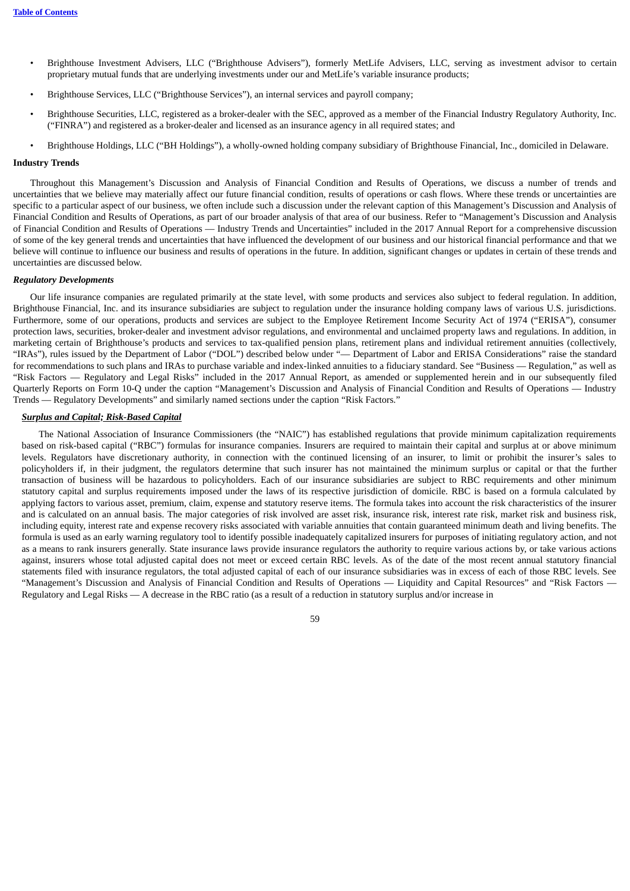- Brighthouse Investment Advisers, LLC ("Brighthouse Advisers"), formerly MetLife Advisers, LLC, serving as investment advisor to certain proprietary mutual funds that are underlying investments under our and MetLife's variable insurance products;
- Brighthouse Services, LLC ("Brighthouse Services"), an internal services and payroll company;
- Brighthouse Securities, LLC, registered as a broker-dealer with the SEC, approved as a member of the Financial Industry Regulatory Authority, Inc. ("FINRA") and registered as a broker-dealer and licensed as an insurance agency in all required states; and
- Brighthouse Holdings, LLC ("BH Holdings"), a wholly-owned holding company subsidiary of Brighthouse Financial, Inc., domiciled in Delaware.

#### <span id="page-59-0"></span>**Industry Trends**

Throughout this Management's Discussion and Analysis of Financial Condition and Results of Operations, we discuss a number of trends and uncertainties that we believe may materially affect our future financial condition, results of operations or cash flows. Where these trends or uncertainties are specific to a particular aspect of our business, we often include such a discussion under the relevant caption of this Management's Discussion and Analysis of Financial Condition and Results of Operations, as part of our broader analysis of that area of our business. Refer to "Management's Discussion and Analysis of Financial Condition and Results of Operations — Industry Trends and Uncertainties" included in the 2017 Annual Report for a comprehensive discussion of some of the key general trends and uncertainties that have influenced the development of our business and our historical financial performance and that we believe will continue to influence our business and results of operations in the future. In addition, significant changes or updates in certain of these trends and uncertainties are discussed below.

#### *Regulatory Developments*

Our life insurance companies are regulated primarily at the state level, with some products and services also subject to federal regulation. In addition, Brighthouse Financial, Inc. and its insurance subsidiaries are subject to regulation under the insurance holding company laws of various U.S. jurisdictions. Furthermore, some of our operations, products and services are subject to the Employee Retirement Income Security Act of 1974 ("ERISA"), consumer protection laws, securities, broker-dealer and investment advisor regulations, and environmental and unclaimed property laws and regulations. In addition, in marketing certain of Brighthouse's products and services to tax-qualified pension plans, retirement plans and individual retirement annuities (collectively, "IRAs"), rules issued by the Department of Labor ("DOL") described below under "— Department of Labor and ERISA Considerations" raise the standard for recommendations to such plans and IRAs to purchase variable and index-linked annuities to a fiduciary standard. See "Business — Regulation," as well as "Risk Factors — Regulatory and Legal Risks" included in the 2017 Annual Report, as amended or supplemented herein and in our subsequently filed Quarterly Reports on Form 10-Q under the caption "Management's Discussion and Analysis of Financial Condition and Results of Operations — Industry Trends — Regulatory Developments" and similarly named sections under the caption "Risk Factors."

#### *Surplus and Capital; Risk-Based Capital*

The National Association of Insurance Commissioners (the "NAIC") has established regulations that provide minimum capitalization requirements based on risk-based capital ("RBC") formulas for insurance companies. Insurers are required to maintain their capital and surplus at or above minimum levels. Regulators have discretionary authority, in connection with the continued licensing of an insurer, to limit or prohibit the insurer's sales to policyholders if, in their judgment, the regulators determine that such insurer has not maintained the minimum surplus or capital or that the further transaction of business will be hazardous to policyholders. Each of our insurance subsidiaries are subject to RBC requirements and other minimum statutory capital and surplus requirements imposed under the laws of its respective jurisdiction of domicile. RBC is based on a formula calculated by applying factors to various asset, premium, claim, expense and statutory reserve items. The formula takes into account the risk characteristics of the insurer and is calculated on an annual basis. The major categories of risk involved are asset risk, insurance risk, interest rate risk, market risk and business risk, including equity, interest rate and expense recovery risks associated with variable annuities that contain guaranteed minimum death and living benefits. The formula is used as an early warning regulatory tool to identify possible inadequately capitalized insurers for purposes of initiating regulatory action, and not as a means to rank insurers generally. State insurance laws provide insurance regulators the authority to require various actions by, or take various actions against, insurers whose total adjusted capital does not meet or exceed certain RBC levels. As of the date of the most recent annual statutory financial statements filed with insurance regulators, the total adjusted capital of each of our insurance subsidiaries was in excess of each of those RBC levels. See "Management's Discussion and Analysis of Financial Condition and Results of Operations — Liquidity and Capital Resources" and "Risk Factors — Regulatory and Legal Risks — A decrease in the RBC ratio (as a result of a reduction in statutory surplus and/or increase in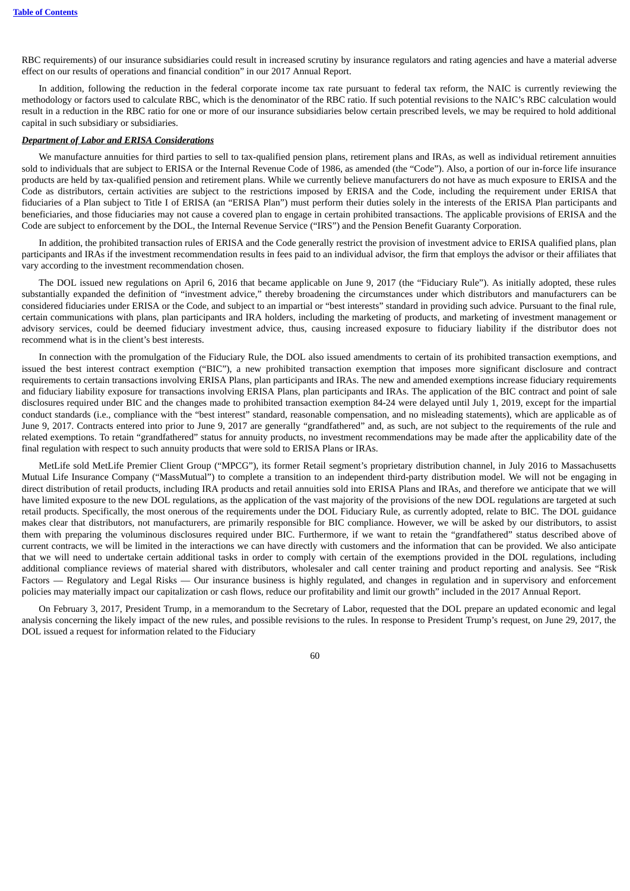RBC requirements) of our insurance subsidiaries could result in increased scrutiny by insurance regulators and rating agencies and have a material adverse effect on our results of operations and financial condition" in our 2017 Annual Report.

In addition, following the reduction in the federal corporate income tax rate pursuant to federal tax reform, the NAIC is currently reviewing the methodology or factors used to calculate RBC, which is the denominator of the RBC ratio. If such potential revisions to the NAIC's RBC calculation would result in a reduction in the RBC ratio for one or more of our insurance subsidiaries below certain prescribed levels, we may be required to hold additional capital in such subsidiary or subsidiaries.

# *Department of Labor and ERISA Considerations*

We manufacture annuities for third parties to sell to tax-qualified pension plans, retirement plans and IRAs, as well as individual retirement annuities sold to individuals that are subject to ERISA or the Internal Revenue Code of 1986, as amended (the "Code"). Also, a portion of our in-force life insurance products are held by tax-qualified pension and retirement plans. While we currently believe manufacturers do not have as much exposure to ERISA and the Code as distributors, certain activities are subject to the restrictions imposed by ERISA and the Code, including the requirement under ERISA that fiduciaries of a Plan subject to Title I of ERISA (an "ERISA Plan") must perform their duties solely in the interests of the ERISA Plan participants and beneficiaries, and those fiduciaries may not cause a covered plan to engage in certain prohibited transactions. The applicable provisions of ERISA and the Code are subject to enforcement by the DOL, the Internal Revenue Service ("IRS") and the Pension Benefit Guaranty Corporation.

In addition, the prohibited transaction rules of ERISA and the Code generally restrict the provision of investment advice to ERISA qualified plans, plan participants and IRAs if the investment recommendation results in fees paid to an individual advisor, the firm that employs the advisor or their affiliates that vary according to the investment recommendation chosen.

The DOL issued new regulations on April 6, 2016 that became applicable on June 9, 2017 (the "Fiduciary Rule"). As initially adopted, these rules substantially expanded the definition of "investment advice," thereby broadening the circumstances under which distributors and manufacturers can be considered fiduciaries under ERISA or the Code, and subject to an impartial or "best interests" standard in providing such advice. Pursuant to the final rule, certain communications with plans, plan participants and IRA holders, including the marketing of products, and marketing of investment management or advisory services, could be deemed fiduciary investment advice, thus, causing increased exposure to fiduciary liability if the distributor does not recommend what is in the client's best interests.

In connection with the promulgation of the Fiduciary Rule, the DOL also issued amendments to certain of its prohibited transaction exemptions, and issued the best interest contract exemption ("BIC"), a new prohibited transaction exemption that imposes more significant disclosure and contract requirements to certain transactions involving ERISA Plans, plan participants and IRAs. The new and amended exemptions increase fiduciary requirements and fiduciary liability exposure for transactions involving ERISA Plans, plan participants and IRAs. The application of the BIC contract and point of sale disclosures required under BIC and the changes made to prohibited transaction exemption 84-24 were delayed until July 1, 2019, except for the impartial conduct standards (i.e., compliance with the "best interest" standard, reasonable compensation, and no misleading statements), which are applicable as of June 9, 2017. Contracts entered into prior to June 9, 2017 are generally "grandfathered" and, as such, are not subject to the requirements of the rule and related exemptions. To retain "grandfathered" status for annuity products, no investment recommendations may be made after the applicability date of the final regulation with respect to such annuity products that were sold to ERISA Plans or IRAs.

MetLife sold MetLife Premier Client Group ("MPCG"), its former Retail segment's proprietary distribution channel, in July 2016 to Massachusetts Mutual Life Insurance Company ("MassMutual") to complete a transition to an independent third-party distribution model. We will not be engaging in direct distribution of retail products, including IRA products and retail annuities sold into ERISA Plans and IRAs, and therefore we anticipate that we will have limited exposure to the new DOL regulations, as the application of the vast majority of the provisions of the new DOL regulations are targeted at such retail products. Specifically, the most onerous of the requirements under the DOL Fiduciary Rule, as currently adopted, relate to BIC. The DOL guidance makes clear that distributors, not manufacturers, are primarily responsible for BIC compliance. However, we will be asked by our distributors, to assist them with preparing the voluminous disclosures required under BIC. Furthermore, if we want to retain the "grandfathered" status described above of current contracts, we will be limited in the interactions we can have directly with customers and the information that can be provided. We also anticipate that we will need to undertake certain additional tasks in order to comply with certain of the exemptions provided in the DOL regulations, including additional compliance reviews of material shared with distributors, wholesaler and call center training and product reporting and analysis. See "Risk Factors — Regulatory and Legal Risks — Our insurance business is highly regulated, and changes in regulation and in supervisory and enforcement policies may materially impact our capitalization or cash flows, reduce our profitability and limit our growth" included in the 2017 Annual Report.

On February 3, 2017, President Trump, in a memorandum to the Secretary of Labor, requested that the DOL prepare an updated economic and legal analysis concerning the likely impact of the new rules, and possible revisions to the rules. In response to President Trump's request, on June 29, 2017, the DOL issued a request for information related to the Fiduciary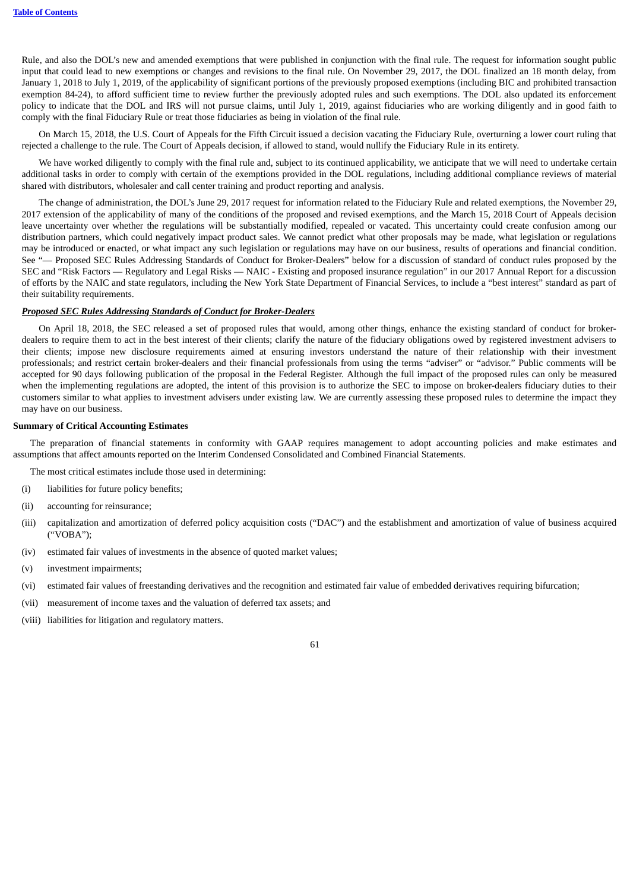Rule, and also the DOL's new and amended exemptions that were published in conjunction with the final rule. The request for information sought public input that could lead to new exemptions or changes and revisions to the final rule. On November 29, 2017, the DOL finalized an 18 month delay, from January 1, 2018 to July 1, 2019, of the applicability of significant portions of the previously proposed exemptions (including BIC and prohibited transaction exemption 84-24), to afford sufficient time to review further the previously adopted rules and such exemptions. The DOL also updated its enforcement policy to indicate that the DOL and IRS will not pursue claims, until July 1, 2019, against fiduciaries who are working diligently and in good faith to comply with the final Fiduciary Rule or treat those fiduciaries as being in violation of the final rule.

On March 15, 2018, the U.S. Court of Appeals for the Fifth Circuit issued a decision vacating the Fiduciary Rule, overturning a lower court ruling that rejected a challenge to the rule. The Court of Appeals decision, if allowed to stand, would nullify the Fiduciary Rule in its entirety.

We have worked diligently to comply with the final rule and, subject to its continued applicability, we anticipate that we will need to undertake certain additional tasks in order to comply with certain of the exemptions provided in the DOL regulations, including additional compliance reviews of material shared with distributors, wholesaler and call center training and product reporting and analysis.

The change of administration, the DOL's June 29, 2017 request for information related to the Fiduciary Rule and related exemptions, the November 29, 2017 extension of the applicability of many of the conditions of the proposed and revised exemptions, and the March 15, 2018 Court of Appeals decision leave uncertainty over whether the regulations will be substantially modified, repealed or vacated. This uncertainty could create confusion among our distribution partners, which could negatively impact product sales. We cannot predict what other proposals may be made, what legislation or regulations may be introduced or enacted, or what impact any such legislation or regulations may have on our business, results of operations and financial condition. See "— Proposed SEC Rules Addressing Standards of Conduct for Broker-Dealers" below for a discussion of standard of conduct rules proposed by the SEC and "Risk Factors — Regulatory and Legal Risks — NAIC - Existing and proposed insurance regulation" in our 2017 Annual Report for a discussion of efforts by the NAIC and state regulators, including the New York State Department of Financial Services, to include a "best interest" standard as part of their suitability requirements.

#### *Proposed SEC Rules Addressing Standards of Conduct for Broker-Dealers*

On April 18, 2018, the SEC released a set of proposed rules that would, among other things, enhance the existing standard of conduct for brokerdealers to require them to act in the best interest of their clients; clarify the nature of the fiduciary obligations owed by registered investment advisers to their clients; impose new disclosure requirements aimed at ensuring investors understand the nature of their relationship with their investment professionals; and restrict certain broker-dealers and their financial professionals from using the terms "adviser" or "advisor." Public comments will be accepted for 90 days following publication of the proposal in the Federal Register. Although the full impact of the proposed rules can only be measured when the implementing regulations are adopted, the intent of this provision is to authorize the SEC to impose on broker-dealers fiduciary duties to their customers similar to what applies to investment advisers under existing law. We are currently assessing these proposed rules to determine the impact they may have on our business.

#### <span id="page-61-0"></span>**Summary of Critical Accounting Estimates**

The preparation of financial statements in conformity with GAAP requires management to adopt accounting policies and make estimates and assumptions that affect amounts reported on the Interim Condensed Consolidated and Combined Financial Statements.

The most critical estimates include those used in determining:

- (i) liabilities for future policy benefits;
- (ii) accounting for reinsurance;
- (iii) capitalization and amortization of deferred policy acquisition costs ("DAC") and the establishment and amortization of value of business acquired ("VOBA");
- (iv) estimated fair values of investments in the absence of quoted market values;
- (v) investment impairments;
- (vi) estimated fair values of freestanding derivatives and the recognition and estimated fair value of embedded derivatives requiring bifurcation;
- (vii) measurement of income taxes and the valuation of deferred tax assets; and
- (viii) liabilities for litigation and regulatory matters.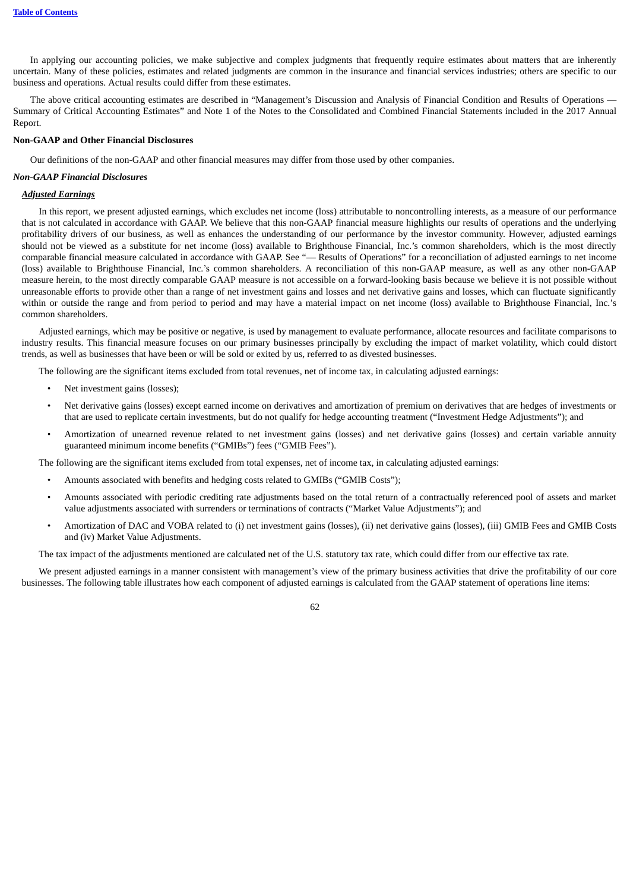In applying our accounting policies, we make subjective and complex judgments that frequently require estimates about matters that are inherently uncertain. Many of these policies, estimates and related judgments are common in the insurance and financial services industries; others are specific to our business and operations. Actual results could differ from these estimates.

The above critical accounting estimates are described in "Management's Discussion and Analysis of Financial Condition and Results of Operations — Summary of Critical Accounting Estimates" and Note 1 of the Notes to the Consolidated and Combined Financial Statements included in the 2017 Annual Report.

### <span id="page-62-0"></span>**Non-GAAP and Other Financial Disclosures**

Our definitions of the non-GAAP and other financial measures may differ from those used by other companies.

#### *Non-GAAP Financial Disclosures*

#### *Adjusted Earnings*

In this report, we present adjusted earnings, which excludes net income (loss) attributable to noncontrolling interests, as a measure of our performance that is not calculated in accordance with GAAP. We believe that this non-GAAP financial measure highlights our results of operations and the underlying profitability drivers of our business, as well as enhances the understanding of our performance by the investor community. However, adjusted earnings should not be viewed as a substitute for net income (loss) available to Brighthouse Financial, Inc.'s common shareholders, which is the most directly comparable financial measure calculated in accordance with GAAP. See "— Results of Operations" for a reconciliation of adjusted earnings to net income (loss) available to Brighthouse Financial, Inc.'s common shareholders. A reconciliation of this non-GAAP measure, as well as any other non-GAAP measure herein, to the most directly comparable GAAP measure is not accessible on a forward-looking basis because we believe it is not possible without unreasonable efforts to provide other than a range of net investment gains and losses and net derivative gains and losses, which can fluctuate significantly within or outside the range and from period to period and may have a material impact on net income (loss) available to Brighthouse Financial, Inc.'s common shareholders.

Adjusted earnings, which may be positive or negative, is used by management to evaluate performance, allocate resources and facilitate comparisons to industry results. This financial measure focuses on our primary businesses principally by excluding the impact of market volatility, which could distort trends, as well as businesses that have been or will be sold or exited by us, referred to as divested businesses.

The following are the significant items excluded from total revenues, net of income tax, in calculating adjusted earnings:

- Net investment gains (losses);
- Net derivative gains (losses) except earned income on derivatives and amortization of premium on derivatives that are hedges of investments or that are used to replicate certain investments, but do not qualify for hedge accounting treatment ("Investment Hedge Adjustments"); and
- Amortization of unearned revenue related to net investment gains (losses) and net derivative gains (losses) and certain variable annuity guaranteed minimum income benefits ("GMIBs") fees ("GMIB Fees").

The following are the significant items excluded from total expenses, net of income tax, in calculating adjusted earnings:

- Amounts associated with benefits and hedging costs related to GMIBs ("GMIB Costs");
- Amounts associated with periodic crediting rate adjustments based on the total return of a contractually referenced pool of assets and market value adjustments associated with surrenders or terminations of contracts ("Market Value Adjustments"); and
- Amortization of DAC and VOBA related to (i) net investment gains (losses), (ii) net derivative gains (losses), (iii) GMIB Fees and GMIB Costs and (iv) Market Value Adjustments.

The tax impact of the adjustments mentioned are calculated net of the U.S. statutory tax rate, which could differ from our effective tax rate.

We present adjusted earnings in a manner consistent with management's view of the primary business activities that drive the profitability of our core businesses. The following table illustrates how each component of adjusted earnings is calculated from the GAAP statement of operations line items: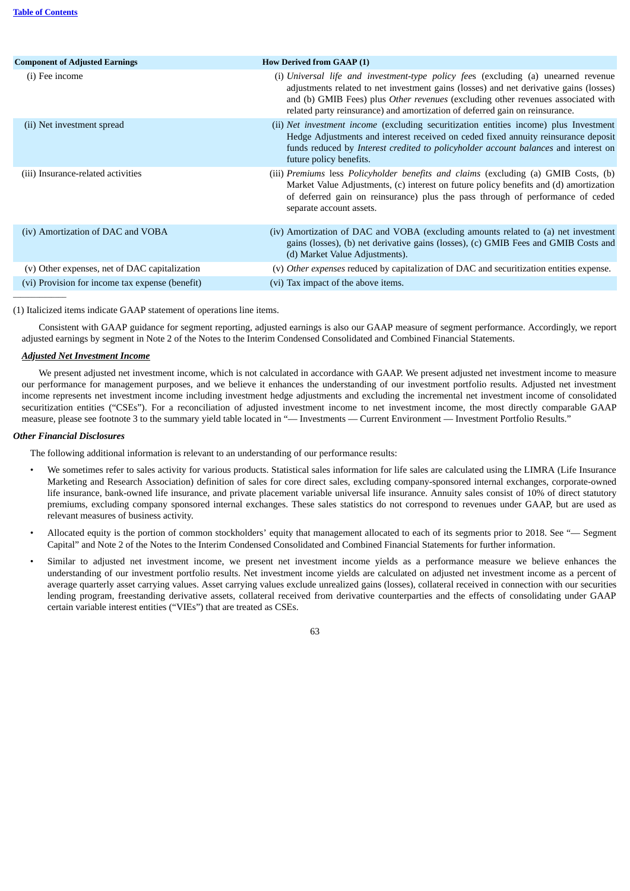| <b>Component of Adjusted Earnings</b>           | <b>How Derived from GAAP (1)</b>                                                                                                                                                                                                                                                                                                                 |
|-------------------------------------------------|--------------------------------------------------------------------------------------------------------------------------------------------------------------------------------------------------------------------------------------------------------------------------------------------------------------------------------------------------|
| (i) Fee income                                  | (i) Universal life and investment-type policy fees (excluding (a) unearned revenue<br>adjustments related to net investment gains (losses) and net derivative gains (losses)<br>and (b) GMIB Fees) plus Other revenues (excluding other revenues associated with<br>related party reinsurance) and amortization of deferred gain on reinsurance. |
| (ii) Net investment spread                      | (ii) Net investment income (excluding securitization entities income) plus Investment<br>Hedge Adjustments and interest received on ceded fixed annuity reinsurance deposit<br>funds reduced by Interest credited to policyholder account balances and interest on<br>future policy benefits.                                                    |
| (iii) Insurance-related activities              | (iii) Premiums less Policyholder benefits and claims (excluding (a) GMIB Costs, (b)<br>Market Value Adjustments, (c) interest on future policy benefits and (d) amortization<br>of deferred gain on reinsurance) plus the pass through of performance of ceded<br>separate account assets.                                                       |
| (iv) Amortization of DAC and VOBA               | (iv) Amortization of DAC and VOBA (excluding amounts related to (a) net investment<br>gains (losses), (b) net derivative gains (losses), (c) GMIB Fees and GMIB Costs and<br>(d) Market Value Adjustments).                                                                                                                                      |
| (v) Other expenses, net of DAC capitalization   | (v) Other expenses reduced by capitalization of DAC and securitization entities expense.                                                                                                                                                                                                                                                         |
| (vi) Provision for income tax expense (benefit) | (vi) Tax impact of the above items.                                                                                                                                                                                                                                                                                                              |

#### (1) Italicized items indicate GAAP statement of operations line items.

Consistent with GAAP guidance for segment reporting, adjusted earnings is also our GAAP measure of segment performance. Accordingly, we report adjusted earnings by segment in Note 2 of the Notes to the Interim Condensed Consolidated and Combined Financial Statements.

## *Adjusted Net Investment Income*

 $\mathcal{L}_\text{max}$  and  $\mathcal{L}_\text{max}$ 

We present adjusted net investment income, which is not calculated in accordance with GAAP. We present adjusted net investment income to measure our performance for management purposes, and we believe it enhances the understanding of our investment portfolio results. Adjusted net investment income represents net investment income including investment hedge adjustments and excluding the incremental net investment income of consolidated securitization entities ("CSEs"). For a reconciliation of adjusted investment income to net investment income, the most directly comparable GAAP measure, please see footnote 3 to the summary yield table located in "— Investments — Current Environment — Investment Portfolio Results."

#### *Other Financial Disclosures*

The following additional information is relevant to an understanding of our performance results:

- We sometimes refer to sales activity for various products. Statistical sales information for life sales are calculated using the LIMRA (Life Insurance Marketing and Research Association) definition of sales for core direct sales, excluding company-sponsored internal exchanges, corporate-owned life insurance, bank-owned life insurance, and private placement variable universal life insurance. Annuity sales consist of 10% of direct statutory premiums, excluding company sponsored internal exchanges. These sales statistics do not correspond to revenues under GAAP, but are used as relevant measures of business activity.
- Allocated equity is the portion of common stockholders' equity that management allocated to each of its segments prior to 2018. See "— Segment Capital" and Note 2 of the Notes to the Interim Condensed Consolidated and Combined Financial Statements for further information.
- Similar to adjusted net investment income, we present net investment income yields as a performance measure we believe enhances the understanding of our investment portfolio results. Net investment income yields are calculated on adjusted net investment income as a percent of average quarterly asset carrying values. Asset carrying values exclude unrealized gains (losses), collateral received in connection with our securities lending program, freestanding derivative assets, collateral received from derivative counterparties and the effects of consolidating under GAAP certain variable interest entities ("VIEs") that are treated as CSEs.

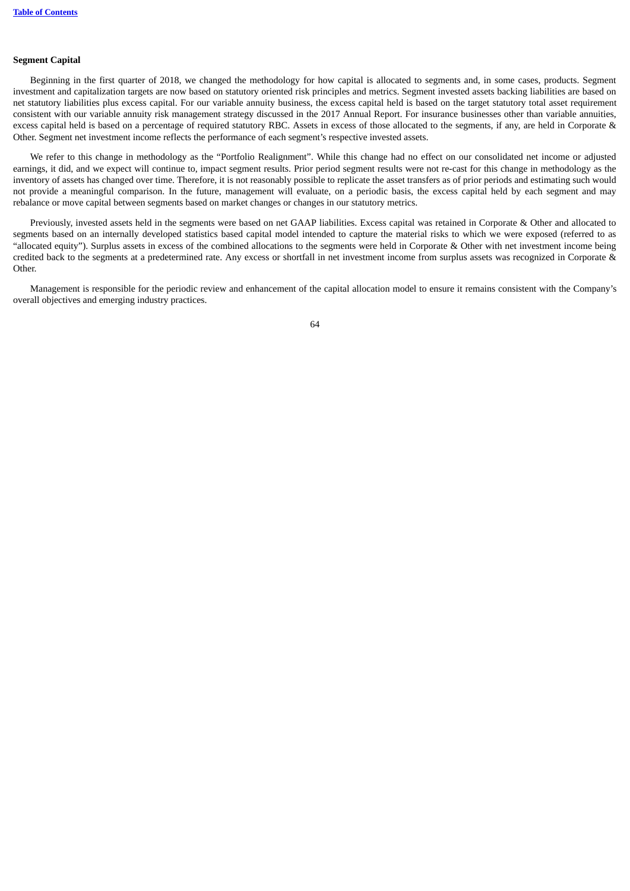## <span id="page-64-0"></span>**Segment Capital**

Beginning in the first quarter of 2018, we changed the methodology for how capital is allocated to segments and, in some cases, products. Segment investment and capitalization targets are now based on statutory oriented risk principles and metrics. Segment invested assets backing liabilities are based on net statutory liabilities plus excess capital. For our variable annuity business, the excess capital held is based on the target statutory total asset requirement consistent with our variable annuity risk management strategy discussed in the 2017 Annual Report. For insurance businesses other than variable annuities, excess capital held is based on a percentage of required statutory RBC. Assets in excess of those allocated to the segments, if any, are held in Corporate & Other. Segment net investment income reflects the performance of each segment's respective invested assets.

We refer to this change in methodology as the "Portfolio Realignment". While this change had no effect on our consolidated net income or adjusted earnings, it did, and we expect will continue to, impact segment results. Prior period segment results were not re-cast for this change in methodology as the inventory of assets has changed over time. Therefore, it is not reasonably possible to replicate the asset transfers as of prior periods and estimating such would not provide a meaningful comparison. In the future, management will evaluate, on a periodic basis, the excess capital held by each segment and may rebalance or move capital between segments based on market changes or changes in our statutory metrics.

Previously, invested assets held in the segments were based on net GAAP liabilities. Excess capital was retained in Corporate & Other and allocated to segments based on an internally developed statistics based capital model intended to capture the material risks to which we were exposed (referred to as "allocated equity"). Surplus assets in excess of the combined allocations to the segments were held in Corporate & Other with net investment income being credited back to the segments at a predetermined rate. Any excess or shortfall in net investment income from surplus assets was recognized in Corporate & Other.

Management is responsible for the periodic review and enhancement of the capital allocation model to ensure it remains consistent with the Company's overall objectives and emerging industry practices.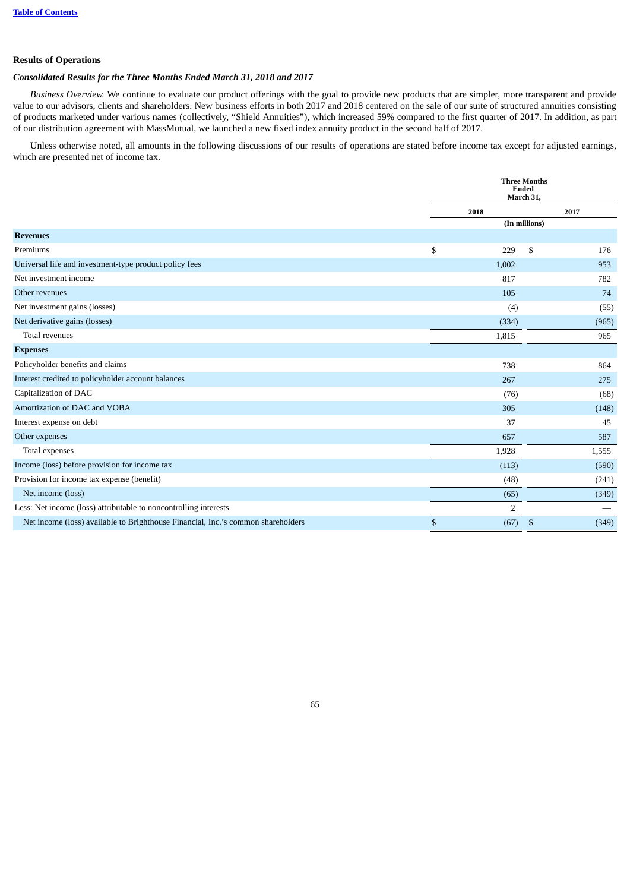# <span id="page-65-0"></span>**Results of Operations**

## *Consolidated Results for the Three Months Ended March 31, 2018 and 2017*

*Business Overview.* We continue to evaluate our product offerings with the goal to provide new products that are simpler, more transparent and provide value to our advisors, clients and shareholders. New business efforts in both 2017 and 2018 centered on the sale of our suite of structured annuities consisting of products marketed under various names (collectively, "Shield Annuities"), which increased 59% compared to the first quarter of 2017. In addition, as part of our distribution agreement with MassMutual, we launched a new fixed index annuity product in the second half of 2017.

Unless otherwise noted, all amounts in the following discussions of our results of operations are stated before income tax except for adjusted earnings, which are presented net of income tax.

|                                                                                  | <b>Three Months</b><br><b>Ended</b><br>March 31, |               |  |  |
|----------------------------------------------------------------------------------|--------------------------------------------------|---------------|--|--|
|                                                                                  | 2018                                             | 2017          |  |  |
| <b>Revenues</b>                                                                  |                                                  | (In millions) |  |  |
| Premiums                                                                         | \$<br>229                                        | \$<br>176     |  |  |
| Universal life and investment-type product policy fees                           | 1,002                                            | 953           |  |  |
| Net investment income                                                            | 817                                              | 782           |  |  |
| Other revenues                                                                   | 105                                              | 74            |  |  |
| Net investment gains (losses)                                                    | (4)                                              | (55)          |  |  |
| Net derivative gains (losses)                                                    | (334)                                            | (965)         |  |  |
| <b>Total revenues</b>                                                            | 1,815                                            | 965           |  |  |
| <b>Expenses</b>                                                                  |                                                  |               |  |  |
| Policyholder benefits and claims                                                 | 738                                              | 864           |  |  |
| Interest credited to policyholder account balances                               | 267                                              | 275           |  |  |
| Capitalization of DAC                                                            | (76)                                             | (68)          |  |  |
| Amortization of DAC and VOBA                                                     | 305                                              | (148)         |  |  |
| Interest expense on debt                                                         | 37                                               | 45            |  |  |
| Other expenses                                                                   | 657                                              | 587           |  |  |
| Total expenses                                                                   | 1,928                                            | 1,555         |  |  |
| Income (loss) before provision for income tax                                    | (113)                                            | (590)         |  |  |
| Provision for income tax expense (benefit)                                       | (48)                                             | (241)         |  |  |
| Net income (loss)                                                                | (65)                                             | (349)         |  |  |
| Less: Net income (loss) attributable to noncontrolling interests                 | $\overline{2}$                                   |               |  |  |
| Net income (loss) available to Brighthouse Financial, Inc.'s common shareholders | (67)<br>\$                                       | \$<br>(349)   |  |  |

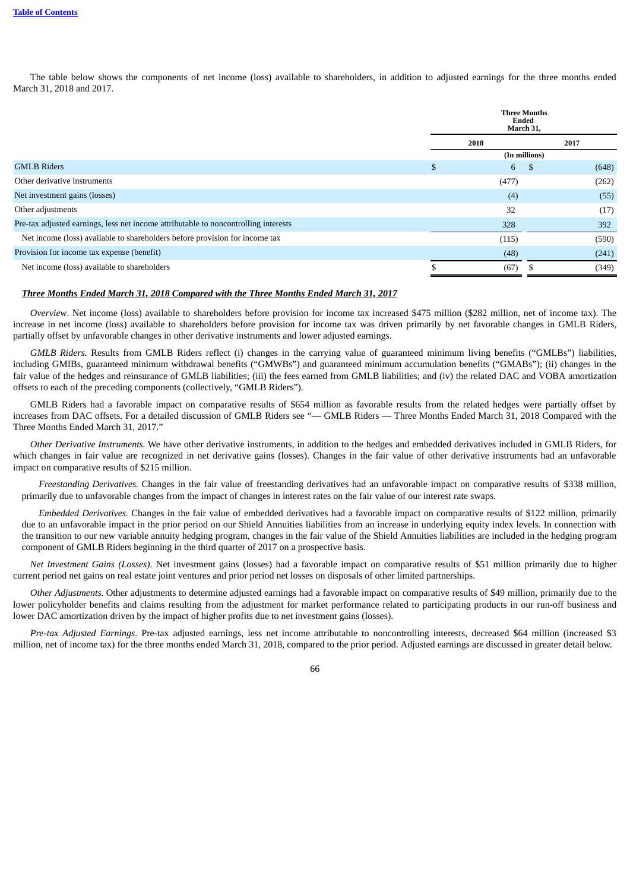The table below shows the components of net income (loss) available to shareholders, in addition to adjusted earnings for the three months ended March 31, 2018 and 2017.

|                                                                                     | <b>Three Months</b><br>Ended<br>March 31, |       |               |       |  |
|-------------------------------------------------------------------------------------|-------------------------------------------|-------|---------------|-------|--|
|                                                                                     | 2018                                      |       |               | 2017  |  |
|                                                                                     |                                           |       | (In millions) |       |  |
| <b>GMLB Riders</b>                                                                  | S                                         | 6     | \$.           | (648) |  |
| Other derivative instruments                                                        |                                           | (477) |               | (262) |  |
| Net investment gains (losses)                                                       |                                           | (4)   |               | (55)  |  |
| Other adjustments                                                                   |                                           | 32    |               | (17)  |  |
| Pre-tax adjusted earnings, less net income attributable to noncontrolling interests |                                           | 328   |               | 392   |  |
| Net income (loss) available to shareholders before provision for income tax         |                                           | (115) |               | (590) |  |
| Provision for income tax expense (benefit)                                          |                                           | (48)  |               | (241) |  |
| Net income (loss) available to shareholders                                         |                                           | (67)  |               | (349) |  |

## *Three Months Ended March 31, 2018 Compared with the Three Months Ended March 31, 2017*

*Overview*. Net income (loss) available to shareholders before provision for income tax increased \$475 million (\$282 million, net of income tax). The increase in net income (loss) available to shareholders before provision for income tax was driven primarily by net favorable changes in GMLB Riders, partially offset by unfavorable changes in other derivative instruments and lower adjusted earnings.

*GMLB Riders.* Results from GMLB Riders reflect (i) changes in the carrying value of guaranteed minimum living benefits ("GMLBs") liabilities, including GMIBs, guaranteed minimum withdrawal benefits ("GMWBs") and guaranteed minimum accumulation benefits ("GMABs"); (ii) changes in the fair value of the hedges and reinsurance of GMLB liabilities; (iii) the fees earned from GMLB liabilities; and (iv) the related DAC and VOBA amortization offsets to each of the preceding components (collectively, "GMLB Riders").

GMLB Riders had a favorable impact on comparative results of \$654 million as favorable results from the related hedges were partially offset by increases from DAC offsets. For a detailed discussion of GMLB Riders see "— GMLB Riders — Three Months Ended March 31, 2018 Compared with the Three Months Ended March 31, 2017."

*Other Derivative Instruments.* We have other derivative instruments, in addition to the hedges and embedded derivatives included in GMLB Riders, for which changes in fair value are recognized in net derivative gains (losses). Changes in the fair value of other derivative instruments had an unfavorable impact on comparative results of \$215 million.

*Freestanding Derivatives.* Changes in the fair value of freestanding derivatives had an unfavorable impact on comparative results of \$338 million, primarily due to unfavorable changes from the impact of changes in interest rates on the fair value of our interest rate swaps.

*Embedded Derivatives.* Changes in the fair value of embedded derivatives had a favorable impact on comparative results of \$122 million, primarily due to an unfavorable impact in the prior period on our Shield Annuities liabilities from an increase in underlying equity index levels. In connection with the transition to our new variable annuity hedging program, changes in the fair value of the Shield Annuities liabilities are included in the hedging program component of GMLB Riders beginning in the third quarter of 2017 on a prospective basis.

*Net Investment Gains (Losses).* Net investment gains (losses) had a favorable impact on comparative results of \$51 million primarily due to higher current period net gains on real estate joint ventures and prior period net losses on disposals of other limited partnerships.

*Other Adjustments.* Other adjustments to determine adjusted earnings had a favorable impact on comparative results of \$49 million, primarily due to the lower policyholder benefits and claims resulting from the adjustment for market performance related to participating products in our run-off business and lower DAC amortization driven by the impact of higher profits due to net investment gains (losses).

*Pre-tax Adjusted Earnings*. Pre-tax adjusted earnings, less net income attributable to noncontrolling interests, decreased \$64 million (increased \$3 million, net of income tax) for the three months ended March 31, 2018, compared to the prior period. Adjusted earnings are discussed in greater detail below.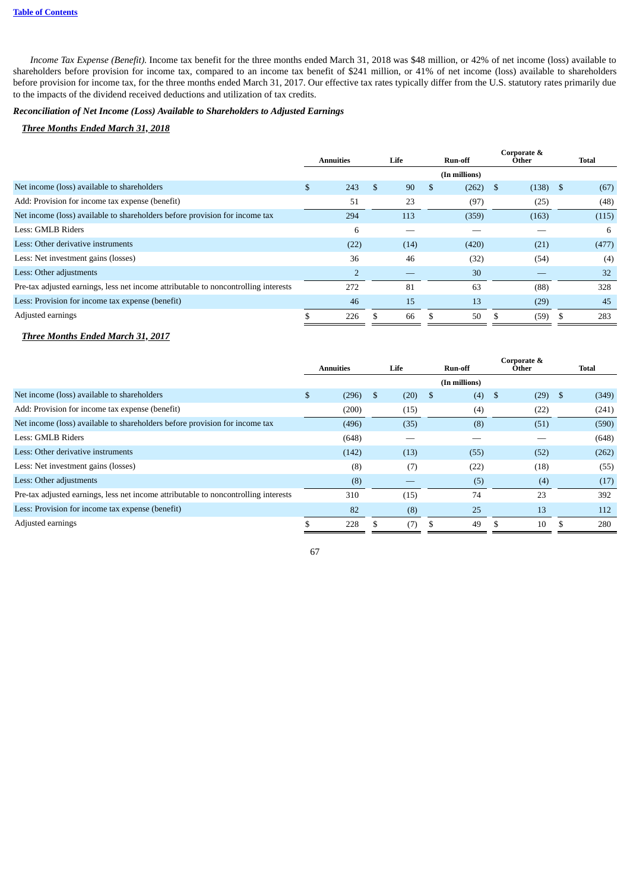*Income Tax Expense (Benefit).* Income tax benefit for the three months ended March 31, 2018 was \$48 million, or 42% of net income (loss) available to shareholders before provision for income tax, compared to an income tax benefit of \$241 million, or 41% of net income (loss) available to shareholders before provision for income tax, for the three months ended March 31, 2017. Our effective tax rates typically differ from the U.S. statutory rates primarily due to the impacts of the dividend received deductions and utilization of tax credits.

# *Reconciliation of Net Income (Loss) Available to Shareholders to Adjusted Earnings*

# *Three Months Ended March 31, 2018*

|                                                                                     | <b>Annuities</b> | Life | <b>Run-off</b> | Corporate &<br>Other | Total |
|-------------------------------------------------------------------------------------|------------------|------|----------------|----------------------|-------|
|                                                                                     |                  |      | (In millions)  |                      |       |
| Net income (loss) available to shareholders                                         | \$<br>243        | 90   | (262)<br>\$    | $(138)$ \$<br>- \$   | (67)  |
| Add: Provision for income tax expense (benefit)                                     | 51               | 23   | (97)           | (25)                 | (48)  |
| Net income (loss) available to shareholders before provision for income tax         | 294              | 113  | (359)          | (163)                | (115) |
| Less: GMLB Riders                                                                   | 6                |      |                |                      | 6     |
| Less: Other derivative instruments                                                  | (22)             | (14) | (420)          | (21)                 | (477) |
| Less: Net investment gains (losses)                                                 | 36               | 46   | (32)           | (54)                 | (4)   |
| Less: Other adjustments                                                             | $\overline{2}$   |      | 30             |                      | 32    |
| Pre-tax adjusted earnings, less net income attributable to noncontrolling interests | 272              | 81   | 63             | (88)                 | 328   |
| Less: Provision for income tax expense (benefit)                                    | 46               | 15   | 13             | (29)                 | 45    |
| Adjusted earnings                                                                   | 226              | 66   | 50             | (59)                 | 283   |

## *Three Months Ended March 31, 2017*

|                                                                                     | <b>Annuities</b> | Life      | Run-off          | Corporate &<br>Other | Total         |
|-------------------------------------------------------------------------------------|------------------|-----------|------------------|----------------------|---------------|
|                                                                                     |                  |           | (In millions)    |                      |               |
| Net income (loss) available to shareholders                                         | \$<br>(296)      | (20)<br>S | $(4)$ \$<br>- \$ | (29)                 | (349)<br>- \$ |
| Add: Provision for income tax expense (benefit)                                     | (200)            | (15)      | (4)              | (22)                 | (241)         |
| Net income (loss) available to shareholders before provision for income tax         | (496)            | (35)      | (8)              | (51)                 | (590)         |
| Less: GMLB Riders                                                                   | (648)            |           |                  |                      | (648)         |
| Less: Other derivative instruments                                                  | (142)            | (13)      | (55)             | (52)                 | (262)         |
| Less: Net investment gains (losses)                                                 | (8)              | (7)       | (22)             | (18)                 | (55)          |
| Less: Other adjustments                                                             | (8)              |           | (5)              | (4)                  | (17)          |
| Pre-tax adjusted earnings, less net income attributable to noncontrolling interests | 310              | (15)      | 74               | 23                   | 392           |
| Less: Provision for income tax expense (benefit)                                    | 82               | (8)       | 25               | 13                   | 112           |
| Adjusted earnings                                                                   | 228              | (7)       | 49               | 10                   | 280           |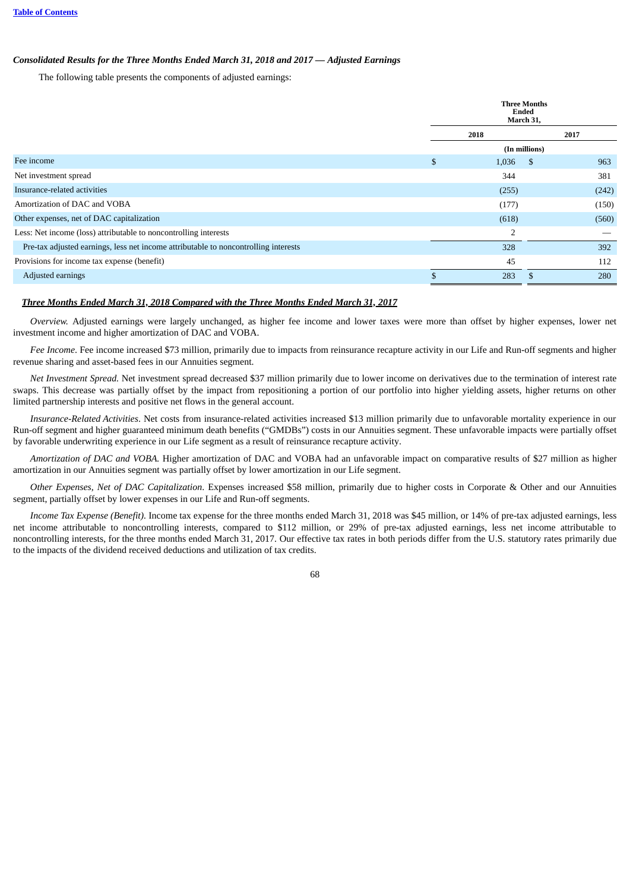# *Consolidated Results for the Three Months Ended March 31, 2018 and 2017 — Adjusted Earnings*

The following table presents the components of adjusted earnings:

|                                                                                     | <b>Three Months</b><br><b>Ended</b><br>March 31, |               |   |       |
|-------------------------------------------------------------------------------------|--------------------------------------------------|---------------|---|-------|
|                                                                                     |                                                  | 2018          |   | 2017  |
|                                                                                     |                                                  | (In millions) |   |       |
| Fee income                                                                          | \$                                               | 1,036         | S | 963   |
| Net investment spread                                                               |                                                  | 344           |   | 381   |
| Insurance-related activities                                                        |                                                  | (255)         |   | (242) |
| Amortization of DAC and VOBA                                                        |                                                  | (177)         |   | (150) |
| Other expenses, net of DAC capitalization                                           |                                                  | (618)         |   | (560) |
| Less: Net income (loss) attributable to noncontrolling interests                    |                                                  | 2             |   |       |
| Pre-tax adjusted earnings, less net income attributable to noncontrolling interests |                                                  | 328           |   | 392   |
| Provisions for income tax expense (benefit)                                         |                                                  | 45            |   | 112   |
| Adjusted earnings                                                                   |                                                  | 283           |   | 280   |

## *Three Months Ended March 31, 2018 Compared with the Three Months Ended March 31, 2017*

*Overview.* Adjusted earnings were largely unchanged, as higher fee income and lower taxes were more than offset by higher expenses, lower net investment income and higher amortization of DAC and VOBA.

*Fee Income*. Fee income increased \$73 million, primarily due to impacts from reinsurance recapture activity in our Life and Run-off segments and higher revenue sharing and asset-based fees in our Annuities segment.

*Net Investment Spread.* Net investment spread decreased \$37 million primarily due to lower income on derivatives due to the termination of interest rate swaps. This decrease was partially offset by the impact from repositioning a portion of our portfolio into higher yielding assets, higher returns on other limited partnership interests and positive net flows in the general account.

*Insurance-Related Activities*. Net costs from insurance-related activities increased \$13 million primarily due to unfavorable mortality experience in our Run-off segment and higher guaranteed minimum death benefits ("GMDBs") costs in our Annuities segment. These unfavorable impacts were partially offset by favorable underwriting experience in our Life segment as a result of reinsurance recapture activity.

*Amortization of DAC and VOBA.* Higher amortization of DAC and VOBA had an unfavorable impact on comparative results of \$27 million as higher amortization in our Annuities segment was partially offset by lower amortization in our Life segment.

*Other Expenses, Net of DAC Capitalization*. Expenses increased \$58 million, primarily due to higher costs in Corporate & Other and our Annuities segment, partially offset by lower expenses in our Life and Run-off segments.

*Income Tax Expense (Benefit).* Income tax expense for the three months ended March 31, 2018 was \$45 million, or 14% of pre-tax adjusted earnings, less net income attributable to noncontrolling interests, compared to \$112 million, or 29% of pre-tax adjusted earnings, less net income attributable to noncontrolling interests, for the three months ended March 31, 2017. Our effective tax rates in both periods differ from the U.S. statutory rates primarily due to the impacts of the dividend received deductions and utilization of tax credits.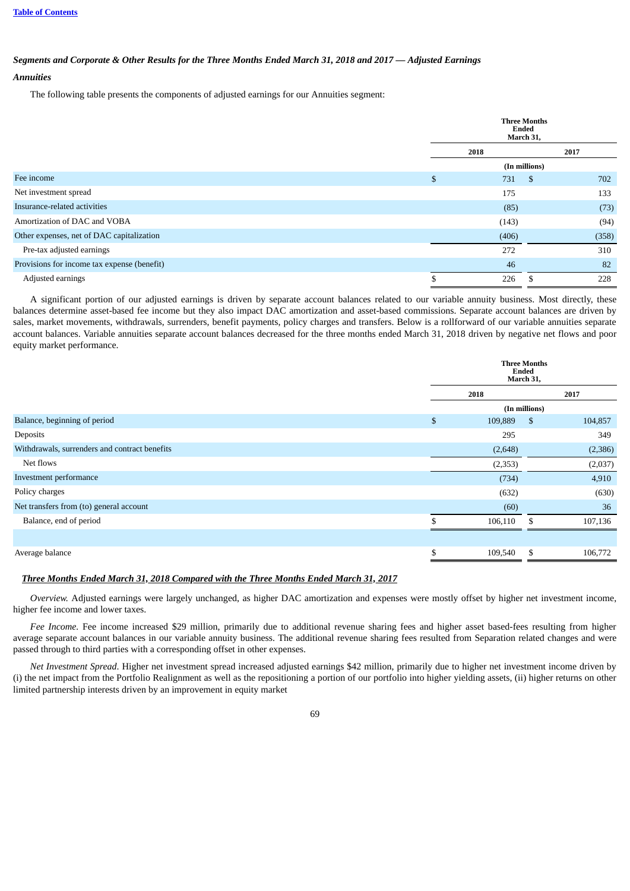# Segments and Corporate & Other Results for the Three Months Ended March 31, 2018 and 2017 - Adjusted Earnings

## *Annuities*

The following table presents the components of adjusted earnings for our Annuities segment:

|                                             | <b>Three Months</b><br>Ended<br>March 31, |            |       |
|---------------------------------------------|-------------------------------------------|------------|-------|
|                                             | 2018                                      |            | 2017  |
|                                             | (In millions)                             |            |       |
| Fee income                                  | \$<br>731                                 | $^{\circ}$ | 702   |
| Net investment spread                       | 175                                       |            | 133   |
| Insurance-related activities                | (85)                                      |            | (73)  |
| Amortization of DAC and VOBA                | (143)                                     |            | (94)  |
| Other expenses, net of DAC capitalization   | (406)                                     |            | (358) |
| Pre-tax adjusted earnings                   | 272                                       |            | 310   |
| Provisions for income tax expense (benefit) | 46                                        |            | 82    |
| Adjusted earnings                           | \$<br>226                                 |            | 228   |

A significant portion of our adjusted earnings is driven by separate account balances related to our variable annuity business. Most directly, these balances determine asset-based fee income but they also impact DAC amortization and asset-based commissions. Separate account balances are driven by sales, market movements, withdrawals, surrenders, benefit payments, policy charges and transfers. Below is a rollforward of our variable annuities separate account balances. Variable annuities separate account balances decreased for the three months ended March 31, 2018 driven by negative net flows and poor equity market performance.

|                                               | <b>Three Months</b><br><b>Ended</b><br>March 31, |          |               |         |  |
|-----------------------------------------------|--------------------------------------------------|----------|---------------|---------|--|
|                                               |                                                  | 2018     |               | 2017    |  |
|                                               |                                                  |          | (In millions) |         |  |
| Balance, beginning of period                  | \$                                               | 109,889  | \$            | 104,857 |  |
| Deposits                                      |                                                  | 295      |               | 349     |  |
| Withdrawals, surrenders and contract benefits |                                                  | (2,648)  |               | (2,386) |  |
| Net flows                                     |                                                  | (2, 353) |               | (2,037) |  |
| Investment performance                        |                                                  | (734)    |               | 4,910   |  |
| Policy charges                                |                                                  | (632)    |               | (630)   |  |
| Net transfers from (to) general account       |                                                  | (60)     |               | 36      |  |
| Balance, end of period                        |                                                  | 106,110  |               | 107,136 |  |
|                                               |                                                  |          |               |         |  |
| Average balance                               | \$                                               | 109,540  | \$            | 106,772 |  |

## *Three Months Ended March 31, 2018 Compared with the Three Months Ended March 31, 2017*

*Overview.* Adjusted earnings were largely unchanged, as higher DAC amortization and expenses were mostly offset by higher net investment income, higher fee income and lower taxes.

*Fee Income.* Fee income increased \$29 million, primarily due to additional revenue sharing fees and higher asset based-fees resulting from higher average separate account balances in our variable annuity business. The additional revenue sharing fees resulted from Separation related changes and were passed through to third parties with a corresponding offset in other expenses.

*Net Investment Spread*. Higher net investment spread increased adjusted earnings \$42 million, primarily due to higher net investment income driven by (i) the net impact from the Portfolio Realignment as well as the repositioning a portion of our portfolio into higher yielding assets, (ii) higher returns on other limited partnership interests driven by an improvement in equity market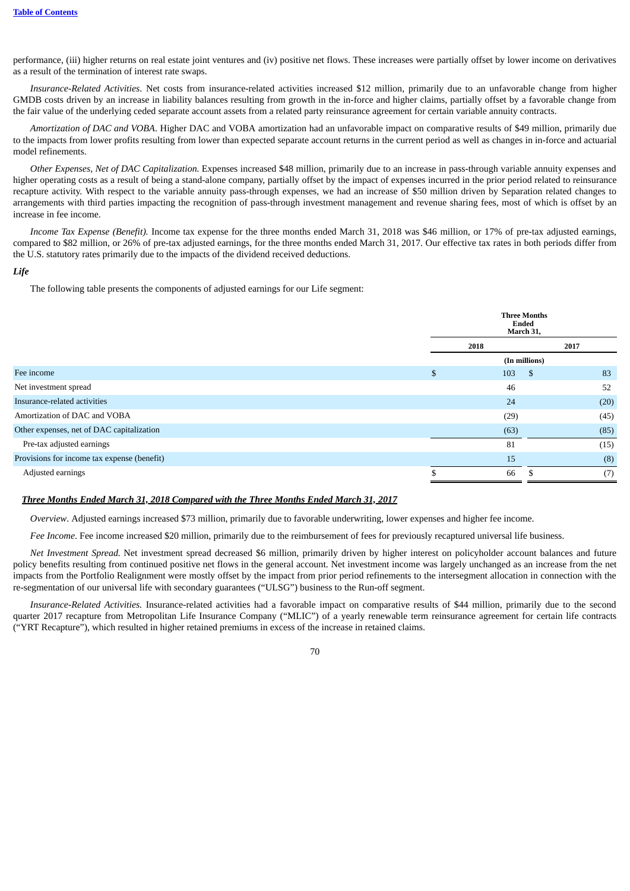performance, (iii) higher returns on real estate joint ventures and (iv) positive net flows. These increases were partially offset by lower income on derivatives as a result of the termination of interest rate swaps.

*Insurance-Related Activities*. Net costs from insurance-related activities increased \$12 million, primarily due to an unfavorable change from higher GMDB costs driven by an increase in liability balances resulting from growth in the in-force and higher claims, partially offset by a favorable change from the fair value of the underlying ceded separate account assets from a related party reinsurance agreement for certain variable annuity contracts.

*Amortization of DAC and VOBA*. Higher DAC and VOBA amortization had an unfavorable impact on comparative results of \$49 million, primarily due to the impacts from lower profits resulting from lower than expected separate account returns in the current period as well as changes in in-force and actuarial model refinements.

*Other Expenses, Net of DAC Capitalization.* Expenses increased \$48 million, primarily due to an increase in pass-through variable annuity expenses and higher operating costs as a result of being a stand-alone company, partially offset by the impact of expenses incurred in the prior period related to reinsurance recapture activity. With respect to the variable annuity pass-through expenses, we had an increase of \$50 million driven by Separation related changes to arrangements with third parties impacting the recognition of pass-through investment management and revenue sharing fees, most of which is offset by an increase in fee income.

*Income Tax Expense (Benefit).* Income tax expense for the three months ended March 31, 2018 was \$46 million, or 17% of pre-tax adjusted earnings, compared to \$82 million, or 26% of pre-tax adjusted earnings, for the three months ended March 31, 2017. Our effective tax rates in both periods differ from the U.S. statutory rates primarily due to the impacts of the dividend received deductions.

### *Life*

The following table presents the components of adjusted earnings for our Life segment:

|                                             |      | <b>Three Months</b><br><b>Ended</b><br>March 31, |      |      |  |
|---------------------------------------------|------|--------------------------------------------------|------|------|--|
|                                             | 2018 |                                                  |      | 2017 |  |
|                                             |      | (In millions)                                    |      |      |  |
| Fee income                                  | \$   | 103                                              | - \$ | 83   |  |
| Net investment spread                       |      | 46                                               |      | 52   |  |
| Insurance-related activities                |      | 24                                               |      | (20) |  |
| Amortization of DAC and VOBA                |      | (29)                                             |      | (45) |  |
| Other expenses, net of DAC capitalization   |      | (63)                                             |      | (85) |  |
| Pre-tax adjusted earnings                   |      | 81                                               |      | (15) |  |
| Provisions for income tax expense (benefit) |      | 15                                               |      | (8)  |  |
| Adjusted earnings                           | S    | 66                                               |      | (7)  |  |

#### *Three Months Ended March 31, 2018 Compared with the Three Months Ended March 31, 2017*

*Overview*. Adjusted earnings increased \$73 million, primarily due to favorable underwriting, lower expenses and higher fee income.

*Fee Income*. Fee income increased \$20 million, primarily due to the reimbursement of fees for previously recaptured universal life business.

*Net Investment Spread.* Net investment spread decreased \$6 million, primarily driven by higher interest on policyholder account balances and future policy benefits resulting from continued positive net flows in the general account. Net investment income was largely unchanged as an increase from the net impacts from the Portfolio Realignment were mostly offset by the impact from prior period refinements to the intersegment allocation in connection with the re-segmentation of our universal life with secondary guarantees ("ULSG") business to the Run-off segment.

*Insurance-Related Activities.* Insurance-related activities had a favorable impact on comparative results of \$44 million, primarily due to the second quarter 2017 recapture from Metropolitan Life Insurance Company ("MLIC") of a yearly renewable term reinsurance agreement for certain life contracts ("YRT Recapture"), which resulted in higher retained premiums in excess of the increase in retained claims.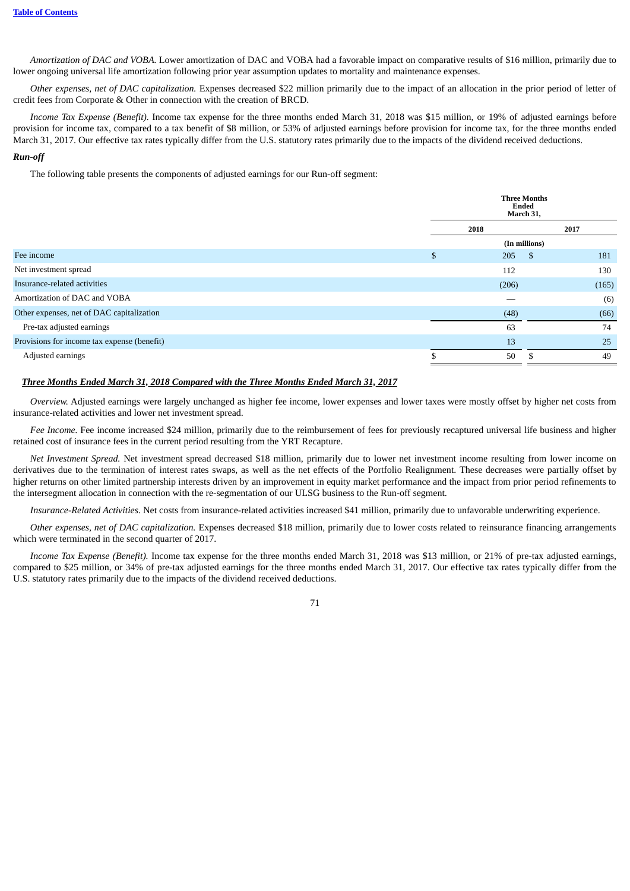*Amortization of DAC and VOBA.* Lower amortization of DAC and VOBA had a favorable impact on comparative results of \$16 million, primarily due to lower ongoing universal life amortization following prior year assumption updates to mortality and maintenance expenses.

*Other expenses, net of DAC capitalization.* Expenses decreased \$22 million primarily due to the impact of an allocation in the prior period of letter of credit fees from Corporate & Other in connection with the creation of BRCD.

*Income Tax Expense (Benefit).* Income tax expense for the three months ended March 31, 2018 was \$15 million, or 19% of adjusted earnings before provision for income tax, compared to a tax benefit of \$8 million, or 53% of adjusted earnings before provision for income tax, for the three months ended March 31, 2017. Our effective tax rates typically differ from the U.S. statutory rates primarily due to the impacts of the dividend received deductions.

#### *Run-off*

The following table presents the components of adjusted earnings for our Run-off segment:

|                                             | <b>Three Months</b><br><b>Ended</b><br>March 31, |       |               |       |
|---------------------------------------------|--------------------------------------------------|-------|---------------|-------|
|                                             |                                                  | 2018  |               | 2017  |
|                                             |                                                  |       | (In millions) |       |
| Fee income                                  | \$                                               | 205   | $^{\circ}$    | 181   |
| Net investment spread                       |                                                  | 112   |               | 130   |
| Insurance-related activities                |                                                  | (206) |               | (165) |
| Amortization of DAC and VOBA                |                                                  |       |               | (6)   |
| Other expenses, net of DAC capitalization   |                                                  | (48)  |               | (66)  |
| Pre-tax adjusted earnings                   |                                                  | 63    |               | 74    |
| Provisions for income tax expense (benefit) |                                                  | 13    |               | 25    |
| Adjusted earnings                           |                                                  | 50    |               | 49    |

#### *Three Months Ended March 31, 2018 Compared with the Three Months Ended March 31, 2017*

*Overview.* Adjusted earnings were largely unchanged as higher fee income, lower expenses and lower taxes were mostly offset by higher net costs from insurance-related activities and lower net investment spread.

*Fee Income.* Fee income increased \$24 million, primarily due to the reimbursement of fees for previously recaptured universal life business and higher retained cost of insurance fees in the current period resulting from the YRT Recapture.

*Net Investment Spread.* Net investment spread decreased \$18 million, primarily due to lower net investment income resulting from lower income on derivatives due to the termination of interest rates swaps, as well as the net effects of the Portfolio Realignment. These decreases were partially offset by higher returns on other limited partnership interests driven by an improvement in equity market performance and the impact from prior period refinements to the intersegment allocation in connection with the re-segmentation of our ULSG business to the Run-off segment.

*Insurance-Related Activities*. Net costs from insurance-related activities increased \$41 million, primarily due to unfavorable underwriting experience.

*Other expenses, net of DAC capitalization.* Expenses decreased \$18 million, primarily due to lower costs related to reinsurance financing arrangements which were terminated in the second quarter of 2017.

*Income Tax Expense (Benefit).* Income tax expense for the three months ended March 31, 2018 was \$13 million, or 21% of pre-tax adjusted earnings, compared to \$25 million, or 34% of pre-tax adjusted earnings for the three months ended March 31, 2017. Our effective tax rates typically differ from the U.S. statutory rates primarily due to the impacts of the dividend received deductions.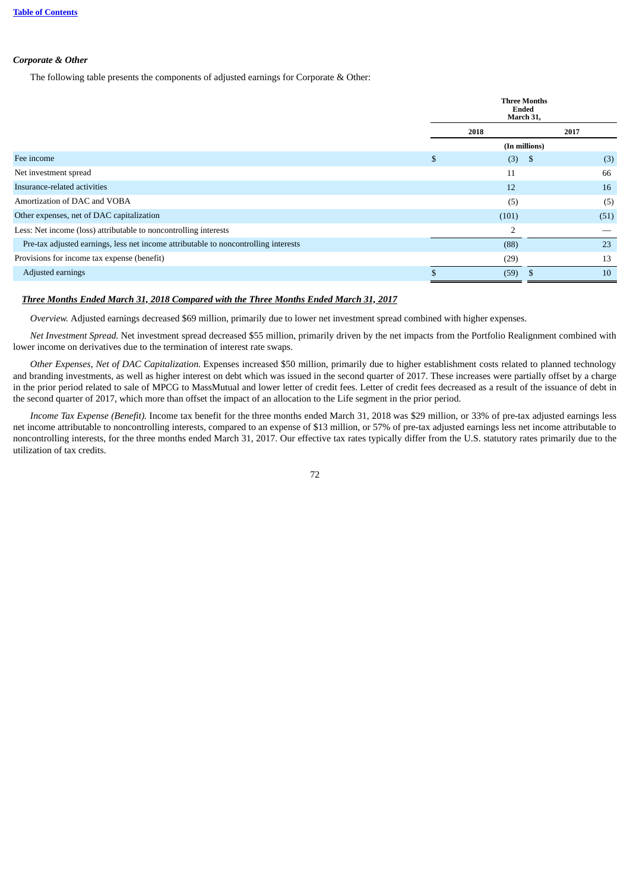## *Corporate & Other*

The following table presents the components of adjusted earnings for Corporate & Other:

|                                                                                     | <b>Three Months</b><br>Ended<br>March 31, |      |      |
|-------------------------------------------------------------------------------------|-------------------------------------------|------|------|
|                                                                                     | 2018                                      |      | 2017 |
|                                                                                     | (In millions)                             |      |      |
| Fee income                                                                          | \$<br>(3)                                 | - \$ | (3)  |
| Net investment spread                                                               | 11                                        |      | 66   |
| Insurance-related activities                                                        | 12                                        |      | 16   |
| Amortization of DAC and VOBA                                                        | (5)                                       |      | (5)  |
| Other expenses, net of DAC capitalization                                           | (101)                                     |      | (51) |
| Less: Net income (loss) attributable to noncontrolling interests                    | 2                                         |      |      |
| Pre-tax adjusted earnings, less net income attributable to noncontrolling interests | (88)                                      |      | 23   |
| Provisions for income tax expense (benefit)                                         | (29)                                      |      | 13   |
| Adjusted earnings                                                                   | (59)                                      |      | 10   |

# *Three Months Ended March 31, 2018 Compared with the Three Months Ended March 31, 2017*

*Overview.* Adjusted earnings decreased \$69 million, primarily due to lower net investment spread combined with higher expenses.

*Net Investment Spread.* Net investment spread decreased \$55 million, primarily driven by the net impacts from the Portfolio Realignment combined with lower income on derivatives due to the termination of interest rate swaps.

*Other Expenses, Net of DAC Capitalization.* Expenses increased \$50 million, primarily due to higher establishment costs related to planned technology and branding investments, as well as higher interest on debt which was issued in the second quarter of 2017. These increases were partially offset by a charge in the prior period related to sale of MPCG to MassMutual and lower letter of credit fees. Letter of credit fees decreased as a result of the issuance of debt in the second quarter of 2017, which more than offset the impact of an allocation to the Life segment in the prior period.

*Income Tax Expense (Benefit).* Income tax benefit for the three months ended March 31, 2018 was \$29 million, or 33% of pre-tax adjusted earnings less net income attributable to noncontrolling interests, compared to an expense of \$13 million, or 57% of pre-tax adjusted earnings less net income attributable to noncontrolling interests, for the three months ended March 31, 2017. Our effective tax rates typically differ from the U.S. statutory rates primarily due to the utilization of tax credits.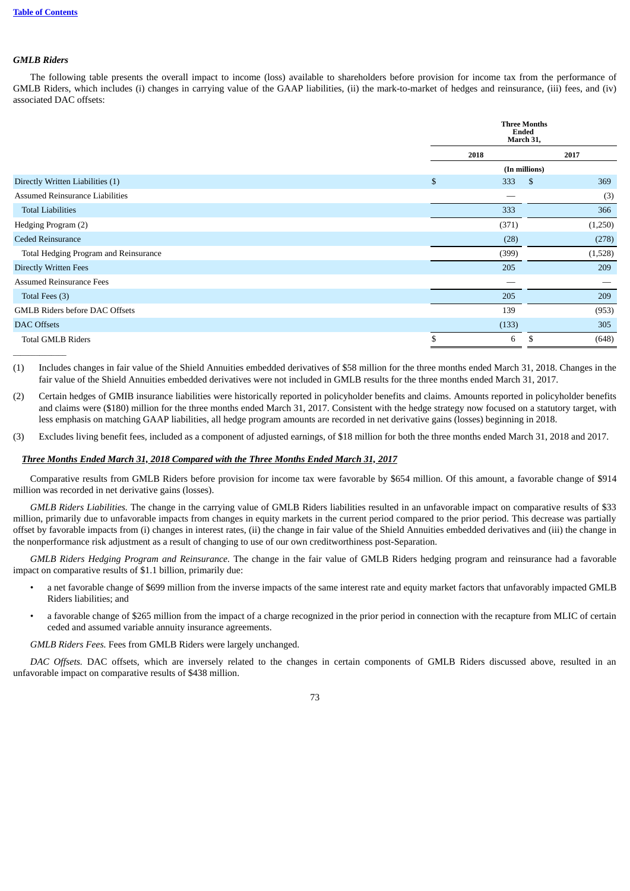## *GMLB Riders*

The following table presents the overall impact to income (loss) available to shareholders before provision for income tax from the performance of GMLB Riders, which includes (i) changes in carrying value of the GAAP liabilities, (ii) the mark-to-market of hedges and reinsurance, (iii) fees, and (iv) associated DAC offsets:

|                                       |                          | <b>Three Months</b><br><b>Ended</b><br>March 31, |         |
|---------------------------------------|--------------------------|--------------------------------------------------|---------|
|                                       | 2018                     |                                                  | 2017    |
|                                       |                          | (In millions)                                    |         |
| Directly Written Liabilities (1)      | \$<br>333                | - \$                                             | 369     |
| Assumed Reinsurance Liabilities       | $\overline{\phantom{a}}$ |                                                  | (3)     |
| <b>Total Liabilities</b>              | 333                      |                                                  | 366     |
| Hedging Program (2)                   | (371)                    |                                                  | (1,250) |
| Ceded Reinsurance                     | (28)                     |                                                  | (278)   |
| Total Hedging Program and Reinsurance | (399)                    |                                                  | (1,528) |
| <b>Directly Written Fees</b>          | 205                      |                                                  | 209     |
| <b>Assumed Reinsurance Fees</b>       |                          |                                                  |         |
| Total Fees (3)                        | 205                      |                                                  | 209     |
| <b>GMLB Riders before DAC Offsets</b> | 139                      |                                                  | (953)   |
| <b>DAC</b> Offsets                    | (133)                    |                                                  | 305     |
| <b>Total GMLB Riders</b>              | 6                        |                                                  | (648)   |

(1) Includes changes in fair value of the Shield Annuities embedded derivatives of \$58 million for the three months ended March 31, 2018. Changes in the fair value of the Shield Annuities embedded derivatives were not included in GMLB results for the three months ended March 31, 2017.

(2) Certain hedges of GMIB insurance liabilities were historically reported in policyholder benefits and claims. Amounts reported in policyholder benefits and claims were (\$180) million for the three months ended March 31, 2017. Consistent with the hedge strategy now focused on a statutory target, with less emphasis on matching GAAP liabilities, all hedge program amounts are recorded in net derivative gains (losses) beginning in 2018.

(3) Excludes living benefit fees, included as a component of adjusted earnings, of \$18 million for both the three months ended March 31, 2018 and 2017.

#### *Three Months Ended March 31, 2018 Compared with the Three Months Ended March 31, 2017*

Comparative results from GMLB Riders before provision for income tax were favorable by \$654 million. Of this amount, a favorable change of \$914 million was recorded in net derivative gains (losses).

*GMLB Riders Liabilities.* The change in the carrying value of GMLB Riders liabilities resulted in an unfavorable impact on comparative results of \$33 million, primarily due to unfavorable impacts from changes in equity markets in the current period compared to the prior period. This decrease was partially offset by favorable impacts from (i) changes in interest rates, (ii) the change in fair value of the Shield Annuities embedded derivatives and (iii) the change in the nonperformance risk adjustment as a result of changing to use of our own creditworthiness post-Separation.

*GMLB Riders Hedging Program and Reinsurance.* The change in the fair value of GMLB Riders hedging program and reinsurance had a favorable impact on comparative results of \$1.1 billion, primarily due:

- a net favorable change of \$699 million from the inverse impacts of the same interest rate and equity market factors that unfavorably impacted GMLB Riders liabilities; and
- a favorable change of \$265 million from the impact of a charge recognized in the prior period in connection with the recapture from MLIC of certain ceded and assumed variable annuity insurance agreements.

*GMLB Riders Fees.* Fees from GMLB Riders were largely unchanged.

*DAC Offsets.* DAC offsets, which are inversely related to the changes in certain components of GMLB Riders discussed above, resulted in an unfavorable impact on comparative results of \$438 million.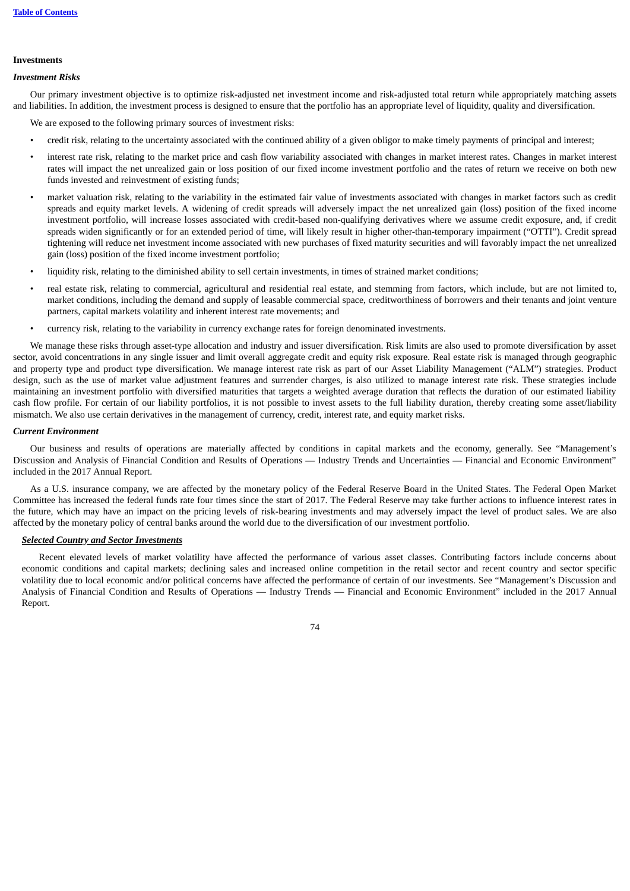#### **Investments**

## *Investment Risks*

Our primary investment objective is to optimize risk-adjusted net investment income and risk-adjusted total return while appropriately matching assets and liabilities. In addition, the investment process is designed to ensure that the portfolio has an appropriate level of liquidity, quality and diversification.

We are exposed to the following primary sources of investment risks:

- credit risk, relating to the uncertainty associated with the continued ability of a given obligor to make timely payments of principal and interest;
- interest rate risk, relating to the market price and cash flow variability associated with changes in market interest rates. Changes in market interest rates will impact the net unrealized gain or loss position of our fixed income investment portfolio and the rates of return we receive on both new funds invested and reinvestment of existing funds;
- market valuation risk, relating to the variability in the estimated fair value of investments associated with changes in market factors such as credit spreads and equity market levels. A widening of credit spreads will adversely impact the net unrealized gain (loss) position of the fixed income investment portfolio, will increase losses associated with credit-based non-qualifying derivatives where we assume credit exposure, and, if credit spreads widen significantly or for an extended period of time, will likely result in higher other-than-temporary impairment ("OTTI"). Credit spread tightening will reduce net investment income associated with new purchases of fixed maturity securities and will favorably impact the net unrealized gain (loss) position of the fixed income investment portfolio;
- liquidity risk, relating to the diminished ability to sell certain investments, in times of strained market conditions;
- real estate risk, relating to commercial, agricultural and residential real estate, and stemming from factors, which include, but are not limited to, market conditions, including the demand and supply of leasable commercial space, creditworthiness of borrowers and their tenants and joint venture partners, capital markets volatility and inherent interest rate movements; and
- currency risk, relating to the variability in currency exchange rates for foreign denominated investments.

We manage these risks through asset-type allocation and industry and issuer diversification. Risk limits are also used to promote diversification by asset sector, avoid concentrations in any single issuer and limit overall aggregate credit and equity risk exposure. Real estate risk is managed through geographic and property type and product type diversification. We manage interest rate risk as part of our Asset Liability Management ("ALM") strategies. Product design, such as the use of market value adjustment features and surrender charges, is also utilized to manage interest rate risk. These strategies include maintaining an investment portfolio with diversified maturities that targets a weighted average duration that reflects the duration of our estimated liability cash flow profile. For certain of our liability portfolios, it is not possible to invest assets to the full liability duration, thereby creating some asset/liability mismatch. We also use certain derivatives in the management of currency, credit, interest rate, and equity market risks.

#### *Current Environment*

Our business and results of operations are materially affected by conditions in capital markets and the economy, generally. See "Management's Discussion and Analysis of Financial Condition and Results of Operations — Industry Trends and Uncertainties — Financial and Economic Environment" included in the 2017 Annual Report.

As a U.S. insurance company, we are affected by the monetary policy of the Federal Reserve Board in the United States. The Federal Open Market Committee has increased the federal funds rate four times since the start of 2017. The Federal Reserve may take further actions to influence interest rates in the future, which may have an impact on the pricing levels of risk-bearing investments and may adversely impact the level of product sales. We are also affected by the monetary policy of central banks around the world due to the diversification of our investment portfolio.

## *Selected Country and Sector Investments*

Recent elevated levels of market volatility have affected the performance of various asset classes. Contributing factors include concerns about economic conditions and capital markets; declining sales and increased online competition in the retail sector and recent country and sector specific volatility due to local economic and/or political concerns have affected the performance of certain of our investments. See "Management's Discussion and Analysis of Financial Condition and Results of Operations — Industry Trends — Financial and Economic Environment" included in the 2017 Annual Report.

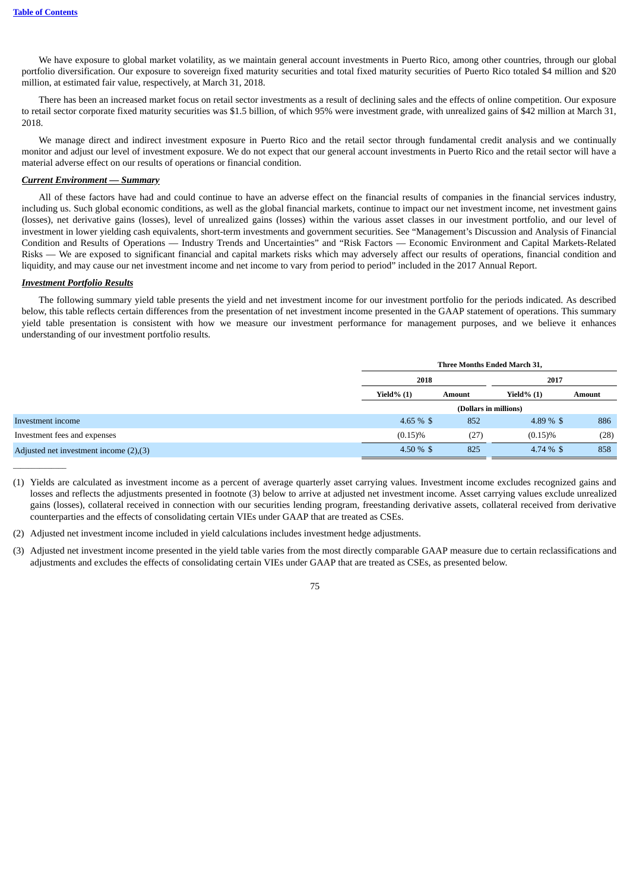We have exposure to global market volatility, as we maintain general account investments in Puerto Rico, among other countries, through our global portfolio diversification. Our exposure to sovereign fixed maturity securities and total fixed maturity securities of Puerto Rico totaled \$4 million and \$20 million, at estimated fair value, respectively, at March 31, 2018.

There has been an increased market focus on retail sector investments as a result of declining sales and the effects of online competition. Our exposure to retail sector corporate fixed maturity securities was \$1.5 billion, of which 95% were investment grade, with unrealized gains of \$42 million at March 31, 2018.

We manage direct and indirect investment exposure in Puerto Rico and the retail sector through fundamental credit analysis and we continually monitor and adjust our level of investment exposure. We do not expect that our general account investments in Puerto Rico and the retail sector will have a material adverse effect on our results of operations or financial condition.

#### *Current Environment — Summary*

All of these factors have had and could continue to have an adverse effect on the financial results of companies in the financial services industry, including us. Such global economic conditions, as well as the global financial markets, continue to impact our net investment income, net investment gains (losses), net derivative gains (losses), level of unrealized gains (losses) within the various asset classes in our investment portfolio, and our level of investment in lower yielding cash equivalents, short-term investments and government securities. See "Management's Discussion and Analysis of Financial Condition and Results of Operations — Industry Trends and Uncertainties" and "Risk Factors — Economic Environment and Capital Markets-Related Risks — We are exposed to significant financial and capital markets risks which may adversely affect our results of operations, financial condition and liquidity, and may cause our net investment income and net income to vary from period to period" included in the 2017 Annual Report.

#### *Investment Portfolio Results*

 $\overline{\phantom{a}}$ 

The following summary yield table presents the yield and net investment income for our investment portfolio for the periods indicated. As described below, this table reflects certain differences from the presentation of net investment income presented in the GAAP statement of operations. This summary yield table presentation is consistent with how we measure our investment performance for management purposes, and we believe it enhances understanding of our investment portfolio results.

|                                         |               | Three Months Ended March 31, |               |               |
|-----------------------------------------|---------------|------------------------------|---------------|---------------|
|                                         | 2018          |                              | 2017          |               |
|                                         | Yield $% (1)$ | <b>Amount</b>                | Yield $% (1)$ | <b>Amount</b> |
|                                         |               | (Dollars in millions)        |               |               |
| Investment income                       | 4.65 $%$ \$   | 852                          | 4.89 $%$ \$   | 886           |
| Investment fees and expenses            | $(0.15)\%$    | (27)                         | $(0.15)\%$    | (28)          |
| Adjusted net investment income (2), (3) | 4.50 $%$ \$   | 825                          | 4.74 $%$ \$   | 858           |

<sup>(1)</sup> Yields are calculated as investment income as a percent of average quarterly asset carrying values. Investment income excludes recognized gains and losses and reflects the adjustments presented in footnote (3) below to arrive at adjusted net investment income. Asset carrying values exclude unrealized gains (losses), collateral received in connection with our securities lending program, freestanding derivative assets, collateral received from derivative counterparties and the effects of consolidating certain VIEs under GAAP that are treated as CSEs.

(3) Adjusted net investment income presented in the yield table varies from the most directly comparable GAAP measure due to certain reclassifications and adjustments and excludes the effects of consolidating certain VIEs under GAAP that are treated as CSEs, as presented below.

<sup>(2)</sup> Adjusted net investment income included in yield calculations includes investment hedge adjustments.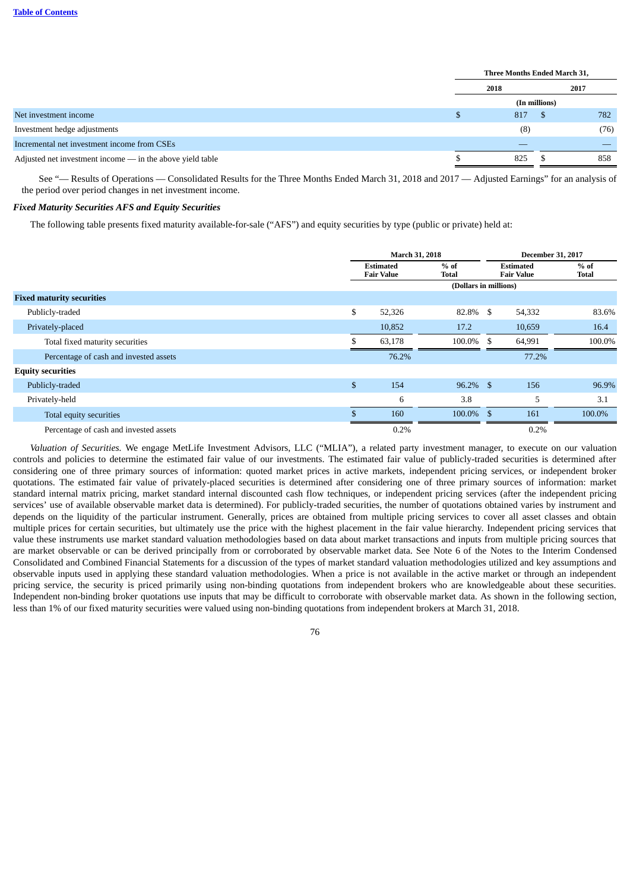|                                                           | Three Months Ended March 31, |               |      |  |  |  |  |  |
|-----------------------------------------------------------|------------------------------|---------------|------|--|--|--|--|--|
|                                                           | 2018                         | 2017          |      |  |  |  |  |  |
|                                                           |                              | (In millions) |      |  |  |  |  |  |
| Net investment income                                     | 817                          | Ъ             | 782  |  |  |  |  |  |
| Investment hedge adjustments                              | (8)                          |               | (76) |  |  |  |  |  |
| Incremental net investment income from CSEs               |                              |               |      |  |  |  |  |  |
| Adjusted net investment income — in the above yield table | 825                          |               | 858  |  |  |  |  |  |

See "— Results of Operations — Consolidated Results for the Three Months Ended March 31, 2018 and 2017 — Adjusted Earnings" for an analysis of the period over period changes in net investment income.

## *Fixed Maturity Securities AFS and Equity Securities*

The following table presents fixed maturity available-for-sale ("AFS") and equity securities by type (public or private) held at:

|                                        |                                       | <b>March 31, 2018</b>  |                                       |        | <b>December 31, 2017</b> |
|----------------------------------------|---------------------------------------|------------------------|---------------------------------------|--------|--------------------------|
|                                        | <b>Estimated</b><br><b>Fair Value</b> | $%$ of<br><b>Total</b> | <b>Estimated</b><br><b>Fair Value</b> |        | $%$ of<br><b>Total</b>   |
|                                        |                                       |                        | (Dollars in millions)                 |        |                          |
| <b>Fixed maturity securities</b>       |                                       |                        |                                       |        |                          |
| Publicly-traded                        | \$<br>52,326                          | 82.8% \$               |                                       | 54,332 | 83.6%                    |
| Privately-placed                       | 10,852                                | 17.2                   |                                       | 10,659 | 16.4                     |
| Total fixed maturity securities        | 63,178                                | $100.0\%$ \$           |                                       | 64,991 | 100.0%                   |
| Percentage of cash and invested assets | 76.2%                                 |                        |                                       | 77.2%  |                          |
| <b>Equity securities</b>               |                                       |                        |                                       |        |                          |
| Publicly-traded                        | \$<br>154                             | 96.2% \$               |                                       | 156    | 96.9%                    |
| Privately-held                         | 6                                     | 3.8                    |                                       | 5      | 3.1                      |
| Total equity securities                | \$<br>160                             | 100.0% \$              |                                       | 161    | 100.0%                   |
| Percentage of cash and invested assets | 0.2%                                  |                        |                                       | 0.2%   |                          |

*Valuation of Securities.* We engage MetLife Investment Advisors, LLC ("MLIA"), a related party investment manager, to execute on our valuation controls and policies to determine the estimated fair value of our investments. The estimated fair value of publicly-traded securities is determined after considering one of three primary sources of information: quoted market prices in active markets, independent pricing services, or independent broker quotations. The estimated fair value of privately-placed securities is determined after considering one of three primary sources of information: market standard internal matrix pricing, market standard internal discounted cash flow techniques, or independent pricing services (after the independent pricing services' use of available observable market data is determined). For publicly-traded securities, the number of quotations obtained varies by instrument and depends on the liquidity of the particular instrument. Generally, prices are obtained from multiple pricing services to cover all asset classes and obtain multiple prices for certain securities, but ultimately use the price with the highest placement in the fair value hierarchy. Independent pricing services that value these instruments use market standard valuation methodologies based on data about market transactions and inputs from multiple pricing sources that are market observable or can be derived principally from or corroborated by observable market data. See Note 6 of the Notes to the Interim Condensed Consolidated and Combined Financial Statements for a discussion of the types of market standard valuation methodologies utilized and key assumptions and observable inputs used in applying these standard valuation methodologies. When a price is not available in the active market or through an independent pricing service, the security is priced primarily using non-binding quotations from independent brokers who are knowledgeable about these securities. Independent non-binding broker quotations use inputs that may be difficult to corroborate with observable market data. As shown in the following section, less than 1% of our fixed maturity securities were valued using non-binding quotations from independent brokers at March 31, 2018.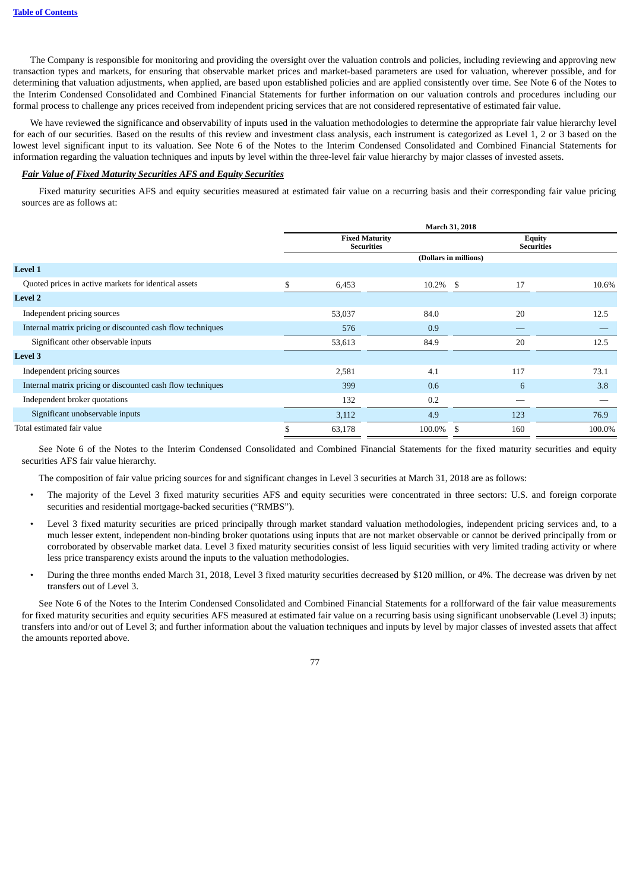The Company is responsible for monitoring and providing the oversight over the valuation controls and policies, including reviewing and approving new transaction types and markets, for ensuring that observable market prices and market-based parameters are used for valuation, wherever possible, and for determining that valuation adjustments, when applied, are based upon established policies and are applied consistently over time. See Note 6 of the Notes to the Interim Condensed Consolidated and Combined Financial Statements for further information on our valuation controls and procedures including our formal process to challenge any prices received from independent pricing services that are not considered representative of estimated fair value.

We have reviewed the significance and observability of inputs used in the valuation methodologies to determine the appropriate fair value hierarchy level for each of our securities. Based on the results of this review and investment class analysis, each instrument is categorized as Level 1, 2 or 3 based on the lowest level significant input to its valuation. See Note 6 of the Notes to the Interim Condensed Consolidated and Combined Financial Statements for information regarding the valuation techniques and inputs by level within the three-level fair value hierarchy by major classes of invested assets.

#### *Fair Value of Fixed Maturity Securities AFS and Equity Securities*

Fixed maturity securities AFS and equity securities measured at estimated fair value on a recurring basis and their corresponding fair value pricing sources are as follows at:

|                                                            |              |                                            | <b>March 31, 2018</b> |                                    |
|------------------------------------------------------------|--------------|--------------------------------------------|-----------------------|------------------------------------|
|                                                            |              | <b>Fixed Maturity</b><br><b>Securities</b> |                       | <b>Equity</b><br><b>Securities</b> |
|                                                            |              |                                            | (Dollars in millions) |                                    |
| <b>Level 1</b>                                             |              |                                            |                       |                                    |
| Quoted prices in active markets for identical assets       | \$<br>6,453  | $10.2\%$ \$                                | 17                    | 10.6%                              |
| <b>Level 2</b>                                             |              |                                            |                       |                                    |
| Independent pricing sources                                | 53,037       | 84.0                                       | 20                    | 12.5                               |
| Internal matrix pricing or discounted cash flow techniques | 576          | 0.9                                        |                       |                                    |
| Significant other observable inputs                        | 53,613       | 84.9                                       | 20                    | 12.5                               |
| <b>Level 3</b>                                             |              |                                            |                       |                                    |
| Independent pricing sources                                | 2,581        | 4.1                                        | 117                   | 73.1                               |
| Internal matrix pricing or discounted cash flow techniques | 399          | 0.6                                        | 6                     | 3.8                                |
| Independent broker quotations                              | 132          | 0.2                                        |                       |                                    |
| Significant unobservable inputs                            | 3,112        | 4.9                                        | 123                   | 76.9                               |
| Total estimated fair value                                 | \$<br>63,178 | 100.0% \$                                  | 160                   | 100.0%                             |

See Note 6 of the Notes to the Interim Condensed Consolidated and Combined Financial Statements for the fixed maturity securities and equity securities AFS fair value hierarchy.

The composition of fair value pricing sources for and significant changes in Level 3 securities at March 31, 2018 are as follows:

- The majority of the Level 3 fixed maturity securities AFS and equity securities were concentrated in three sectors: U.S. and foreign corporate securities and residential mortgage-backed securities ("RMBS").
- Level 3 fixed maturity securities are priced principally through market standard valuation methodologies, independent pricing services and, to a much lesser extent, independent non-binding broker quotations using inputs that are not market observable or cannot be derived principally from or corroborated by observable market data. Level 3 fixed maturity securities consist of less liquid securities with very limited trading activity or where less price transparency exists around the inputs to the valuation methodologies.
- During the three months ended March 31, 2018, Level 3 fixed maturity securities decreased by \$120 million, or 4%. The decrease was driven by net transfers out of Level 3.

See Note 6 of the Notes to the Interim Condensed Consolidated and Combined Financial Statements for a rollforward of the fair value measurements for fixed maturity securities and equity securities AFS measured at estimated fair value on a recurring basis using significant unobservable (Level 3) inputs; transfers into and/or out of Level 3; and further information about the valuation techniques and inputs by level by major classes of invested assets that affect the amounts reported above.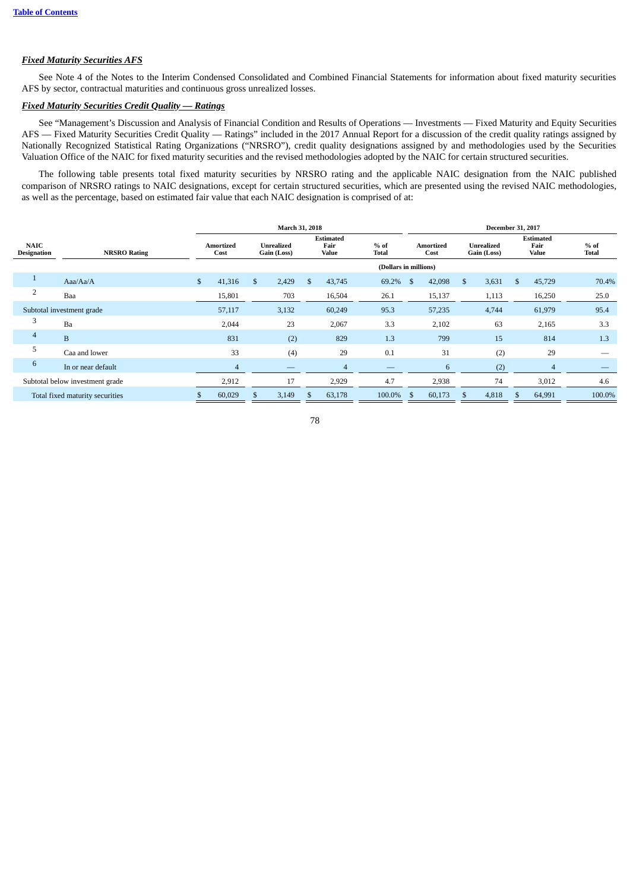# *Fixed Maturity Securities AFS*

See Note 4 of the Notes to the Interim Condensed Consolidated and Combined Financial Statements for information about fixed maturity securities AFS by sector, contractual maturities and continuous gross unrealized losses.

## *Fixed Maturity Securities Credit Quality — Ratings*

See "Management's Discussion and Analysis of Financial Condition and Results of Operations — Investments — Fixed Maturity and Equity Securities AFS — Fixed Maturity Securities Credit Quality — Ratings" included in the 2017 Annual Report for a discussion of the credit quality ratings assigned by Nationally Recognized Statistical Rating Organizations ("NRSRO"), credit quality designations assigned by and methodologies used by the Securities Valuation Office of the NAIC for fixed maturity securities and the revised methodologies adopted by the NAIC for certain structured securities.

The following table presents total fixed maturity securities by NRSRO rating and the applicable NAIC designation from the NAIC published comparison of NRSRO ratings to NAIC designations, except for certain structured securities, which are presented using the revised NAIC methodologies, as well as the percentage, based on estimated fair value that each NAIC designation is comprised of at:

|                                   |                     |              |                   |              | <b>March 31, 2018</b>     |                                   |                       |               |                          |       | <b>December 31, 2017</b>  |        |                                   |                        |  |  |
|-----------------------------------|---------------------|--------------|-------------------|--------------|---------------------------|-----------------------------------|-----------------------|---------------|--------------------------|-------|---------------------------|--------|-----------------------------------|------------------------|--|--|
| <b>NAIC</b><br><b>Designation</b> | <b>NRSRO Rating</b> |              | Amortized<br>Cost |              | Unrealized<br>Gain (Loss) | <b>Estimated</b><br>Fair<br>Value | $%$ of<br>Total       |               | <b>Amortized</b><br>Cost |       | Unrealized<br>Gain (Loss) |        | <b>Estimated</b><br>Fair<br>Value | $%$ of<br><b>Total</b> |  |  |
|                                   |                     |              |                   |              |                           |                                   | (Dollars in millions) |               |                          |       |                           |        |                                   |                        |  |  |
| $\perp$                           | Aaa/Aa/A            | $\mathbb{S}$ | 41,316            | $\mathbb{S}$ | 2,429                     | \$<br>43,745                      | 69.2%                 | <sup>\$</sup> | 42,098                   | \$    | 3,631                     | \$     | 45,729                            | 70.4%                  |  |  |
| 2                                 | Baa                 |              | 15,801            |              | 703                       | 16,504                            | 26.1                  |               | 15,137                   |       | 1,113                     |        | 16,250                            | 25.0                   |  |  |
| Subtotal investment grade         |                     |              | 57,117            |              | 3,132                     | 60,249                            | 95.3                  |               | 57,235                   |       | 4,744                     |        | 61,979                            | 95.4                   |  |  |
| 3                                 | Ba                  |              | 2,044             |              | 23                        | 2,067                             | 3.3                   |               | 2,102                    | 63    |                           |        | 2,165                             | 3.3                    |  |  |
| $\overline{4}$                    | $\mathbf B$         |              | 831               |              | (2)                       | 829                               | 1.3                   | 799           |                          | 15    |                           | 814    |                                   | 1.3                    |  |  |
| 5                                 | Caa and lower       |              | 33                |              | (4)                       | 29                                | 0.1                   |               | 31                       |       | (2)                       |        | 29                                |                        |  |  |
| 6                                 | In or near default  |              | $\overline{4}$    |              |                           | 4                                 |                       |               | 6                        |       | (2)                       |        | 4                                 |                        |  |  |
| Subtotal below investment grade   |                     | 2,912        |                   | 17           | 2,929                     | 4.7                               |                       | 2,938         |                          | 74    |                           | 3,012  | 4.6                               |                        |  |  |
| Total fixed maturity securities   |                     | 60,029       |                   | 3,149        | 63,178                    | 100.0%                            | -\$                   | 60,173        |                          | 4,818 |                           | 64,991 | 100.0%                            |                        |  |  |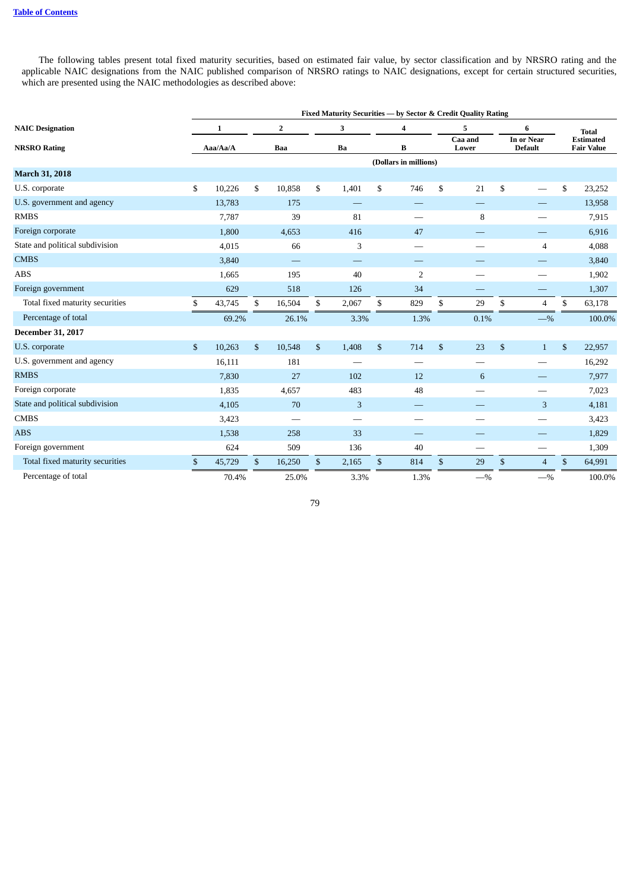The following tables present total fixed maturity securities, based on estimated fair value, by sector classification and by NRSRO rating and the applicable NAIC designations from the NAIC published comparison of NRSRO ratings to NAIC designations, except for certain structured securities, which are presented using the NAIC methodologies as described above:

|                                 | Fixed Maturity Securities - by Sector & Credit Quality Rating |          |              |                |    |                          |                |                          |                |                  |                              |    |                                       |
|---------------------------------|---------------------------------------------------------------|----------|--------------|----------------|----|--------------------------|----------------|--------------------------|----------------|------------------|------------------------------|----|---------------------------------------|
| <b>NAIC Designation</b>         |                                                               | 1        |              | $\overline{2}$ |    | 3                        |                | 4                        |                | 5.               | 6                            |    | <b>Total</b>                          |
| <b>NRSRO Rating</b>             |                                                               | Aaa/Aa/A |              | Baa            |    | Ba                       |                | B                        |                | Caa and<br>Lower | In or Near<br><b>Default</b> |    | <b>Estimated</b><br><b>Fair Value</b> |
|                                 |                                                               |          |              |                |    |                          |                | (Dollars in millions)    |                |                  |                              |    |                                       |
| <b>March 31, 2018</b>           |                                                               |          |              |                |    |                          |                |                          |                |                  |                              |    |                                       |
| U.S. corporate                  | \$                                                            | 10,226   | \$           | 10,858         | \$ | 1,401                    | \$             | 746                      | \$             | 21               | \$                           |    | \$<br>23,252                          |
| U.S. government and agency      |                                                               | 13,783   |              | 175            |    |                          |                |                          |                |                  |                              |    | 13,958                                |
| <b>RMBS</b>                     |                                                               | 7,787    |              | 39             |    | 81                       |                | $\overline{\phantom{0}}$ |                | 8                |                              |    | 7,915                                 |
| Foreign corporate               |                                                               | 1,800    |              | 4,653          |    | 416                      | 47             |                          |                |                  | $\overline{\phantom{0}}$     |    | 6,916                                 |
| State and political subdivision |                                                               | 4,015    |              | 66             |    | 3                        |                | --                       |                |                  | $\overline{4}$               |    | 4,088                                 |
| <b>CMBS</b>                     |                                                               | 3,840    |              |                |    | $\overline{\phantom{0}}$ |                |                          |                |                  |                              |    | 3,840                                 |
| <b>ABS</b>                      |                                                               | 1,665    |              | 195            |    | 40                       | $\overline{2}$ |                          |                |                  |                              |    | 1,902                                 |
| Foreign government              |                                                               | 629      |              | 518            |    | 126                      |                | 34                       |                |                  |                              |    | 1,307                                 |
| Total fixed maturity securities | \$                                                            | 43,745   | \$           | 16,504         | \$ | 2,067                    | \$             | 829                      | \$             | 29               | \$<br>$\overline{4}$         | \$ | 63,178                                |
| Percentage of total             |                                                               | 69.2%    |              | 26.1%          |    | 3.3%                     |                | 1.3%                     |                | 0.1%             | $-$ %                        |    | 100.0%                                |
| <b>December 31, 2017</b>        |                                                               |          |              |                |    |                          |                |                          |                |                  |                              |    |                                       |
| U.S. corporate                  | \$                                                            | 10,263   | \$           | 10,548         | \$ | 1,408                    | \$             | 714                      | $\mathfrak{S}$ | 23               | \$<br>$\mathbf{1}$           |    | \$<br>22,957                          |
| U.S. government and agency      |                                                               | 16,111   |              | 181            |    | $\overline{\phantom{m}}$ |                | —                        |                |                  | –                            |    | 16,292                                |
| <b>RMBS</b>                     |                                                               | 7,830    |              | 27             |    | 102                      |                | 12                       |                | $6\,$            |                              |    | 7,977                                 |
| Foreign corporate               |                                                               | 1,835    |              | 4,657          |    | 483                      |                | 48                       |                |                  | $\overline{\phantom{0}}$     |    | 7,023                                 |
| State and political subdivision |                                                               | 4,105    |              | 70             |    | 3                        |                |                          |                |                  | 3                            |    | 4,181                                 |
| <b>CMBS</b>                     |                                                               | 3,423    |              |                |    | $\overline{\phantom{0}}$ |                |                          |                |                  |                              |    | 3,423                                 |
| <b>ABS</b>                      |                                                               | 1,538    |              | 258            |    | 33                       |                |                          |                |                  |                              |    | 1,829                                 |
| Foreign government              |                                                               | 624      |              | 509            |    | 136                      |                | 40                       |                |                  |                              |    | 1,309                                 |
| Total fixed maturity securities |                                                               | 45,729   | $\mathbb{S}$ | 16,250         | \$ | 2,165                    | $\mathfrak{S}$ | 814                      | $\mathbb{S}$   | 29               | \$<br>$\overline{4}$         |    | \$<br>64,991                          |
| Percentage of total             |                                                               | 70.4%    |              | 25.0%          |    | 3.3%                     |                | 1.3%                     |                | $-$ %            | $-$ %                        |    | 100.0%                                |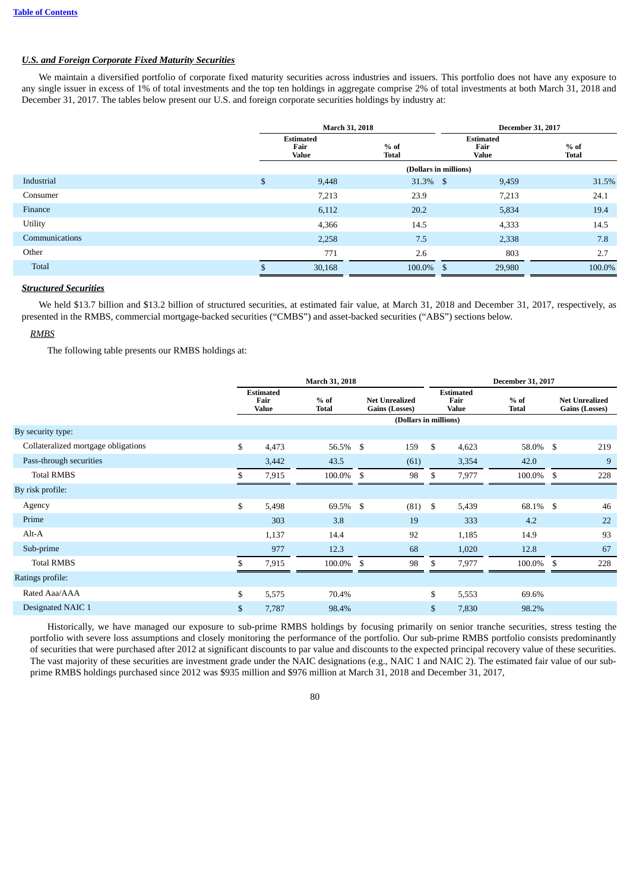## *U.S. and Foreign Corporate Fixed Maturity Securities*

We maintain a diversified portfolio of corporate fixed maturity securities across industries and issuers. This portfolio does not have any exposure to any single issuer in excess of 1% of total investments and the top ten holdings in aggregate comprise 2% of total investments at both March 31, 2018 and December 31, 2017. The tables below present our U.S. and foreign corporate securities holdings by industry at:

|                |               |                                          | <b>March 31, 2018</b>  | <b>December 31, 2017</b> |                                          |                        |  |  |  |  |
|----------------|---------------|------------------------------------------|------------------------|--------------------------|------------------------------------------|------------------------|--|--|--|--|
|                |               | <b>Estimated</b><br>Fair<br><b>Value</b> | $%$ of<br><b>Total</b> |                          | <b>Estimated</b><br>Fair<br><b>Value</b> | $%$ of<br><b>Total</b> |  |  |  |  |
|                |               |                                          | (Dollars in millions)  |                          |                                          |                        |  |  |  |  |
| Industrial     | \$            | 9,448                                    | $31.3\%$ \$            |                          | 9,459                                    | 31.5%                  |  |  |  |  |
| Consumer       |               | 7,213                                    | 23.9                   |                          | 7,213                                    | 24.1                   |  |  |  |  |
| Finance        |               | 6,112                                    | 20.2                   |                          | 5,834                                    | 19.4                   |  |  |  |  |
| Utility        |               | 4,366                                    | 14.5                   |                          | 4,333                                    | 14.5                   |  |  |  |  |
| Communications |               | 2,258                                    | 7.5                    |                          | 2,338                                    | 7.8                    |  |  |  |  |
| Other          |               | 771                                      | 2.6                    |                          | 803                                      | 2.7                    |  |  |  |  |
| Total          | $\mathbf{\$}$ | 30,168                                   | 100.0%                 | -\$                      | 29,980                                   | 100.0%                 |  |  |  |  |

## *Structured Securities*

We held \$13.7 billion and \$13.2 billion of structured securities, at estimated fair value, at March 31, 2018 and December 31, 2017, respectively, as presented in the RMBS, commercial mortgage-backed securities ("CMBS") and asset-backed securities ("ABS") sections below.

## *RMBS*

The following table presents our RMBS holdings at:

|                                     |                                          | March 31, 2018  |      |                                         |                                   |                        |  |                                         |
|-------------------------------------|------------------------------------------|-----------------|------|-----------------------------------------|-----------------------------------|------------------------|--|-----------------------------------------|
|                                     | <b>Estimated</b><br>Fair<br><b>Value</b> | $%$ of<br>Total |      | <b>Net Unrealized</b><br>Gains (Losses) | <b>Estimated</b><br>Fair<br>Value | $%$ of<br><b>Total</b> |  | <b>Net Unrealized</b><br>Gains (Losses) |
|                                     |                                          |                 |      | (Dollars in millions)                   |                                   |                        |  |                                         |
| By security type:                   |                                          |                 |      |                                         |                                   |                        |  |                                         |
| Collateralized mortgage obligations | \$<br>4,473                              | 56.5%           | -\$  | 159                                     | \$<br>4,623                       | 58.0% \$               |  | 219                                     |
| Pass-through securities             | 3,442                                    | 43.5            |      | (61)                                    | 3,354                             | 42.0                   |  | 9                                       |
| <b>Total RMBS</b>                   | \$<br>7,915                              | 100.0%          | \$   | 98                                      | \$<br>7,977                       | 100.0% \$              |  | 228                                     |
| By risk profile:                    |                                          |                 |      |                                         |                                   |                        |  |                                         |
| Agency                              | \$<br>5,498                              | 69.5%           | -\$  | (81)                                    | \$<br>5,439                       | 68.1% \$               |  | 46                                      |
| Prime                               | 303                                      | 3.8             |      | 19                                      | 333                               | 4.2                    |  | 22                                      |
| Alt-A                               | 1,137                                    | 14.4            |      | 92                                      | 1,185                             | 14.9                   |  | 93                                      |
| Sub-prime                           | 977                                      | 12.3            |      | 68                                      | 1,020                             | 12.8                   |  | 67                                      |
| <b>Total RMBS</b>                   | \$<br>7,915                              | 100.0%          | - \$ | 98                                      | \$<br>7,977                       | 100.0% \$              |  | 228                                     |
| Ratings profile:                    |                                          |                 |      |                                         |                                   |                        |  |                                         |
| Rated Aaa/AAA                       | \$<br>5,575                              | 70.4%           |      |                                         | \$<br>5,553                       | 69.6%                  |  |                                         |
| Designated NAIC 1                   | \$<br>7,787                              | 98.4%           |      |                                         | \$<br>7,830                       | 98.2%                  |  |                                         |

Historically, we have managed our exposure to sub-prime RMBS holdings by focusing primarily on senior tranche securities, stress testing the portfolio with severe loss assumptions and closely monitoring the performance of the portfolio. Our sub-prime RMBS portfolio consists predominantly of securities that were purchased after 2012 at significant discounts to par value and discounts to the expected principal recovery value of these securities. The vast majority of these securities are investment grade under the NAIC designations (e.g., NAIC 1 and NAIC 2). The estimated fair value of our subprime RMBS holdings purchased since 2012 was \$935 million and \$976 million at March 31, 2018 and December 31, 2017,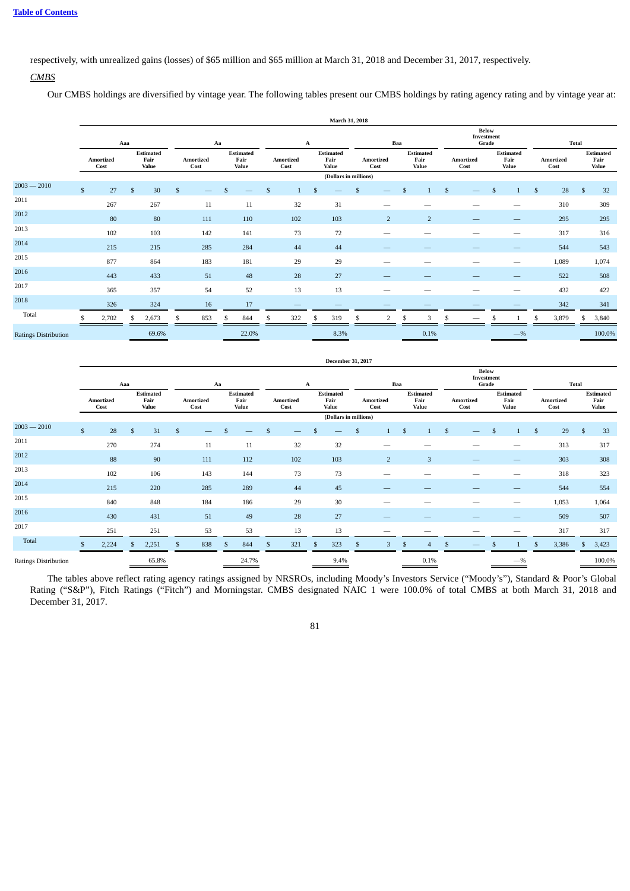respectively, with unrealized gains (losses) of \$65 million and \$65 million at March 31, 2018 and December 31, 2017, respectively.

# *CMBS*

Our CMBS holdings are diversified by vintage year. The following tables present our CMBS holdings by rating agency rating and by vintage year at:

|                             |              |                   |                    |                                   |              |                   |    |                                   |              |                   |    | March 31, 2018                    |                      |     |                                   |                                     |                   |              |                                   |              |                   |              |                                   |  |
|-----------------------------|--------------|-------------------|--------------------|-----------------------------------|--------------|-------------------|----|-----------------------------------|--------------|-------------------|----|-----------------------------------|----------------------|-----|-----------------------------------|-------------------------------------|-------------------|--------------|-----------------------------------|--------------|-------------------|--------------|-----------------------------------|--|
|                             |              |                   | Aaa                |                                   |              | Aa                |    |                                   |              |                   | A  |                                   |                      | Baa |                                   | <b>Below</b><br>Investment<br>Grade |                   |              |                                   |              | <b>Total</b>      |              |                                   |  |
|                             |              | Amortized<br>Cost |                    | <b>Estimated</b><br>Fair<br>Value |              | Amortized<br>Cost |    | <b>Estimated</b><br>Fair<br>Value |              | Amortized<br>Cost |    | <b>Estimated</b><br>Fair<br>Value | Amortized<br>Cost    |     | <b>Estimated</b><br>Fair<br>Value |                                     | Amortized<br>Cost |              | <b>Estimated</b><br>Fair<br>Value |              | Amortized<br>Cost |              | <b>Estimated</b><br>Fair<br>Value |  |
|                             |              |                   |                    |                                   |              |                   |    |                                   |              |                   |    | (Dollars in millions)             |                      |     |                                   |                                     |                   |              |                                   |              |                   |              |                                   |  |
| $2003 - 2010$               | $\mathbb{S}$ | 27                | $\mathbf{\hat{S}}$ | 30                                | $\mathbb{S}$ |                   |    |                                   | $\mathbf{s}$ |                   | £. |                                   | \$                   | \$  |                                   | $\mathbf{\hat{s}}$                  |                   | $\mathbb{S}$ | $\mathbf{1}$                      | $\mathbb{S}$ | 28                | $\mathbf{s}$ | 32                                |  |
| 2011                        |              | 267               |                    | 267                               |              | 11                |    | 11                                |              | 32                |    | 31                                |                      |     |                                   |                                     |                   |              |                                   |              | 310               |              | 309                               |  |
| 2012                        |              | 80                |                    | 80                                |              | 111               |    | 110                               |              | 102               |    | 103                               | $\overline{2}$       |     | $\overline{2}$                    |                                     |                   |              |                                   |              | 295               |              | 295                               |  |
| 2013                        |              | 102               |                    | 103                               |              | 142               |    | 141                               |              | 73                |    | 72                                | -                    |     |                                   |                                     |                   |              | –                                 |              | 317               |              | 316                               |  |
| 2014                        |              | 215               |                    | 215                               |              | 285               |    | 284                               |              | 44                |    | 44                                | _                    |     |                                   |                                     |                   |              |                                   |              | 544               |              | 543                               |  |
| 2015                        |              | 877               |                    | 864                               |              | 183               |    | 181                               |              | 29                |    | 29                                |                      |     |                                   |                                     |                   |              | -                                 |              | 1,089             |              | 1,074                             |  |
| 2016                        |              | 443               |                    | 433                               |              | 51                |    | 48                                |              | 28                |    | 27                                |                      |     |                                   |                                     |                   |              |                                   |              | 522               |              | 508                               |  |
| 2017                        |              | 365               |                    | 357                               |              | 54                |    | 52                                |              | 13                |    | 13                                |                      |     |                                   |                                     |                   |              |                                   |              | 432               |              | 422                               |  |
| 2018                        |              | 326               |                    | 324                               |              | 16                |    | 17                                |              |                   |    |                                   |                      |     |                                   |                                     |                   |              |                                   |              | 342               |              | 341                               |  |
| Total                       |              | 2,702             |                    | 2,673                             | £.           | 853               | -S | 844                               | £.           | 322               | £. | 319                               | \$<br>$\overline{2}$ | \$. | 3                                 |                                     |                   | £.           |                                   | .S           | 3,879             |              | 3,840                             |  |
| <b>Ratings Distribution</b> |              |                   |                    | 69.6%                             |              |                   |    | 22.0%                             |              |                   |    | 8.3%                              |                      |     | 0.1%                              |                                     |                   |              | $-$ %                             |              |                   |              | 100.0%                            |  |

|                      |                |                          |               |                                   |                          |                                          |                    |                     |    | December 31, 2017                 |    |                          |                                     |              |                          |              |                                   |              |                          |              |                                   |  |  |
|----------------------|----------------|--------------------------|---------------|-----------------------------------|--------------------------|------------------------------------------|--------------------|---------------------|----|-----------------------------------|----|--------------------------|-------------------------------------|--------------|--------------------------|--------------|-----------------------------------|--------------|--------------------------|--------------|-----------------------------------|--|--|
|                      |                |                          | Aaa           |                                   | Aa                       |                                          |                    | Baa<br>$\mathbf{A}$ |    |                                   |    |                          | <b>Below</b><br>Investment<br>Grade |              |                          |              |                                   |              | <b>Total</b>             |              |                                   |  |  |
|                      |                | <b>Amortized</b><br>Cost |               | <b>Estimated</b><br>Fair<br>Value | <b>Amortized</b><br>Cost | <b>Estimated</b><br>Fair<br><b>Value</b> |                    | Amortized<br>Cost   |    | <b>Estimated</b><br>Fair<br>Value |    | <b>Amortized</b><br>Cost | <b>Estimated</b><br>Fair<br>Value   |              | <b>Amortized</b><br>Cost |              | <b>Estimated</b><br>Fair<br>Value |              | <b>Amortized</b><br>Cost |              | <b>Estimated</b><br>Fair<br>Value |  |  |
|                      |                |                          |               |                                   |                          |                                          |                    |                     |    | (Dollars in millions)             |    |                          |                                     |              |                          |              |                                   |              |                          |              |                                   |  |  |
| $2003 - 2010$        | $\mathfrak{s}$ | 28                       | $\mathsf{\$}$ | 31                                | \$                       |                                          | $\mathbf{\hat{S}}$ |                     |    |                                   | \$ |                          | \$                                  | $\mathbf{s}$ |                          | $\mathbb{S}$ | $\overline{1}$                    | $\mathbb{S}$ | 29                       | $\mathbf{s}$ | 33                                |  |  |
| 2011                 |                | 270                      |               | 274                               | 11                       | 11                                       |                    | 32                  |    | 32                                |    |                          |                                     |              |                          |              |                                   |              | 313                      |              | 317                               |  |  |
| 2012                 |                | 88                       |               | 90                                | 111                      | 112                                      |                    | 102                 |    | 103                               |    | $\overline{2}$           | 3                                   |              |                          |              |                                   |              | 303                      |              | 308                               |  |  |
| 2013                 |                | 102                      |               | 106                               | 143                      | 144                                      |                    | 73                  |    | 73                                |    |                          |                                     |              |                          |              |                                   |              | 318                      |              | 323                               |  |  |
| 2014                 |                | 215                      |               | 220                               | 285                      | 289                                      |                    | 44                  |    | 45                                |    | –                        |                                     |              |                          |              |                                   |              | 544                      |              | 554                               |  |  |
| 2015                 |                | 840                      |               | 848                               | 184                      | 186                                      |                    | 29                  |    | 30                                |    |                          |                                     |              |                          |              |                                   |              | 1,053                    |              | 1,064                             |  |  |
| 2016                 |                | 430                      |               | 431                               | 51                       | 49                                       |                    | 28                  |    | 27                                |    | –                        |                                     |              | _                        |              |                                   |              | 509                      |              | 507                               |  |  |
| 2017                 |                | 251                      |               | 251                               | 53                       | 53                                       |                    | 13                  |    | 13                                |    |                          |                                     |              |                          |              |                                   |              | 317                      |              | 317                               |  |  |
| Total                |                | 2,224                    |               | 2,251                             | 838                      | 844                                      | \$.                | 321                 | J. | 323                               |    | 3                        |                                     |              |                          |              |                                   |              | 3,386                    | s.           | 3,423                             |  |  |
| Ratings Distribution |                |                          |               | 65.8%                             |                          | 24.7%                                    |                    |                     |    | 9.4%                              |    |                          | 0.1%                                |              |                          |              | $-$ %                             |              |                          |              | 100.0%                            |  |  |

The tables above reflect rating agency ratings assigned by NRSROs, including Moody's Investors Service ("Moody's"), Standard & Poor's Global Rating ("S&P"), Fitch Ratings ("Fitch") and Morningstar. CMBS designated NAIC 1 were 100.0% of total CMBS at both March 31, 2018 and December 31, 2017.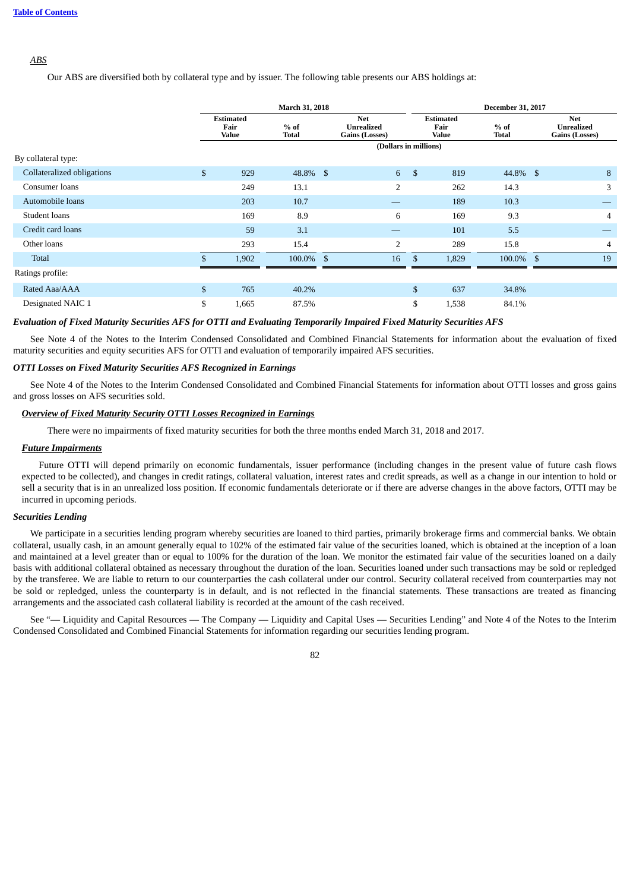## *ABS*

Our ABS are diversified both by collateral type and by issuer. The following table presents our ABS holdings at:

|                            |              |                                   | March 31, 2018         |                                                   | <b>December 31, 2017</b> |                                          |                        |  |                                                   |  |  |  |  |
|----------------------------|--------------|-----------------------------------|------------------------|---------------------------------------------------|--------------------------|------------------------------------------|------------------------|--|---------------------------------------------------|--|--|--|--|
|                            |              | <b>Estimated</b><br>Fair<br>Value | $%$ of<br><b>Total</b> | <b>Net</b><br><b>Unrealized</b><br>Gains (Losses) |                          | <b>Estimated</b><br>Fair<br><b>Value</b> | $%$ of<br><b>Total</b> |  | <b>Net</b><br><b>Unrealized</b><br>Gains (Losses) |  |  |  |  |
|                            |              |                                   |                        | (Dollars in millions)                             |                          |                                          |                        |  |                                                   |  |  |  |  |
| By collateral type:        |              |                                   |                        |                                                   |                          |                                          |                        |  |                                                   |  |  |  |  |
| Collateralized obligations | \$           | 929                               | 48.8% \$               | 6                                                 | $\mathfrak{F}$           | 819                                      | 44.8% \$               |  | 8                                                 |  |  |  |  |
| Consumer loans             |              | 249                               | 13.1                   | $\overline{2}$                                    |                          | 262                                      | 14.3                   |  | 3                                                 |  |  |  |  |
| Automobile loans           |              | 203                               | 10.7                   |                                                   |                          | 189                                      | 10.3                   |  |                                                   |  |  |  |  |
| Student loans              |              | 169                               | 8.9                    | 6                                                 |                          | 169                                      | 9.3                    |  | $\overline{4}$                                    |  |  |  |  |
| Credit card loans          |              | 59                                | 3.1                    |                                                   |                          | 101                                      | 5.5                    |  |                                                   |  |  |  |  |
| Other loans                |              | 293                               | 15.4                   | $\overline{2}$                                    |                          | 289                                      | 15.8                   |  | $\overline{4}$                                    |  |  |  |  |
| <b>Total</b>               | \$           | 1,902                             | 100.0% \$              | 16                                                | $\mathbf{s}$             | 1,829                                    | 100.0% \$              |  | 19                                                |  |  |  |  |
| Ratings profile:           |              |                                   |                        |                                                   |                          |                                          |                        |  |                                                   |  |  |  |  |
| Rated Aaa/AAA              | $\mathbb{S}$ | 765                               | 40.2%                  |                                                   | $\mathbf{s}$             | 637                                      | 34.8%                  |  |                                                   |  |  |  |  |
| Designated NAIC 1          | \$           | 1,665                             | 87.5%                  |                                                   | \$                       | 1,538                                    | 84.1%                  |  |                                                   |  |  |  |  |

#### Evaluation of Fixed Maturity Securities AFS for OTTI and Evaluating Temporarily Impaired Fixed Maturity Securities AFS

See Note 4 of the Notes to the Interim Condensed Consolidated and Combined Financial Statements for information about the evaluation of fixed maturity securities and equity securities AFS for OTTI and evaluation of temporarily impaired AFS securities.

## *OTTI Losses on Fixed Maturity Securities AFS Recognized in Earnings*

See Note 4 of the Notes to the Interim Condensed Consolidated and Combined Financial Statements for information about OTTI losses and gross gains and gross losses on AFS securities sold.

## *Overview of Fixed Maturity Security OTTI Losses Recognized in Earnings*

There were no impairments of fixed maturity securities for both the three months ended March 31, 2018 and 2017.

### *Future Impairments*

Future OTTI will depend primarily on economic fundamentals, issuer performance (including changes in the present value of future cash flows expected to be collected), and changes in credit ratings, collateral valuation, interest rates and credit spreads, as well as a change in our intention to hold or sell a security that is in an unrealized loss position. If economic fundamentals deteriorate or if there are adverse changes in the above factors, OTTI may be incurred in upcoming periods.

## *Securities Lending*

We participate in a securities lending program whereby securities are loaned to third parties, primarily brokerage firms and commercial banks. We obtain collateral, usually cash, in an amount generally equal to 102% of the estimated fair value of the securities loaned, which is obtained at the inception of a loan and maintained at a level greater than or equal to 100% for the duration of the loan. We monitor the estimated fair value of the securities loaned on a daily basis with additional collateral obtained as necessary throughout the duration of the loan. Securities loaned under such transactions may be sold or repledged by the transferee. We are liable to return to our counterparties the cash collateral under our control. Security collateral received from counterparties may not be sold or repledged, unless the counterparty is in default, and is not reflected in the financial statements. These transactions are treated as financing arrangements and the associated cash collateral liability is recorded at the amount of the cash received.

See "— Liquidity and Capital Resources — The Company — Liquidity and Capital Uses — Securities Lending" and Note 4 of the Notes to the Interim Condensed Consolidated and Combined Financial Statements for information regarding our securities lending program.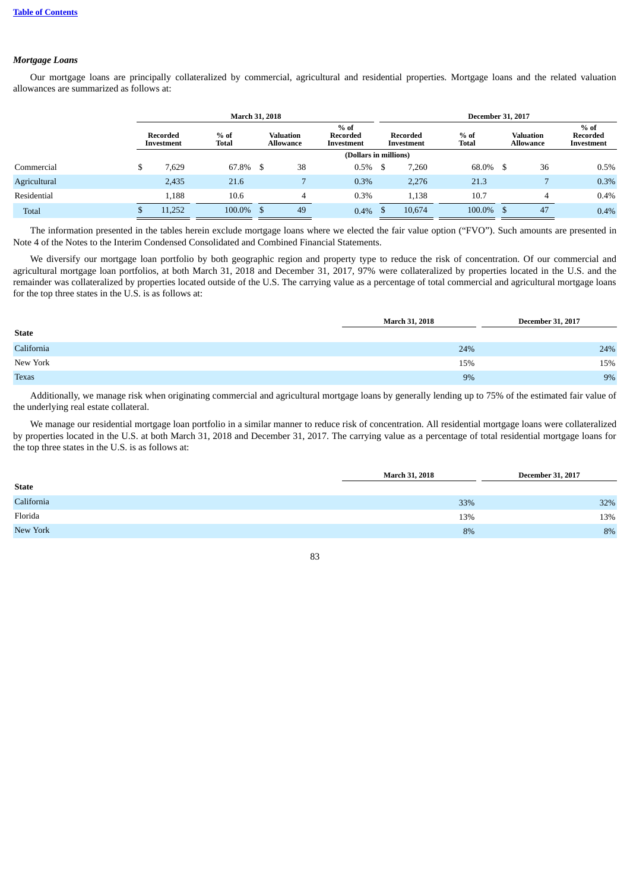## *Mortgage Loans*

Our mortgage loans are principally collateralized by commercial, agricultural and residential properties. Mortgage loans and the related valuation allowances are summarized as follows at:

|              |    |                        | <b>March 31, 2018</b> |                               |                                  | <b>December 31, 2017</b> |                        |                        |  |                        |                                  |  |  |  |  |
|--------------|----|------------------------|-----------------------|-------------------------------|----------------------------------|--------------------------|------------------------|------------------------|--|------------------------|----------------------------------|--|--|--|--|
|              |    | Recorded<br>Investment | $%$ of<br>Total       | <b>Valuation</b><br>Allowance | $%$ of<br>Recorded<br>Investment |                          | Recorded<br>Investment | $%$ of<br><b>Total</b> |  | Valuation<br>Allowance | $%$ of<br>Recorded<br>Investment |  |  |  |  |
|              |    |                        |                       |                               | (Dollars in millions)            |                          |                        |                        |  |                        |                                  |  |  |  |  |
| Commercial   | \$ | 7,629                  | 67.8%                 | 38                            | $0.5\%$ \$                       |                          | 7,260                  | 68.0% \$               |  | 36                     | $0.5\%$                          |  |  |  |  |
| Agricultural |    | 2,435                  | 21.6                  | 7                             | 0.3%                             |                          | 2,276                  | 21.3                   |  |                        | 0.3%                             |  |  |  |  |
| Residential  |    | 1,188                  | 10.6                  | 4                             | 0.3%                             |                          | 1,138                  | 10.7                   |  | 4                      | 0.4%                             |  |  |  |  |
| Total        |    | 11,252                 | 100.0%                | 49                            | $0.4\%$                          |                          | 10,674                 | 100.0% \$              |  | 47                     | 0.4%                             |  |  |  |  |

The information presented in the tables herein exclude mortgage loans where we elected the fair value option ("FVO"). Such amounts are presented in Note 4 of the Notes to the Interim Condensed Consolidated and Combined Financial Statements.

We diversify our mortgage loan portfolio by both geographic region and property type to reduce the risk of concentration. Of our commercial and agricultural mortgage loan portfolios, at both March 31, 2018 and December 31, 2017, 97% were collateralized by properties located in the U.S. and the remainder was collateralized by properties located outside of the U.S. The carrying value as a percentage of total commercial and agricultural mortgage loans for the top three states in the U.S. is as follows at:

|              | <b>March 31, 2018</b> | <b>December 31, 2017</b> |
|--------------|-----------------------|--------------------------|
| <b>State</b> |                       |                          |
| California   | 24%                   | 24%                      |
| New York     | 15%                   | 15%                      |
| <b>Texas</b> | 9%                    | 9%                       |

Additionally, we manage risk when originating commercial and agricultural mortgage loans by generally lending up to 75% of the estimated fair value of the underlying real estate collateral.

We manage our residential mortgage loan portfolio in a similar manner to reduce risk of concentration. All residential mortgage loans were collateralized by properties located in the U.S. at both March 31, 2018 and December 31, 2017. The carrying value as a percentage of total residential mortgage loans for the top three states in the U.S. is as follows at:

|            | <b>March 31, 2018</b> | <b>December 31, 2017</b> |
|------------|-----------------------|--------------------------|
| State      |                       |                          |
| California | 33%                   | 32%                      |
| Florida    | 13%                   | 13%                      |
| New York   | 8%                    | 8%                       |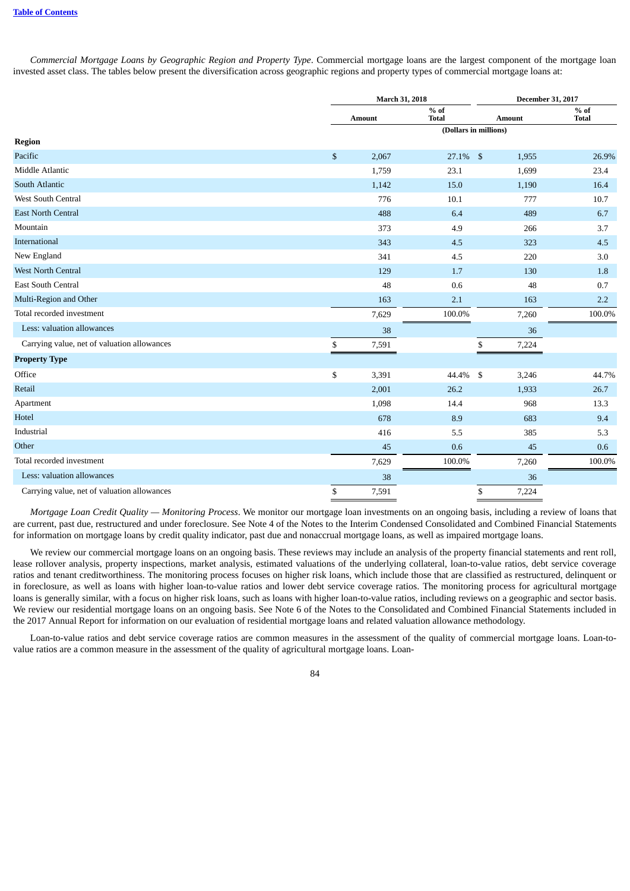*Commercial Mortgage Loans by Geographic Region and Property Type*. Commercial mortgage loans are the largest component of the mortgage loan invested asset class. The tables below present the diversification across geographic regions and property types of commercial mortgage loans at:

|               | March 31, 2018         |      | December 31, 2017 |                                        |  |  |  |
|---------------|------------------------|------|-------------------|----------------------------------------|--|--|--|
| <b>Amount</b> | $%$ of<br><b>Total</b> |      |                   | $%$ of<br><b>Total</b>                 |  |  |  |
|               |                        |      |                   |                                        |  |  |  |
|               |                        |      |                   |                                        |  |  |  |
| \$<br>2,067   |                        |      | 1,955             | 26.9%                                  |  |  |  |
| 1,759         | 23.1                   |      | 1,699             | 23.4                                   |  |  |  |
| 1,142         | 15.0                   |      | 1,190             | 16.4                                   |  |  |  |
| 776           | 10.1                   |      | 777               | 10.7                                   |  |  |  |
| 488           | 6.4                    |      | 489               | 6.7                                    |  |  |  |
| 373           | 4.9                    |      | 266               | 3.7                                    |  |  |  |
| 343           | 4.5                    |      | 323               | 4.5                                    |  |  |  |
| 341           | 4.5                    |      | 220               | 3.0                                    |  |  |  |
| 129           | 1.7                    |      | 130               | 1.8                                    |  |  |  |
| 48            | 0.6                    |      | 48                | 0.7                                    |  |  |  |
| 163           | 2.1                    |      | 163               | 2.2                                    |  |  |  |
| 7,629         | 100.0%                 |      | 7,260             | 100.0%                                 |  |  |  |
| 38            |                        |      | 36                |                                        |  |  |  |
| \$<br>7,591   |                        | \$   | 7,224             |                                        |  |  |  |
|               |                        |      |                   |                                        |  |  |  |
| \$<br>3,391   | 44.4%                  | - \$ | 3,246             | 44.7%                                  |  |  |  |
| 2,001         | 26.2                   |      | 1,933             | 26.7                                   |  |  |  |
| 1,098         | 14.4                   |      | 968               | 13.3                                   |  |  |  |
| 678           | 8.9                    |      | 683               | 9.4                                    |  |  |  |
| 416           | 5.5                    |      | 385               | 5.3                                    |  |  |  |
| 45            | 0.6                    |      | 45                | 0.6                                    |  |  |  |
| 7,629         | 100.0%                 |      | 7,260             | 100.0%                                 |  |  |  |
| 38            |                        |      | 36                |                                        |  |  |  |
| \$<br>7,591   |                        | \$   | 7,224             |                                        |  |  |  |
|               |                        |      | 27.1% \$          | <b>Amount</b><br>(Dollars in millions) |  |  |  |

*Mortgage Loan Credit Quality — Monitoring Process*. We monitor our mortgage loan investments on an ongoing basis, including a review of loans that are current, past due, restructured and under foreclosure. See Note 4 of the Notes to the Interim Condensed Consolidated and Combined Financial Statements for information on mortgage loans by credit quality indicator, past due and nonaccrual mortgage loans, as well as impaired mortgage loans.

We review our commercial mortgage loans on an ongoing basis. These reviews may include an analysis of the property financial statements and rent roll, lease rollover analysis, property inspections, market analysis, estimated valuations of the underlying collateral, loan-to-value ratios, debt service coverage ratios and tenant creditworthiness. The monitoring process focuses on higher risk loans, which include those that are classified as restructured, delinquent or in foreclosure, as well as loans with higher loan-to-value ratios and lower debt service coverage ratios. The monitoring process for agricultural mortgage loans is generally similar, with a focus on higher risk loans, such as loans with higher loan-to-value ratios, including reviews on a geographic and sector basis. We review our residential mortgage loans on an ongoing basis. See Note 6 of the Notes to the Consolidated and Combined Financial Statements included in the 2017 Annual Report for information on our evaluation of residential mortgage loans and related valuation allowance methodology.

Loan-to-value ratios and debt service coverage ratios are common measures in the assessment of the quality of commercial mortgage loans. Loan-tovalue ratios are a common measure in the assessment of the quality of agricultural mortgage loans. Loan-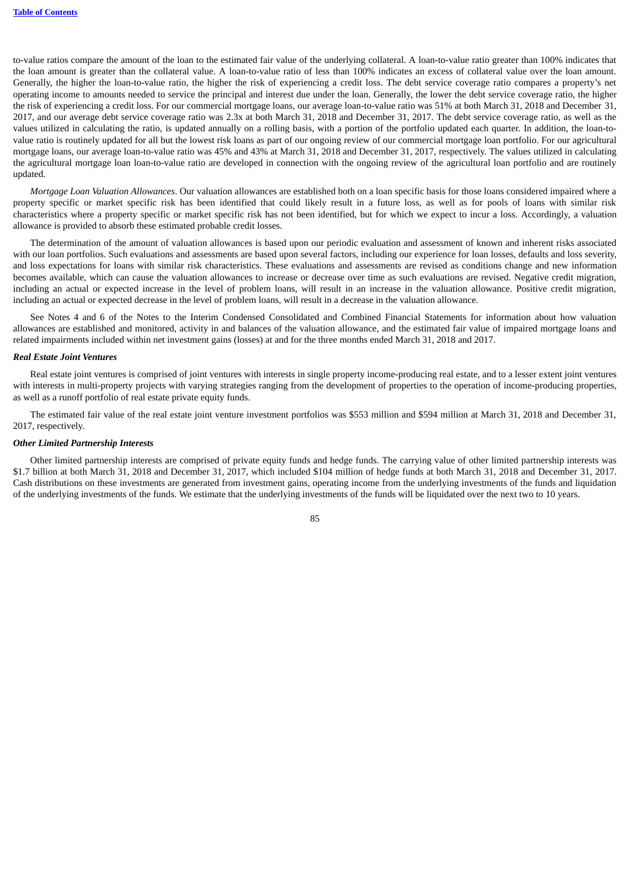to-value ratios compare the amount of the loan to the estimated fair value of the underlying collateral. A loan-to-value ratio greater than 100% indicates that the loan amount is greater than the collateral value. A loan-to-value ratio of less than 100% indicates an excess of collateral value over the loan amount. Generally, the higher the loan-to-value ratio, the higher the risk of experiencing a credit loss. The debt service coverage ratio compares a property's net operating income to amounts needed to service the principal and interest due under the loan. Generally, the lower the debt service coverage ratio, the higher the risk of experiencing a credit loss. For our commercial mortgage loans, our average loan-to-value ratio was 51% at both March 31, 2018 and December 31, 2017, and our average debt service coverage ratio was 2.3x at both March 31, 2018 and December 31, 2017. The debt service coverage ratio, as well as the values utilized in calculating the ratio, is updated annually on a rolling basis, with a portion of the portfolio updated each quarter. In addition, the loan-tovalue ratio is routinely updated for all but the lowest risk loans as part of our ongoing review of our commercial mortgage loan portfolio. For our agricultural mortgage loans, our average loan-to-value ratio was 45% and 43% at March 31, 2018 and December 31, 2017, respectively. The values utilized in calculating the agricultural mortgage loan loan-to-value ratio are developed in connection with the ongoing review of the agricultural loan portfolio and are routinely updated.

*Mortgage Loan Valuation Allowances*. Our valuation allowances are established both on a loan specific basis for those loans considered impaired where a property specific or market specific risk has been identified that could likely result in a future loss, as well as for pools of loans with similar risk characteristics where a property specific or market specific risk has not been identified, but for which we expect to incur a loss. Accordingly, a valuation allowance is provided to absorb these estimated probable credit losses.

The determination of the amount of valuation allowances is based upon our periodic evaluation and assessment of known and inherent risks associated with our loan portfolios. Such evaluations and assessments are based upon several factors, including our experience for loan losses, defaults and loss severity, and loss expectations for loans with similar risk characteristics. These evaluations and assessments are revised as conditions change and new information becomes available, which can cause the valuation allowances to increase or decrease over time as such evaluations are revised. Negative credit migration, including an actual or expected increase in the level of problem loans, will result in an increase in the valuation allowance. Positive credit migration, including an actual or expected decrease in the level of problem loans, will result in a decrease in the valuation allowance.

See Notes 4 and 6 of the Notes to the Interim Condensed Consolidated and Combined Financial Statements for information about how valuation allowances are established and monitored, activity in and balances of the valuation allowance, and the estimated fair value of impaired mortgage loans and related impairments included within net investment gains (losses) at and for the three months ended March 31, 2018 and 2017.

#### *Real Estate Joint Ventures*

Real estate joint ventures is comprised of joint ventures with interests in single property income-producing real estate, and to a lesser extent joint ventures with interests in multi-property projects with varying strategies ranging from the development of properties to the operation of income-producing properties, as well as a runoff portfolio of real estate private equity funds.

The estimated fair value of the real estate joint venture investment portfolios was \$553 million and \$594 million at March 31, 2018 and December 31, 2017, respectively.

#### *Other Limited Partnership Interests*

Other limited partnership interests are comprised of private equity funds and hedge funds. The carrying value of other limited partnership interests was \$1.7 billion at both March 31, 2018 and December 31, 2017, which included \$104 million of hedge funds at both March 31, 2018 and December 31, 2017. Cash distributions on these investments are generated from investment gains, operating income from the underlying investments of the funds and liquidation of the underlying investments of the funds. We estimate that the underlying investments of the funds will be liquidated over the next two to 10 years.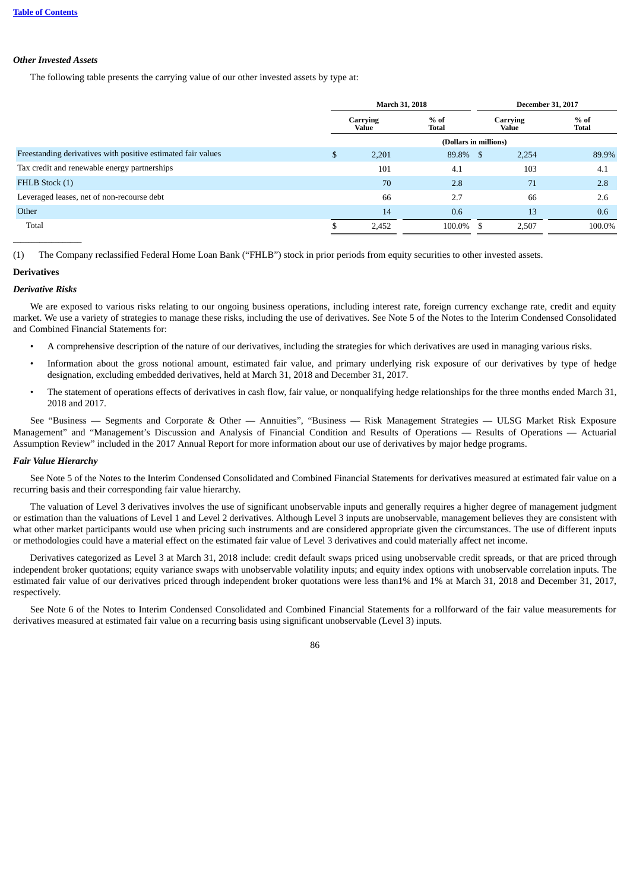# *Other Invested Assets*

The following table presents the carrying value of our other invested assets by type at:

|                                                              |   | <b>March 31, 2018</b> |                       | <b>December 31, 2017</b> |                 |  |  |
|--------------------------------------------------------------|---|-----------------------|-----------------------|--------------------------|-----------------|--|--|
|                                                              |   | Carrying<br>Value     |                       | Carrying<br>Value        | $%$ of<br>Total |  |  |
|                                                              |   |                       | (Dollars in millions) |                          |                 |  |  |
| Freestanding derivatives with positive estimated fair values | D | 2,201                 | 89.8% \$              | 2,254                    | 89.9%           |  |  |
| Tax credit and renewable energy partnerships                 |   | 101                   | 4.1                   | 103                      | 4.1             |  |  |
| FHLB Stock (1)                                               |   | 70                    | 2.8                   | 71                       | 2.8             |  |  |
| Leveraged leases, net of non-recourse debt                   |   | 66                    | 2.7                   | 66                       | 2.6             |  |  |
| Other                                                        |   | 14                    | 0.6                   | 13                       | 0.6             |  |  |
| Total                                                        |   | 2,452                 | 100.0% \$             | 2,507                    | 100.0%          |  |  |
|                                                              |   |                       |                       |                          |                 |  |  |

(1) The Company reclassified Federal Home Loan Bank ("FHLB") stock in prior periods from equity securities to other invested assets.

## **Derivatives**

## *Derivative Risks*

We are exposed to various risks relating to our ongoing business operations, including interest rate, foreign currency exchange rate, credit and equity market. We use a variety of strategies to manage these risks, including the use of derivatives. See Note 5 of the Notes to the Interim Condensed Consolidated and Combined Financial Statements for:

- A comprehensive description of the nature of our derivatives, including the strategies for which derivatives are used in managing various risks.
- Information about the gross notional amount, estimated fair value, and primary underlying risk exposure of our derivatives by type of hedge designation, excluding embedded derivatives, held at March 31, 2018 and December 31, 2017.
- The statement of operations effects of derivatives in cash flow, fair value, or nonqualifying hedge relationships for the three months ended March 31, 2018 and 2017.

See "Business — Segments and Corporate & Other — Annuities", "Business — Risk Management Strategies — ULSG Market Risk Exposure Management" and "Management's Discussion and Analysis of Financial Condition and Results of Operations — Results of Operations — Actuarial Assumption Review" included in the 2017 Annual Report for more information about our use of derivatives by major hedge programs.

## *Fair Value Hierarchy*

See Note 5 of the Notes to the Interim Condensed Consolidated and Combined Financial Statements for derivatives measured at estimated fair value on a recurring basis and their corresponding fair value hierarchy.

The valuation of Level 3 derivatives involves the use of significant unobservable inputs and generally requires a higher degree of management judgment or estimation than the valuations of Level 1 and Level 2 derivatives. Although Level 3 inputs are unobservable, management believes they are consistent with what other market participants would use when pricing such instruments and are considered appropriate given the circumstances. The use of different inputs or methodologies could have a material effect on the estimated fair value of Level 3 derivatives and could materially affect net income.

Derivatives categorized as Level 3 at March 31, 2018 include: credit default swaps priced using unobservable credit spreads, or that are priced through independent broker quotations; equity variance swaps with unobservable volatility inputs; and equity index options with unobservable correlation inputs. The estimated fair value of our derivatives priced through independent broker quotations were less than1% and 1% at March 31, 2018 and December 31, 2017, respectively.

See Note 6 of the Notes to Interim Condensed Consolidated and Combined Financial Statements for a rollforward of the fair value measurements for derivatives measured at estimated fair value on a recurring basis using significant unobservable (Level 3) inputs.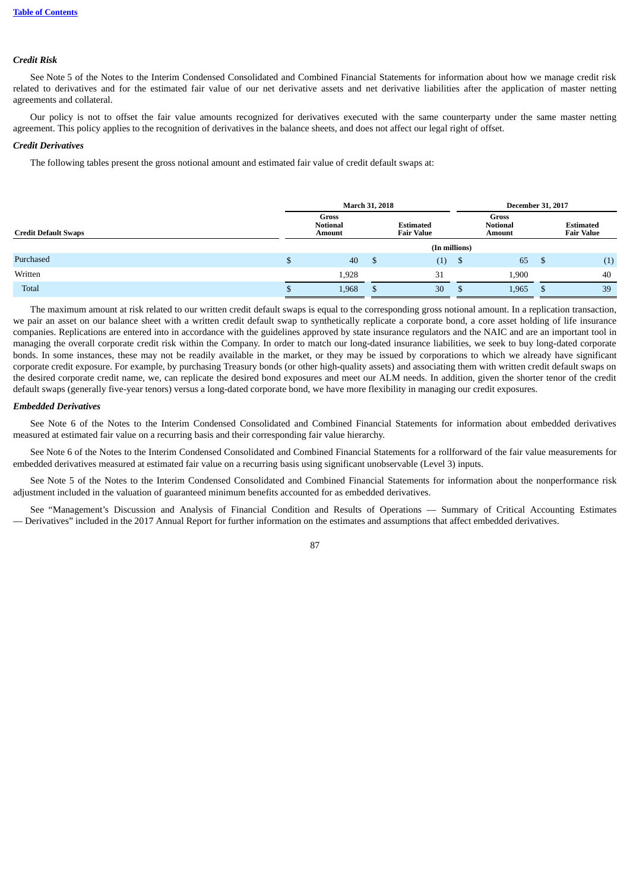### *Credit Risk*

See Note 5 of the Notes to the Interim Condensed Consolidated and Combined Financial Statements for information about how we manage credit risk related to derivatives and for the estimated fair value of our net derivative assets and net derivative liabilities after the application of master netting agreements and collateral.

Our policy is not to offset the fair value amounts recognized for derivatives executed with the same counterparty under the same master netting agreement. This policy applies to the recognition of derivatives in the balance sheets, and does not affect our legal right of offset.

## *Credit Derivatives*

The following tables present the gross notional amount and estimated fair value of credit default swaps at:

|                             | <b>March 31, 2018</b>                     |     |                                       |      | <b>December 31, 2017</b>                  |    |                                       |  |  |  |
|-----------------------------|-------------------------------------------|-----|---------------------------------------|------|-------------------------------------------|----|---------------------------------------|--|--|--|
| <b>Credit Default Swaps</b> | Gross<br><b>Notional</b><br><b>Amount</b> |     | <b>Estimated</b><br><b>Fair Value</b> |      | Gross<br><b>Notional</b><br><b>Amount</b> |    | <b>Estimated</b><br><b>Fair Value</b> |  |  |  |
|                             |                                           |     | (In millions)                         |      |                                           |    |                                       |  |  |  |
| Purchased                   | 40                                        | -\$ | (1)                                   | - \$ | 65                                        | -S | (1)                                   |  |  |  |
| Written                     | 1,928                                     |     | 31                                    |      | 1,900                                     |    | 40                                    |  |  |  |
| Total                       | 1,968                                     | -S  | 30                                    |      | 1,965                                     | S  | 39                                    |  |  |  |

The maximum amount at risk related to our written credit default swaps is equal to the corresponding gross notional amount. In a replication transaction, we pair an asset on our balance sheet with a written credit default swap to synthetically replicate a corporate bond, a core asset holding of life insurance companies. Replications are entered into in accordance with the guidelines approved by state insurance regulators and the NAIC and are an important tool in managing the overall corporate credit risk within the Company. In order to match our long-dated insurance liabilities, we seek to buy long-dated corporate bonds. In some instances, these may not be readily available in the market, or they may be issued by corporations to which we already have significant corporate credit exposure. For example, by purchasing Treasury bonds (or other high-quality assets) and associating them with written credit default swaps on the desired corporate credit name, we, can replicate the desired bond exposures and meet our ALM needs. In addition, given the shorter tenor of the credit default swaps (generally five-year tenors) versus a long-dated corporate bond, we have more flexibility in managing our credit exposures.

#### *Embedded Derivatives*

See Note 6 of the Notes to the Interim Condensed Consolidated and Combined Financial Statements for information about embedded derivatives measured at estimated fair value on a recurring basis and their corresponding fair value hierarchy.

See Note 6 of the Notes to the Interim Condensed Consolidated and Combined Financial Statements for a rollforward of the fair value measurements for embedded derivatives measured at estimated fair value on a recurring basis using significant unobservable (Level 3) inputs.

See Note 5 of the Notes to the Interim Condensed Consolidated and Combined Financial Statements for information about the nonperformance risk adjustment included in the valuation of guaranteed minimum benefits accounted for as embedded derivatives.

See "Management's Discussion and Analysis of Financial Condition and Results of Operations — Summary of Critical Accounting Estimates — Derivatives" included in the 2017 Annual Report for further information on the estimates and assumptions that affect embedded derivatives.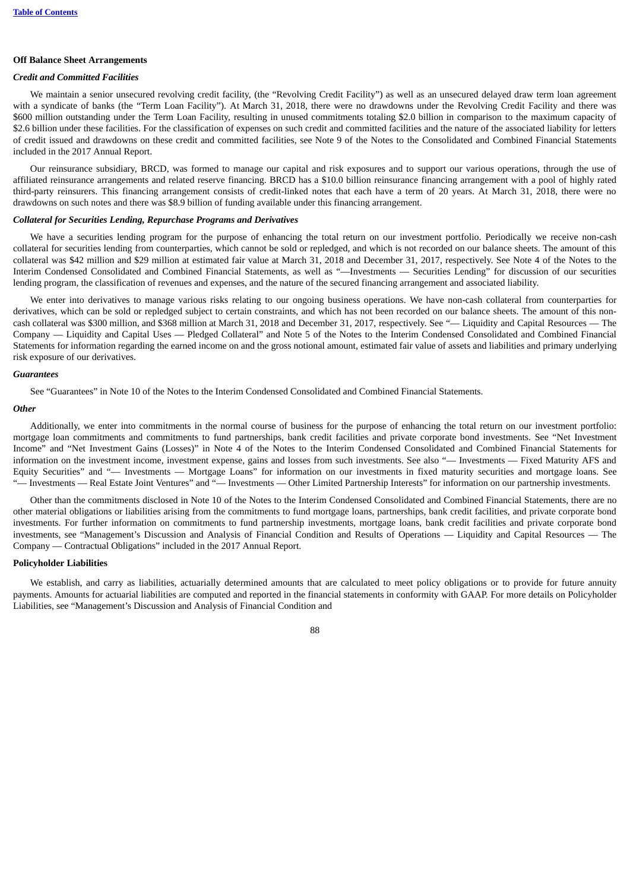## **Off Balance Sheet Arrangements**

## *Credit and Committed Facilities*

We maintain a senior unsecured revolving credit facility, (the "Revolving Credit Facility") as well as an unsecured delayed draw term loan agreement with a syndicate of banks (the "Term Loan Facility"). At March 31, 2018, there were no drawdowns under the Revolving Credit Facility and there was \$600 million outstanding under the Term Loan Facility, resulting in unused commitments totaling \$2.0 billion in comparison to the maximum capacity of \$2.6 billion under these facilities. For the classification of expenses on such credit and committed facilities and the nature of the associated liability for letters of credit issued and drawdowns on these credit and committed facilities, see Note 9 of the Notes to the Consolidated and Combined Financial Statements included in the 2017 Annual Report.

Our reinsurance subsidiary, BRCD, was formed to manage our capital and risk exposures and to support our various operations, through the use of affiliated reinsurance arrangements and related reserve financing. BRCD has a \$10.0 billion reinsurance financing arrangement with a pool of highly rated third-party reinsurers. This financing arrangement consists of credit-linked notes that each have a term of 20 years. At March 31, 2018, there were no drawdowns on such notes and there was \$8.9 billion of funding available under this financing arrangement.

#### *Collateral for Securities Lending, Repurchase Programs and Derivatives*

We have a securities lending program for the purpose of enhancing the total return on our investment portfolio. Periodically we receive non-cash collateral for securities lending from counterparties, which cannot be sold or repledged, and which is not recorded on our balance sheets. The amount of this collateral was \$42 million and \$29 million at estimated fair value at March 31, 2018 and December 31, 2017, respectively. See Note 4 of the Notes to the Interim Condensed Consolidated and Combined Financial Statements, as well as "—Investments — Securities Lending" for discussion of our securities lending program, the classification of revenues and expenses, and the nature of the secured financing arrangement and associated liability.

We enter into derivatives to manage various risks relating to our ongoing business operations. We have non-cash collateral from counterparties for derivatives, which can be sold or repledged subject to certain constraints, and which has not been recorded on our balance sheets. The amount of this noncash collateral was \$300 million, and \$368 million at March 31, 2018 and December 31, 2017, respectively. See "— Liquidity and Capital Resources — The Company — Liquidity and Capital Uses — Pledged Collateral" and Note 5 of the Notes to the Interim Condensed Consolidated and Combined Financial Statements for information regarding the earned income on and the gross notional amount, estimated fair value of assets and liabilities and primary underlying risk exposure of our derivatives.

## *Guarantees*

See "Guarantees" in Note 10 of the Notes to the Interim Condensed Consolidated and Combined Financial Statements.

#### *Other*

Additionally, we enter into commitments in the normal course of business for the purpose of enhancing the total return on our investment portfolio: mortgage loan commitments and commitments to fund partnerships, bank credit facilities and private corporate bond investments. See "Net Investment Income" and "Net Investment Gains (Losses)" in Note 4 of the Notes to the Interim Condensed Consolidated and Combined Financial Statements for information on the investment income, investment expense, gains and losses from such investments. See also "— Investments — Fixed Maturity AFS and Equity Securities" and "— Investments — Mortgage Loans" for information on our investments in fixed maturity securities and mortgage loans. See "— Investments — Real Estate Joint Ventures" and "— Investments — Other Limited Partnership Interests" for information on our partnership investments.

Other than the commitments disclosed in Note 10 of the Notes to the Interim Condensed Consolidated and Combined Financial Statements, there are no other material obligations or liabilities arising from the commitments to fund mortgage loans, partnerships, bank credit facilities, and private corporate bond investments. For further information on commitments to fund partnership investments, mortgage loans, bank credit facilities and private corporate bond investments, see "Management's Discussion and Analysis of Financial Condition and Results of Operations — Liquidity and Capital Resources — The Company — Contractual Obligations" included in the 2017 Annual Report.

#### **Policyholder Liabilities**

We establish, and carry as liabilities, actuarially determined amounts that are calculated to meet policy obligations or to provide for future annuity payments. Amounts for actuarial liabilities are computed and reported in the financial statements in conformity with GAAP. For more details on Policyholder Liabilities, see "Management's Discussion and Analysis of Financial Condition and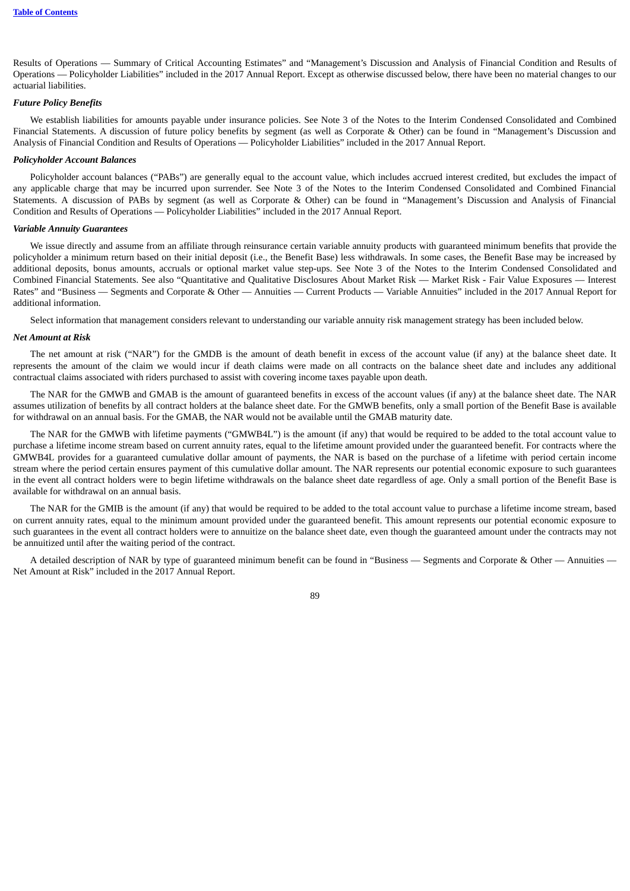Results of Operations — Summary of Critical Accounting Estimates" and "Management's Discussion and Analysis of Financial Condition and Results of Operations — Policyholder Liabilities" included in the 2017 Annual Report. Except as otherwise discussed below, there have been no material changes to our actuarial liabilities.

### *Future Policy Benefits*

We establish liabilities for amounts payable under insurance policies. See Note 3 of the Notes to the Interim Condensed Consolidated and Combined Financial Statements. A discussion of future policy benefits by segment (as well as Corporate & Other) can be found in "Management's Discussion and Analysis of Financial Condition and Results of Operations — Policyholder Liabilities" included in the 2017 Annual Report.

### *Policyholder Account Balances*

Policyholder account balances ("PABs") are generally equal to the account value, which includes accrued interest credited, but excludes the impact of any applicable charge that may be incurred upon surrender. See Note 3 of the Notes to the Interim Condensed Consolidated and Combined Financial Statements. A discussion of PABs by segment (as well as Corporate & Other) can be found in "Management's Discussion and Analysis of Financial Condition and Results of Operations — Policyholder Liabilities" included in the 2017 Annual Report.

### *Variable Annuity Guarantees*

We issue directly and assume from an affiliate through reinsurance certain variable annuity products with guaranteed minimum benefits that provide the policyholder a minimum return based on their initial deposit (i.e., the Benefit Base) less withdrawals. In some cases, the Benefit Base may be increased by additional deposits, bonus amounts, accruals or optional market value step-ups. See Note 3 of the Notes to the Interim Condensed Consolidated and Combined Financial Statements. See also "Quantitative and Qualitative Disclosures About Market Risk — Market Risk - Fair Value Exposures — Interest Rates" and "Business — Segments and Corporate & Other — Annuities — Current Products — Variable Annuities" included in the 2017 Annual Report for additional information.

Select information that management considers relevant to understanding our variable annuity risk management strategy has been included below.

#### *Net Amount at Risk*

The net amount at risk ("NAR") for the GMDB is the amount of death benefit in excess of the account value (if any) at the balance sheet date. It represents the amount of the claim we would incur if death claims were made on all contracts on the balance sheet date and includes any additional contractual claims associated with riders purchased to assist with covering income taxes payable upon death.

The NAR for the GMWB and GMAB is the amount of guaranteed benefits in excess of the account values (if any) at the balance sheet date. The NAR assumes utilization of benefits by all contract holders at the balance sheet date. For the GMWB benefits, only a small portion of the Benefit Base is available for withdrawal on an annual basis. For the GMAB, the NAR would not be available until the GMAB maturity date.

The NAR for the GMWB with lifetime payments ("GMWB4L") is the amount (if any) that would be required to be added to the total account value to purchase a lifetime income stream based on current annuity rates, equal to the lifetime amount provided under the guaranteed benefit. For contracts where the GMWB4L provides for a guaranteed cumulative dollar amount of payments, the NAR is based on the purchase of a lifetime with period certain income stream where the period certain ensures payment of this cumulative dollar amount. The NAR represents our potential economic exposure to such guarantees in the event all contract holders were to begin lifetime withdrawals on the balance sheet date regardless of age. Only a small portion of the Benefit Base is available for withdrawal on an annual basis.

The NAR for the GMIB is the amount (if any) that would be required to be added to the total account value to purchase a lifetime income stream, based on current annuity rates, equal to the minimum amount provided under the guaranteed benefit. This amount represents our potential economic exposure to such guarantees in the event all contract holders were to annuitize on the balance sheet date, even though the guaranteed amount under the contracts may not be annuitized until after the waiting period of the contract.

A detailed description of NAR by type of guaranteed minimum benefit can be found in "Business — Segments and Corporate & Other — Annuities — Net Amount at Risk" included in the 2017 Annual Report.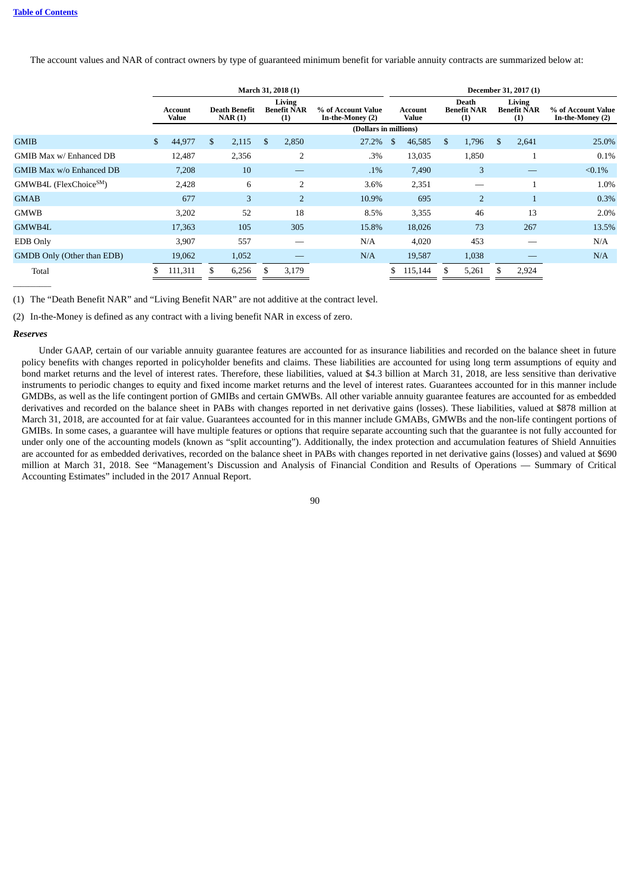The account values and NAR of contract owners by type of guaranteed minimum benefit for variable annuity contracts are summarized below at:

|                                    |                                                    | March 31, 2018 (1) |              |                                     |     |                                        |                       |                         | December 31, 2017 (1)              |              |                                     |    |                                        |           |  |  |
|------------------------------------|----------------------------------------------------|--------------------|--------------|-------------------------------------|-----|----------------------------------------|-----------------------|-------------------------|------------------------------------|--------------|-------------------------------------|----|----------------------------------------|-----------|--|--|
|                                    | <b>Death Benefit</b><br>Account<br>Value<br>NAR(1) |                    |              | Living<br><b>Benefit NAR</b><br>(1) |     | % of Account Value<br>In-the-Money (2) |                       | Account<br><b>Value</b> | Death<br><b>Benefit NAR</b><br>(1) |              | Living<br><b>Benefit NAR</b><br>(1) |    | % of Account Value<br>In-the-Money (2) |           |  |  |
|                                    |                                                    |                    |              |                                     |     |                                        | (Dollars in millions) |                         |                                    |              |                                     |    |                                        |           |  |  |
| <b>GMIB</b>                        | $\mathbf{S}$                                       | 44,977             | $\mathbb{S}$ | 2,115                               | \$  | 2,850                                  | 27.2%                 | \$                      | 46,585                             | $\mathbb{S}$ | 1,796                               | \$ | 2,641                                  | 25.0%     |  |  |
| GMIB Max w/ Enhanced DB            |                                                    | 12,487             |              | 2,356                               |     | $\overline{2}$                         | .3%                   |                         | 13,035                             |              | 1,850                               |    |                                        | 0.1%      |  |  |
| GMIB Max w/o Enhanced DB           |                                                    | 7,208              |              | 10                                  |     |                                        | $.1\%$                |                         | 7,490                              |              | 3                                   |    |                                        | $< 0.1\%$ |  |  |
| GMWB4L (FlexChoice <sup>SM</sup> ) |                                                    | 2,428              |              | 6                                   |     | $\overline{2}$                         | 3.6%                  |                         | 2,351                              |              |                                     |    |                                        | 1.0%      |  |  |
| <b>GMAB</b>                        |                                                    | 677                |              | 3                                   |     | $\overline{2}$                         | 10.9%                 |                         | 695                                |              | $\overline{2}$                      |    | $\mathbf{1}$                           | 0.3%      |  |  |
| <b>GMWB</b>                        |                                                    | 3,202              |              | 52                                  |     | 18                                     | 8.5%                  |                         | 3,355                              |              | 46                                  |    | 13                                     | 2.0%      |  |  |
| GMWB4L                             |                                                    | 17,363             |              | 105                                 |     | 305                                    | 15.8%                 |                         | 18,026                             |              | 73                                  |    | 267                                    | 13.5%     |  |  |
| EDB Only                           |                                                    | 3,907              |              | 557                                 |     |                                        | N/A                   |                         | 4,020                              |              | 453                                 |    |                                        | N/A       |  |  |
| GMDB Only (Other than EDB)         |                                                    | 19,062             |              | 1,052                               |     |                                        | N/A                   |                         | 19,587                             |              | 1,038                               |    |                                        | N/A       |  |  |
| Total                              | \$                                                 | 111,311            | \$           | 6,256                               | \$. | 3,179                                  |                       |                         | 115,144                            | \$           | 5,261                               |    | 2,924                                  |           |  |  |

(1) The "Death Benefit NAR" and "Living Benefit NAR" are not additive at the contract level.

(2) In-the-Money is defined as any contract with a living benefit NAR in excess of zero.

## *Reserves*

 $\overline{\phantom{a}}$ 

Under GAAP, certain of our variable annuity guarantee features are accounted for as insurance liabilities and recorded on the balance sheet in future policy benefits with changes reported in policyholder benefits and claims. These liabilities are accounted for using long term assumptions of equity and bond market returns and the level of interest rates. Therefore, these liabilities, valued at \$4.3 billion at March 31, 2018, are less sensitive than derivative instruments to periodic changes to equity and fixed income market returns and the level of interest rates. Guarantees accounted for in this manner include GMDBs, as well as the life contingent portion of GMIBs and certain GMWBs. All other variable annuity guarantee features are accounted for as embedded derivatives and recorded on the balance sheet in PABs with changes reported in net derivative gains (losses). These liabilities, valued at \$878 million at March 31, 2018, are accounted for at fair value. Guarantees accounted for in this manner include GMABs, GMWBs and the non-life contingent portions of GMIBs. In some cases, a guarantee will have multiple features or options that require separate accounting such that the guarantee is not fully accounted for under only one of the accounting models (known as "split accounting"). Additionally, the index protection and accumulation features of Shield Annuities are accounted for as embedded derivatives, recorded on the balance sheet in PABs with changes reported in net derivative gains (losses) and valued at \$690 million at March 31, 2018. See "Management's Discussion and Analysis of Financial Condition and Results of Operations — Summary of Critical Accounting Estimates" included in the 2017 Annual Report.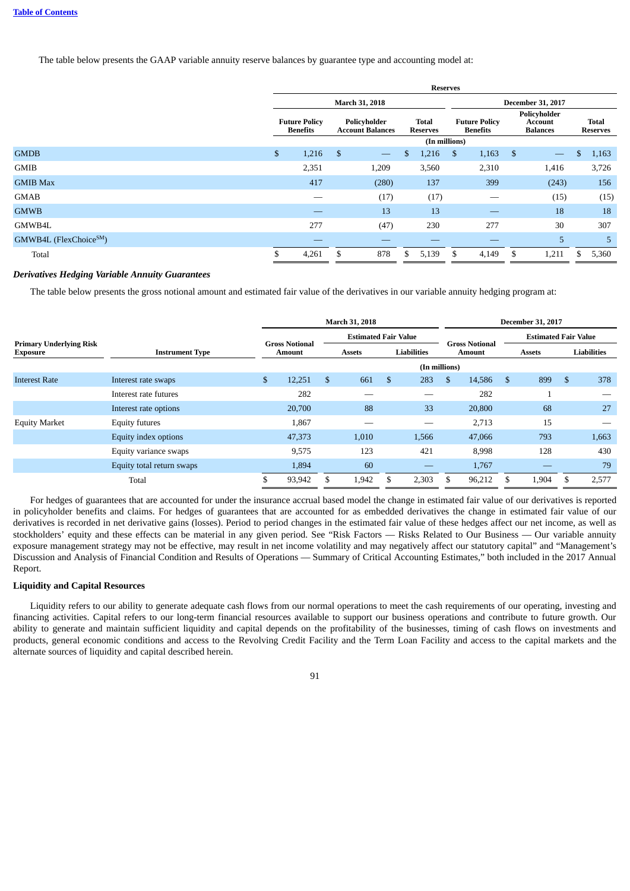The table below presents the GAAP variable annuity reserve balances by guarantee type and accounting model at:

|                                    |                       |                                         |                                                                            |                          |    | <b>Reserves</b>                         |                          |                                            |      |                          |    |       |
|------------------------------------|-----------------------|-----------------------------------------|----------------------------------------------------------------------------|--------------------------|----|-----------------------------------------|--------------------------|--------------------------------------------|------|--------------------------|----|-------|
|                                    | <b>March 31, 2018</b> |                                         |                                                                            |                          |    |                                         | <b>December 31, 2017</b> |                                            |      |                          |    |       |
|                                    |                       | <b>Future Policy</b><br><b>Benefits</b> | Policyholder<br><b>Total</b><br><b>Account Balances</b><br><b>Reserves</b> |                          |    | <b>Future Policy</b><br><b>Benefits</b> |                          | Policyholder<br>Account<br><b>Balances</b> |      | Total<br><b>Reserves</b> |    |       |
|                                    |                       |                                         |                                                                            |                          |    | (In millions)                           |                          |                                            |      |                          |    |       |
| <b>GMDB</b>                        | $\mathfrak{S}$        | 1,216                                   | $\mathfrak{F}$                                                             | $\overline{\phantom{m}}$ | \$ | 1,216                                   | \$                       | 1,163                                      | - \$ |                          | \$ | 1,163 |
| <b>GMIB</b>                        |                       | 2,351                                   |                                                                            | 1,209                    |    | 3,560                                   |                          | 2,310                                      |      | 1,416                    |    | 3,726 |
| <b>GMIB Max</b>                    |                       | 417                                     |                                                                            | (280)                    |    | 137                                     |                          | 399                                        |      | (243)                    |    | 156   |
| <b>GMAB</b>                        |                       |                                         |                                                                            | (17)                     |    | (17)                                    |                          |                                            |      | (15)                     |    | (15)  |
| <b>GMWB</b>                        |                       |                                         |                                                                            | 13                       |    | 13                                      |                          |                                            |      | 18                       |    | 18    |
| GMWB4L                             |                       | 277                                     |                                                                            | (47)                     |    | 230                                     |                          | 277                                        |      | 30                       |    | 307   |
| GMWB4L (FlexChoice <sup>SM</sup> ) |                       |                                         |                                                                            |                          |    |                                         |                          |                                            |      | 5                        |    | 5     |
| Total                              | \$                    | 4,261                                   | \$                                                                         | 878                      | \$ | 5,139                                   | -\$                      | 4,149                                      | -S   | 1,211                    | \$ | 5,360 |

# *Derivatives Hedging Variable Annuity Guarantees*

The table below presents the gross notional amount and estimated fair value of the derivatives in our variable annuity hedging program at:

|                                                   |                           | March 31, 2018                  |        |    |               |    |       | <b>December 31, 2017</b> |        |                             |       |                                 |       |  |        |  |                    |
|---------------------------------------------------|---------------------------|---------------------------------|--------|----|---------------|----|-------|--------------------------|--------|-----------------------------|-------|---------------------------------|-------|--|--------|--|--------------------|
|                                                   |                           | <b>Estimated Fair Value</b>     |        |    |               |    |       |                          |        | <b>Estimated Fair Value</b> |       |                                 |       |  |        |  |                    |
| <b>Primary Underlying Risk</b><br><b>Exposure</b> | <b>Instrument Type</b>    | <b>Gross Notional</b><br>Amount |        |    |               |    |       |                          | Assets | <b>Liabilities</b>          |       | <b>Gross Notional</b><br>Amount |       |  | Assets |  | <b>Liabilities</b> |
|                                                   |                           |                                 |        |    | (In millions) |    |       |                          |        |                             |       |                                 |       |  |        |  |                    |
| <b>Interest Rate</b>                              | Interest rate swaps       | \$                              | 12,251 | \$ | 661           | \$ | 283   | $\mathbb{S}$             | 14,586 | \$                          | 899   | -\$                             | 378   |  |        |  |                    |
|                                                   | Interest rate futures     |                                 | 282    |    |               |    |       |                          | 282    |                             |       |                                 |       |  |        |  |                    |
|                                                   | Interest rate options     |                                 | 20,700 |    | 88            |    | 33    |                          | 20,800 |                             | 68    |                                 | 27    |  |        |  |                    |
| <b>Equity Market</b>                              | <b>Equity futures</b>     |                                 | 1,867  |    |               |    |       |                          | 2,713  |                             | 15    |                                 |       |  |        |  |                    |
|                                                   | Equity index options      |                                 | 47,373 |    | 1,010         |    | 1,566 |                          | 47,066 |                             | 793   |                                 | 1,663 |  |        |  |                    |
|                                                   | Equity variance swaps     |                                 | 9,575  |    | 123           |    | 421   |                          | 8,998  |                             | 128   |                                 | 430   |  |        |  |                    |
|                                                   | Equity total return swaps |                                 | 1,894  |    | 60            |    |       |                          | 1,767  |                             |       |                                 | 79    |  |        |  |                    |
|                                                   | Total                     |                                 | 93,942 |    | 1,942         |    | 2,303 |                          | 96,212 |                             | 1,904 |                                 | 2,577 |  |        |  |                    |

For hedges of guarantees that are accounted for under the insurance accrual based model the change in estimated fair value of our derivatives is reported in policyholder benefits and claims. For hedges of guarantees that are accounted for as embedded derivatives the change in estimated fair value of our derivatives is recorded in net derivative gains (losses). Period to period changes in the estimated fair value of these hedges affect our net income, as well as stockholders' equity and these effects can be material in any given period. See "Risk Factors — Risks Related to Our Business — Our variable annuity exposure management strategy may not be effective, may result in net income volatility and may negatively affect our statutory capital" and "Management's Discussion and Analysis of Financial Condition and Results of Operations — Summary of Critical Accounting Estimates," both included in the 2017 Annual Report.

# **Liquidity and Capital Resources**

Liquidity refers to our ability to generate adequate cash flows from our normal operations to meet the cash requirements of our operating, investing and financing activities. Capital refers to our long-term financial resources available to support our business operations and contribute to future growth. Our ability to generate and maintain sufficient liquidity and capital depends on the profitability of the businesses, timing of cash flows on investments and products, general economic conditions and access to the Revolving Credit Facility and the Term Loan Facility and access to the capital markets and the alternate sources of liquidity and capital described herein.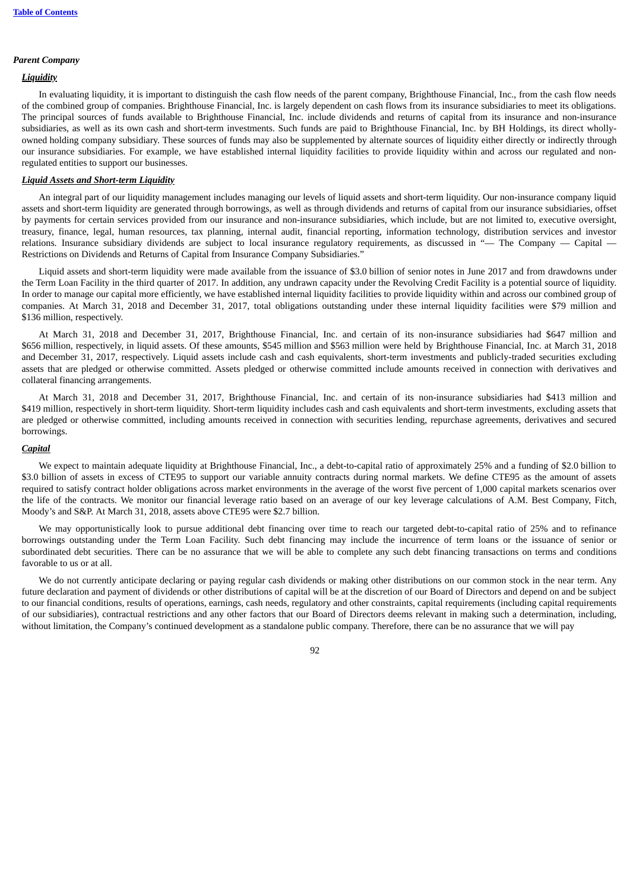#### *Parent Company*

#### *Liquidity*

In evaluating liquidity, it is important to distinguish the cash flow needs of the parent company, Brighthouse Financial, Inc., from the cash flow needs of the combined group of companies. Brighthouse Financial, Inc. is largely dependent on cash flows from its insurance subsidiaries to meet its obligations. The principal sources of funds available to Brighthouse Financial, Inc. include dividends and returns of capital from its insurance and non-insurance subsidiaries, as well as its own cash and short-term investments. Such funds are paid to Brighthouse Financial, Inc. by BH Holdings, its direct whollyowned holding company subsidiary. These sources of funds may also be supplemented by alternate sources of liquidity either directly or indirectly through our insurance subsidiaries. For example, we have established internal liquidity facilities to provide liquidity within and across our regulated and nonregulated entities to support our businesses.

#### *Liquid Assets and Short-term Liquidity*

An integral part of our liquidity management includes managing our levels of liquid assets and short-term liquidity. Our non-insurance company liquid assets and short-term liquidity are generated through borrowings, as well as through dividends and returns of capital from our insurance subsidiaries, offset by payments for certain services provided from our insurance and non-insurance subsidiaries, which include, but are not limited to, executive oversight, treasury, finance, legal, human resources, tax planning, internal audit, financial reporting, information technology, distribution services and investor relations. Insurance subsidiary dividends are subject to local insurance regulatory requirements, as discussed in "— The Company — Capital — Restrictions on Dividends and Returns of Capital from Insurance Company Subsidiaries."

Liquid assets and short-term liquidity were made available from the issuance of \$3.0 billion of senior notes in June 2017 and from drawdowns under the Term Loan Facility in the third quarter of 2017. In addition, any undrawn capacity under the Revolving Credit Facility is a potential source of liquidity. In order to manage our capital more efficiently, we have established internal liquidity facilities to provide liquidity within and across our combined group of companies. At March 31, 2018 and December 31, 2017, total obligations outstanding under these internal liquidity facilities were \$79 million and \$136 million, respectively.

At March 31, 2018 and December 31, 2017, Brighthouse Financial, Inc. and certain of its non-insurance subsidiaries had \$647 million and \$656 million, respectively, in liquid assets. Of these amounts, \$545 million and \$563 million were held by Brighthouse Financial, Inc. at March 31, 2018 and December 31, 2017, respectively. Liquid assets include cash and cash equivalents, short-term investments and publicly-traded securities excluding assets that are pledged or otherwise committed. Assets pledged or otherwise committed include amounts received in connection with derivatives and collateral financing arrangements.

At March 31, 2018 and December 31, 2017, Brighthouse Financial, Inc. and certain of its non-insurance subsidiaries had \$413 million and \$419 million, respectively in short-term liquidity. Short-term liquidity includes cash and cash equivalents and short-term investments, excluding assets that are pledged or otherwise committed, including amounts received in connection with securities lending, repurchase agreements, derivatives and secured borrowings.

#### *Capital*

We expect to maintain adequate liquidity at Brighthouse Financial, Inc., a debt-to-capital ratio of approximately 25% and a funding of \$2.0 billion to \$3.0 billion of assets in excess of CTE95 to support our variable annuity contracts during normal markets. We define CTE95 as the amount of assets required to satisfy contract holder obligations across market environments in the average of the worst five percent of 1,000 capital markets scenarios over the life of the contracts. We monitor our financial leverage ratio based on an average of our key leverage calculations of A.M. Best Company, Fitch, Moody's and S&P. At March 31, 2018, assets above CTE95 were \$2.7 billion.

We may opportunistically look to pursue additional debt financing over time to reach our targeted debt-to-capital ratio of 25% and to refinance borrowings outstanding under the Term Loan Facility. Such debt financing may include the incurrence of term loans or the issuance of senior or subordinated debt securities. There can be no assurance that we will be able to complete any such debt financing transactions on terms and conditions favorable to us or at all.

We do not currently anticipate declaring or paying regular cash dividends or making other distributions on our common stock in the near term. Any future declaration and payment of dividends or other distributions of capital will be at the discretion of our Board of Directors and depend on and be subject to our financial conditions, results of operations, earnings, cash needs, regulatory and other constraints, capital requirements (including capital requirements of our subsidiaries), contractual restrictions and any other factors that our Board of Directors deems relevant in making such a determination, including, without limitation, the Company's continued development as a standalone public company. Therefore, there can be no assurance that we will pay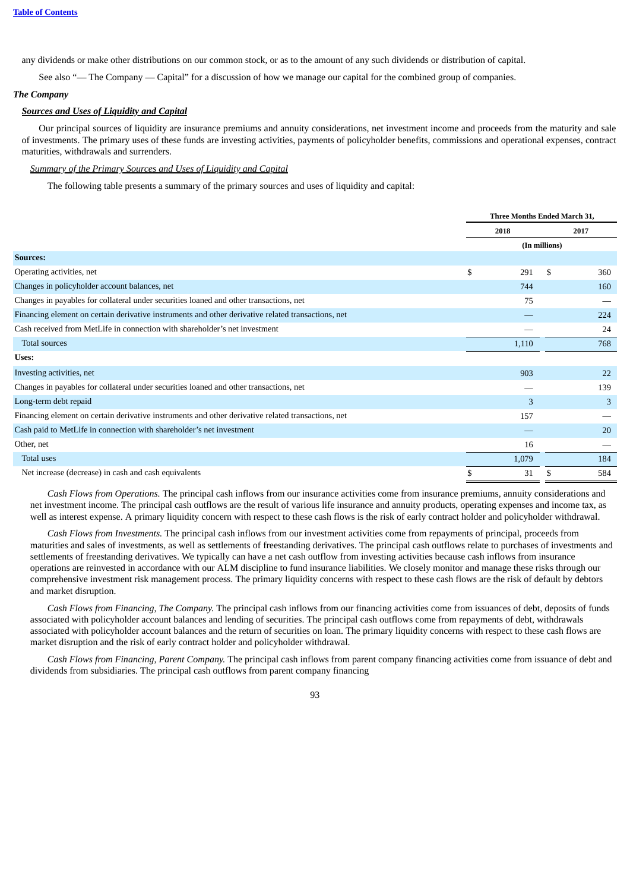any dividends or make other distributions on our common stock, or as to the amount of any such dividends or distribution of capital.

See also "— The Company — Capital" for a discussion of how we manage our capital for the combined group of companies.

## *The Company*

## *Sources and Uses of Liquidity and Capital*

Our principal sources of liquidity are insurance premiums and annuity considerations, net investment income and proceeds from the maturity and sale of investments. The primary uses of these funds are investing activities, payments of policyholder benefits, commissions and operational expenses, contract maturities, withdrawals and surrenders.

## *Summary of the Primary Sources and Uses of Liquidity and Capital*

The following table presents a summary of the primary sources and uses of liquidity and capital:

|                                                                                                    | <b>Three Months Ended March 31,</b> |               |      |
|----------------------------------------------------------------------------------------------------|-------------------------------------|---------------|------|
|                                                                                                    | 2018                                |               | 2017 |
|                                                                                                    |                                     | (In millions) |      |
| <b>Sources:</b>                                                                                    |                                     |               |      |
| Operating activities, net                                                                          | \$<br>291                           | \$            | 360  |
| Changes in policyholder account balances, net                                                      | 744                                 |               | 160  |
| Changes in payables for collateral under securities loaned and other transactions, net             | 75                                  |               |      |
| Financing element on certain derivative instruments and other derivative related transactions, net |                                     |               | 224  |
| Cash received from MetLife in connection with shareholder's net investment                         |                                     |               | 24   |
| <b>Total sources</b>                                                                               | 1,110                               |               | 768  |
| Uses:                                                                                              |                                     |               |      |
| Investing activities, net                                                                          | 903                                 |               | 22   |
| Changes in payables for collateral under securities loaned and other transactions, net             |                                     |               | 139  |
| Long-term debt repaid                                                                              | 3                                   |               | 3    |
| Financing element on certain derivative instruments and other derivative related transactions, net | 157                                 |               |      |
| Cash paid to MetLife in connection with shareholder's net investment                               |                                     |               | 20   |
| Other, net                                                                                         | 16                                  |               |      |
| <b>Total uses</b>                                                                                  | 1,079                               |               | 184  |
| Net increase (decrease) in cash and cash equivalents                                               | \$<br>31                            |               | 584  |

*Cash Flows from Operations.* The principal cash inflows from our insurance activities come from insurance premiums, annuity considerations and net investment income. The principal cash outflows are the result of various life insurance and annuity products, operating expenses and income tax, as well as interest expense. A primary liquidity concern with respect to these cash flows is the risk of early contract holder and policyholder withdrawal.

*Cash Flows from Investments.* The principal cash inflows from our investment activities come from repayments of principal, proceeds from maturities and sales of investments, as well as settlements of freestanding derivatives. The principal cash outflows relate to purchases of investments and settlements of freestanding derivatives. We typically can have a net cash outflow from investing activities because cash inflows from insurance operations are reinvested in accordance with our ALM discipline to fund insurance liabilities. We closely monitor and manage these risks through our comprehensive investment risk management process. The primary liquidity concerns with respect to these cash flows are the risk of default by debtors and market disruption.

*Cash Flows from Financing, The Company.* The principal cash inflows from our financing activities come from issuances of debt, deposits of funds associated with policyholder account balances and lending of securities. The principal cash outflows come from repayments of debt, withdrawals associated with policyholder account balances and the return of securities on loan. The primary liquidity concerns with respect to these cash flows are market disruption and the risk of early contract holder and policyholder withdrawal.

*Cash Flows from Financing, Parent Company.* The principal cash inflows from parent company financing activities come from issuance of debt and dividends from subsidiaries. The principal cash outflows from parent company financing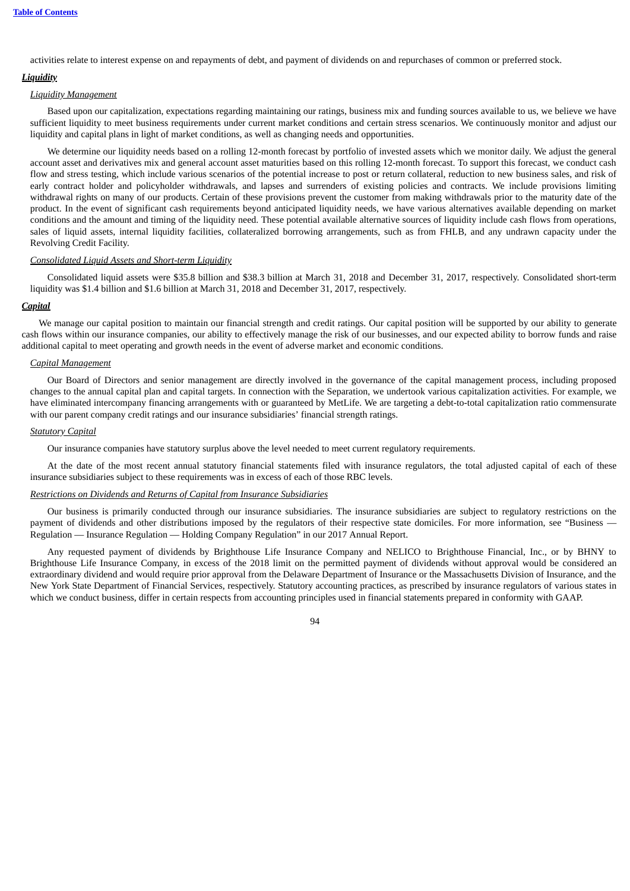activities relate to interest expense on and repayments of debt, and payment of dividends on and repurchases of common or preferred stock.

## *Liquidity*

#### *Liquidity Management*

Based upon our capitalization, expectations regarding maintaining our ratings, business mix and funding sources available to us, we believe we have sufficient liquidity to meet business requirements under current market conditions and certain stress scenarios. We continuously monitor and adjust our liquidity and capital plans in light of market conditions, as well as changing needs and opportunities.

We determine our liquidity needs based on a rolling 12-month forecast by portfolio of invested assets which we monitor daily. We adjust the general account asset and derivatives mix and general account asset maturities based on this rolling 12-month forecast. To support this forecast, we conduct cash flow and stress testing, which include various scenarios of the potential increase to post or return collateral, reduction to new business sales, and risk of early contract holder and policyholder withdrawals, and lapses and surrenders of existing policies and contracts. We include provisions limiting withdrawal rights on many of our products. Certain of these provisions prevent the customer from making withdrawals prior to the maturity date of the product. In the event of significant cash requirements beyond anticipated liquidity needs, we have various alternatives available depending on market conditions and the amount and timing of the liquidity need. These potential available alternative sources of liquidity include cash flows from operations, sales of liquid assets, internal liquidity facilities, collateralized borrowing arrangements, such as from FHLB, and any undrawn capacity under the Revolving Credit Facility.

#### *Consolidated Liquid Assets and Short-term Liquidity*

Consolidated liquid assets were \$35.8 billion and \$38.3 billion at March 31, 2018 and December 31, 2017, respectively. Consolidated short-term liquidity was \$1.4 billion and \$1.6 billion at March 31, 2018 and December 31, 2017, respectively.

## *Capital*

We manage our capital position to maintain our financial strength and credit ratings. Our capital position will be supported by our ability to generate cash flows within our insurance companies, our ability to effectively manage the risk of our businesses, and our expected ability to borrow funds and raise additional capital to meet operating and growth needs in the event of adverse market and economic conditions.

## *Capital Management*

Our Board of Directors and senior management are directly involved in the governance of the capital management process, including proposed changes to the annual capital plan and capital targets. In connection with the Separation, we undertook various capitalization activities. For example, we have eliminated intercompany financing arrangements with or guaranteed by MetLife. We are targeting a debt-to-total capitalization ratio commensurate with our parent company credit ratings and our insurance subsidiaries' financial strength ratings.

#### *Statutory Capital*

Our insurance companies have statutory surplus above the level needed to meet current regulatory requirements.

At the date of the most recent annual statutory financial statements filed with insurance regulators, the total adjusted capital of each of these insurance subsidiaries subject to these requirements was in excess of each of those RBC levels.

#### *Restrictions on Dividends and Returns of Capital from Insurance Subsidiaries*

Our business is primarily conducted through our insurance subsidiaries. The insurance subsidiaries are subject to regulatory restrictions on the payment of dividends and other distributions imposed by the regulators of their respective state domiciles. For more information, see "Business — Regulation — Insurance Regulation — Holding Company Regulation" in our 2017 Annual Report.

Any requested payment of dividends by Brighthouse Life Insurance Company and NELICO to Brighthouse Financial, Inc., or by BHNY to Brighthouse Life Insurance Company, in excess of the 2018 limit on the permitted payment of dividends without approval would be considered an extraordinary dividend and would require prior approval from the Delaware Department of Insurance or the Massachusetts Division of Insurance, and the New York State Department of Financial Services, respectively. Statutory accounting practices, as prescribed by insurance regulators of various states in which we conduct business, differ in certain respects from accounting principles used in financial statements prepared in conformity with GAAP.

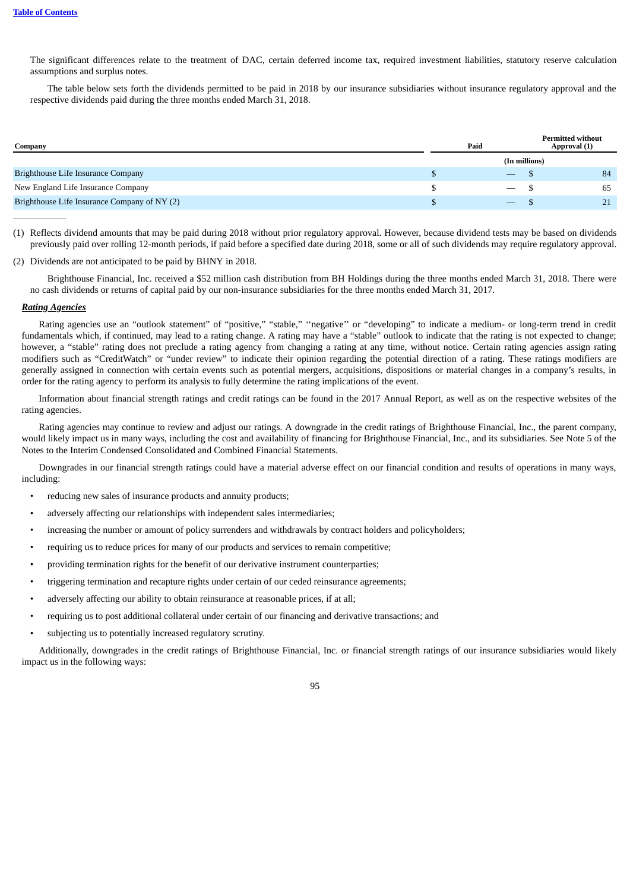The significant differences relate to the treatment of DAC, certain deferred income tax, required investment liabilities, statutory reserve calculation assumptions and surplus notes.

The table below sets forth the dividends permitted to be paid in 2018 by our insurance subsidiaries without insurance regulatory approval and the respective dividends paid during the three months ended March 31, 2018.

| Company                                      | Paid                            |               | <b>Permitted without</b><br>Approval (1) |
|----------------------------------------------|---------------------------------|---------------|------------------------------------------|
|                                              |                                 | (In millions) |                                          |
| Brighthouse Life Insurance Company           |                                 |               | 84                                       |
| New England Life Insurance Company           | $\hspace{0.1mm}-\hspace{0.1mm}$ |               | 65                                       |
| Brighthouse Life Insurance Company of NY (2) |                                 |               |                                          |

(1) Reflects dividend amounts that may be paid during 2018 without prior regulatory approval. However, because dividend tests may be based on dividends previously paid over rolling 12-month periods, if paid before a specified date during 2018, some or all of such dividends may require regulatory approval.

#### (2) Dividends are not anticipated to be paid by BHNY in 2018.

Brighthouse Financial, Inc. received a \$52 million cash distribution from BH Holdings during the three months ended March 31, 2018. There were no cash dividends or returns of capital paid by our non-insurance subsidiaries for the three months ended March 31, 2017.

#### *Rating Agencies*

 $\overline{\phantom{a}}$ 

Rating agencies use an "outlook statement" of "positive," "stable," ''negative'' or "developing" to indicate a medium- or long-term trend in credit fundamentals which, if continued, may lead to a rating change. A rating may have a "stable" outlook to indicate that the rating is not expected to change; however, a "stable" rating does not preclude a rating agency from changing a rating at any time, without notice. Certain rating agencies assign rating modifiers such as "CreditWatch" or "under review" to indicate their opinion regarding the potential direction of a rating. These ratings modifiers are generally assigned in connection with certain events such as potential mergers, acquisitions, dispositions or material changes in a company's results, in order for the rating agency to perform its analysis to fully determine the rating implications of the event.

Information about financial strength ratings and credit ratings can be found in the 2017 Annual Report, as well as on the respective websites of the rating agencies.

Rating agencies may continue to review and adjust our ratings. A downgrade in the credit ratings of Brighthouse Financial, Inc., the parent company, would likely impact us in many ways, including the cost and availability of financing for Brighthouse Financial, Inc., and its subsidiaries. See Note 5 of the Notes to the Interim Condensed Consolidated and Combined Financial Statements.

Downgrades in our financial strength ratings could have a material adverse effect on our financial condition and results of operations in many ways, including:

- reducing new sales of insurance products and annuity products;
- adversely affecting our relationships with independent sales intermediaries;
- increasing the number or amount of policy surrenders and withdrawals by contract holders and policyholders;
- requiring us to reduce prices for many of our products and services to remain competitive;
- providing termination rights for the benefit of our derivative instrument counterparties;
- triggering termination and recapture rights under certain of our ceded reinsurance agreements;
- adversely affecting our ability to obtain reinsurance at reasonable prices, if at all;
- requiring us to post additional collateral under certain of our financing and derivative transactions; and
- subjecting us to potentially increased regulatory scrutiny.

Additionally, downgrades in the credit ratings of Brighthouse Financial, Inc. or financial strength ratings of our insurance subsidiaries would likely impact us in the following ways: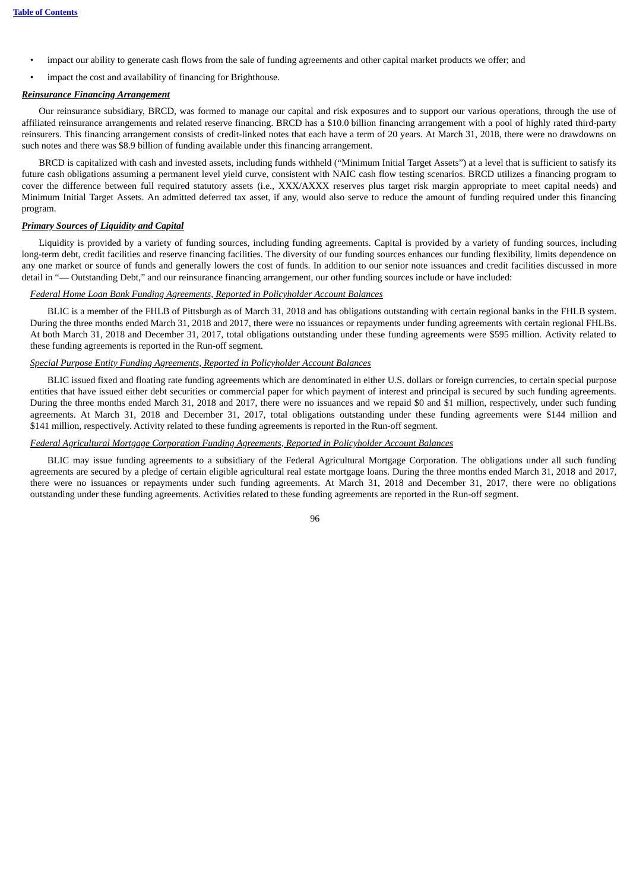- impact our ability to generate cash flows from the sale of funding agreements and other capital market products we offer; and
- impact the cost and availability of financing for Brighthouse.

#### *Reinsurance Financing Arrangement*

Our reinsurance subsidiary, BRCD, was formed to manage our capital and risk exposures and to support our various operations, through the use of affiliated reinsurance arrangements and related reserve financing. BRCD has a \$10.0 billion financing arrangement with a pool of highly rated third-party reinsurers. This financing arrangement consists of credit-linked notes that each have a term of 20 years. At March 31, 2018, there were no drawdowns on such notes and there was \$8.9 billion of funding available under this financing arrangement.

BRCD is capitalized with cash and invested assets, including funds withheld ("Minimum Initial Target Assets") at a level that is sufficient to satisfy its future cash obligations assuming a permanent level yield curve, consistent with NAIC cash flow testing scenarios. BRCD utilizes a financing program to cover the difference between full required statutory assets (i.e., XXX/AXXX reserves plus target risk margin appropriate to meet capital needs) and Minimum Initial Target Assets. An admitted deferred tax asset, if any, would also serve to reduce the amount of funding required under this financing program.

## *Primary Sources of Liquidity and Capital*

Liquidity is provided by a variety of funding sources, including funding agreements. Capital is provided by a variety of funding sources, including long-term debt, credit facilities and reserve financing facilities. The diversity of our funding sources enhances our funding flexibility, limits dependence on any one market or source of funds and generally lowers the cost of funds. In addition to our senior note issuances and credit facilities discussed in more detail in "— Outstanding Debt," and our reinsurance financing arrangement, our other funding sources include or have included:

## *Federal Home Loan Bank Funding Agreements, Reported in Policyholder Account Balances*

BLIC is a member of the FHLB of Pittsburgh as of March 31, 2018 and has obligations outstanding with certain regional banks in the FHLB system. During the three months ended March 31, 2018 and 2017, there were no issuances or repayments under funding agreements with certain regional FHLBs. At both March 31, 2018 and December 31, 2017, total obligations outstanding under these funding agreements were \$595 million. Activity related to these funding agreements is reported in the Run-off segment.

#### *Special Purpose Entity Funding Agreements, Reported in Policyholder Account Balances*

BLIC issued fixed and floating rate funding agreements which are denominated in either U.S. dollars or foreign currencies, to certain special purpose entities that have issued either debt securities or commercial paper for which payment of interest and principal is secured by such funding agreements. During the three months ended March 31, 2018 and 2017, there were no issuances and we repaid \$0 and \$1 million, respectively, under such funding agreements. At March 31, 2018 and December 31, 2017, total obligations outstanding under these funding agreements were \$144 million and \$141 million, respectively. Activity related to these funding agreements is reported in the Run-off segment.

## *Federal Agricultural Mortgage Corporation Funding Agreements, Reported in Policyholder Account Balances*

BLIC may issue funding agreements to a subsidiary of the Federal Agricultural Mortgage Corporation. The obligations under all such funding agreements are secured by a pledge of certain eligible agricultural real estate mortgage loans. During the three months ended March 31, 2018 and 2017, there were no issuances or repayments under such funding agreements. At March 31, 2018 and December 31, 2017, there were no obligations outstanding under these funding agreements. Activities related to these funding agreements are reported in the Run-off segment.

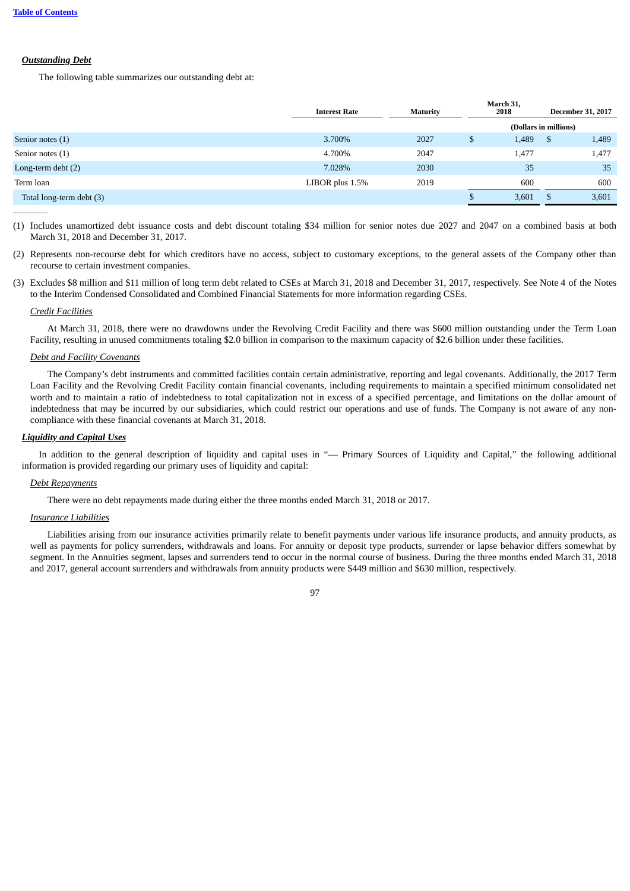# *Outstanding Debt*

The following table summarizes our outstanding debt at:

|                          | <b>Interest Rate</b> | <b>Maturity</b> | March 31,<br>2018     |       | <b>December 31, 2017</b> |       |
|--------------------------|----------------------|-----------------|-----------------------|-------|--------------------------|-------|
|                          |                      |                 | (Dollars in millions) |       |                          |       |
| Senior notes (1)         | 3.700%               | 2027            | S.                    | 1,489 | - 5                      | 1,489 |
| Senior notes (1)         | 4.700%               | 2047            |                       | 1,477 |                          | 1,477 |
| Long-term debt $(2)$     | 7.028%               | 2030            |                       | 35    |                          | 35    |
| Term loan                | LIBOR plus $1.5\%$   | 2019            |                       | 600   |                          | 600   |
| Total long-term debt (3) |                      |                 |                       | 3,601 | - 5                      | 3,601 |
|                          |                      |                 |                       |       |                          |       |

(1) Includes unamortized debt issuance costs and debt discount totaling \$34 million for senior notes due 2027 and 2047 on a combined basis at both March 31, 2018 and December 31, 2017.

- (2) Represents non-recourse debt for which creditors have no access, subject to customary exceptions, to the general assets of the Company other than recourse to certain investment companies.
- (3) Excludes \$8 million and \$11 million of long term debt related to CSEs at March 31, 2018 and December 31, 2017, respectively. See Note 4 of the Notes to the Interim Condensed Consolidated and Combined Financial Statements for more information regarding CSEs.

## *Credit Facilities*

At March 31, 2018, there were no drawdowns under the Revolving Credit Facility and there was \$600 million outstanding under the Term Loan Facility, resulting in unused commitments totaling \$2.0 billion in comparison to the maximum capacity of \$2.6 billion under these facilities.

## *Debt and Facility Covenants*

The Company's debt instruments and committed facilities contain certain administrative, reporting and legal covenants. Additionally, the 2017 Term Loan Facility and the Revolving Credit Facility contain financial covenants, including requirements to maintain a specified minimum consolidated net worth and to maintain a ratio of indebtedness to total capitalization not in excess of a specified percentage, and limitations on the dollar amount of indebtedness that may be incurred by our subsidiaries, which could restrict our operations and use of funds. The Company is not aware of any noncompliance with these financial covenants at March 31, 2018.

## *Liquidity and Capital Uses*

In addition to the general description of liquidity and capital uses in "— Primary Sources of Liquidity and Capital," the following additional information is provided regarding our primary uses of liquidity and capital:

## *Debt Repayments*

There were no debt repayments made during either the three months ended March 31, 2018 or 2017.

### *Insurance Liabilities*

Liabilities arising from our insurance activities primarily relate to benefit payments under various life insurance products, and annuity products, as well as payments for policy surrenders, withdrawals and loans. For annuity or deposit type products, surrender or lapse behavior differs somewhat by segment. In the Annuities segment, lapses and surrenders tend to occur in the normal course of business. During the three months ended March 31, 2018 and 2017, general account surrenders and withdrawals from annuity products were \$449 million and \$630 million, respectively.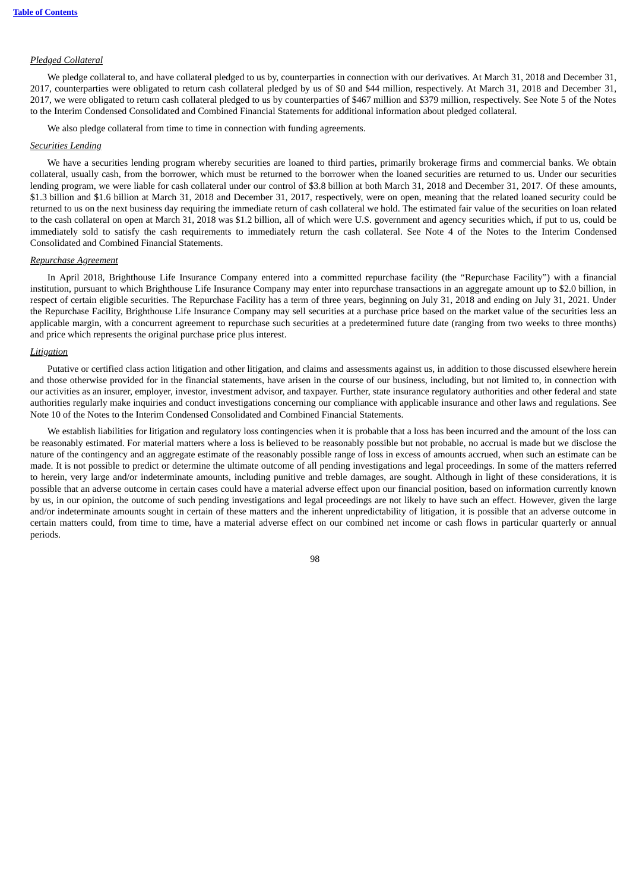## *Pledged Collateral*

We pledge collateral to, and have collateral pledged to us by, counterparties in connection with our derivatives. At March 31, 2018 and December 31, 2017, counterparties were obligated to return cash collateral pledged by us of \$0 and \$44 million, respectively. At March 31, 2018 and December 31, 2017, we were obligated to return cash collateral pledged to us by counterparties of \$467 million and \$379 million, respectively. See Note 5 of the Notes to the Interim Condensed Consolidated and Combined Financial Statements for additional information about pledged collateral.

We also pledge collateral from time to time in connection with funding agreements.

## *Securities Lending*

We have a securities lending program whereby securities are loaned to third parties, primarily brokerage firms and commercial banks. We obtain collateral, usually cash, from the borrower, which must be returned to the borrower when the loaned securities are returned to us. Under our securities lending program, we were liable for cash collateral under our control of \$3.8 billion at both March 31, 2018 and December 31, 2017. Of these amounts, \$1.3 billion and \$1.6 billion at March 31, 2018 and December 31, 2017, respectively, were on open, meaning that the related loaned security could be returned to us on the next business day requiring the immediate return of cash collateral we hold. The estimated fair value of the securities on loan related to the cash collateral on open at March 31, 2018 was \$1.2 billion, all of which were U.S. government and agency securities which, if put to us, could be immediately sold to satisfy the cash requirements to immediately return the cash collateral. See Note 4 of the Notes to the Interim Condensed Consolidated and Combined Financial Statements.

#### *Repurchase Agreement*

In April 2018, Brighthouse Life Insurance Company entered into a committed repurchase facility (the "Repurchase Facility") with a financial institution, pursuant to which Brighthouse Life Insurance Company may enter into repurchase transactions in an aggregate amount up to \$2.0 billion, in respect of certain eligible securities. The Repurchase Facility has a term of three years, beginning on July 31, 2018 and ending on July 31, 2021. Under the Repurchase Facility, Brighthouse Life Insurance Company may sell securities at a purchase price based on the market value of the securities less an applicable margin, with a concurrent agreement to repurchase such securities at a predetermined future date (ranging from two weeks to three months) and price which represents the original purchase price plus interest.

#### *Litigation*

Putative or certified class action litigation and other litigation, and claims and assessments against us, in addition to those discussed elsewhere herein and those otherwise provided for in the financial statements, have arisen in the course of our business, including, but not limited to, in connection with our activities as an insurer, employer, investor, investment advisor, and taxpayer. Further, state insurance regulatory authorities and other federal and state authorities regularly make inquiries and conduct investigations concerning our compliance with applicable insurance and other laws and regulations. See Note 10 of the Notes to the Interim Condensed Consolidated and Combined Financial Statements.

We establish liabilities for litigation and regulatory loss contingencies when it is probable that a loss has been incurred and the amount of the loss can be reasonably estimated. For material matters where a loss is believed to be reasonably possible but not probable, no accrual is made but we disclose the nature of the contingency and an aggregate estimate of the reasonably possible range of loss in excess of amounts accrued, when such an estimate can be made. It is not possible to predict or determine the ultimate outcome of all pending investigations and legal proceedings. In some of the matters referred to herein, very large and/or indeterminate amounts, including punitive and treble damages, are sought. Although in light of these considerations, it is possible that an adverse outcome in certain cases could have a material adverse effect upon our financial position, based on information currently known by us, in our opinion, the outcome of such pending investigations and legal proceedings are not likely to have such an effect. However, given the large and/or indeterminate amounts sought in certain of these matters and the inherent unpredictability of litigation, it is possible that an adverse outcome in certain matters could, from time to time, have a material adverse effect on our combined net income or cash flows in particular quarterly or annual periods.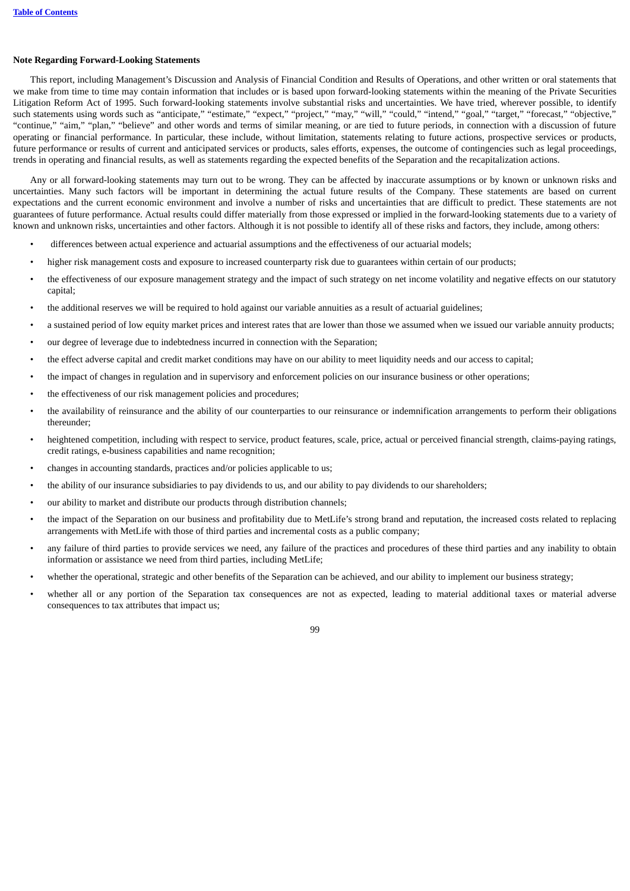## **Note Regarding Forward-Looking Statements**

This report, including Management's Discussion and Analysis of Financial Condition and Results of Operations, and other written or oral statements that we make from time to time may contain information that includes or is based upon forward-looking statements within the meaning of the Private Securities Litigation Reform Act of 1995. Such forward-looking statements involve substantial risks and uncertainties. We have tried, wherever possible, to identify such statements using words such as "anticipate," "estimate," "expect," "project," "may," "will," "could," "intend," "goal," "target," "forecast," "objective," "continue," "aim," "plan," "believe" and other words and terms of similar meaning, or are tied to future periods, in connection with a discussion of future operating or financial performance. In particular, these include, without limitation, statements relating to future actions, prospective services or products, future performance or results of current and anticipated services or products, sales efforts, expenses, the outcome of contingencies such as legal proceedings, trends in operating and financial results, as well as statements regarding the expected benefits of the Separation and the recapitalization actions.

Any or all forward-looking statements may turn out to be wrong. They can be affected by inaccurate assumptions or by known or unknown risks and uncertainties. Many such factors will be important in determining the actual future results of the Company. These statements are based on current expectations and the current economic environment and involve a number of risks and uncertainties that are difficult to predict. These statements are not guarantees of future performance. Actual results could differ materially from those expressed or implied in the forward-looking statements due to a variety of known and unknown risks, uncertainties and other factors. Although it is not possible to identify all of these risks and factors, they include, among others:

- differences between actual experience and actuarial assumptions and the effectiveness of our actuarial models;
- higher risk management costs and exposure to increased counterparty risk due to guarantees within certain of our products;
- the effectiveness of our exposure management strategy and the impact of such strategy on net income volatility and negative effects on our statutory capital;
- the additional reserves we will be required to hold against our variable annuities as a result of actuarial guidelines;
- a sustained period of low equity market prices and interest rates that are lower than those we assumed when we issued our variable annuity products;
- our degree of leverage due to indebtedness incurred in connection with the Separation;
- the effect adverse capital and credit market conditions may have on our ability to meet liquidity needs and our access to capital;
- the impact of changes in regulation and in supervisory and enforcement policies on our insurance business or other operations;
- the effectiveness of our risk management policies and procedures;
- the availability of reinsurance and the ability of our counterparties to our reinsurance or indemnification arrangements to perform their obligations thereunder;
- heightened competition, including with respect to service, product features, scale, price, actual or perceived financial strength, claims-paying ratings, credit ratings, e-business capabilities and name recognition;
- changes in accounting standards, practices and/or policies applicable to us;
- the ability of our insurance subsidiaries to pay dividends to us, and our ability to pay dividends to our shareholders;
- our ability to market and distribute our products through distribution channels;
- the impact of the Separation on our business and profitability due to MetLife's strong brand and reputation, the increased costs related to replacing arrangements with MetLife with those of third parties and incremental costs as a public company;
- any failure of third parties to provide services we need, any failure of the practices and procedures of these third parties and any inability to obtain information or assistance we need from third parties, including MetLife;
- whether the operational, strategic and other benefits of the Separation can be achieved, and our ability to implement our business strategy;
- whether all or any portion of the Separation tax consequences are not as expected, leading to material additional taxes or material adverse consequences to tax attributes that impact us;

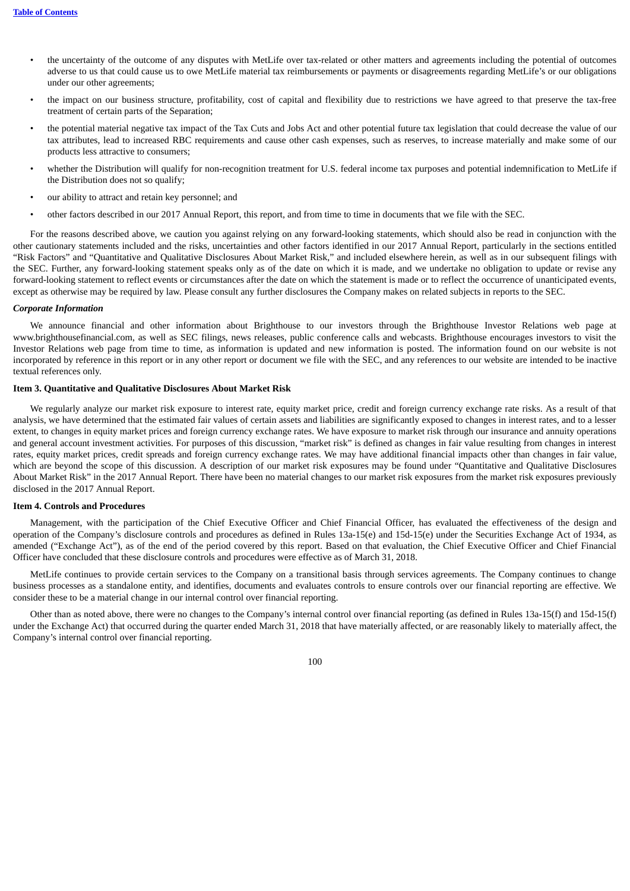- the uncertainty of the outcome of any disputes with MetLife over tax-related or other matters and agreements including the potential of outcomes adverse to us that could cause us to owe MetLife material tax reimbursements or payments or disagreements regarding MetLife's or our obligations under our other agreements;
- the impact on our business structure, profitability, cost of capital and flexibility due to restrictions we have agreed to that preserve the tax-free treatment of certain parts of the Separation;
- the potential material negative tax impact of the Tax Cuts and Jobs Act and other potential future tax legislation that could decrease the value of our tax attributes, lead to increased RBC requirements and cause other cash expenses, such as reserves, to increase materially and make some of our products less attractive to consumers;
- whether the Distribution will qualify for non-recognition treatment for U.S. federal income tax purposes and potential indemnification to MetLife if the Distribution does not so qualify;
- our ability to attract and retain key personnel; and
- other factors described in our 2017 Annual Report, this report, and from time to time in documents that we file with the SEC.

For the reasons described above, we caution you against relying on any forward-looking statements, which should also be read in conjunction with the other cautionary statements included and the risks, uncertainties and other factors identified in our 2017 Annual Report, particularly in the sections entitled "Risk Factors" and "Quantitative and Qualitative Disclosures About Market Risk," and included elsewhere herein, as well as in our subsequent filings with the SEC. Further, any forward-looking statement speaks only as of the date on which it is made, and we undertake no obligation to update or revise any forward-looking statement to reflect events or circumstances after the date on which the statement is made or to reflect the occurrence of unanticipated events, except as otherwise may be required by law. Please consult any further disclosures the Company makes on related subjects in reports to the SEC.

#### *Corporate Information*

We announce financial and other information about Brighthouse to our investors through the Brighthouse Investor Relations web page at www.brighthousefinancial.com, as well as SEC filings, news releases, public conference calls and webcasts. Brighthouse encourages investors to visit the Investor Relations web page from time to time, as information is updated and new information is posted. The information found on our website is not incorporated by reference in this report or in any other report or document we file with the SEC, and any references to our website are intended to be inactive textual references only.

## **Item 3. Quantitative and Qualitative Disclosures About Market Risk**

We regularly analyze our market risk exposure to interest rate, equity market price, credit and foreign currency exchange rate risks. As a result of that analysis, we have determined that the estimated fair values of certain assets and liabilities are significantly exposed to changes in interest rates, and to a lesser extent, to changes in equity market prices and foreign currency exchange rates. We have exposure to market risk through our insurance and annuity operations and general account investment activities. For purposes of this discussion, "market risk" is defined as changes in fair value resulting from changes in interest rates, equity market prices, credit spreads and foreign currency exchange rates. We may have additional financial impacts other than changes in fair value, which are beyond the scope of this discussion. A description of our market risk exposures may be found under "Quantitative and Qualitative Disclosures About Market Risk" in the 2017 Annual Report. There have been no material changes to our market risk exposures from the market risk exposures previously disclosed in the 2017 Annual Report.

## **Item 4. Controls and Procedures**

Management, with the participation of the Chief Executive Officer and Chief Financial Officer, has evaluated the effectiveness of the design and operation of the Company's disclosure controls and procedures as defined in Rules 13a-15(e) and 15d-15(e) under the Securities Exchange Act of 1934, as amended ("Exchange Act"), as of the end of the period covered by this report. Based on that evaluation, the Chief Executive Officer and Chief Financial Officer have concluded that these disclosure controls and procedures were effective as of March 31, 2018.

MetLife continues to provide certain services to the Company on a transitional basis through services agreements. The Company continues to change business processes as a standalone entity, and identifies, documents and evaluates controls to ensure controls over our financial reporting are effective. We consider these to be a material change in our internal control over financial reporting.

Other than as noted above, there were no changes to the Company's internal control over financial reporting (as defined in Rules  $13a-15(f)$  and  $15d-15(f)$ under the Exchange Act) that occurred during the quarter ended March 31, 2018 that have materially affected, or are reasonably likely to materially affect, the Company's internal control over financial reporting.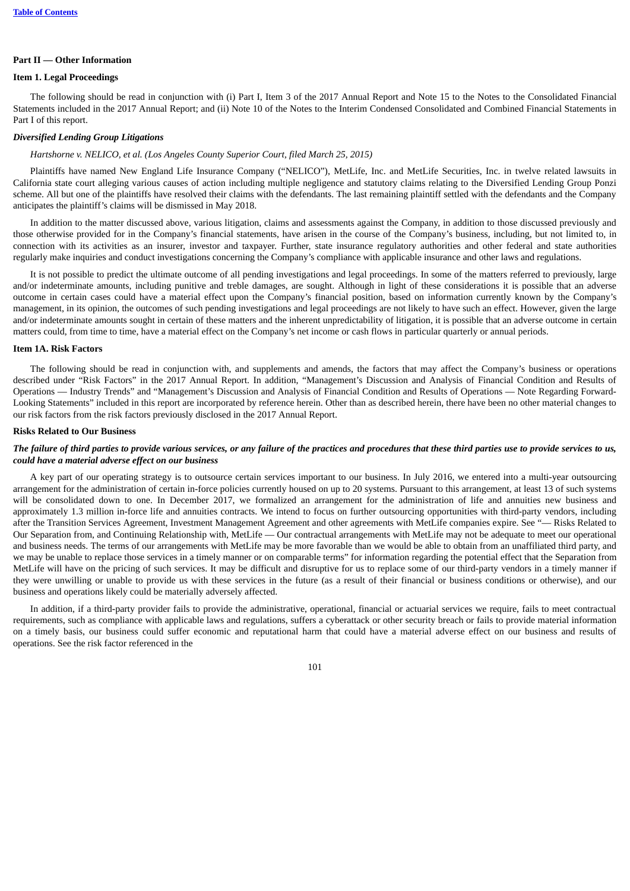## **Part II — Other Information**

## **Item 1. Legal Proceedings**

The following should be read in conjunction with (i) Part I, Item 3 of the 2017 Annual Report and Note 15 to the Notes to the Consolidated Financial Statements included in the 2017 Annual Report; and (ii) Note 10 of the Notes to the Interim Condensed Consolidated and Combined Financial Statements in Part I of this report.

#### *Diversified Lending Group Litigations*

#### *Hartshorne v. NELICO, et al. (Los Angeles County Superior Court, filed March 25, 2015)*

Plaintiffs have named New England Life Insurance Company ("NELICO"), MetLife, Inc. and MetLife Securities, Inc. in twelve related lawsuits in California state court alleging various causes of action including multiple negligence and statutory claims relating to the Diversified Lending Group Ponzi scheme. All but one of the plaintiffs have resolved their claims with the defendants. The last remaining plaintiff settled with the defendants and the Company anticipates the plaintiff's claims will be dismissed in May 2018.

In addition to the matter discussed above, various litigation, claims and assessments against the Company, in addition to those discussed previously and those otherwise provided for in the Company's financial statements, have arisen in the course of the Company's business, including, but not limited to, in connection with its activities as an insurer, investor and taxpayer. Further, state insurance regulatory authorities and other federal and state authorities regularly make inquiries and conduct investigations concerning the Company's compliance with applicable insurance and other laws and regulations.

It is not possible to predict the ultimate outcome of all pending investigations and legal proceedings. In some of the matters referred to previously, large and/or indeterminate amounts, including punitive and treble damages, are sought. Although in light of these considerations it is possible that an adverse outcome in certain cases could have a material effect upon the Company's financial position, based on information currently known by the Company's management, in its opinion, the outcomes of such pending investigations and legal proceedings are not likely to have such an effect. However, given the large and/or indeterminate amounts sought in certain of these matters and the inherent unpredictability of litigation, it is possible that an adverse outcome in certain matters could, from time to time, have a material effect on the Company's net income or cash flows in particular quarterly or annual periods.

#### **Item 1A. Risk Factors**

The following should be read in conjunction with, and supplements and amends, the factors that may affect the Company's business or operations described under "Risk Factors" in the 2017 Annual Report. In addition, "Management's Discussion and Analysis of Financial Condition and Results of Operations — Industry Trends" and "Management's Discussion and Analysis of Financial Condition and Results of Operations — Note Regarding Forward-Looking Statements" included in this report are incorporated by reference herein. Other than as described herein, there have been no other material changes to our risk factors from the risk factors previously disclosed in the 2017 Annual Report.

#### **Risks Related to Our Business**

## The failure of third parties to provide various services, or any failure of the practices and procedures that these third parties use to provide services to us, *could have a material adverse effect on our business*

A key part of our operating strategy is to outsource certain services important to our business. In July 2016, we entered into a multi-year outsourcing arrangement for the administration of certain in-force policies currently housed on up to 20 systems. Pursuant to this arrangement, at least 13 of such systems will be consolidated down to one. In December 2017, we formalized an arrangement for the administration of life and annuities new business and approximately 1.3 million in-force life and annuities contracts. We intend to focus on further outsourcing opportunities with third-party vendors, including after the Transition Services Agreement, Investment Management Agreement and other agreements with MetLife companies expire. See "— Risks Related to Our Separation from, and Continuing Relationship with, MetLife — Our contractual arrangements with MetLife may not be adequate to meet our operational and business needs. The terms of our arrangements with MetLife may be more favorable than we would be able to obtain from an unaffiliated third party, and we may be unable to replace those services in a timely manner or on comparable terms" for information regarding the potential effect that the Separation from MetLife will have on the pricing of such services. It may be difficult and disruptive for us to replace some of our third-party vendors in a timely manner if they were unwilling or unable to provide us with these services in the future (as a result of their financial or business conditions or otherwise), and our business and operations likely could be materially adversely affected.

In addition, if a third-party provider fails to provide the administrative, operational, financial or actuarial services we require, fails to meet contractual requirements, such as compliance with applicable laws and regulations, suffers a cyberattack or other security breach or fails to provide material information on a timely basis, our business could suffer economic and reputational harm that could have a material adverse effect on our business and results of operations. See the risk factor referenced in the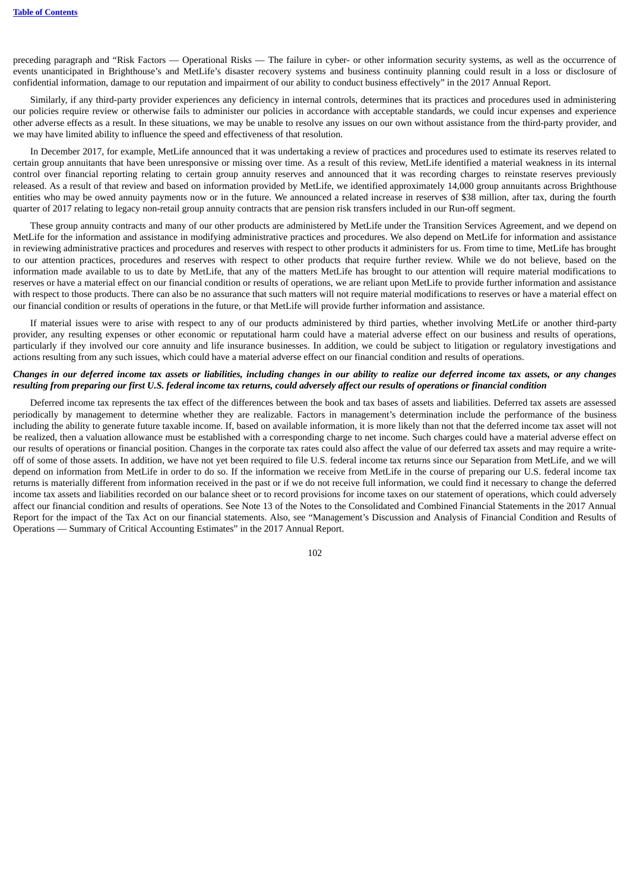preceding paragraph and "Risk Factors — Operational Risks — The failure in cyber- or other information security systems, as well as the occurrence of events unanticipated in Brighthouse's and MetLife's disaster recovery systems and business continuity planning could result in a loss or disclosure of confidential information, damage to our reputation and impairment of our ability to conduct business effectively" in the 2017 Annual Report.

Similarly, if any third-party provider experiences any deficiency in internal controls, determines that its practices and procedures used in administering our policies require review or otherwise fails to administer our policies in accordance with acceptable standards, we could incur expenses and experience other adverse effects as a result. In these situations, we may be unable to resolve any issues on our own without assistance from the third-party provider, and we may have limited ability to influence the speed and effectiveness of that resolution.

In December 2017, for example, MetLife announced that it was undertaking a review of practices and procedures used to estimate its reserves related to certain group annuitants that have been unresponsive or missing over time. As a result of this review, MetLife identified a material weakness in its internal control over financial reporting relating to certain group annuity reserves and announced that it was recording charges to reinstate reserves previously released. As a result of that review and based on information provided by MetLife, we identified approximately 14,000 group annuitants across Brighthouse entities who may be owed annuity payments now or in the future. We announced a related increase in reserves of \$38 million, after tax, during the fourth quarter of 2017 relating to legacy non-retail group annuity contracts that are pension risk transfers included in our Run-off segment.

These group annuity contracts and many of our other products are administered by MetLife under the Transition Services Agreement, and we depend on MetLife for the information and assistance in modifying administrative practices and procedures. We also depend on MetLife for information and assistance in reviewing administrative practices and procedures and reserves with respect to other products it administers for us. From time to time, MetLife has brought to our attention practices, procedures and reserves with respect to other products that require further review. While we do not believe, based on the information made available to us to date by MetLife, that any of the matters MetLife has brought to our attention will require material modifications to reserves or have a material effect on our financial condition or results of operations, we are reliant upon MetLife to provide further information and assistance with respect to those products. There can also be no assurance that such matters will not require material modifications to reserves or have a material effect on our financial condition or results of operations in the future, or that MetLife will provide further information and assistance.

If material issues were to arise with respect to any of our products administered by third parties, whether involving MetLife or another third-party provider, any resulting expenses or other economic or reputational harm could have a material adverse effect on our business and results of operations, particularly if they involved our core annuity and life insurance businesses. In addition, we could be subject to litigation or regulatory investigations and actions resulting from any such issues, which could have a material adverse effect on our financial condition and results of operations.

## Changes in our deferred income tax assets or liabilities, including changes in our ability to realize our deferred income tax assets, or any changes resulting from preparing our first U.S. federal income tax returns, could adversely affect our results of operations or financial condition

Deferred income tax represents the tax effect of the differences between the book and tax bases of assets and liabilities. Deferred tax assets are assessed periodically by management to determine whether they are realizable. Factors in management's determination include the performance of the business including the ability to generate future taxable income. If, based on available information, it is more likely than not that the deferred income tax asset will not be realized, then a valuation allowance must be established with a corresponding charge to net income. Such charges could have a material adverse effect on our results of operations or financial position. Changes in the corporate tax rates could also affect the value of our deferred tax assets and may require a writeoff of some of those assets. In addition, we have not yet been required to file U.S. federal income tax returns since our Separation from MetLife, and we will depend on information from MetLife in order to do so. If the information we receive from MetLife in the course of preparing our U.S. federal income tax returns is materially different from information received in the past or if we do not receive full information, we could find it necessary to change the deferred income tax assets and liabilities recorded on our balance sheet or to record provisions for income taxes on our statement of operations, which could adversely affect our financial condition and results of operations. See Note 13 of the Notes to the Consolidated and Combined Financial Statements in the 2017 Annual Report for the impact of the Tax Act on our financial statements. Also, see "Management's Discussion and Analysis of Financial Condition and Results of Operations — Summary of Critical Accounting Estimates" in the 2017 Annual Report.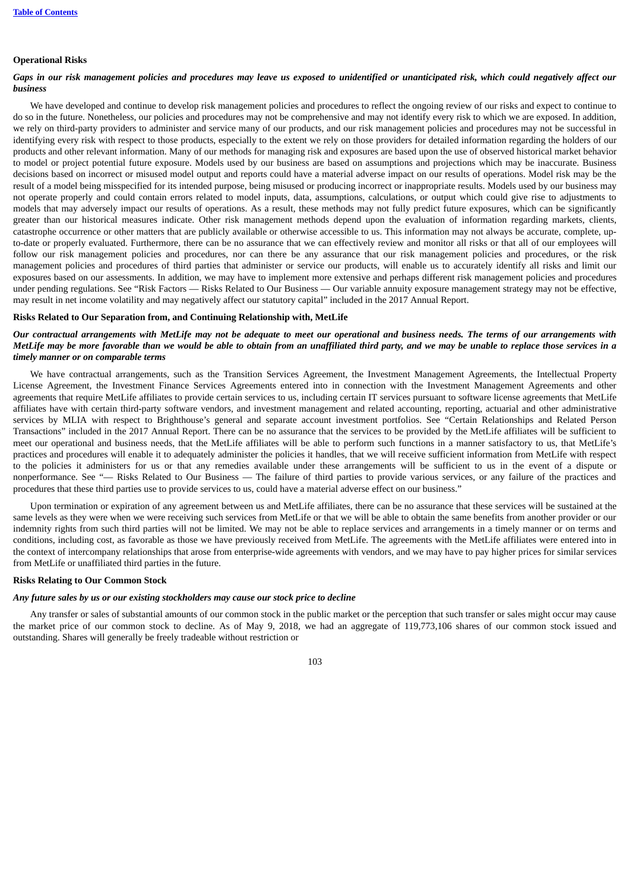#### **Operational Risks**

## Gaps in our risk management policies and procedures may leave us exposed to unidentified or unanticipated risk, which could negatively affect our *business*

We have developed and continue to develop risk management policies and procedures to reflect the ongoing review of our risks and expect to continue to do so in the future. Nonetheless, our policies and procedures may not be comprehensive and may not identify every risk to which we are exposed. In addition, we rely on third-party providers to administer and service many of our products, and our risk management policies and procedures may not be successful in identifying every risk with respect to those products, especially to the extent we rely on those providers for detailed information regarding the holders of our products and other relevant information. Many of our methods for managing risk and exposures are based upon the use of observed historical market behavior to model or project potential future exposure. Models used by our business are based on assumptions and projections which may be inaccurate. Business decisions based on incorrect or misused model output and reports could have a material adverse impact on our results of operations. Model risk may be the result of a model being misspecified for its intended purpose, being misused or producing incorrect or inappropriate results. Models used by our business may not operate properly and could contain errors related to model inputs, data, assumptions, calculations, or output which could give rise to adjustments to models that may adversely impact our results of operations. As a result, these methods may not fully predict future exposures, which can be significantly greater than our historical measures indicate. Other risk management methods depend upon the evaluation of information regarding markets, clients, catastrophe occurrence or other matters that are publicly available or otherwise accessible to us. This information may not always be accurate, complete, upto-date or properly evaluated. Furthermore, there can be no assurance that we can effectively review and monitor all risks or that all of our employees will follow our risk management policies and procedures, nor can there be any assurance that our risk management policies and procedures, or the risk management policies and procedures of third parties that administer or service our products, will enable us to accurately identify all risks and limit our exposures based on our assessments. In addition, we may have to implement more extensive and perhaps different risk management policies and procedures under pending regulations. See "Risk Factors — Risks Related to Our Business — Our variable annuity exposure management strategy may not be effective, may result in net income volatility and may negatively affect our statutory capital" included in the 2017 Annual Report.

## **Risks Related to Our Separation from, and Continuing Relationship with, MetLife**

## Our contractual arrangements with MetLife may not be adequate to meet our operational and business needs. The terms of our arrangements with MetLife may be more favorable than we would be able to obtain from an unaffiliated third party, and we may be unable to replace those services in a *timely manner or on comparable terms*

We have contractual arrangements, such as the Transition Services Agreement, the Investment Management Agreements, the Intellectual Property License Agreement, the Investment Finance Services Agreements entered into in connection with the Investment Management Agreements and other agreements that require MetLife affiliates to provide certain services to us, including certain IT services pursuant to software license agreements that MetLife affiliates have with certain third-party software vendors, and investment management and related accounting, reporting, actuarial and other administrative services by MLIA with respect to Brighthouse's general and separate account investment portfolios. See "Certain Relationships and Related Person Transactions" included in the 2017 Annual Report. There can be no assurance that the services to be provided by the MetLife affiliates will be sufficient to meet our operational and business needs, that the MetLife affiliates will be able to perform such functions in a manner satisfactory to us, that MetLife's practices and procedures will enable it to adequately administer the policies it handles, that we will receive sufficient information from MetLife with respect to the policies it administers for us or that any remedies available under these arrangements will be sufficient to us in the event of a dispute or nonperformance. See "— Risks Related to Our Business — The failure of third parties to provide various services, or any failure of the practices and procedures that these third parties use to provide services to us, could have a material adverse effect on our business."

Upon termination or expiration of any agreement between us and MetLife affiliates, there can be no assurance that these services will be sustained at the same levels as they were when we were receiving such services from MetLife or that we will be able to obtain the same benefits from another provider or our indemnity rights from such third parties will not be limited. We may not be able to replace services and arrangements in a timely manner or on terms and conditions, including cost, as favorable as those we have previously received from MetLife. The agreements with the MetLife affiliates were entered into in the context of intercompany relationships that arose from enterprise-wide agreements with vendors, and we may have to pay higher prices for similar services from MetLife or unaffiliated third parties in the future.

#### **Risks Relating to Our Common Stock**

### *Any future sales by us or our existing stockholders may cause our stock price to decline*

Any transfer or sales of substantial amounts of our common stock in the public market or the perception that such transfer or sales might occur may cause the market price of our common stock to decline. As of May 9, 2018, we had an aggregate of 119,773,106 shares of our common stock issued and outstanding. Shares will generally be freely tradeable without restriction or

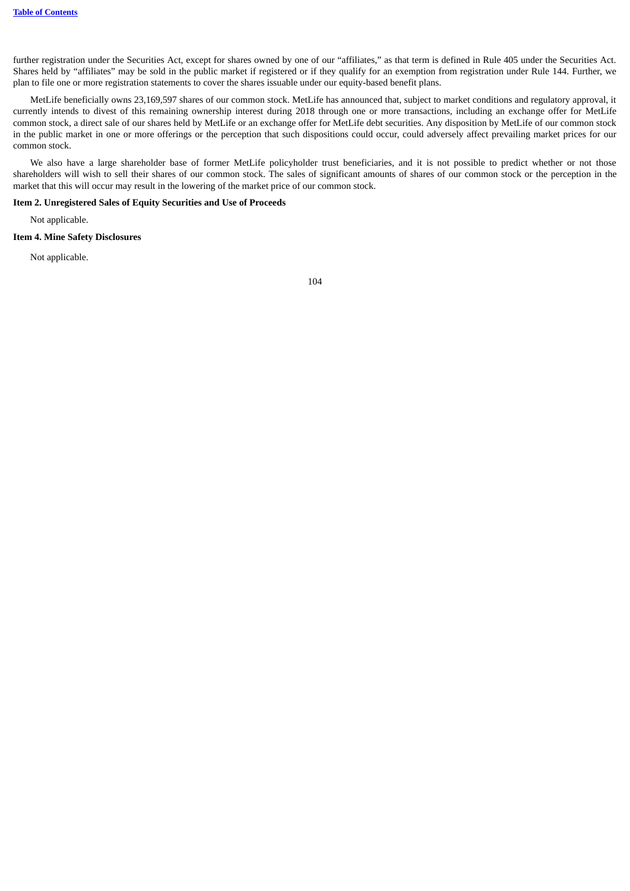further registration under the Securities Act, except for shares owned by one of our "affiliates," as that term is defined in Rule 405 under the Securities Act. Shares held by "affiliates" may be sold in the public market if registered or if they qualify for an exemption from registration under Rule 144. Further, we plan to file one or more registration statements to cover the shares issuable under our equity-based benefit plans.

MetLife beneficially owns 23,169,597 shares of our common stock. MetLife has announced that, subject to market conditions and regulatory approval, it currently intends to divest of this remaining ownership interest during 2018 through one or more transactions, including an exchange offer for MetLife common stock, a direct sale of our shares held by MetLife or an exchange offer for MetLife debt securities. Any disposition by MetLife of our common stock in the public market in one or more offerings or the perception that such dispositions could occur, could adversely affect prevailing market prices for our common stock.

We also have a large shareholder base of former MetLife policyholder trust beneficiaries, and it is not possible to predict whether or not those shareholders will wish to sell their shares of our common stock. The sales of significant amounts of shares of our common stock or the perception in the market that this will occur may result in the lowering of the market price of our common stock.

## **Item 2. Unregistered Sales of Equity Securities and Use of Proceeds**

Not applicable.

### **Item 4. Mine Safety Disclosures**

Not applicable.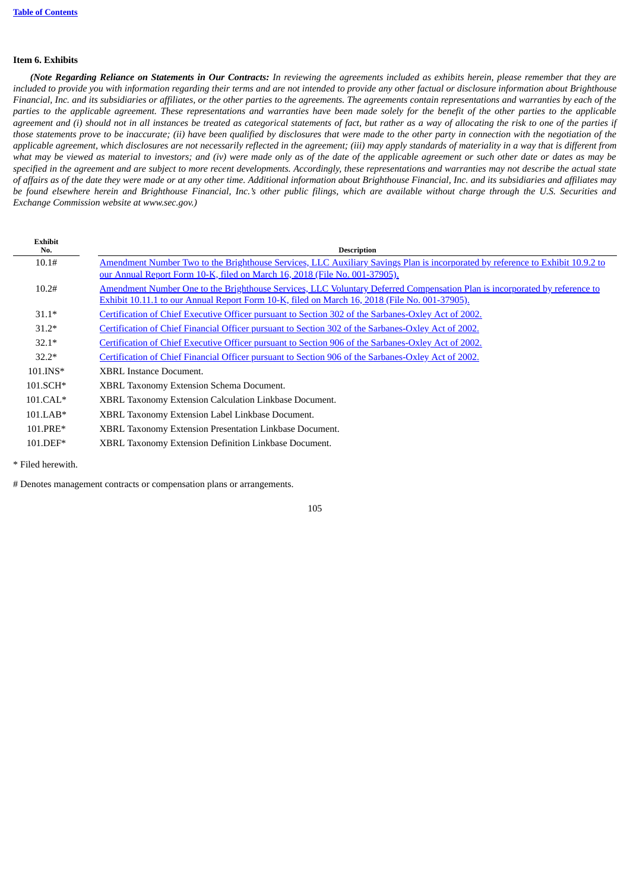## **Item 6. Exhibits**

(Note Regarding Reliance on Statements in Our Contracts: In reviewing the agreements included as exhibits herein, please remember that they are included to provide you with information regarding their terms and are not intended to provide any other factual or disclosure information about Brighthouse Financial, Inc. and its subsidiaries or affiliates, or the other parties to the agreements. The agreements contain representations and warranties by each of the parties to the applicable agreement. These representations and warranties have been made solely for the benefit of the other parties to the applicable agreement and (i) should not in all instances be treated as categorical statements of fact, but rather as a way of allocating the risk to one of the parties if those statements prove to be inaccurate; (ii) have been qualified by disclosures that were made to the other party in connection with the negotiation of the applicable agreement, which disclosures are not necessarily reflected in the agreement; (iii) may apply standards of materiality in a way that is different from what may be viewed as material to investors; and (iv) were made only as of the date of the applicable agreement or such other date or dates as may be specified in the agreement and are subject to more recent developments. Accordingly, these representations and warranties may not describe the actual state of affairs as of the date they were made or at any other time. Additional information about Brighthouse Financial, Inc. and its subsidiaries and affiliates may be found elsewhere herein and Brighthouse Financial, Inc.'s other public filings, which are available without charge through the U.S. Securities and *Exchange Commission website at www.sec.gov.)*

| <b>Exhibit</b><br>No. | <b>Description</b>                                                                                                                                                                                       |
|-----------------------|----------------------------------------------------------------------------------------------------------------------------------------------------------------------------------------------------------|
| 10.1#                 | Amendment Number Two to the Brighthouse Services, LLC Auxiliary Savings Plan is incorporated by reference to Exhibit 10.9.2 to                                                                           |
| 10.2#                 | our Annual Report Form 10-K, filed on March 16, 2018 (File No. 001-37905).<br>Amendment Number One to the Brighthouse Services, LLC Voluntary Deferred Compensation Plan is incorporated by reference to |
| $31.1*$               | Exhibit 10.11.1 to our Annual Report Form 10-K, filed on March 16, 2018 (File No. 001-37905).<br>Certification of Chief Executive Officer pursuant to Section 302 of the Sarbanes-Oxley Act of 2002.     |
| $31.2*$               | Certification of Chief Financial Officer pursuant to Section 302 of the Sarbanes-Oxley Act of 2002.                                                                                                      |
| $32.1*$               | Certification of Chief Executive Officer pursuant to Section 906 of the Sarbanes-Oxley Act of 2002.                                                                                                      |
| $32.2*$               | Certification of Chief Financial Officer pursuant to Section 906 of the Sarbanes-Oxley Act of 2002.                                                                                                      |
| $101.INS*$            | <b>XBRL Instance Document.</b>                                                                                                                                                                           |
| $101.SCH*$            | XBRL Taxonomy Extension Schema Document.                                                                                                                                                                 |
| $101.CAL*$            | XBRL Taxonomy Extension Calculation Linkbase Document.                                                                                                                                                   |
| $101.LAB*$            | XBRL Taxonomy Extension Label Linkbase Document.                                                                                                                                                         |
| 101.PRE*              | XBRL Taxonomy Extension Presentation Linkbase Document.                                                                                                                                                  |
| $101.DEF*$            | XBRL Taxonomy Extension Definition Linkbase Document.                                                                                                                                                    |
|                       |                                                                                                                                                                                                          |

\* Filed herewith.

# Denotes management contracts or compensation plans or arrangements.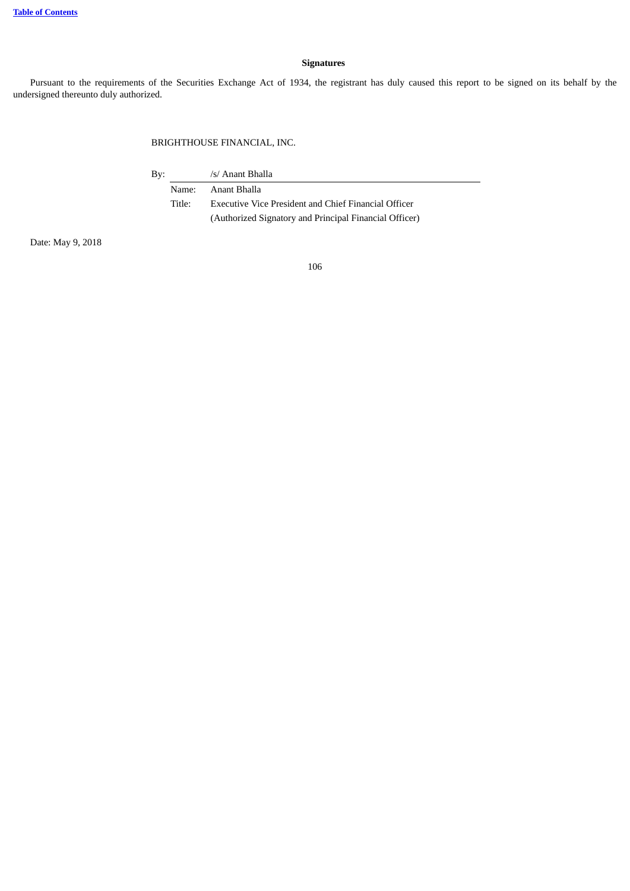## **Signatures**

Pursuant to the requirements of the Securities Exchange Act of 1934, the registrant has duly caused this report to be signed on its behalf by the undersigned thereunto duly authorized.

# BRIGHTHOUSE FINANCIAL, INC.

By: /s/ Anant Bhalla

Name: Anant Bhalla

Title: Executive Vice President and Chief Financial Officer (Authorized Signatory and Principal Financial Officer)

Date: May 9, 2018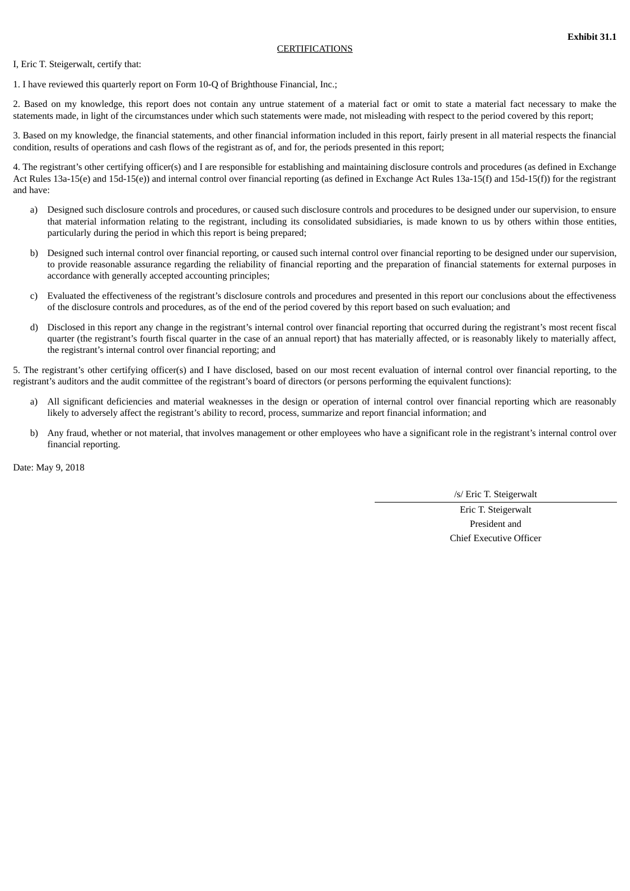<span id="page-107-0"></span>I, Eric T. Steigerwalt, certify that:

1. I have reviewed this quarterly report on Form 10-Q of Brighthouse Financial, Inc.;

2. Based on my knowledge, this report does not contain any untrue statement of a material fact or omit to state a material fact necessary to make the statements made, in light of the circumstances under which such statements were made, not misleading with respect to the period covered by this report;

3. Based on my knowledge, the financial statements, and other financial information included in this report, fairly present in all material respects the financial condition, results of operations and cash flows of the registrant as of, and for, the periods presented in this report;

4. The registrant's other certifying officer(s) and I are responsible for establishing and maintaining disclosure controls and procedures (as defined in Exchange Act Rules 13a-15(e) and 15d-15(e)) and internal control over financial reporting (as defined in Exchange Act Rules 13a-15(f) and 15d-15(f)) for the registrant and have:

- a) Designed such disclosure controls and procedures, or caused such disclosure controls and procedures to be designed under our supervision, to ensure that material information relating to the registrant, including its consolidated subsidiaries, is made known to us by others within those entities, particularly during the period in which this report is being prepared;
- b) Designed such internal control over financial reporting, or caused such internal control over financial reporting to be designed under our supervision, to provide reasonable assurance regarding the reliability of financial reporting and the preparation of financial statements for external purposes in accordance with generally accepted accounting principles;
- c) Evaluated the effectiveness of the registrant's disclosure controls and procedures and presented in this report our conclusions about the effectiveness of the disclosure controls and procedures, as of the end of the period covered by this report based on such evaluation; and
- d) Disclosed in this report any change in the registrant's internal control over financial reporting that occurred during the registrant's most recent fiscal quarter (the registrant's fourth fiscal quarter in the case of an annual report) that has materially affected, or is reasonably likely to materially affect, the registrant's internal control over financial reporting; and

5. The registrant's other certifying officer(s) and I have disclosed, based on our most recent evaluation of internal control over financial reporting, to the registrant's auditors and the audit committee of the registrant's board of directors (or persons performing the equivalent functions):

- a) All significant deficiencies and material weaknesses in the design or operation of internal control over financial reporting which are reasonably likely to adversely affect the registrant's ability to record, process, summarize and report financial information; and
- b) Any fraud, whether or not material, that involves management or other employees who have a significant role in the registrant's internal control over financial reporting.

Date: May 9, 2018

/s/ Eric T. Steigerwalt

Eric T. Steigerwalt President and Chief Executive Officer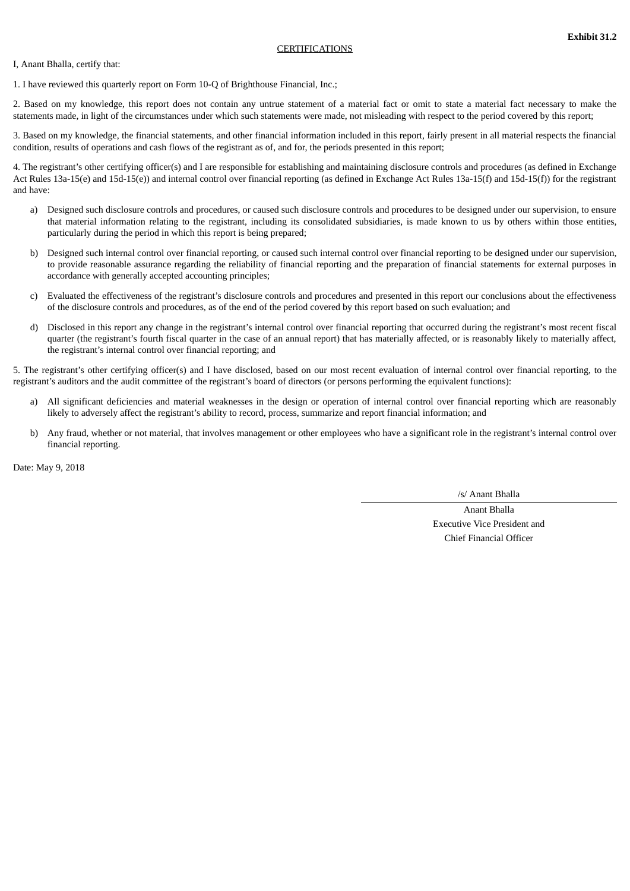I, Anant Bhalla, certify that:

1. I have reviewed this quarterly report on Form 10-Q of Brighthouse Financial, Inc.;

2. Based on my knowledge, this report does not contain any untrue statement of a material fact or omit to state a material fact necessary to make the statements made, in light of the circumstances under which such statements were made, not misleading with respect to the period covered by this report;

3. Based on my knowledge, the financial statements, and other financial information included in this report, fairly present in all material respects the financial condition, results of operations and cash flows of the registrant as of, and for, the periods presented in this report;

4. The registrant's other certifying officer(s) and I are responsible for establishing and maintaining disclosure controls and procedures (as defined in Exchange Act Rules 13a-15(e) and 15d-15(e)) and internal control over financial reporting (as defined in Exchange Act Rules 13a-15(f) and 15d-15(f)) for the registrant and have:

- a) Designed such disclosure controls and procedures, or caused such disclosure controls and procedures to be designed under our supervision, to ensure that material information relating to the registrant, including its consolidated subsidiaries, is made known to us by others within those entities, particularly during the period in which this report is being prepared;
- b) Designed such internal control over financial reporting, or caused such internal control over financial reporting to be designed under our supervision, to provide reasonable assurance regarding the reliability of financial reporting and the preparation of financial statements for external purposes in accordance with generally accepted accounting principles;
- c) Evaluated the effectiveness of the registrant's disclosure controls and procedures and presented in this report our conclusions about the effectiveness of the disclosure controls and procedures, as of the end of the period covered by this report based on such evaluation; and
- d) Disclosed in this report any change in the registrant's internal control over financial reporting that occurred during the registrant's most recent fiscal quarter (the registrant's fourth fiscal quarter in the case of an annual report) that has materially affected, or is reasonably likely to materially affect, the registrant's internal control over financial reporting; and

5. The registrant's other certifying officer(s) and I have disclosed, based on our most recent evaluation of internal control over financial reporting, to the registrant's auditors and the audit committee of the registrant's board of directors (or persons performing the equivalent functions):

- a) All significant deficiencies and material weaknesses in the design or operation of internal control over financial reporting which are reasonably likely to adversely affect the registrant's ability to record, process, summarize and report financial information; and
- b) Any fraud, whether or not material, that involves management or other employees who have a significant role in the registrant's internal control over financial reporting.

Date: May 9, 2018

/s/ Anant Bhalla

Anant Bhalla Executive Vice President and Chief Financial Officer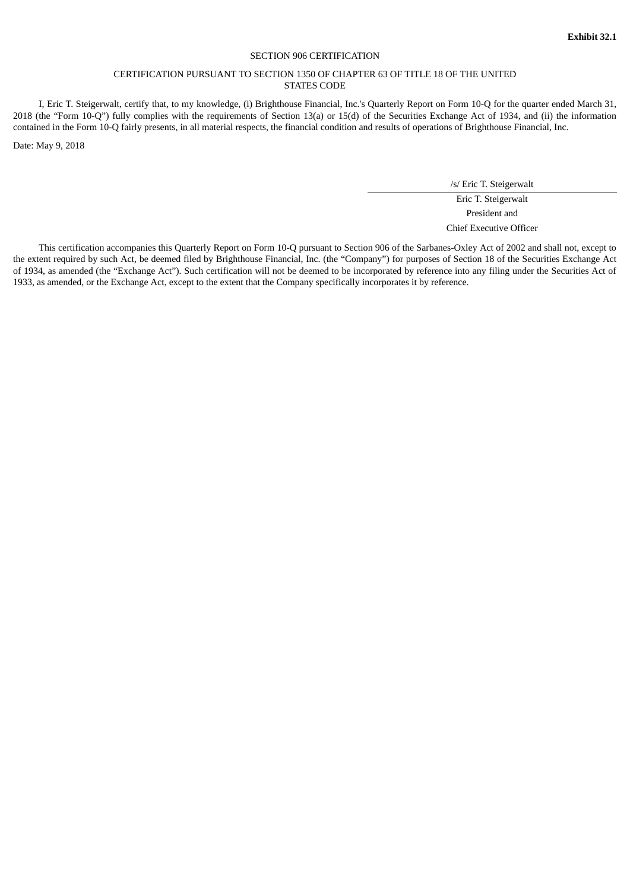## SECTION 906 CERTIFICATION

## CERTIFICATION PURSUANT TO SECTION 1350 OF CHAPTER 63 OF TITLE 18 OF THE UNITED STATES CODE

I, Eric T. Steigerwalt, certify that, to my knowledge, (i) Brighthouse Financial, Inc.'s Quarterly Report on Form 10-Q for the quarter ended March 31, 2018 (the "Form 10-Q") fully complies with the requirements of Section 13(a) or 15(d) of the Securities Exchange Act of 1934, and (ii) the information contained in the Form 10-Q fairly presents, in all material respects, the financial condition and results of operations of Brighthouse Financial, Inc.

Date: May 9, 2018

/s/ Eric T. Steigerwalt

Eric T. Steigerwalt President and Chief Executive Officer

This certification accompanies this Quarterly Report on Form 10-Q pursuant to Section 906 of the Sarbanes-Oxley Act of 2002 and shall not, except to the extent required by such Act, be deemed filed by Brighthouse Financial, Inc. (the "Company") for purposes of Section 18 of the Securities Exchange Act of 1934, as amended (the "Exchange Act"). Such certification will not be deemed to be incorporated by reference into any filing under the Securities Act of 1933, as amended, or the Exchange Act, except to the extent that the Company specifically incorporates it by reference.